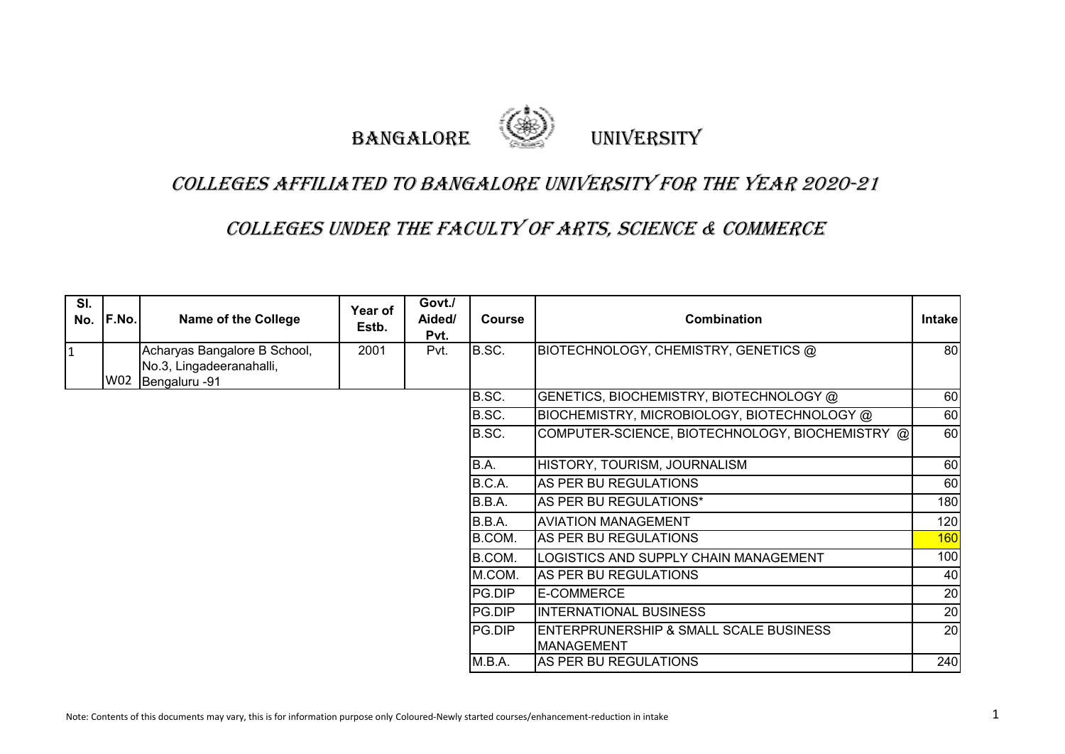



## Colleges AffiliAted to BAngAlore University for the yeAr 2020-21

## COLLEGES UNDER THE FACULTY OF ARTS, SCIENCE & COMMERCE

| SI.<br>No.   | F.No. | <b>Name of the College</b>                                                    | Year of<br>Estb. | Govt./<br>Aided/<br>Pvt. | <b>Course</b> | Combination                                                            | <b>Intakel</b>  |
|--------------|-------|-------------------------------------------------------------------------------|------------------|--------------------------|---------------|------------------------------------------------------------------------|-----------------|
| $\mathbf{1}$ |       | Acharyas Bangalore B School,<br>No.3, Lingadeeranahalli,<br>W02 Bengaluru -91 | 2001             | Pvt.                     | B.SC.         | BIOTECHNOLOGY, CHEMISTRY, GENETICS @                                   | <b>80</b>       |
|              |       |                                                                               |                  |                          | B.SC.         | GENETICS, BIOCHEMISTRY, BIOTECHNOLOGY @                                | 60              |
|              |       |                                                                               |                  |                          | B.SC.         | BIOCHEMISTRY, MICROBIOLOGY, BIOTECHNOLOGY @                            | 60              |
|              |       |                                                                               |                  |                          | B.SC.         | COMPUTER-SCIENCE, BIOTECHNOLOGY, BIOCHEMISTRY @                        | 60              |
|              |       |                                                                               |                  |                          | B.A.          | HISTORY, TOURISM, JOURNALISM                                           | 60              |
|              |       |                                                                               |                  |                          | B.C.A.        | AS PER BU REGULATIONS                                                  | 60              |
|              |       |                                                                               |                  |                          | B.B.A.        | AS PER BU REGULATIONS*                                                 | 180             |
|              |       |                                                                               |                  |                          | B.B.A.        | <b>AVIATION MANAGEMENT</b>                                             | 120             |
|              |       |                                                                               |                  |                          | B.COM.        | AS PER BU REGULATIONS                                                  | <b>160</b>      |
|              |       |                                                                               |                  |                          | B.COM.        | <b>LOGISTICS AND SUPPLY CHAIN MANAGEMENT</b>                           | 100             |
|              |       |                                                                               |                  |                          | M.COM.        | AS PER BU REGULATIONS                                                  | 40              |
|              |       |                                                                               |                  |                          | PG.DIP        | <b>E-COMMERCE</b>                                                      | 20              |
|              |       |                                                                               |                  |                          | <b>PG.DIP</b> | <b>INTERNATIONAL BUSINESS</b>                                          | 20              |
|              |       |                                                                               |                  |                          | PG.DIP        | <b>ENTERPRUNERSHIP &amp; SMALL SCALE BUSINESS</b><br><b>MANAGEMENT</b> | $\overline{20}$ |
|              |       |                                                                               |                  |                          | M.B.A.        | AS PER BU REGULATIONS                                                  | 240             |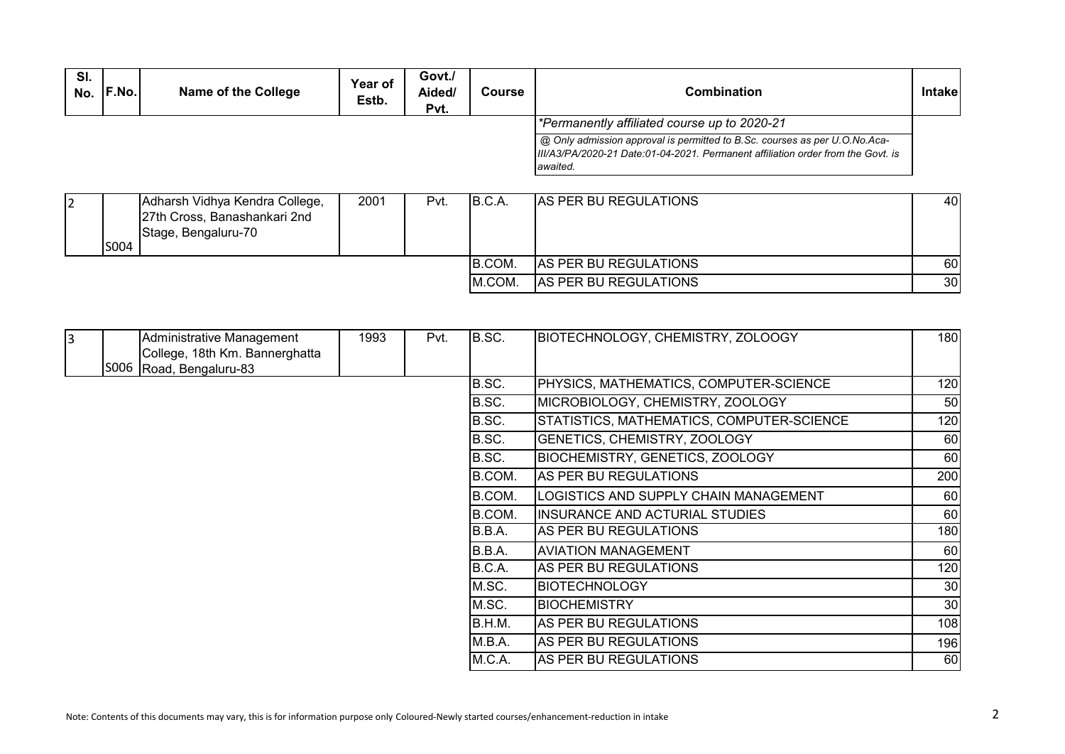| SI.<br>No. | F.No. | <b>Name of the College</b>                                                            | Year of<br>Estb. | Govt./<br>Aided/<br>Pvt. | <b>Course</b> | Combination                                                                                                                                                                | <b>Intakel</b>  |
|------------|-------|---------------------------------------------------------------------------------------|------------------|--------------------------|---------------|----------------------------------------------------------------------------------------------------------------------------------------------------------------------------|-----------------|
|            |       |                                                                                       |                  |                          |               | *Permanently affiliated course up to 2020-21                                                                                                                               |                 |
|            |       |                                                                                       |                  |                          |               | @ Only admission approval is permitted to B.Sc. courses as per U.O.No.Aca-<br>III/A3/PA/2020-21 Date:01-04-2021. Permanent affiliation order from the Govt. is<br>awaited. |                 |
|            |       |                                                                                       |                  |                          |               |                                                                                                                                                                            |                 |
| 2          | S004  | Adharsh Vidhya Kendra College,<br>27th Cross, Banashankari 2nd<br>Stage, Bengaluru-70 | 2001             | Pvt.                     | B.C.A.        | AS PER BU REGULATIONS                                                                                                                                                      | 40              |
|            |       |                                                                                       |                  |                          | B.COM.        | IAS PER BU REGULATIONS                                                                                                                                                     | 60              |
|            |       |                                                                                       |                  |                          | M.COM.        | <b>AS PER BU REGULATIONS</b>                                                                                                                                               | 30 <sub>l</sub> |

| l3 | Administrative Management<br>College, 18th Km. Bannerghatta<br>S006 Road, Bengaluru-83 | 1993 | Pvt. | B.SC.  | BIOTECHNOLOGY, CHEMISTRY, ZOLOOGY         | 180 |
|----|----------------------------------------------------------------------------------------|------|------|--------|-------------------------------------------|-----|
|    |                                                                                        |      |      | B.SC.  | PHYSICS, MATHEMATICS, COMPUTER-SCIENCE    | 120 |
|    |                                                                                        |      |      | B.SC.  | MICROBIOLOGY, CHEMISTRY, ZOOLOGY          | 50  |
|    |                                                                                        |      |      | B.SC.  | STATISTICS, MATHEMATICS, COMPUTER-SCIENCE | 120 |
|    |                                                                                        |      |      | B.SC.  | <b>GENETICS, CHEMISTRY, ZOOLOGY</b>       | 60  |
|    |                                                                                        |      |      | B.SC.  | <b>BIOCHEMISTRY, GENETICS, ZOOLOGY</b>    | 60  |
|    |                                                                                        |      |      | B.COM. | AS PER BU REGULATIONS                     | 200 |
|    |                                                                                        |      |      | B.COM. | LOGISTICS AND SUPPLY CHAIN MANAGEMENT     | 60  |
|    |                                                                                        |      |      | B.COM. | <b>INSURANCE AND ACTURIAL STUDIES</b>     | 60  |
|    |                                                                                        |      |      | B.B.A. | AS PER BU REGULATIONS                     | 180 |
|    |                                                                                        |      |      | B.B.A. | <b>AVIATION MANAGEMENT</b>                | 60  |
|    |                                                                                        |      |      | B.C.A. | AS PER BU REGULATIONS                     | 120 |
|    |                                                                                        |      |      | M.SC.  | <b>BIOTECHNOLOGY</b>                      | 30  |
|    |                                                                                        |      |      | M.SC.  | <b>BIOCHEMISTRY</b>                       | 30  |
|    |                                                                                        |      |      | B.H.M. | AS PER BU REGULATIONS                     | 108 |
|    |                                                                                        |      |      | M.B.A. | AS PER BU REGULATIONS                     | 196 |
|    |                                                                                        |      |      | M.C.A. | AS PER BU REGULATIONS                     | 60  |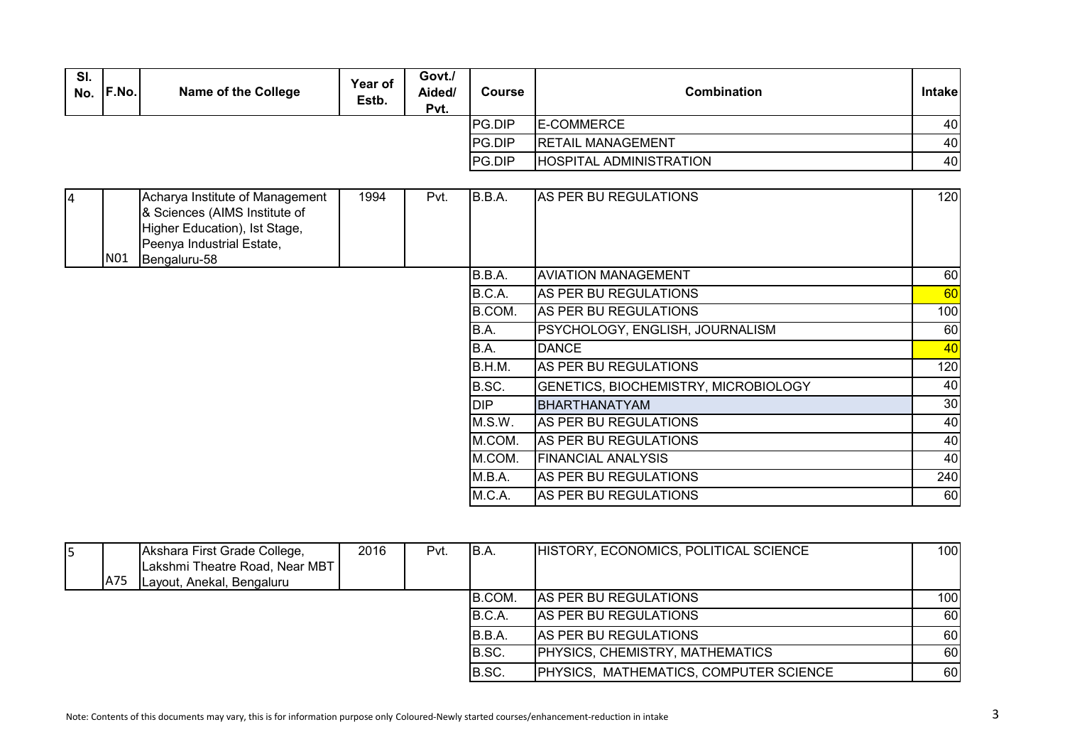| SI.<br>No.     | F.No.      | <b>Name of the College</b>                                                                                                                     | Year of<br>Estb. | Govt./<br>Aided/<br>Pvt. | <b>Course</b> | <b>Combination</b>                   | <b>Intake</b> |
|----------------|------------|------------------------------------------------------------------------------------------------------------------------------------------------|------------------|--------------------------|---------------|--------------------------------------|---------------|
|                |            |                                                                                                                                                |                  |                          | PG.DIP        | E-COMMERCE                           | 40            |
|                |            |                                                                                                                                                |                  |                          | PG.DIP        | <b>RETAIL MANAGEMENT</b>             | 40            |
|                |            |                                                                                                                                                |                  |                          | PG.DIP        | <b>HOSPITAL ADMINISTRATION</b>       | 40            |
| $\overline{4}$ | <b>N01</b> | Acharya Institute of Management<br>& Sciences (AIMS Institute of<br>Higher Education), Ist Stage,<br>Peenya Industrial Estate,<br>Bengaluru-58 | 1994             | Pvt.                     | B.B.A.        | AS PER BU REGULATIONS                | 120           |
|                |            |                                                                                                                                                |                  |                          | B.B.A.        | <b>AVIATION MANAGEMENT</b>           | 60            |
|                |            |                                                                                                                                                |                  |                          | B.C.A.        | AS PER BU REGULATIONS                | 60            |
|                |            |                                                                                                                                                |                  |                          | B.COM.        | AS PER BU REGULATIONS                | 100           |
|                |            |                                                                                                                                                |                  |                          | B.A.          | PSYCHOLOGY, ENGLISH, JOURNALISM      | 60            |
|                |            |                                                                                                                                                |                  |                          | B.A.          | <b>DANCE</b>                         | 40            |
|                |            |                                                                                                                                                |                  |                          | B.H.M.        | AS PER BU REGULATIONS                | 120           |
|                |            |                                                                                                                                                |                  |                          | B.SC.         | GENETICS, BIOCHEMISTRY, MICROBIOLOGY | 40            |
|                |            |                                                                                                                                                |                  |                          | <b>DIP</b>    | <b>BHARTHANATYAM</b>                 | $30\,$        |
|                |            |                                                                                                                                                |                  |                          | M.S.W.        | AS PER BU REGULATIONS                | 40            |
|                |            |                                                                                                                                                |                  |                          | M.COM.        | AS PER BU REGULATIONS                | 40            |
|                |            |                                                                                                                                                |                  |                          | M.COM.        | <b>FINANCIAL ANALYSIS</b>            | 40            |
|                |            |                                                                                                                                                |                  |                          | M.B.A.        | AS PER BU REGULATIONS                | 240           |
|                |            |                                                                                                                                                |                  |                          | M.C.A.        | AS PER BU REGULATIONS                | 60            |

| I5 |     | Akshara First Grade College,   | 2016 | Pvt. | B.A.    | HISTORY, ECONOMICS, POLITICAL SCIENCE  | 100       |
|----|-----|--------------------------------|------|------|---------|----------------------------------------|-----------|
|    |     | Lakshmi Theatre Road, Near MBT |      |      |         |                                        |           |
|    | A75 | Layout, Anekal, Bengaluru      |      |      |         |                                        |           |
|    |     |                                |      |      | IB.COM. | <b>AS PER BU REGULATIONS</b>           | 100       |
|    |     |                                |      |      | IB.C.A. | AS PER BU REGULATIONS                  | 60        |
|    |     |                                |      |      | IB.B.A. | AS PER BU REGULATIONS                  | 60        |
|    |     |                                |      |      | B.SC.   | PHYSICS, CHEMISTRY, MATHEMATICS        | 60        |
|    |     |                                |      |      | B.SC.   | PHYSICS, MATHEMATICS, COMPUTER SCIENCE | <b>60</b> |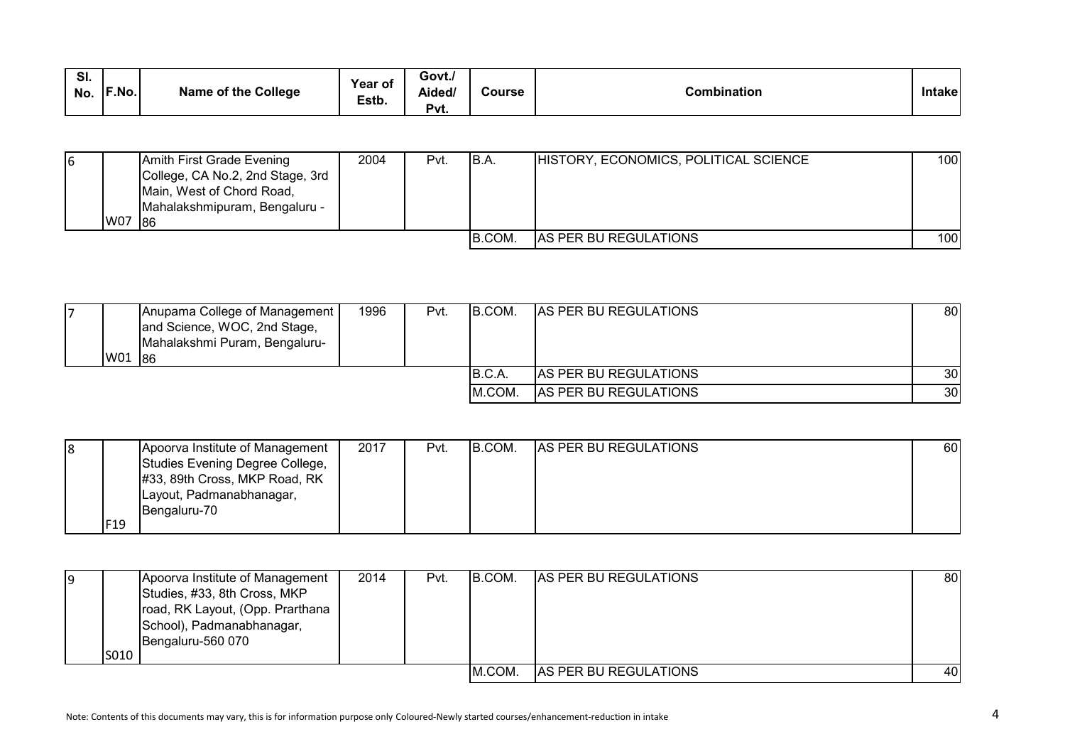| SI.<br>No. | F.No.<br><b>Name of the College</b> | Year of<br>Estb. | Govt./<br>Aided/<br>$P_{V}t$ . | Course | combination? | .ntake |
|------------|-------------------------------------|------------------|--------------------------------|--------|--------------|--------|
|------------|-------------------------------------|------------------|--------------------------------|--------|--------------|--------|

| 16 |        | Amith First Grade Evening<br>College, CA No.2, 2nd Stage, 3rd | 2004 | Pvt. | IB.A.   | HISTORY, ECONOMICS, POLITICAL SCIENCE | 100 |
|----|--------|---------------------------------------------------------------|------|------|---------|---------------------------------------|-----|
|    |        | Main, West of Chord Road,<br>Mahalakshmipuram, Bengaluru -    |      |      |         |                                       |     |
|    | W07 86 |                                                               |      |      |         |                                       |     |
|    |        |                                                               |      |      | IB.COM. | <b>AS PER BU REGULATIONS</b>          | 100 |

| W01 | <b>Anupama College of Management  </b><br>and Science, WOC, 2nd Stage,<br>Mahalakshmi Puram, Bengaluru-<br> 86 | 1996 | Pvt. | IB.COM. | <b>AS PER BU REGULATIONS</b> | 80              |
|-----|----------------------------------------------------------------------------------------------------------------|------|------|---------|------------------------------|-----------------|
|     |                                                                                                                |      |      | B.C.A.  | AS PER BU REGULATIONS        | 30 I            |
|     |                                                                                                                |      |      | IM.COM. | <b>AS PER BU REGULATIONS</b> | 30 <sup>1</sup> |

| 18 |                 | Apoorva Institute of Management | 2017 | Pvt. | IB.COM. | <b>AS PER BU REGULATIONS</b> | 60 |
|----|-----------------|---------------------------------|------|------|---------|------------------------------|----|
|    |                 | Studies Evening Degree College, |      |      |         |                              |    |
|    |                 | #33, 89th Cross, MKP Road, RK   |      |      |         |                              |    |
|    |                 | Layout, Padmanabhanagar,        |      |      |         |                              |    |
|    |                 | Bengaluru-70                    |      |      |         |                              |    |
|    | F <sub>19</sub> |                                 |      |      |         |                              |    |

| 19 | Apoorva Institute of Management<br>Studies, #33, 8th Cross, MKP<br>road, RK Layout, (Opp. Prarthana<br>School), Padmanabhanagar,<br>Bengaluru-560 070<br>S010 | 2014 | Pvt. | IB.COM. | <b>AS PER BU REGULATIONS</b> | 80 |
|----|---------------------------------------------------------------------------------------------------------------------------------------------------------------|------|------|---------|------------------------------|----|
|    |                                                                                                                                                               |      |      | M.COM.  | <b>AS PER BU REGULATIONS</b> | 40 |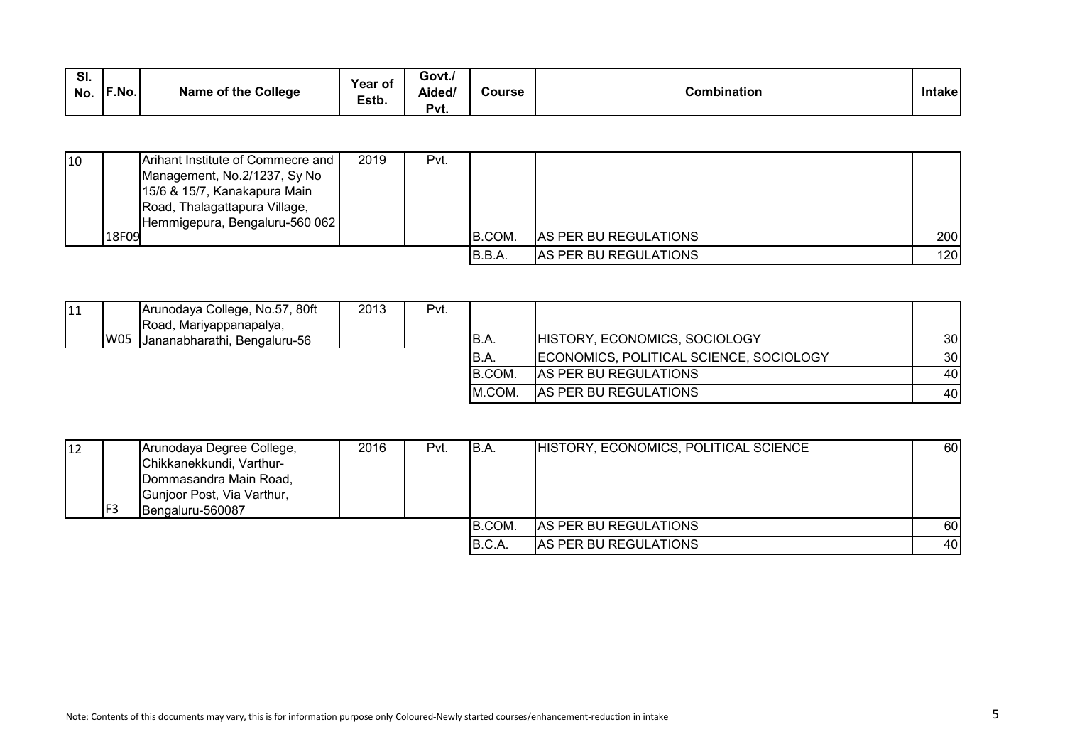| SI.<br>No. | <b>F.No.</b> | of the College<br>Name | Year of<br>Estb. | Govt./<br>Aided/<br>$P_{VU}$ | Course | <b>Combination</b> | wanc |
|------------|--------------|------------------------|------------------|------------------------------|--------|--------------------|------|
|------------|--------------|------------------------|------------------|------------------------------|--------|--------------------|------|

| 10 |       | Arihant Institute of Commecre and | 2019 | Pvt. |        |                              |     |
|----|-------|-----------------------------------|------|------|--------|------------------------------|-----|
|    |       | Management, No.2/1237, Sy No      |      |      |        |                              |     |
|    |       | 15/6 & 15/7, Kanakapura Main      |      |      |        |                              |     |
|    |       | Road, Thalagattapura Village,     |      |      |        |                              |     |
|    |       | Hemmigepura, Bengaluru-560 062    |      |      |        |                              |     |
|    | 18F09 |                                   |      |      | B.COM. | <b>AS PER BU REGULATIONS</b> | 200 |
|    |       |                                   |      |      | B.B.A. | <b>AS PER BU REGULATIONS</b> | 120 |

| 111 | Arunodaya College, No.57, 80ft<br>Road, Mariyappanapalya, | 2013 | Pvt. |         |                                         |                 |
|-----|-----------------------------------------------------------|------|------|---------|-----------------------------------------|-----------------|
|     | W05 Jananabharathi, Bengaluru-56                          |      |      | IB.A.   | HISTORY, ECONOMICS, SOCIOLOGY           | 30 <sup>1</sup> |
|     |                                                           |      |      | IB.A.   | ECONOMICS, POLITICAL SCIENCE, SOCIOLOGY | 30 <sup>1</sup> |
|     |                                                           |      |      | B.COM.  | AS PER BU REGULATIONS                   | 40 I            |
|     |                                                           |      |      | IM.COM. | <b>AS PER BU REGULATIONS</b>            | 40              |

| 12 | F <sub>3</sub> | Arunodaya Degree College,<br>Chikkanekkundi, Varthur-<br>Dommasandra Main Road,<br>Gunjoor Post, Via Varthur,<br>Bengaluru-560087 | 2016 | Pvt. | IB.A.   | HISTORY, ECONOMICS, POLITICAL SCIENCE | 60I             |
|----|----------------|-----------------------------------------------------------------------------------------------------------------------------------|------|------|---------|---------------------------------------|-----------------|
|    |                |                                                                                                                                   |      |      | IB.COM. | <b>AS PER BU REGULATIONS</b>          | 60I             |
|    |                |                                                                                                                                   |      |      | B.C.A   | <b>AS PER BU REGULATIONS</b>          | 40 <sup>1</sup> |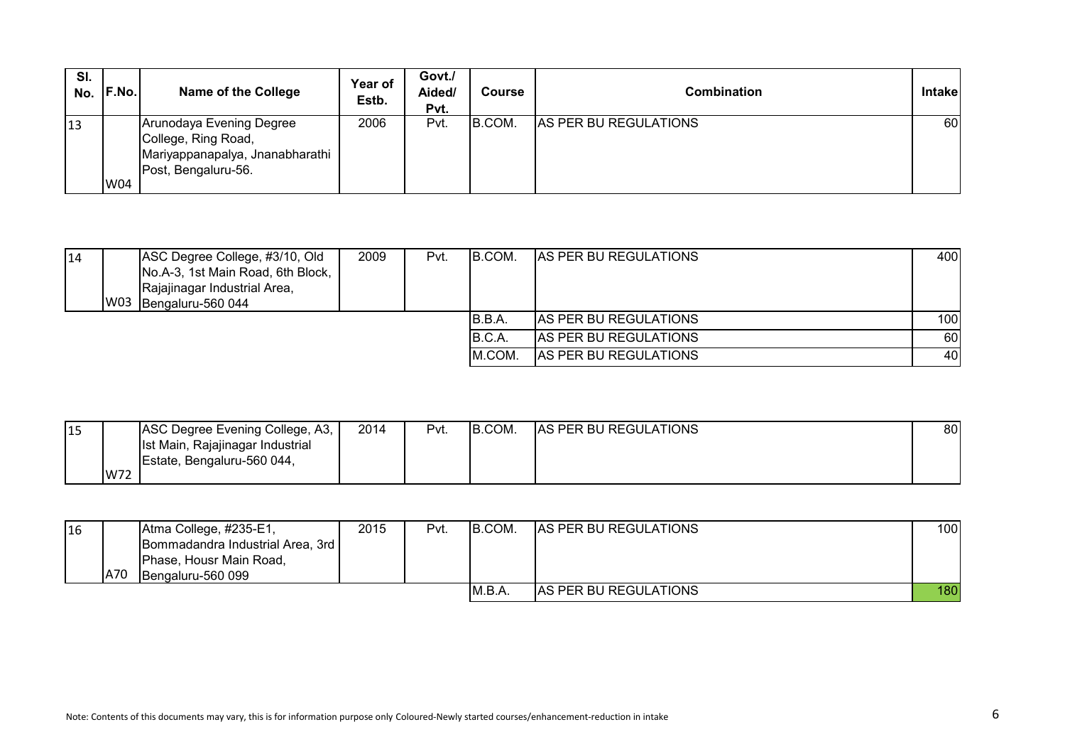| SI.<br>No. F.No. | <b>Name of the College</b>                                                                                | Year of<br>Estb. | Govt./<br>Aided/<br>Pvt. | <b>Course</b> | Combination           | <b>Intakel</b> |
|------------------|-----------------------------------------------------------------------------------------------------------|------------------|--------------------------|---------------|-----------------------|----------------|
| 13<br>W04        | Arunodaya Evening Degree<br>College, Ring Road,<br>Mariyappanapalya, Jnanabharathi<br>Post, Bengaluru-56. | 2006             | Pvt.                     | IB.COM.       | AS PER BU REGULATIONS | 60             |

| 14 | W03 | ASC Degree College, #3/10, Old<br>No.A-3, 1st Main Road, 6th Block,<br>Rajajinagar Industrial Area,<br>Bengaluru-560 044 | 2009 | Pvt. | IB.COM. | <b>AS PER BU REGULATIONS</b> | 400        |
|----|-----|--------------------------------------------------------------------------------------------------------------------------|------|------|---------|------------------------------|------------|
|    |     |                                                                                                                          |      |      | IB.B.A. | <b>AS PER BU REGULATIONS</b> | 100l       |
|    |     |                                                                                                                          |      |      | IB.C.A  | <b>AS PER BU REGULATIONS</b> | <b>601</b> |
|    |     |                                                                                                                          |      |      | M.COM.  | <b>AS PER BU REGULATIONS</b> | 40I        |

| 15 |     | ASC Degree Evening College, A3,  | 2014 | Pvt. | B.COM. | <b>AS PER BU REGULATIONS</b> | 80I |
|----|-----|----------------------------------|------|------|--------|------------------------------|-----|
|    |     | Ist Main, Rajajinagar Industrial |      |      |        |                              |     |
|    |     | Estate, Bengaluru-560 044,       |      |      |        |                              |     |
|    | W72 |                                  |      |      |        |                              |     |

| 16 |     | Atma College, #235-E1,           | 2015 | Pvt. | B.COM. | <b>AS PER BU REGULATIONS</b> | 1001 |
|----|-----|----------------------------------|------|------|--------|------------------------------|------|
|    |     | Bommadandra Industrial Area, 3rd |      |      |        |                              |      |
|    |     | Phase, Housr Main Road,          |      |      |        |                              |      |
|    | A70 | Bengaluru-560 099                |      |      |        |                              |      |
|    |     |                                  |      |      | M.B.A  | <b>AS PER BU REGULATIONS</b> | 180  |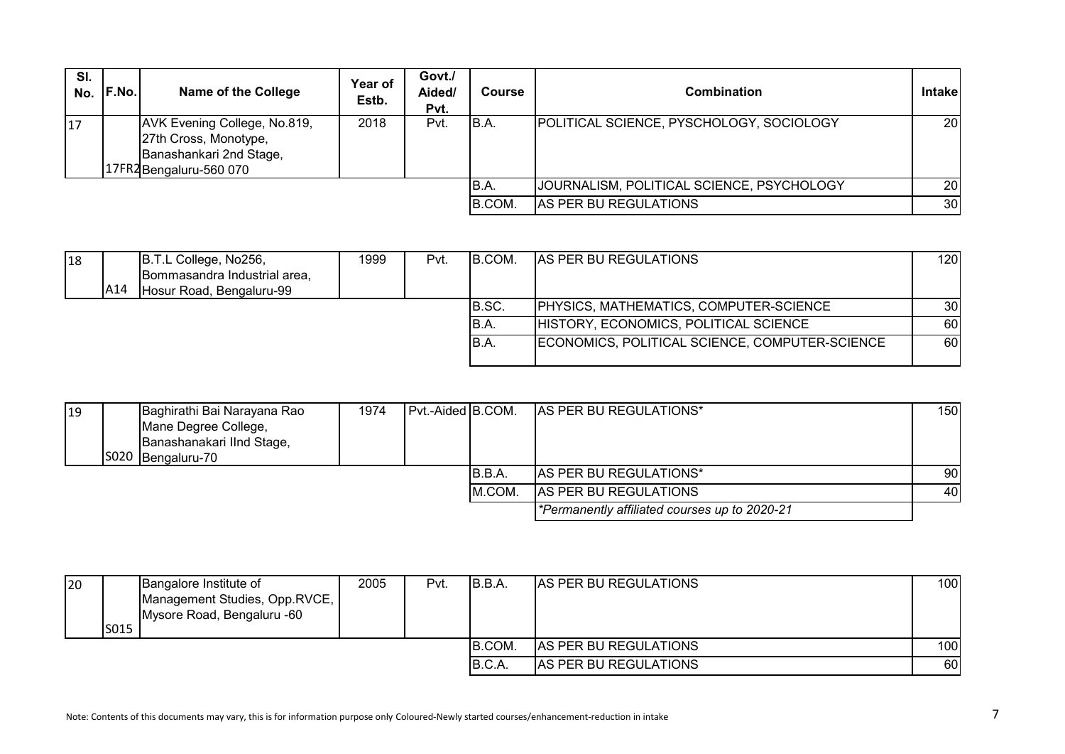| SI.<br>No. | F.No. | Name of the College                                                                                        | Year of<br>Estb. | Govt./<br>Aided/<br>Pvt. | <b>Course</b> | <b>Combination</b>                         | <b>Intakel</b>  |
|------------|-------|------------------------------------------------------------------------------------------------------------|------------------|--------------------------|---------------|--------------------------------------------|-----------------|
| 17         |       | AVK Evening College, No.819,<br>27th Cross, Monotype,<br>Banashankari 2nd Stage,<br>17FR2Bengaluru-560 070 | 2018             | Pvt.                     | IB.A.         | POLITICAL SCIENCE, PYSCHOLOGY, SOCIOLOGY   | <b>20</b>       |
|            |       |                                                                                                            |                  |                          | B.A.          | JJOURNALISM, POLITICAL SCIENCE, PSYCHOLOGY | 20 <sub>l</sub> |
|            |       |                                                                                                            |                  |                          | B.COM.        | AS PER BU REGULATIONS                      | 30 I            |

| 18 |     | B.T.L College, No256,        | 1999 | Pvt. | IB.COM. | IAS PER BU REGULATIONS                         | 120             |
|----|-----|------------------------------|------|------|---------|------------------------------------------------|-----------------|
|    |     | Bommasandra Industrial area, |      |      |         |                                                |                 |
|    | A14 | Hosur Road, Bengaluru-99     |      |      |         |                                                |                 |
|    |     |                              |      |      | B.SC.   | <b>PHYSICS, MATHEMATICS, COMPUTER-SCIENCE</b>  | 30 <sup>1</sup> |
|    |     |                              |      |      | IB.A.   | HISTORY, ECONOMICS, POLITICAL SCIENCE          | 60              |
|    |     |                              |      |      | IB.A.   | ECONOMICS, POLITICAL SCIENCE, COMPUTER-SCIENCE | 60 I            |

| 19 | Baghirathi Bai Narayana Rao | 1974 | Pvt.-Aided B.COM. |         | <b>AS PER BU REGULATIONS*</b>                 | 150  |
|----|-----------------------------|------|-------------------|---------|-----------------------------------------------|------|
|    | Mane Degree College,        |      |                   |         |                                               |      |
|    | Banashanakari IInd Stage,   |      |                   |         |                                               |      |
|    | S020 Bengaluru-70           |      |                   |         |                                               |      |
|    |                             |      |                   | IB.B.A. | AS PER BU REGULATIONS*                        | 90 I |
|    |                             |      |                   | IM.COM. | AS PER BU REGULATIONS                         | 40   |
|    |                             |      |                   |         | *Permanently affiliated courses up to 2020-21 |      |

| 20 | S015 | Bangalore Institute of<br>Management Studies, Opp.RVCE,<br>Mysore Road, Bengaluru -60 | 2005 | Pvt. | B.B.A. | <b>AS PER BU REGULATIONS</b> | 100 <sub>l</sub> |
|----|------|---------------------------------------------------------------------------------------|------|------|--------|------------------------------|------------------|
|    |      |                                                                                       |      |      | B.COM. | <b>AS PER BU REGULATIONS</b> | 100 <sup>1</sup> |
|    |      |                                                                                       |      |      | B.C.A. | AS PER BU REGULATIONS        | 60               |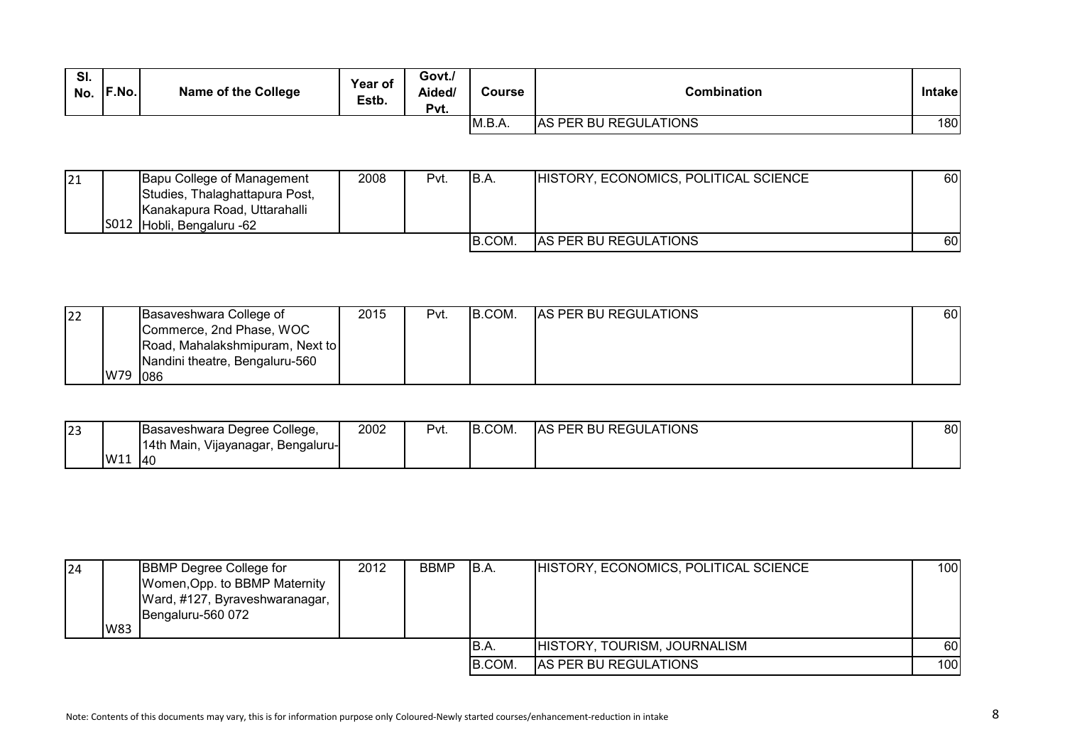| SI.<br>No. | F.No. | <b>Name of the College</b> | <b>Year of</b><br>Estb. | Govt./<br>Aided/<br>Pvt. | Course | Combination                  | <b>Intake</b> |
|------------|-------|----------------------------|-------------------------|--------------------------|--------|------------------------------|---------------|
|            |       |                            |                         |                          | M.B.A. | <b>AS PER BU REGULATIONS</b> | 180           |

| 21 |      | Bapu College of Management     | 2008 | Pvt. | IB.A.  | HISTORY, ECONOMICS, POLITICAL SCIENCE | 60 I |
|----|------|--------------------------------|------|------|--------|---------------------------------------|------|
|    |      | Studies, Thalaghattapura Post, |      |      |        |                                       |      |
|    |      | Kanakapura Road, Uttarahalli   |      |      |        |                                       |      |
|    | S012 | Hobli, Bengaluru -62           |      |      |        |                                       |      |
|    |      |                                |      |      | B.COM. | <b>AS PER BU REGULATIONS</b>          | 60   |

| 22 |         | Basaveshwara College of         | 2015 | Pvt. | B.COM. | <b>AS PER BU REGULATIONS</b> | 60 l |
|----|---------|---------------------------------|------|------|--------|------------------------------|------|
|    |         | Commerce, 2nd Phase, WOC        |      |      |        |                              |      |
|    |         | Road, Mahalakshmipuram, Next to |      |      |        |                              |      |
|    |         | Nandini theatre, Bengaluru-560  |      |      |        |                              |      |
|    | W79 086 |                                 |      |      |        |                              |      |

| 23 | Basaveshwara Degree College,              | 2002 | Pvt. | B.COM. | PER BU REGULATIONS<br>IAS | 80 |
|----|-------------------------------------------|------|------|--------|---------------------------|----|
|    | Vijayanagar,<br>14th Main,<br>Bengaluru-l |      |      |        |                           |    |
|    | W11<br>$\overline{140}$                   |      |      |        |                           |    |

| 24 | W83 | <b>BBMP Degree College for</b><br>Women, Opp. to BBMP Maternity<br>Ward, #127, Byraveshwaranagar,<br>Bengaluru-560 072 | 2012 | <b>BBMP</b> | IB.A.  | HISTORY, ECONOMICS, POLITICAL SCIENCE | 100  |
|----|-----|------------------------------------------------------------------------------------------------------------------------|------|-------------|--------|---------------------------------------|------|
|    |     |                                                                                                                        |      |             | IB.A.  | HISTORY, TOURISM, JOURNALISM          | 60 I |
|    |     |                                                                                                                        |      |             | B.COM. | AS PER BU REGULATIONS                 | 100  |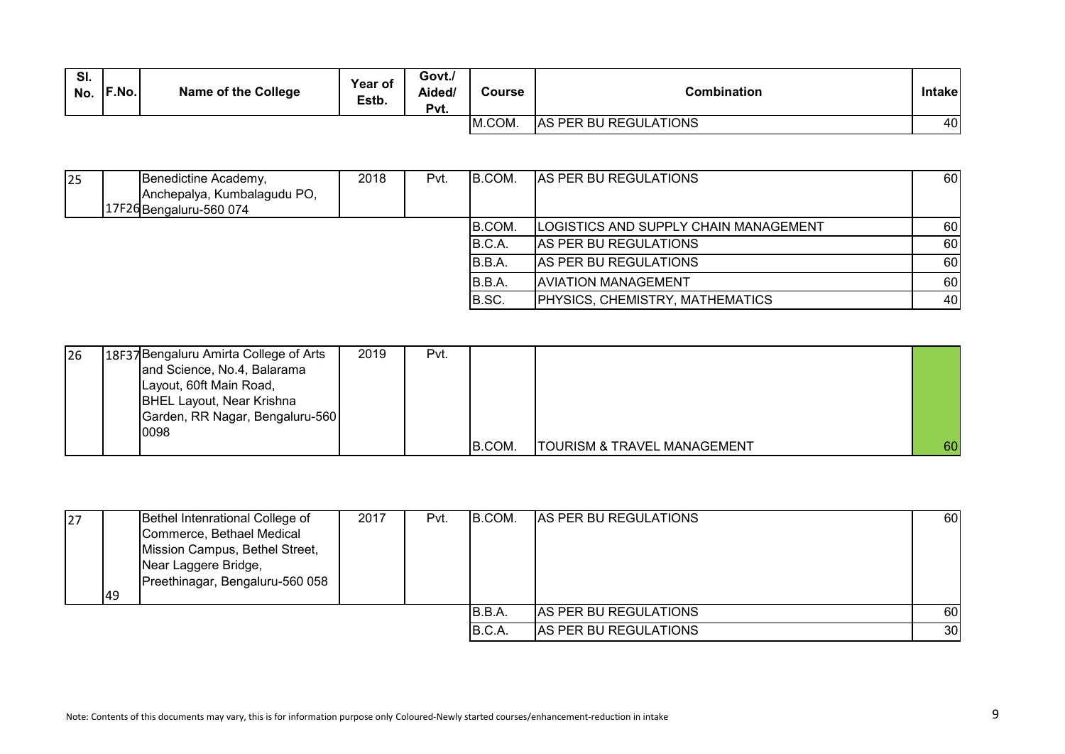| SI.<br>No. | F.No. | <b>Name of the College</b> | Year of<br>Estb. | Govt./<br>Aided/<br>Pvt. | Course | <b>Combination</b>           | Intakel |
|------------|-------|----------------------------|------------------|--------------------------|--------|------------------------------|---------|
|            |       |                            |                  |                          | M.COM. | <b>AS PER BU REGULATIONS</b> | 40      |

| 25 | Benedictine Academy,                                  | 2018 | Pvt. | B.COM.  | <b>AS PER BU REGULATIONS</b>           | 60  |
|----|-------------------------------------------------------|------|------|---------|----------------------------------------|-----|
|    | Anchepalya, Kumbalagudu PO,<br>17F26Bengaluru-560 074 |      |      |         |                                        |     |
|    |                                                       |      |      | B.COM.  | ILOGISTICS AND SUPPLY CHAIN MANAGEMENT | 60I |
|    |                                                       |      |      | B.C.A.  | <b>AS PER BU REGULATIONS</b>           | 60  |
|    |                                                       |      |      | IB.B.A. | AS PER BU REGULATIONS                  | 60  |
|    |                                                       |      |      | IB.B.A. | <b>IAVIATION MANAGEMENT</b>            | 60I |
|    |                                                       |      |      | B.SC.   | PHYSICS, CHEMISTRY, MATHEMATICS        | 40  |

| 26 | 18F37 Bengaluru Amirta College of Arts | 2019 | Pvt. |        |                                        |    |
|----|----------------------------------------|------|------|--------|----------------------------------------|----|
|    | and Science, No.4, Balarama            |      |      |        |                                        |    |
|    | Layout, 60ft Main Road,                |      |      |        |                                        |    |
|    | <b>BHEL Layout, Near Krishna</b>       |      |      |        |                                        |    |
|    | Garden, RR Nagar, Bengaluru-560        |      |      |        |                                        |    |
|    | 0098                                   |      |      |        |                                        |    |
|    |                                        |      |      | B.COM. | <b>TOURISM &amp; TRAVEL MANAGEMENT</b> | 60 |

| 27 | 49 | Bethel Intenrational College of<br>Commerce, Bethael Medical<br>Mission Campus, Bethel Street,<br>Near Laggere Bridge,<br>Preethinagar, Bengaluru-560 058 | 2017 | Pvt. | IB.COM. | <b>AS PER BU REGULATIONS</b> | 60              |
|----|----|-----------------------------------------------------------------------------------------------------------------------------------------------------------|------|------|---------|------------------------------|-----------------|
|    |    |                                                                                                                                                           |      |      | IB.B.A. | AS PER BU REGULATIONS        | 60 I            |
|    |    |                                                                                                                                                           |      |      | IB.C.A  | AS PER BU REGULATIONS        | 30 <sup>1</sup> |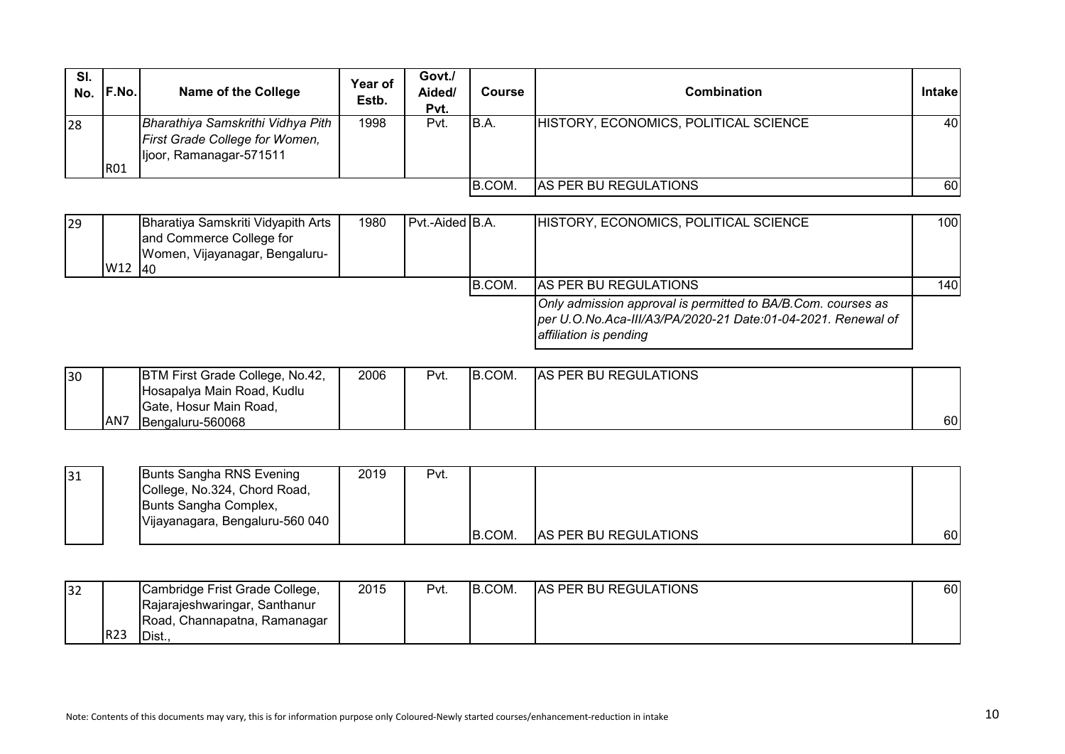| SI.<br>No. | <b>F.No.</b> | <b>Name of the College</b>                                                                     | Year of<br>Estb. | Govt./<br>Aided/<br>Pvt. | <b>Course</b> | <b>Combination</b>                    | <b>Intakel</b> |
|------------|--------------|------------------------------------------------------------------------------------------------|------------------|--------------------------|---------------|---------------------------------------|----------------|
| 28         | <b>R01</b>   | Bharathiya Samskrithi Vidhya Pith<br>First Grade College for Women,<br>ljoor, Ramanagar-571511 | 1998             | Pvt.                     | B.A.          | HISTORY, ECONOMICS, POLITICAL SCIENCE | 40             |
|            |              |                                                                                                |                  |                          | IB.COM.       | AS PER BU REGULATIONS                 | 60             |

| $ 29\rangle$ | W <sub>12</sub> 40 | Bharatiya Samskriti Vidyapith Arts<br>and Commerce College for<br>Women, Vijayanagar, Bengaluru- | 1980 | Pvt.-Aided B.A. |        | HISTORY, ECONOMICS, POLITICAL SCIENCE                                                                                                                  | 100 <sup>1</sup> |
|--------------|--------------------|--------------------------------------------------------------------------------------------------|------|-----------------|--------|--------------------------------------------------------------------------------------------------------------------------------------------------------|------------------|
|              |                    |                                                                                                  |      |                 | B.COM. | <b>AS PER BU REGULATIONS</b>                                                                                                                           | 140              |
|              |                    |                                                                                                  |      |                 |        | Only admission approval is permitted to BA/B.Com. courses as<br>per U.O.No.Aca-III/A3/PA/2020-21 Date:01-04-2021. Renewal of<br>affiliation is pending |                  |

| 30 |             | BTM First Grade College, No.42, | 2006 | Pvt. | B.COM. | <b>AS PER BU REGULATIONS</b> |    |
|----|-------------|---------------------------------|------|------|--------|------------------------------|----|
|    |             | Hosapalya Main Road, Kudlu      |      |      |        |                              |    |
|    |             | Gate, Hosur Main Road,          |      |      |        |                              |    |
|    | <b>JAN7</b> | Bengaluru-560068                |      |      |        |                              | 60 |

| 31 | Bunts Sangha RNS Evening        | 2019 | Pvt. |        |                              |    |
|----|---------------------------------|------|------|--------|------------------------------|----|
|    | College, No.324, Chord Road,    |      |      |        |                              |    |
|    | Bunts Sangha Complex,           |      |      |        |                              |    |
|    | Vijayanagara, Bengaluru-560 040 |      |      |        |                              |    |
|    |                                 |      |      | B.COM. | <b>AS PER BU REGULATIONS</b> | 60 |

| 32 |     | Cambridge Frist Grade College, | 2015 | Pvt. | IB.COM. | <b>AS PER BU REGULATIONS</b> | 60I |
|----|-----|--------------------------------|------|------|---------|------------------------------|-----|
|    |     | Rajarajeshwaringar, Santhanur  |      |      |         |                              |     |
|    |     | Road, Channapatna, Ramanagar   |      |      |         |                              |     |
|    | R23 | IDist.,                        |      |      |         |                              |     |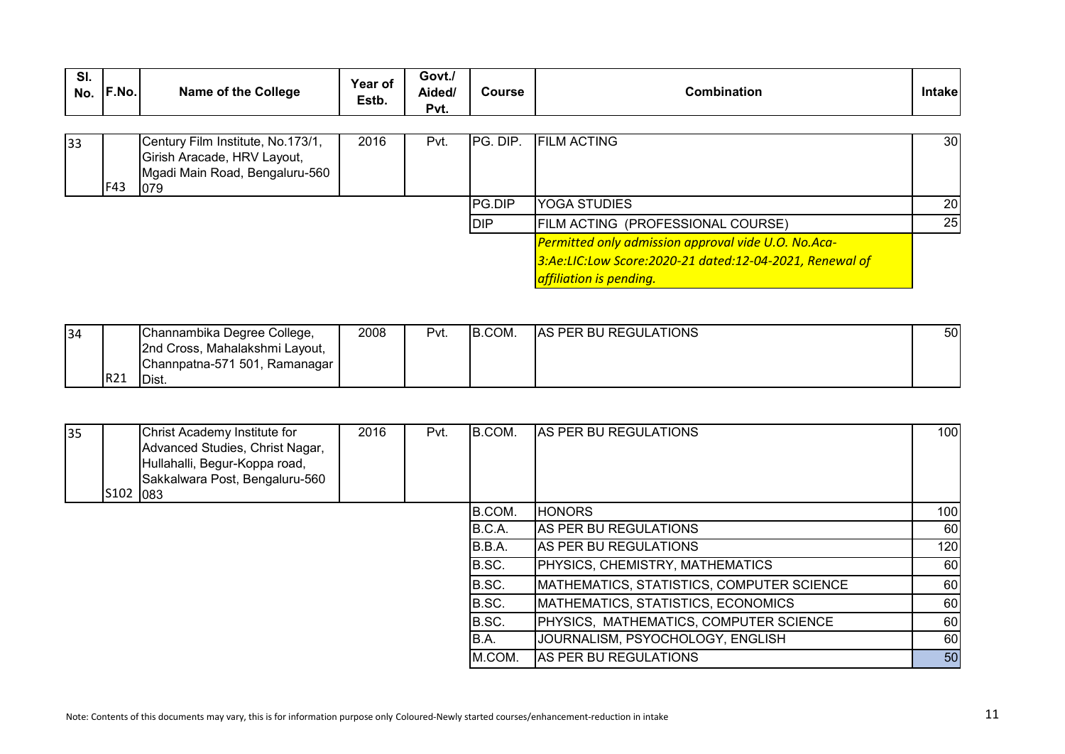|  | SI.<br>No. | F.No. | <b>Name of the College</b> | <b>Year of</b><br>Estb. | Govt./<br>Aided/<br>Pvt. | Course | Combination | <b>Intake</b> |
|--|------------|-------|----------------------------|-------------------------|--------------------------|--------|-------------|---------------|
|--|------------|-------|----------------------------|-------------------------|--------------------------|--------|-------------|---------------|

| 33 | F43 | Century Film Institute, No.173/1,<br>Girish Aracade, HRV Layout,<br>Mgadi Main Road, Bengaluru-560<br>1079 | 2016 | Pvt. | IPG. DIP.      | <b>FILM ACTING</b>                                      | 30 <sup>1</sup> |
|----|-----|------------------------------------------------------------------------------------------------------------|------|------|----------------|---------------------------------------------------------|-----------------|
|    |     |                                                                                                            |      |      | <b>IPG.DIP</b> | <b>YOGA STUDIES</b>                                     | <b>201</b>      |
|    |     |                                                                                                            |      |      | <b>DIP</b>     | FILM ACTING (PROFESSIONAL COURSE)                       | 25              |
|    |     |                                                                                                            |      |      |                | Permitted only admission approval vide U.O. No.Aca-     |                 |
|    |     |                                                                                                            |      |      |                | 3:Ae:LIC:Low Score:2020-21 dated:12-04-2021, Renewal of |                 |
|    |     |                                                                                                            |      |      |                | affiliation is pending.                                 |                 |

| 34 |     | Channambika Degree College,     | 2008 | Pvt. | B.COM. | <b>AS PER BU REGULATIONS</b> | 50 |
|----|-----|---------------------------------|------|------|--------|------------------------------|----|
|    |     | 2nd Cross, Mahalakshmi Layout,  |      |      |        |                              |    |
|    |     | Channpatna-571 501, Ramanagar I |      |      |        |                              |    |
|    | R21 | 'Dist.                          |      |      |        |                              |    |

| 35 | Christ Academy Institute for<br>IS102 083 | Advanced Studies, Christ Nagar,<br>Hullahalli, Begur-Koppa road,<br>Sakkalwara Post, Bengaluru-560 | 2016 | Pvt. | B.COM. | <b>IAS PER BU REGULATIONS</b>                     | 100 |
|----|-------------------------------------------|----------------------------------------------------------------------------------------------------|------|------|--------|---------------------------------------------------|-----|
|    |                                           |                                                                                                    |      |      | B.COM. | <b>HONORS</b>                                     | 100 |
|    |                                           |                                                                                                    |      |      | B.C.A. | AS PER BU REGULATIONS                             | 60  |
|    |                                           |                                                                                                    |      |      | B.B.A. | AS PER BU REGULATIONS                             | 120 |
|    |                                           |                                                                                                    |      |      | B.SC.  | PHYSICS, CHEMISTRY, MATHEMATICS                   | 60  |
|    |                                           |                                                                                                    |      |      | B.SC.  | <b>IMATHEMATICS, STATISTICS, COMPUTER SCIENCE</b> | 60  |
|    |                                           |                                                                                                    |      |      | B.SC.  | MATHEMATICS, STATISTICS, ECONOMICS                | 60  |
|    |                                           |                                                                                                    |      |      | B.SC.  | PHYSICS, MATHEMATICS, COMPUTER SCIENCE            | 60  |
|    |                                           |                                                                                                    |      |      | B.A.   | JOURNALISM, PSYOCHOLOGY, ENGLISH                  | 60  |
|    |                                           |                                                                                                    |      |      | M.COM. | AS PER BU REGULATIONS                             | 50  |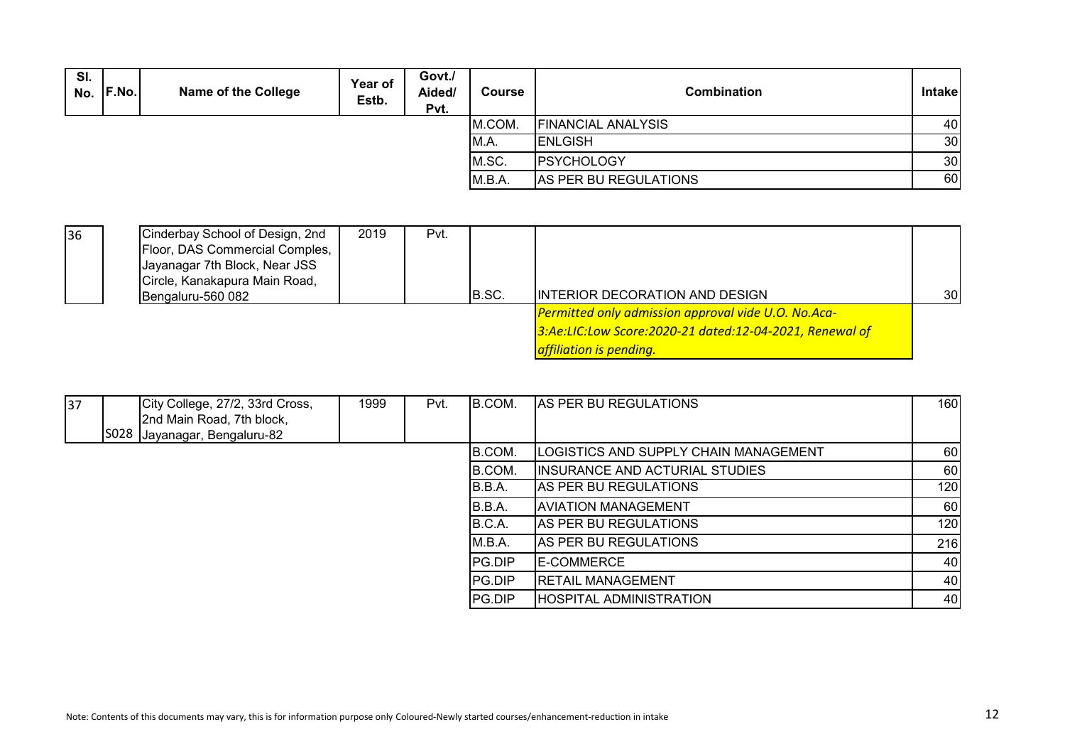| SI.<br>No. | <b>IF.No.</b> | <b>Name of the College</b> | Year of<br>Estb. | Govt./<br>Aided/<br>Pvt. | <b>Course</b> | <b>Combination</b>        | <b>Intake</b>   |
|------------|---------------|----------------------------|------------------|--------------------------|---------------|---------------------------|-----------------|
|            |               |                            |                  |                          | M.COM.        | <b>FINANCIAL ANALYSIS</b> | 40              |
|            |               |                            |                  |                          | IM.A.         | <b>IENLGISH</b>           | 30 <sup>1</sup> |
|            |               |                            |                  |                          | M.SC.         | <b>PSYCHOLOGY</b>         | 30 <sup>1</sup> |
|            |               |                            |                  |                          | M.B.A.        | AS PER BU REGULATIONS     | 60              |

| 36 | Cinderbay School of Design, 2nd | 2019 | Pvt. |       |                                                         |                 |
|----|---------------------------------|------|------|-------|---------------------------------------------------------|-----------------|
|    | Floor, DAS Commercial Comples,  |      |      |       |                                                         |                 |
|    | Jayanagar 7th Block, Near JSS   |      |      |       |                                                         |                 |
|    | Circle, Kanakapura Main Road,   |      |      |       |                                                         |                 |
|    | Bengaluru-560 082               |      |      | B.SC. | <b>INTERIOR DECORATION AND DESIGN</b>                   | 30 <sup>1</sup> |
|    |                                 |      |      |       | Permitted only admission approval vide U.O. No.Aca-     |                 |
|    |                                 |      |      |       | 3:Ae:LIC:Low Score:2020-21 dated:12-04-2021, Renewal of |                 |
|    |                                 |      |      |       | <b>affiliation is pending.</b>                          |                 |

| $\overline{37}$ | City College, 27/2, 33rd Cross, | 1999 | Pvt. | <b>B.COM.</b> | <b>AS PER BU REGULATIONS</b>           | 160 |
|-----------------|---------------------------------|------|------|---------------|----------------------------------------|-----|
|                 | 2nd Main Road, 7th block,       |      |      |               |                                        |     |
|                 | S028 Jayanagar, Bengaluru-82    |      |      |               |                                        |     |
|                 |                                 |      |      | B.COM.        | ILOGISTICS AND SUPPLY CHAIN MANAGEMENT | 60  |
|                 |                                 |      |      | B.COM.        | IINSURANCE AND ACTURIAL STUDIES        | 60  |
|                 |                                 |      |      | B.B.A.        | <b>IAS PER BU REGULATIONS</b>          | 120 |
|                 |                                 |      |      | B.B.A.        | <b>JAVIATION MANAGEMENT</b>            | 60  |
|                 |                                 |      |      | B.C.A.        | <b>AS PER BU REGULATIONS</b>           | 120 |
|                 |                                 |      |      | M.B.A.        | <b>IAS PER BU REGULATIONS</b>          | 216 |
|                 |                                 |      |      | IPG.DIP       | <b>IE-COMMERCE</b>                     | 40  |
|                 |                                 |      |      | IPG.DIP       | <b>RETAIL MANAGEMENT</b>               | 40  |
|                 |                                 |      |      | <b>PG.DIP</b> | <b>HOSPITAL ADMINISTRATION</b>         | 40  |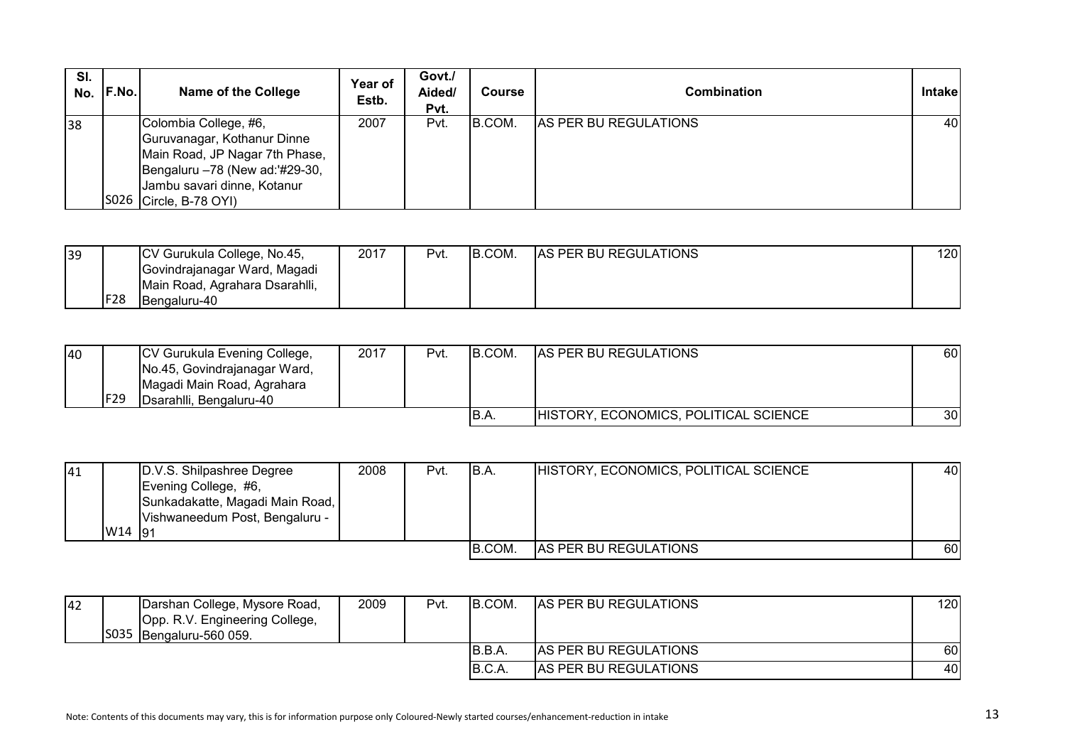| SI.<br>No. | <b>F.No.</b> | Name of the College                                                                                                                                                          | Year of<br>Estb. | Govt./<br>Aided/<br>Pvt. | Course  | <b>Combination</b>           | <b>Intakel</b> |
|------------|--------------|------------------------------------------------------------------------------------------------------------------------------------------------------------------------------|------------------|--------------------------|---------|------------------------------|----------------|
| 38         | IS026        | Colombia College, #6,<br>Guruvanagar, Kothanur Dinne<br>Main Road, JP Nagar 7th Phase,<br>Bengaluru -78 (New ad:'#29-30,<br>Jambu savari dinne, Kotanur<br>Circle, B-78 OYI) | 2007             | Pvt.                     | IB.COM. | <b>AS PER BU REGULATIONS</b> | 40             |

| 39 |             | CV Gurukula College, No.45,    | 2017 | Pvt. | B.COM. | <b>AS PER BU REGULATIONS</b> | 120 |
|----|-------------|--------------------------------|------|------|--------|------------------------------|-----|
|    |             | Govindrajanagar Ward, Magadi   |      |      |        |                              |     |
|    |             | Main Road, Agrahara Dsarahlli, |      |      |        |                              |     |
|    | <b>IF28</b> | Bengaluru-40                   |      |      |        |                              |     |

| 40 |     | CV Gurukula Evening College, | 2017 | Pvt. | IB.COM. | <b>AS PER BU REGULATIONS</b>          | 60              |
|----|-----|------------------------------|------|------|---------|---------------------------------------|-----------------|
|    |     | No.45, Govindrajanagar Ward, |      |      |         |                                       |                 |
|    |     | Magadi Main Road, Agrahara   |      |      |         |                                       |                 |
|    | F29 | Dsarahlli, Bengaluru-40      |      |      |         |                                       |                 |
|    |     |                              |      |      | IB.A    | HISTORY, ECONOMICS, POLITICAL SCIENCE | 30 <sub>l</sub> |

| 41 |        | D.V.S. Shilpashree Degree       | 2008 | Pvt. | IB.A.   | HISTORY, ECONOMICS, POLITICAL SCIENCE | 40 |
|----|--------|---------------------------------|------|------|---------|---------------------------------------|----|
|    |        | Evening College, #6,            |      |      |         |                                       |    |
|    |        | Sunkadakatte, Magadi Main Road, |      |      |         |                                       |    |
|    |        | Vishwaneedum Post, Bengaluru -  |      |      |         |                                       |    |
|    | W14 91 |                                 |      |      |         |                                       |    |
|    |        |                                 |      |      | IB.COM. | <b>AS PER BU REGULATIONS</b>          | 60 |

| 42 | Darshan College, Mysore Road,<br>Opp. R.V. Engineering College,<br>S035 Bengaluru-560 059. | 2009 | Pvt. | IB.COM. | <b>AS PER BU REGULATIONS</b> | 1201 |
|----|--------------------------------------------------------------------------------------------|------|------|---------|------------------------------|------|
|    |                                                                                            |      |      | IB.B.A. | <b>AS PER BU REGULATIONS</b> | 60   |
|    |                                                                                            |      |      | IB.C.A. | <b>AS PER BU REGULATIONS</b> | 40   |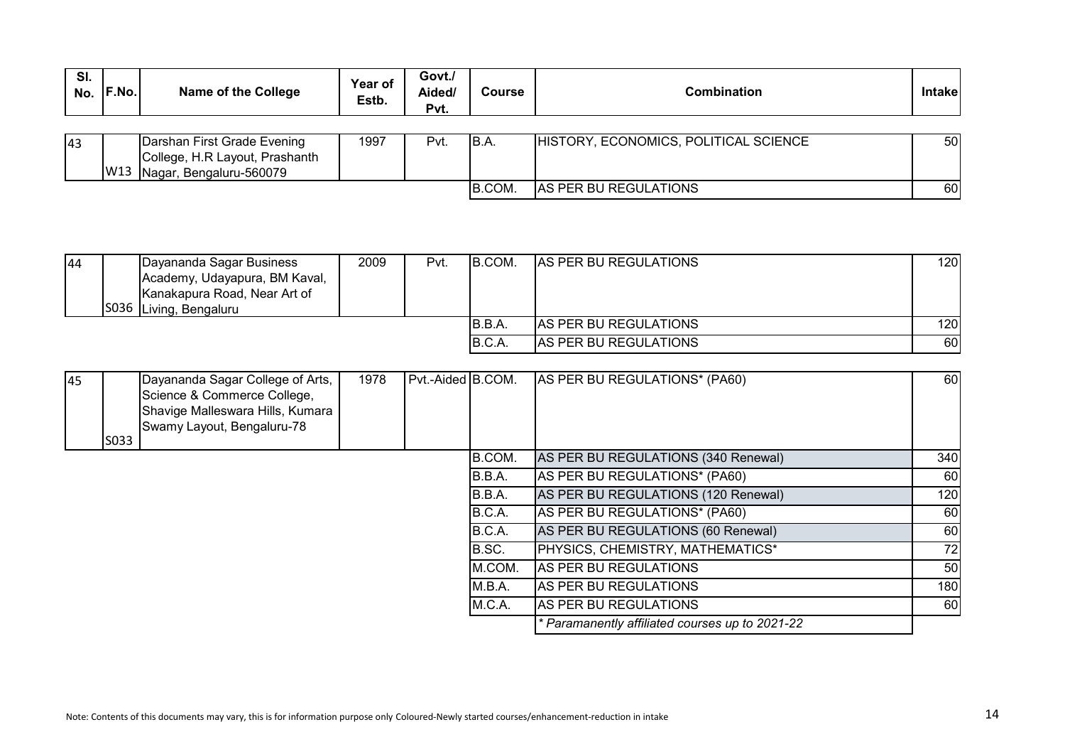| SI.<br>No. | IF.No. | Name of the College                                                                      | Year of<br>Estb. | Govt./<br>Aided/<br>Pvt. | Course | <b>Combination</b>                    | <b>Intakel</b> |
|------------|--------|------------------------------------------------------------------------------------------|------------------|--------------------------|--------|---------------------------------------|----------------|
| 43         | W13    | Darshan First Grade Evening<br>College, H.R Layout, Prashanth<br>Nagar, Bengaluru-560079 | 1997             | Pvt.                     | B.A.   | HISTORY, ECONOMICS, POLITICAL SCIENCE | 50             |
|            |        |                                                                                          |                  |                          | B.COM. | AS PER BU REGULATIONS                 | 60             |

| 44 | Dayananda Sagar Business_<br>Academy, Udayapura, BM Kaval,<br>Kanakapura Road, Near Art of | 2009 | Pvt. | <b>B.COM.</b> | <b>AS PER BU REGULATIONS</b> | 120              |
|----|--------------------------------------------------------------------------------------------|------|------|---------------|------------------------------|------------------|
|    | S036 Living, Bengaluru                                                                     |      |      |               |                              |                  |
|    |                                                                                            |      |      | B.B.A.        | <b>AS PER BU REGULATIONS</b> | 120 <sub>l</sub> |
|    |                                                                                            |      |      | B.C.A         | AS PER BU REGULATIONS        | 60               |

| 45 | S033 | Dayananda Sagar College of Arts,<br>Science & Commerce College,<br>Shavige Malleswara Hills, Kumara<br>Swamy Layout, Bengaluru-78 | 1978 | Pvt.-Aided B.COM. |        | AS PER BU REGULATIONS* (PA60)                   | 60  |
|----|------|-----------------------------------------------------------------------------------------------------------------------------------|------|-------------------|--------|-------------------------------------------------|-----|
|    |      |                                                                                                                                   |      |                   | B.COM. | AS PER BU REGULATIONS (340 Renewal)             | 340 |
|    |      |                                                                                                                                   |      |                   | B.B.A. | AS PER BU REGULATIONS* (PA60)                   | 60  |
|    |      |                                                                                                                                   |      |                   | B.B.A. | AS PER BU REGULATIONS (120 Renewal)             | 120 |
|    |      |                                                                                                                                   |      |                   | B.C.A. | AS PER BU REGULATIONS* (PA60)                   | 60  |
|    |      |                                                                                                                                   |      |                   | B.C.A. | AS PER BU REGULATIONS (60 Renewal)              | 60  |
|    |      |                                                                                                                                   |      |                   | B.SC.  | PHYSICS, CHEMISTRY, MATHEMATICS*                | 72  |
|    |      |                                                                                                                                   |      |                   | M.COM. | AS PER BU REGULATIONS                           | 50  |
|    |      |                                                                                                                                   |      |                   | M.B.A. | AS PER BU REGULATIONS                           | 180 |
|    |      |                                                                                                                                   |      |                   | M.C.A. | AS PER BU REGULATIONS                           | 60  |
|    |      |                                                                                                                                   |      |                   |        | * Paramanently affiliated courses up to 2021-22 |     |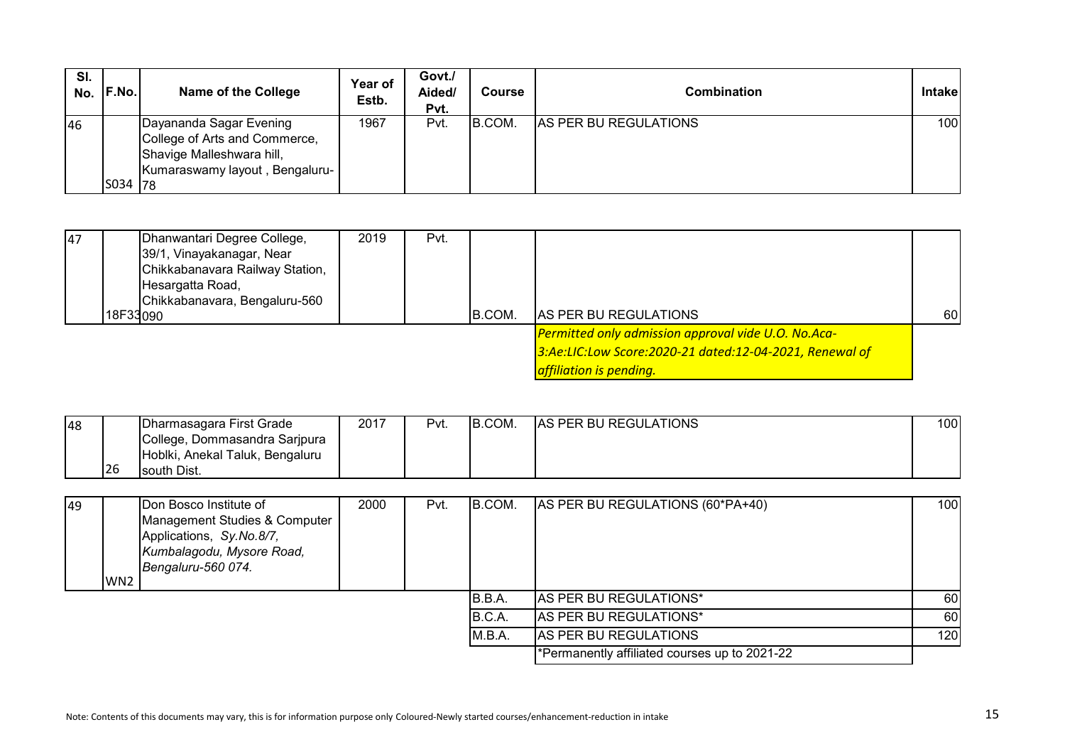| SI.<br>No. | F.No.   | <b>Name of the College</b>                                                                                              | Year of<br>Estb. | Govt./<br>Aided/<br>Pvt. | Course  | Combination           | <b>Intakel</b> |
|------------|---------|-------------------------------------------------------------------------------------------------------------------------|------------------|--------------------------|---------|-----------------------|----------------|
| 46         | S034 78 | Dayananda Sagar Evening<br>College of Arts and Commerce,<br>Shavige Malleshwara hill,<br>Kumaraswamy layout, Bengaluru- | 1967             | Pvt.                     | IB.COM. | AS PER BU REGULATIONS | 100            |

| $ 47\rangle$ | Dhanwantari Degree College,     | 2019 | Pvt. |        |                                                         |    |
|--------------|---------------------------------|------|------|--------|---------------------------------------------------------|----|
|              | 39/1, Vinayakanagar, Near       |      |      |        |                                                         |    |
|              | Chikkabanavara Railway Station, |      |      |        |                                                         |    |
|              | Hesargatta Road,                |      |      |        |                                                         |    |
|              | Chikkabanavara, Bengaluru-560   |      |      |        |                                                         |    |
|              | 18F33090                        |      |      | B.COM. | AS PER BU REGULATIONS                                   | 60 |
|              |                                 |      |      |        | Permitted only admission approval vide U.O. No.Aca-     |    |
|              |                                 |      |      |        | 3:Ae:LIC:Low Score:2020-21 dated:12-04-2021, Renewal of |    |
|              |                                 |      |      |        | affiliation is pending.                                 |    |

| 48 | 26              | Dharmasagara First Grade<br>College, Dommasandra Sarjpura<br>Hoblki, Anekal Taluk, Bengaluru<br>south Dist.                            | 2017 | Pvt. | B.COM. | AS PER BU REGULATIONS                         | 100 <sub>l</sub> |
|----|-----------------|----------------------------------------------------------------------------------------------------------------------------------------|------|------|--------|-----------------------------------------------|------------------|
| 49 | WN <sub>2</sub> | Don Bosco Institute of<br>Management Studies & Computer<br>Applications, Sy.No.8/7,<br>Kumbalagodu, Mysore Road,<br>Bengaluru-560 074. | 2000 | Pvt. | B.COM. | AS PER BU REGULATIONS (60*PA+40)              | <b>1001</b>      |
|    |                 |                                                                                                                                        |      |      | B.B.A. | <b>AS PER BU REGULATIONS*</b>                 | 60               |
|    |                 |                                                                                                                                        |      |      | B.C.A. | AS PER BU REGULATIONS*                        | 60               |
|    |                 |                                                                                                                                        |      |      | M.B.A. | AS PER BU REGULATIONS                         | 120              |
|    |                 |                                                                                                                                        |      |      |        | *Permanently affiliated courses up to 2021-22 |                  |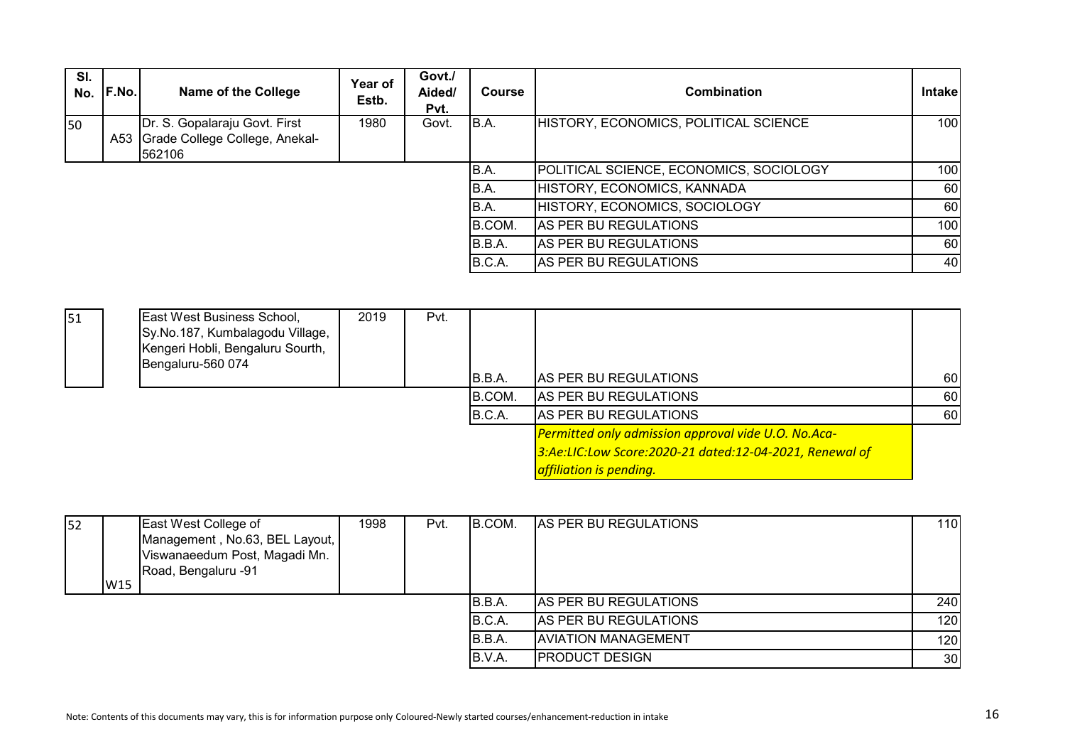| SI.<br>No. | F.No. | <b>Name of the College</b>                   | Year of<br>Estb. | Govt./<br>Aided/<br>Pvt. | <b>Course</b> | <b>Combination</b>                      | <b>Intakel</b>   |
|------------|-------|----------------------------------------------|------------------|--------------------------|---------------|-----------------------------------------|------------------|
| <b>50</b>  |       | Dr. S. Gopalaraju Govt. First                | 1980             | Govt.                    | B.A.          | HISTORY, ECONOMICS, POLITICAL SCIENCE   | 100 <sup>1</sup> |
|            |       | A53 Grade College College, Anekal-<br>562106 |                  |                          |               |                                         |                  |
|            |       |                                              |                  |                          | IB.A.         | POLITICAL SCIENCE, ECONOMICS, SOCIOLOGY | 100              |
|            |       |                                              |                  |                          | B.A.          | HISTORY, ECONOMICS, KANNADA             | 60I              |
|            |       |                                              |                  |                          | B.A.          | HISTORY, ECONOMICS, SOCIOLOGY           | 60               |
|            |       |                                              |                  |                          | B.COM.        | AS PER BU REGULATIONS                   | 100 <sup>1</sup> |
|            |       |                                              |                  |                          | B.B.A.        | AS PER BU REGULATIONS                   | 60I              |
|            |       |                                              |                  |                          | B.C.A.        | <b>IAS PER BU REGULATIONS</b>           | 40               |

| 151 | East West Business School,<br>Sy.No.187, Kumbalagodu Village,<br>Kengeri Hobli, Bengaluru Sourth,<br>Bengaluru-560 074 | 2019 | Pvt. |        |                                                         |    |
|-----|------------------------------------------------------------------------------------------------------------------------|------|------|--------|---------------------------------------------------------|----|
|     |                                                                                                                        |      |      | B.B.A. | AS PER BU REGULATIONS                                   | 60 |
|     |                                                                                                                        |      |      | B.COM. | AS PER BU REGULATIONS                                   | 60 |
|     |                                                                                                                        |      |      | B.C.A. | AS PER BU REGULATIONS                                   | 60 |
|     |                                                                                                                        |      |      |        | Permitted only admission approval vide U.O. No.Aca-     |    |
|     |                                                                                                                        |      |      |        | 3:Ae:LIC:Low Score:2020-21 dated:12-04-2021, Renewal of |    |
|     |                                                                                                                        |      |      |        | <b>affiliation is pending.</b>                          |    |

| 52 |     | East West College of           | 1998 | Pvt. | B.COM. | AS PER BU REGULATIONS      | <b>110</b>       |
|----|-----|--------------------------------|------|------|--------|----------------------------|------------------|
|    |     | Management, No.63, BEL Layout, |      |      |        |                            |                  |
|    |     | Viswanaeedum Post, Magadi Mn.  |      |      |        |                            |                  |
|    |     | Road, Bengaluru -91            |      |      |        |                            |                  |
|    | W15 |                                |      |      |        |                            |                  |
|    |     |                                |      |      | B.B.A. | AS PER BU REGULATIONS      | 240              |
|    |     |                                |      |      | B.C.A. | AS PER BU REGULATIONS      | 120 <sub>l</sub> |
|    |     |                                |      |      | B.B.A. | <b>AVIATION MANAGEMENT</b> | 120              |
|    |     |                                |      |      | B.V.A. | <b>PRODUCT DESIGN</b>      | 30 <sup>l</sup>  |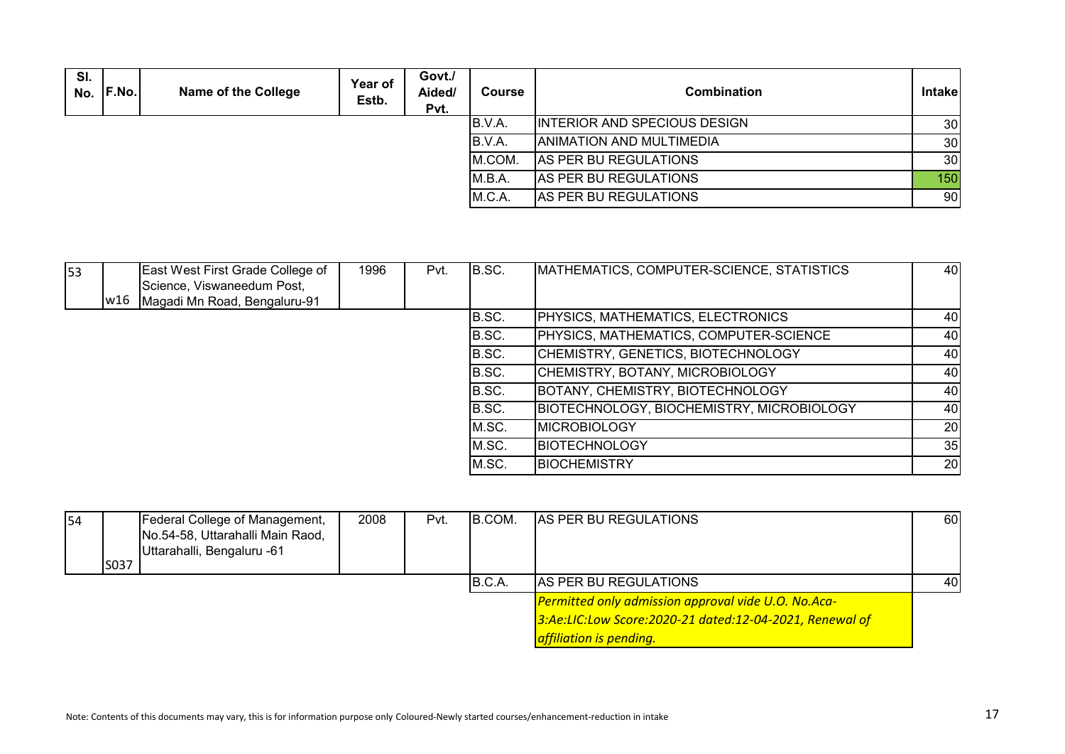| SI.<br>No. | IF.No. | Name of the College | Year of<br>Estb. | Govt./<br>Aided/<br>Pvt. | <b>Course</b> | <b>Combination</b>                  | Intakel         |
|------------|--------|---------------------|------------------|--------------------------|---------------|-------------------------------------|-----------------|
|            |        |                     |                  |                          | B.V.A.        | <b>INTERIOR AND SPECIOUS DESIGN</b> | 30 <sub>l</sub> |
|            |        |                     |                  |                          | B.V.A.        | ANIMATION AND MULTIMEDIA            | 30 <sub>l</sub> |
|            |        |                     |                  |                          | M.COM.        | AS PER BU REGULATIONS               | 30 <sup>°</sup> |
|            |        |                     |                  |                          | M.B.A.        | AS PER BU REGULATIONS               | 150             |
|            |        |                     |                  |                          | M.C.A.        | AS PER BU REGULATIONS               | 90              |

| 53 | w16 | East West First Grade College of<br>Science, Viswaneedum Post,<br>Magadi Mn Road, Bengaluru-91 | 1996 | Pvt. | B.SC. | <b>IMATHEMATICS, COMPUTER-SCIENCE, STATISTICS</b> | 40I |
|----|-----|------------------------------------------------------------------------------------------------|------|------|-------|---------------------------------------------------|-----|
|    |     |                                                                                                |      |      | B.SC. | <b>PHYSICS, MATHEMATICS, ELECTRONICS</b>          | 40I |
|    |     |                                                                                                |      |      | B.SC. | PHYSICS, MATHEMATICS, COMPUTER-SCIENCE            | 40  |
|    |     |                                                                                                |      |      | B.SC. | CHEMISTRY, GENETICS, BIOTECHNOLOGY                | 40  |
|    |     |                                                                                                |      |      | B.SC. | CHEMISTRY, BOTANY, MICROBIOLOGY                   | 40  |
|    |     |                                                                                                |      |      | B.SC. | BOTANY, CHEMISTRY, BIOTECHNOLOGY                  | 40  |
|    |     |                                                                                                |      |      | B.SC. | BIOTECHNOLOGY, BIOCHEMISTRY, MICROBIOLOGY         | 40  |
|    |     |                                                                                                |      |      | M.SC. | <b>IMICROBIOLOGY</b>                              | 20  |
|    |     |                                                                                                |      |      | M.SC. | <b>BIOTECHNOLOGY</b>                              | 35  |
|    |     |                                                                                                |      |      | M.SC. | <b>IBIOCHEMISTRY</b>                              | 20  |

| 54 |      | <b>Federal College of Management,</b> | 2008 | Pvt. | IB.COM. | <b>AS PER BU REGULATIONS</b>                            | 60 I |
|----|------|---------------------------------------|------|------|---------|---------------------------------------------------------|------|
|    |      | No.54-58, Uttarahalli Main Raod,      |      |      |         |                                                         |      |
|    |      | Uttarahalli, Bengaluru -61            |      |      |         |                                                         |      |
|    | S037 |                                       |      |      |         |                                                         |      |
|    |      |                                       |      |      | B.C.A.  | <b>AS PER BU REGULATIONS</b>                            | 40 I |
|    |      |                                       |      |      |         | Permitted only admission approval vide U.O. No.Aca-     |      |
|    |      |                                       |      |      |         | 3:Ae:LIC:Low Score:2020-21 dated:12-04-2021, Renewal of |      |
|    |      |                                       |      |      |         | affiliation is pending.                                 |      |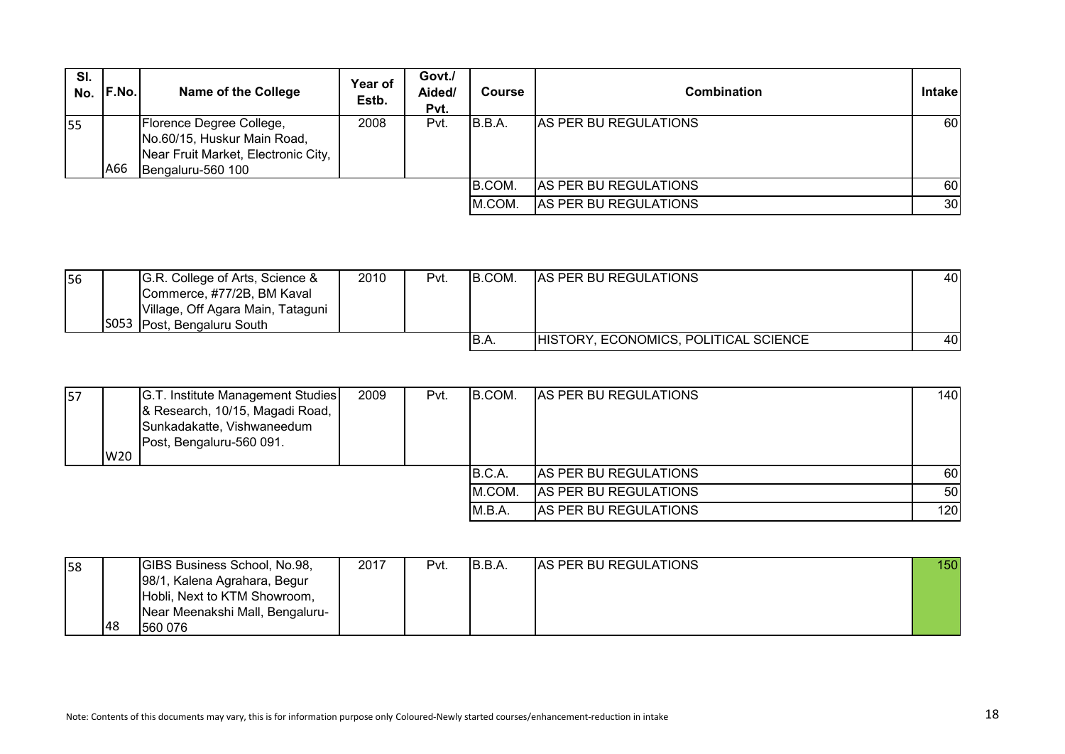| SI.<br>No. | F.No. | Name of the College                                                                                                 | Year of<br>Estb. | Govt./<br>Aided/<br>Pvt. | <b>Course</b> | <b>Combination</b>           | <b>Intakel</b>  |
|------------|-------|---------------------------------------------------------------------------------------------------------------------|------------------|--------------------------|---------------|------------------------------|-----------------|
| 155        | A66   | Florence Degree College,<br>No.60/15, Huskur Main Road,<br>Near Fruit Market, Electronic City,<br>Bengaluru-560 100 | 2008             | Pvt.                     | B.B.A.        | <b>AS PER BU REGULATIONS</b> | 60              |
|            |       |                                                                                                                     |                  |                          | B.COM.        | AS PER BU REGULATIONS        | 60              |
|            |       |                                                                                                                     |                  |                          | M.COM.        | AS PER BU REGULATIONS        | 30 <sup>1</sup> |

| 56 | G.R. College of Arts, Science &   | 2010 | Pvt. | B.COM. | <b>AS PER BU REGULATIONS</b>          | 40 I |
|----|-----------------------------------|------|------|--------|---------------------------------------|------|
|    | Commerce, #77/2B, BM Kaval        |      |      |        |                                       |      |
|    | Village, Off Agara Main, Tataguni |      |      |        |                                       |      |
|    | S053 Post, Bengaluru South        |      |      |        |                                       |      |
|    |                                   |      |      | IB.A.  | HISTORY, ECONOMICS, POLITICAL SCIENCE | 40   |

| 157 |                 | G.T. Institute Management Studies<br>& Research, 10/15, Magadi Road,<br>Sunkadakatte, Vishwaneedum<br>Post, Bengaluru-560 091. | 2009 | Pvt. | IB.COM. | <b>AS PER BU REGULATIONS</b> | 140        |
|-----|-----------------|--------------------------------------------------------------------------------------------------------------------------------|------|------|---------|------------------------------|------------|
|     | W <sub>20</sub> |                                                                                                                                |      |      |         |                              |            |
|     |                 |                                                                                                                                |      |      | B.C.A.  | <b>AS PER BU REGULATIONS</b> | <b>601</b> |
|     |                 |                                                                                                                                |      |      | M.COM.  | <b>AS PER BU REGULATIONS</b> | 50         |
|     |                 |                                                                                                                                |      |      | M.B.A.  | <b>AS PER BU REGULATIONS</b> | 120        |

| 58 |    | GIBS Business School, No.98,    | 2017 | Pvt. | IB.B.A | AS PER BU REGULATIONS | 150 |
|----|----|---------------------------------|------|------|--------|-----------------------|-----|
|    |    | 98/1, Kalena Agrahara, Begur    |      |      |        |                       |     |
|    |    | Hobli, Next to KTM Showroom,    |      |      |        |                       |     |
|    |    | Near Meenakshi Mall, Bengaluru- |      |      |        |                       |     |
|    | 48 | 560 076                         |      |      |        |                       |     |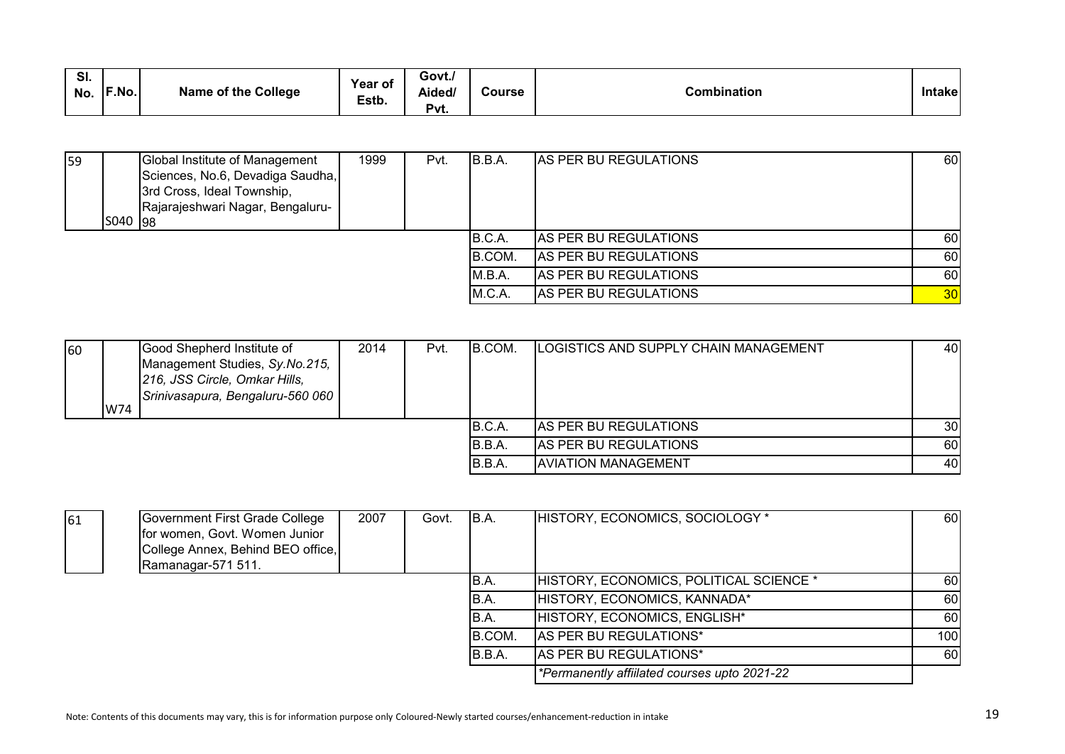| SI.<br>No. | F.No. | <b>Name of the College</b> | <b>Year of</b><br>Estb. | Govt./<br>Aided/<br>$\sim$ $\sim$<br><sup>o</sup> νι. | Course | ombination? | ullant |
|------------|-------|----------------------------|-------------------------|-------------------------------------------------------|--------|-------------|--------|
|------------|-------|----------------------------|-------------------------|-------------------------------------------------------|--------|-------------|--------|

| 59 | S040 98 | Global Institute of Management<br>Sciences, No.6, Devadiga Saudha,<br>3rd Cross, Ideal Township,<br>Rajarajeshwari Nagar, Bengaluru- | 1999 | Pvt. | B.B.A. | AS PER BU REGULATIONS | 60              |
|----|---------|--------------------------------------------------------------------------------------------------------------------------------------|------|------|--------|-----------------------|-----------------|
|    |         |                                                                                                                                      |      |      | B.C.A. | AS PER BU REGULATIONS | 60 I            |
|    |         |                                                                                                                                      |      |      | B.COM. | AS PER BU REGULATIONS | 60 l            |
|    |         |                                                                                                                                      |      |      | M.B.A. | AS PER BU REGULATIONS | 60              |
|    |         |                                                                                                                                      |      |      | M.C.A. | AS PER BU REGULATIONS | 30 <sup>l</sup> |

| 60 | W74 | Good Shepherd Institute of<br>Management Studies, Sy.No.215,<br>216, JSS Circle, Omkar Hills,<br>Srinivasapura, Bengaluru-560 060 | 2014 | Pvt. | IB.COM. | LOGISTICS AND SUPPLY CHAIN MANAGEMENT | 40 I            |
|----|-----|-----------------------------------------------------------------------------------------------------------------------------------|------|------|---------|---------------------------------------|-----------------|
|    |     |                                                                                                                                   |      |      | B.C.A.  | <b>AS PER BU REGULATIONS</b>          | 30 <sup>1</sup> |
|    |     |                                                                                                                                   |      |      | B.B.A.  | AS PER BU REGULATIONS                 | 60 I            |
|    |     |                                                                                                                                   |      |      | B.B.A.  | <b>AVIATION MANAGEMENT</b>            | 40              |

| 61 | Government First Grade College<br>for women, Govt. Women Junior<br>College Annex, Behind BEO office,<br>Ramanagar-571 511. | 2007 | Govt. | B.A.   | HISTORY, ECONOMICS, SOCIOLOGY *              | 60 l             |
|----|----------------------------------------------------------------------------------------------------------------------------|------|-------|--------|----------------------------------------------|------------------|
|    |                                                                                                                            |      |       | IB.A.  | HISTORY, ECONOMICS, POLITICAL SCIENCE *      | 60 I             |
|    |                                                                                                                            |      |       | B.A.   | HISTORY, ECONOMICS, KANNADA*                 | 60               |
|    |                                                                                                                            |      |       | IB.A.  | HISTORY, ECONOMICS, ENGLISH*                 | 60               |
|    |                                                                                                                            |      |       | B.COM. | AS PER BU REGULATIONS*                       | 100 <sup>1</sup> |
|    |                                                                                                                            |      |       | B.B.A. | AS PER BU REGULATIONS*                       | 60               |
|    |                                                                                                                            |      |       |        | *Permanently affiilated courses upto 2021-22 |                  |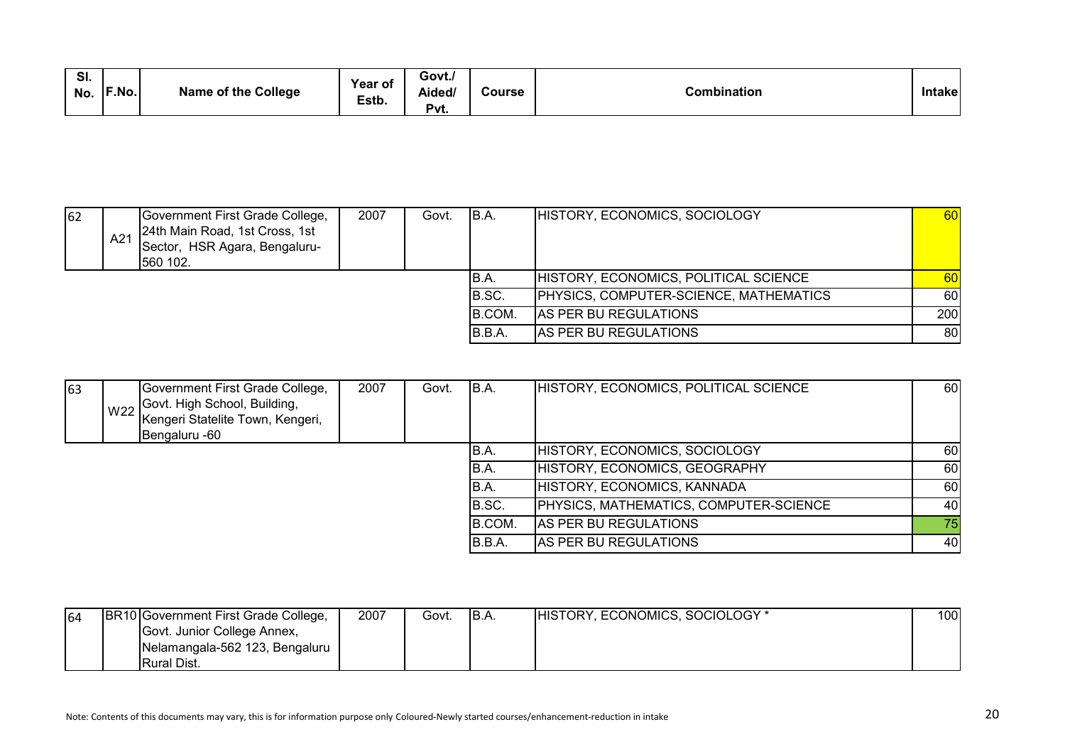| SI.<br>No. | F.No.<br><b>Name of the College</b> | <b>Year of</b><br>Estb. | Govt./<br>Aided/<br>$P_{\rm VL}$ | Course | Combination | <b>Intake</b> |
|------------|-------------------------------------|-------------------------|----------------------------------|--------|-------------|---------------|
|------------|-------------------------------------|-------------------------|----------------------------------|--------|-------------|---------------|

| 62 |     | Government First Grade College, | 2007 | Govt. | B.A.   | HISTORY, ECONOMICS, SOCIOLOGY          | 60        |
|----|-----|---------------------------------|------|-------|--------|----------------------------------------|-----------|
|    | A21 | 24th Main Road, 1st Cross, 1st  |      |       |        |                                        |           |
|    |     | Sector, HSR Agara, Bengaluru-   |      |       |        |                                        |           |
|    |     | 560 102.                        |      |       |        |                                        |           |
|    |     |                                 |      |       | B.A.   | HISTORY, ECONOMICS, POLITICAL SCIENCE  | 60        |
|    |     |                                 |      |       | B.SC.  | PHYSICS, COMPUTER-SCIENCE, MATHEMATICS | <b>60</b> |
|    |     |                                 |      |       | B.COM. | <b>AS PER BU REGULATIONS</b>           | 200       |
|    |     |                                 |      |       | B.B.A. | <b>AS PER BU REGULATIONS</b>           | 80        |

| 63 | W22 | Government First Grade College,<br>Govt. High School, Building,<br>Kengeri Statelite Town, Kengeri,<br>Bengaluru -60 | 2007 | Govt. | B.A.   | HISTORY, ECONOMICS, POLITICAL SCIENCE  | 60 l |
|----|-----|----------------------------------------------------------------------------------------------------------------------|------|-------|--------|----------------------------------------|------|
|    |     |                                                                                                                      |      |       | IB.A.  | HISTORY, ECONOMICS, SOCIOLOGY          | 60 I |
|    |     |                                                                                                                      |      |       | IB.A.  | HISTORY, ECONOMICS, GEOGRAPHY          | 60I  |
|    |     |                                                                                                                      |      |       | IB.A.  | HISTORY, ECONOMICS, KANNADA            | 60   |
|    |     |                                                                                                                      |      |       | B.SC.  | PHYSICS, MATHEMATICS, COMPUTER-SCIENCE | 40I  |
|    |     |                                                                                                                      |      |       | B.COM. | AS PER BU REGULATIONS                  | 75   |
|    |     |                                                                                                                      |      |       | B.B.A. | <b>AS PER BU REGULATIONS</b>           | 40   |

| 164 | BR10 Government First Grade College, | 2007 | Govt. | B.A | HISTORY, ECONOMICS, SOCIOLOGY * | 100l |
|-----|--------------------------------------|------|-------|-----|---------------------------------|------|
|     | Govt. Junior College Annex,          |      |       |     |                                 |      |
|     | Nelamangala-562 123, Bengaluru       |      |       |     |                                 |      |
|     | <b>Rural Dist.</b>                   |      |       |     |                                 |      |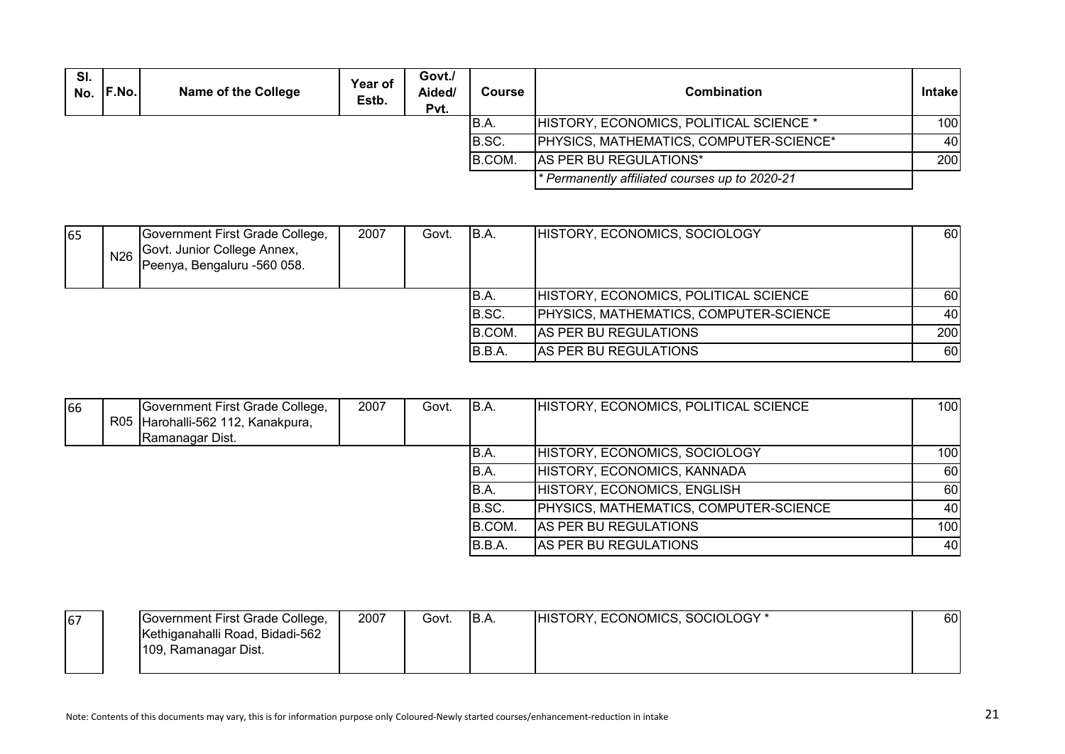| SI. | No. F.No. | <b>Name of the College</b> | Year of<br>Estb. | Govt./<br>Aided/<br>Pvt. | <b>Course</b> | Combination                                    | <b>Intakel</b>   |
|-----|-----------|----------------------------|------------------|--------------------------|---------------|------------------------------------------------|------------------|
|     |           |                            |                  |                          | B.A.          | HISTORY, ECONOMICS, POLITICAL SCIENCE *        | 100 <sup>1</sup> |
|     |           |                            |                  |                          | B.SC.         | <b>PHYSICS, MATHEMATICS, COMPUTER-SCIENCE*</b> | 40               |
|     |           |                            |                  |                          | B.COM.        | AS PER BU REGULATIONS*                         | 200 <sup>1</sup> |
|     |           |                            |                  |                          |               | * Permanently affiliated courses up to 2020-21 |                  |

| 65 | N <sub>26</sub> | Government First Grade College,<br>Govt. Junior College Annex,<br>Peenya, Bengaluru -560 058. | 2007 | Govt. | B.A.    | HISTORY, ECONOMICS, SOCIOLOGY                 | 60         |
|----|-----------------|-----------------------------------------------------------------------------------------------|------|-------|---------|-----------------------------------------------|------------|
|    |                 |                                                                                               |      |       | IB.A.   | HISTORY, ECONOMICS, POLITICAL SCIENCE         | 60I        |
|    |                 |                                                                                               |      |       | B.SC.   | <b>PHYSICS, MATHEMATICS, COMPUTER-SCIENCE</b> | 401        |
|    |                 |                                                                                               |      |       | IB.COM. | <b>AS PER BU REGULATIONS</b>                  | 200        |
|    |                 |                                                                                               |      |       | B.B.A.  | <b>AS PER BU REGULATIONS</b>                  | <b>601</b> |

| 66 | Government First Grade College,<br>R05 Harohalli-562 112, Kanakpura, | 2007 | Govt. | B.A.   | HISTORY, ECONOMICS, POLITICAL SCIENCE  | 100  |
|----|----------------------------------------------------------------------|------|-------|--------|----------------------------------------|------|
|    | Ramanagar Dist.                                                      |      |       |        |                                        |      |
|    |                                                                      |      |       | IB.A.  | HISTORY, ECONOMICS, SOCIOLOGY          | 100I |
|    |                                                                      |      |       | IB.A.  | HISTORY, ECONOMICS, KANNADA            | 60 l |
|    |                                                                      |      |       | B.A.   | HISTORY, ECONOMICS, ENGLISH            | 60 l |
|    |                                                                      |      |       | B.SC.  | PHYSICS, MATHEMATICS, COMPUTER-SCIENCE | 40   |
|    |                                                                      |      |       | B.COM. | AS PER BU REGULATIONS                  | 100I |
|    |                                                                      |      |       | B.B.A. | AS PER BU REGULATIONS                  | 40   |

| 67 | Government First Grade College,                         | 2007 | Govt. | IB.A. | HISTORY, ECONOMICS, SOCIOLOGY * | 60 |
|----|---------------------------------------------------------|------|-------|-------|---------------------------------|----|
|    | Kethiganahalli Road, Bidadi-562<br>109, Ramanagar Dist. |      |       |       |                                 |    |
|    |                                                         |      |       |       |                                 |    |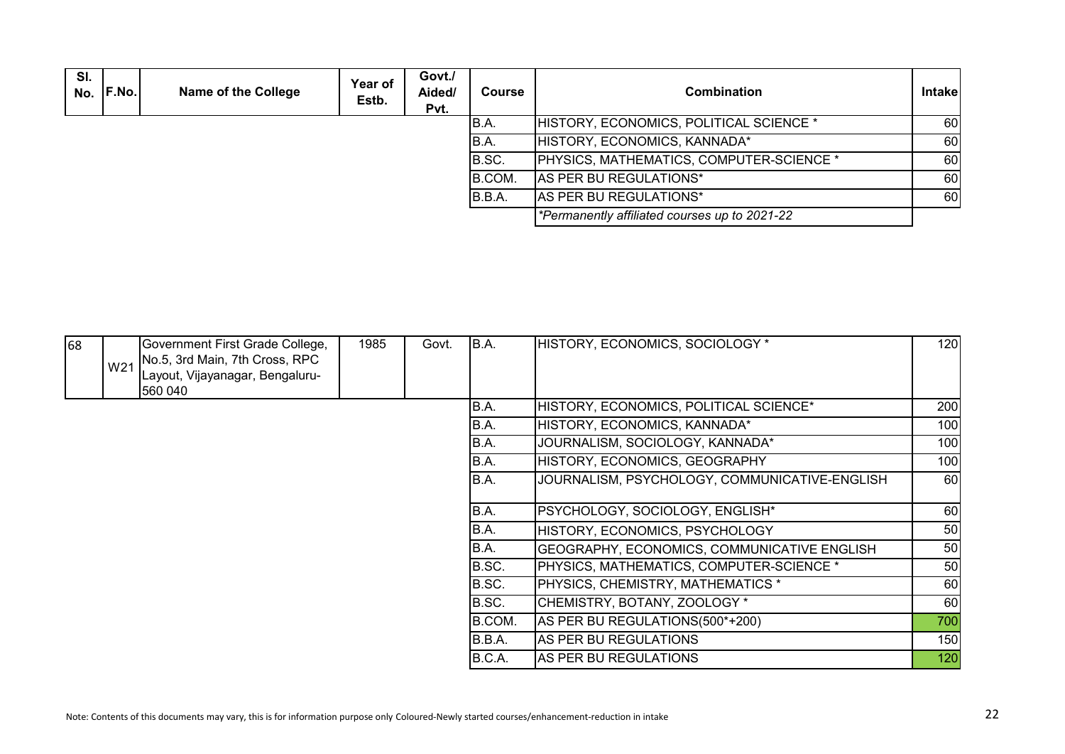| SI.<br>No. | F.No. | <b>Name of the College</b> | Year of<br>Estb. | Govt./<br>Aided/<br>Pvt. | <b>Course</b> | <b>Combination</b>                              | <b>Intakel</b> |
|------------|-------|----------------------------|------------------|--------------------------|---------------|-------------------------------------------------|----------------|
|            |       |                            |                  |                          | IB.A.         | HISTORY, ECONOMICS, POLITICAL SCIENCE *         | 60I            |
|            |       |                            |                  |                          | B.A.          | HISTORY, ECONOMICS, KANNADA*                    | <b>60</b>      |
|            |       |                            |                  |                          | B.SC.         | <b>PHYSICS, MATHEMATICS, COMPUTER-SCIENCE *</b> | 60             |
|            |       |                            |                  |                          | B.COM.        | AS PER BU REGULATIONS*                          | 60             |
|            |       |                            |                  |                          | B.B.A.        | AS PER BU REGULATIONS*                          | 60             |
|            |       |                            |                  |                          |               | *Permanently affiliated courses up to 2021-22   |                |

| 68 | Government First Grade College,<br>W21 No.5, 3rd Main, 7th Cross, RPC<br>Layout, Vijayanagar, Bengaluru-<br>560 040 | 1985 | Govt. | B.A.        | HISTORY, ECONOMICS, SOCIOLOGY *               | 120 |
|----|---------------------------------------------------------------------------------------------------------------------|------|-------|-------------|-----------------------------------------------|-----|
|    |                                                                                                                     |      |       | <b>B.A.</b> | HISTORY, ECONOMICS, POLITICAL SCIENCE*        | 200 |
|    |                                                                                                                     |      |       | B.A.        | HISTORY, ECONOMICS, KANNADA*                  | 100 |
|    |                                                                                                                     |      |       | B.A.        | JOURNALISM, SOCIOLOGY, KANNADA*               | 100 |
|    |                                                                                                                     |      |       | B.A.        | HISTORY, ECONOMICS, GEOGRAPHY                 | 100 |
|    |                                                                                                                     |      |       | B.A.        | JOURNALISM, PSYCHOLOGY, COMMUNICATIVE-ENGLISH | 60  |
|    |                                                                                                                     |      |       | B.A.        | PSYCHOLOGY, SOCIOLOGY, ENGLISH*               | 60  |
|    |                                                                                                                     |      |       | B.A.        | HISTORY, ECONOMICS, PSYCHOLOGY                | 50  |
|    |                                                                                                                     |      |       | B.A.        | GEOGRAPHY, ECONOMICS, COMMUNICATIVE ENGLISH   | 50  |
|    |                                                                                                                     |      |       | B.SC.       | PHYSICS, MATHEMATICS, COMPUTER-SCIENCE *      | 50  |
|    |                                                                                                                     |      |       | B.SC.       | PHYSICS, CHEMISTRY, MATHEMATICS *             | 60  |
|    |                                                                                                                     |      |       | B.SC.       | CHEMISTRY, BOTANY, ZOOLOGY *                  | 60  |
|    |                                                                                                                     |      |       | B.COM.      | AS PER BU REGULATIONS(500*+200)               | 700 |
|    |                                                                                                                     |      |       | B.B.A.      | AS PER BU REGULATIONS                         | 150 |
|    |                                                                                                                     |      |       | B.C.A.      | AS PER BU REGULATIONS                         | 120 |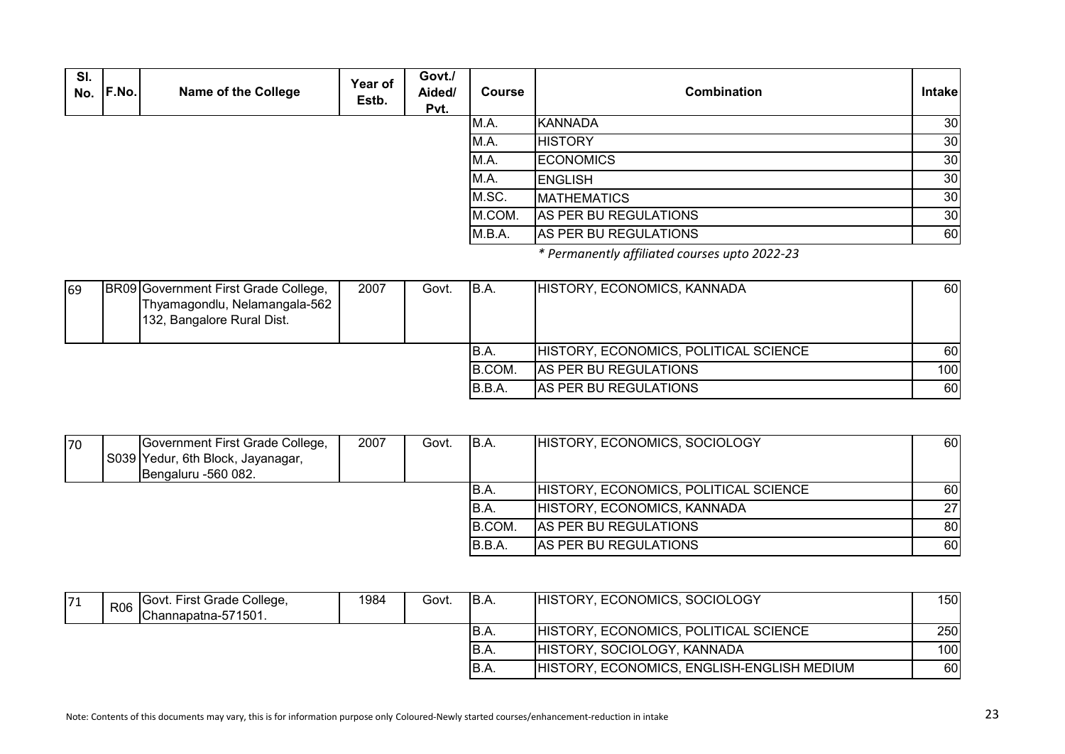| SI.<br>No. | F.No. | <b>Name of the College</b> | Year of<br>Estb. | Govt./<br>Aided/<br>Pvt. | <b>Course</b> | Combination           | <b>Intake</b> |
|------------|-------|----------------------------|------------------|--------------------------|---------------|-----------------------|---------------|
|            |       |                            |                  |                          | M.A.          | KANNADA               | 30            |
|            |       |                            |                  |                          | M.A.          | <b>HISTORY</b>        | 30            |
|            |       |                            |                  |                          | M.A.          | <b>ECONOMICS</b>      | 30            |
|            |       |                            |                  |                          | M.A.          | <b>ENGLISH</b>        | 30            |
|            |       |                            |                  |                          | M.SC.         | <b>MATHEMATICS</b>    | 30            |
|            |       |                            |                  |                          | M.COM.        | AS PER BU REGULATIONS | 30            |
|            |       |                            |                  |                          | M.B.A.        | AS PER BU REGULATIONS | 60            |

*\* Permanently affiliated courses upto 2022-23*

| 69 | BR09 Government First Grade College,                          | 2007 | Govt. | IB.A.   | HISTORY, ECONOMICS, KANNADA           | 60  |
|----|---------------------------------------------------------------|------|-------|---------|---------------------------------------|-----|
|    | Thyamagondlu, Nelamangala-562  <br>132, Bangalore Rural Dist. |      |       |         |                                       |     |
|    |                                                               |      |       | IB.A.   | HISTORY, ECONOMICS, POLITICAL SCIENCE | 60  |
|    |                                                               |      |       | IB.COM. | AS PER BU REGULATIONS                 | 100 |
|    |                                                               |      |       | B.B.A.  | <b>AS PER BU REGULATIONS</b>          | 60  |

| 170 | Government First Grade College,   | 2007 | Govt. | B.A.   | HISTORY, ECONOMICS, SOCIOLOGY         | 60              |
|-----|-----------------------------------|------|-------|--------|---------------------------------------|-----------------|
|     | S039 Yedur, 6th Block, Jayanagar, |      |       |        |                                       |                 |
|     | Bengaluru -560 082.               |      |       |        |                                       |                 |
|     |                                   |      |       | IB.A.  | HISTORY, ECONOMICS, POLITICAL SCIENCE | 60 l            |
|     |                                   |      |       | IB.A.  | HISTORY, ECONOMICS, KANNADA           | 27 <sup>1</sup> |
|     |                                   |      |       | B.COM. | <b>AS PER BU REGULATIONS</b>          | 80              |
|     |                                   |      |       | B.B.A  | AS PER BU REGULATIONS                 | 60              |

| 71 | R06 | Govt. First Grade College,<br>Channapatna-571501. | 1984 | Govt. | B.A.  | HISTORY, ECONOMICS, SOCIOLOGY              | 150l |
|----|-----|---------------------------------------------------|------|-------|-------|--------------------------------------------|------|
|    |     |                                                   |      |       | IB.A. | HISTORY, ECONOMICS, POLITICAL SCIENCE      | 250I |
|    |     |                                                   |      |       | IB.A. | HISTORY, SOCIOLOGY, KANNADA                | 100I |
|    |     |                                                   |      |       | IB.A. | HISTORY, ECONOMICS, ENGLISH-ENGLISH MEDIUM | 60I  |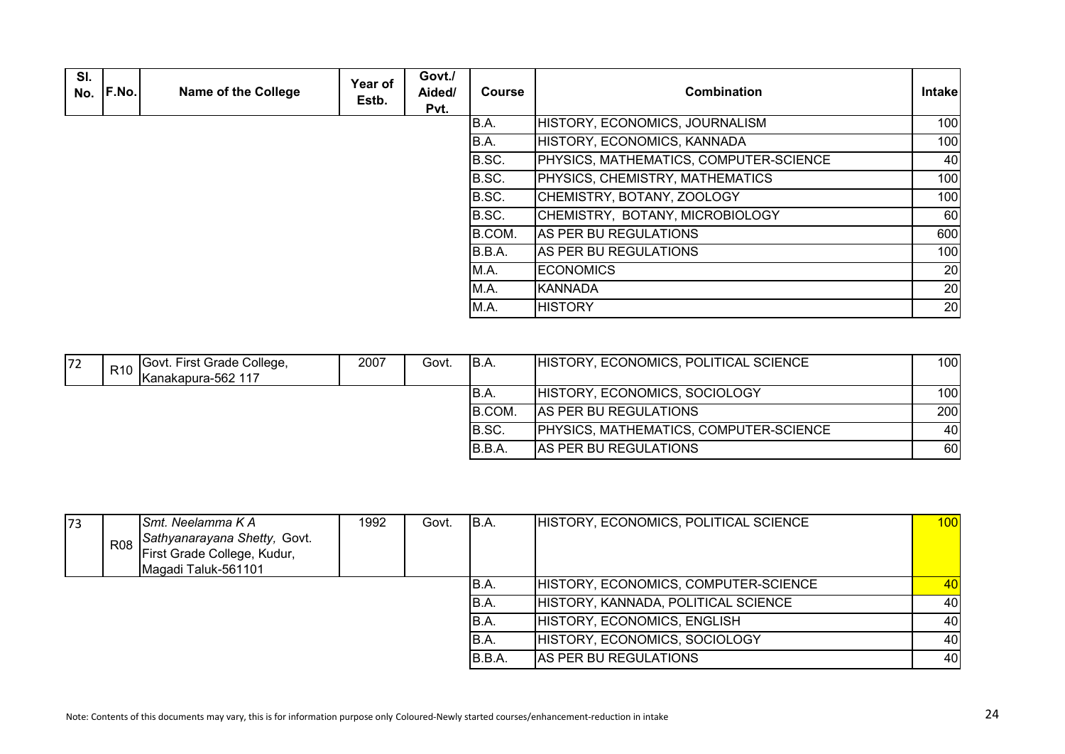| SI.<br>No. | F.No. | <b>Name of the College</b> | Year of<br>Estb. | Govt./<br>Aided/<br>Pvt. | <b>Course</b> | <b>Combination</b>                     | <b>Intakel</b> |
|------------|-------|----------------------------|------------------|--------------------------|---------------|----------------------------------------|----------------|
|            |       |                            |                  |                          | IB.A.         | HISTORY, ECONOMICS, JOURNALISM         | 100            |
|            |       |                            |                  |                          | B.A.          | HISTORY, ECONOMICS, KANNADA            | 100            |
|            |       |                            |                  |                          | B.SC.         | PHYSICS, MATHEMATICS, COMPUTER-SCIENCE | 40             |
|            |       |                            |                  |                          | B.SC.         | PHYSICS, CHEMISTRY, MATHEMATICS        | 100            |
|            |       |                            |                  |                          | B.SC.         | CHEMISTRY, BOTANY, ZOOLOGY             | 100            |
|            |       |                            |                  |                          | B.SC.         | CHEMISTRY, BOTANY, MICROBIOLOGY        | 60             |
|            |       |                            |                  |                          | B.COM.        | AS PER BU REGULATIONS                  | 600            |
|            |       |                            |                  |                          | B.B.A.        | <b>AS PER BU REGULATIONS</b>           | 100            |
|            |       |                            |                  |                          | M.A.          | <b>ECONOMICS</b>                       | 20             |
|            |       |                            |                  |                          | M.A.          | KANNADA                                | 20             |
|            |       |                            |                  |                          | M.A.          | <b>IHISTORY</b>                        | 20             |

| 172 | R <sub>10</sub> | Govt. First Grade College,<br>Kanakapura-562 117 | 2007 | Govt. | IB.A.   | HISTORY, ECONOMICS, POLITICAL SCIENCE  | <b>1001</b> |
|-----|-----------------|--------------------------------------------------|------|-------|---------|----------------------------------------|-------------|
|     |                 |                                                  |      |       | IB.A    | HISTORY, ECONOMICS, SOCIOLOGY          | 100         |
|     |                 |                                                  |      |       | IB.COM. | <b>AS PER BU REGULATIONS</b>           | 200         |
|     |                 |                                                  |      |       | B.SC    | PHYSICS, MATHEMATICS, COMPUTER-SCIENCE | 40          |
|     |                 |                                                  |      |       | IB.B.A  | <b>AS PER BU REGULATIONS</b>           | 60          |

| 173 | <b>R08</b> | <b>Smt. Neelamma K A</b><br>Sathyanarayana Shetty, Govt.<br>First Grade College, Kudur,<br>Magadi Taluk-561101 | 1992 | Govt. | B.A.   | HISTORY, ECONOMICS, POLITICAL SCIENCE | 100 |
|-----|------------|----------------------------------------------------------------------------------------------------------------|------|-------|--------|---------------------------------------|-----|
|     |            |                                                                                                                |      |       | B.A.   | HISTORY, ECONOMICS, COMPUTER-SCIENCE  | 40  |
|     |            |                                                                                                                |      |       | IB.A.  | HISTORY, KANNADA, POLITICAL SCIENCE   | 40  |
|     |            |                                                                                                                |      |       | IB.A.  | HISTORY, ECONOMICS, ENGLISH           | 40  |
|     |            |                                                                                                                |      |       | B.A.   | HISTORY, ECONOMICS, SOCIOLOGY         | 40  |
|     |            |                                                                                                                |      |       | B.B.A. | AS PER BU REGULATIONS                 | 40  |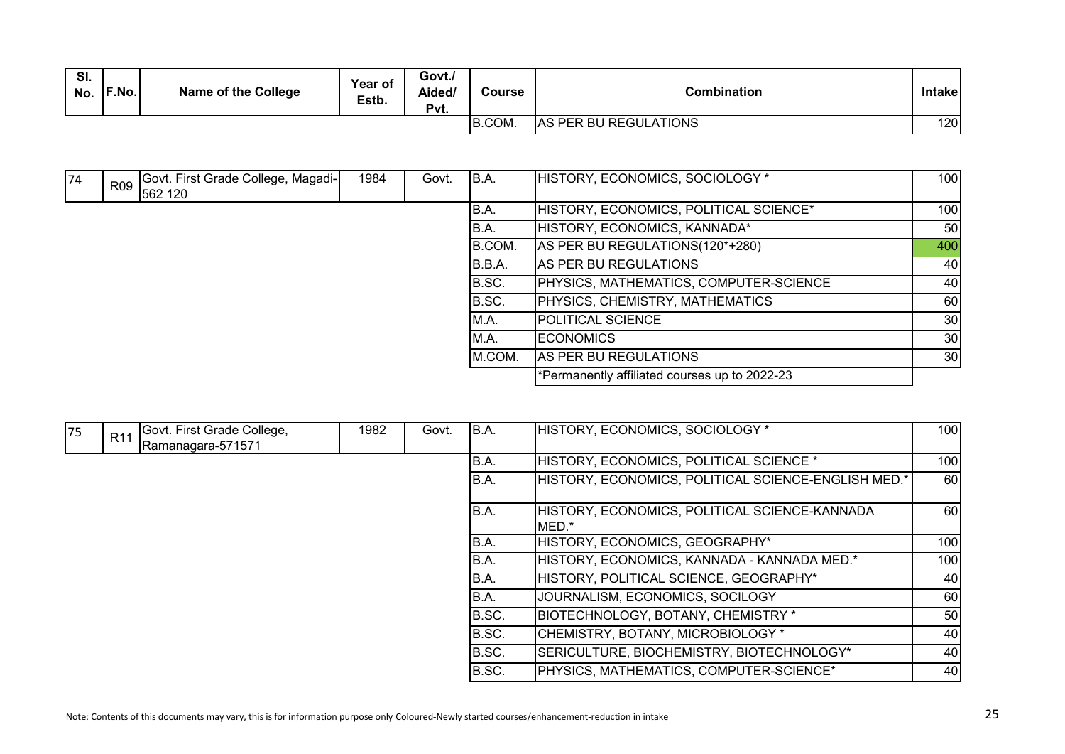| SI.<br>No. | F.No. | <b>Name of the College</b> | Year of<br>Estb. | Govt./<br>Aided/<br>Pvt. | Course | <b>Combination</b>           | <b>Intakel</b> |
|------------|-------|----------------------------|------------------|--------------------------|--------|------------------------------|----------------|
|            |       |                            |                  |                          | B.COM. | <b>AS PER BU REGULATIONS</b> | 120            |

| 74 | R09 | Govt. First Grade College, Magadi-<br>562 120 | 1984 | Govt. | B.A.   | HISTORY, ECONOMICS, SOCIOLOGY *               | 100 <sup>1</sup> |
|----|-----|-----------------------------------------------|------|-------|--------|-----------------------------------------------|------------------|
|    |     |                                               |      |       | B.A.   | HISTORY, ECONOMICS, POLITICAL SCIENCE*        | 100              |
|    |     |                                               |      |       | IB.A.  | HISTORY, ECONOMICS, KANNADA*                  | 50               |
|    |     |                                               |      |       | B.COM. | AS PER BU REGULATIONS(120*+280)               | 400              |
|    |     |                                               |      |       | B.B.A. | AS PER BU REGULATIONS                         | 40               |
|    |     |                                               |      |       | B.SC.  | PHYSICS, MATHEMATICS, COMPUTER-SCIENCE        | 40               |
|    |     |                                               |      |       | B.SC.  | <b>PHYSICS, CHEMISTRY, MATHEMATICS</b>        | 60               |
|    |     |                                               |      |       | M.A.   | <b>POLITICAL SCIENCE</b>                      | 30 <sup>1</sup>  |
|    |     |                                               |      |       | M.A.   | <b>ECONOMICS</b>                              | 30 <sup>1</sup>  |
|    |     |                                               |      |       | M.COM. | AS PER BU REGULATIONS                         | 30 <sup>1</sup>  |
|    |     |                                               |      |       |        | *Permanently affiliated courses up to 2022-23 |                  |

| 75 | R <sub>11</sub> | Govt. First Grade College,<br>Ramanagara-571571 | 1982 | Govt. | B.A.  | HISTORY, ECONOMICS, SOCIOLOGY *                        | 100 <sup>1</sup> |
|----|-----------------|-------------------------------------------------|------|-------|-------|--------------------------------------------------------|------------------|
|    |                 |                                                 |      |       | B.A.  | HISTORY, ECONOMICS, POLITICAL SCIENCE *                | 100 <sub>l</sub> |
|    |                 |                                                 |      |       | B.A.  | HISTORY, ECONOMICS, POLITICAL SCIENCE-ENGLISH MED.*    | 60               |
|    |                 |                                                 |      |       | B.A.  | HISTORY, ECONOMICS, POLITICAL SCIENCE-KANNADA<br>MED.* | 60 l             |
|    |                 |                                                 |      |       | B.A.  | HISTORY, ECONOMICS, GEOGRAPHY*                         | 100              |
|    |                 |                                                 |      |       | B.A.  | HISTORY, ECONOMICS, KANNADA - KANNADA MED.*            | 100              |
|    |                 |                                                 |      |       | B.A.  | HISTORY, POLITICAL SCIENCE, GEOGRAPHY*                 | 40               |
|    |                 |                                                 |      |       | B.A.  | JOURNALISM, ECONOMICS, SOCILOGY                        | 60               |
|    |                 |                                                 |      |       | B.SC. | <b>BIOTECHNOLOGY, BOTANY, CHEMISTRY *</b>              | 50 <sub>l</sub>  |
|    |                 |                                                 |      |       | B.SC. | CHEMISTRY, BOTANY, MICROBIOLOGY *                      | 40I              |
|    |                 |                                                 |      |       | B.SC. | SERICULTURE, BIOCHEMISTRY, BIOTECHNOLOGY*              | 40               |
|    |                 |                                                 |      |       | B.SC. | PHYSICS, MATHEMATICS, COMPUTER-SCIENCE*                | 40               |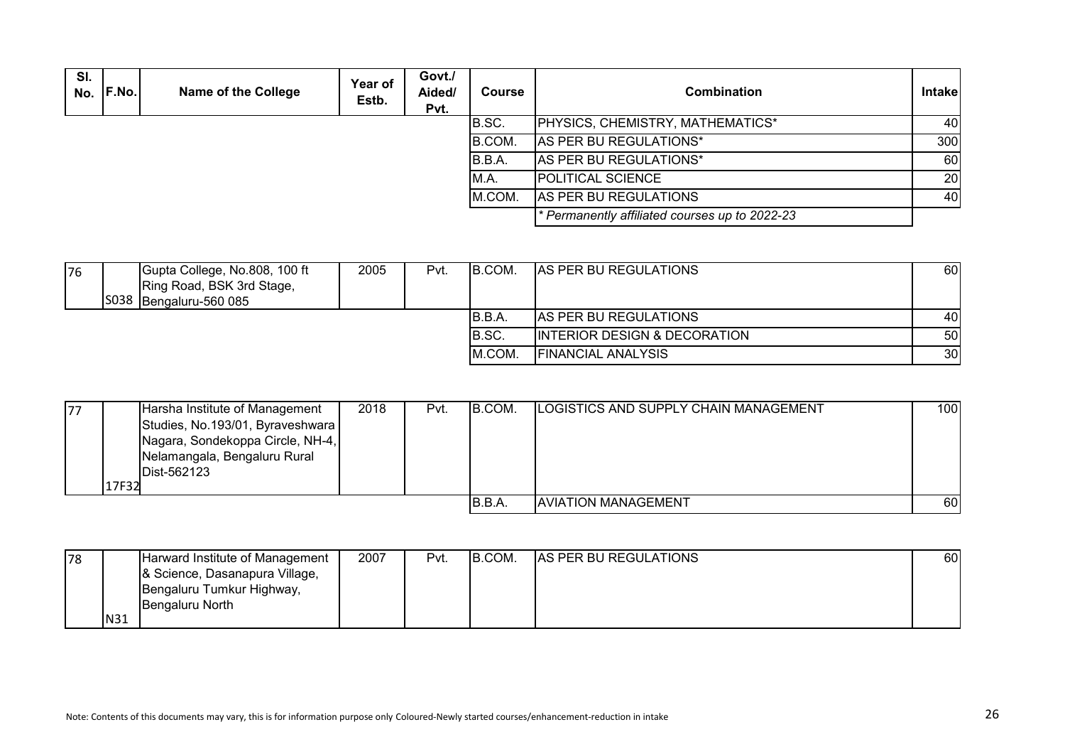| SI.<br>No. | F.No. | Name of the College | Year of<br>Estb. | Govt./<br>Aided/<br>Pvt. | <b>Course</b> | <b>Combination</b>                             | <b>Intakel</b>   |
|------------|-------|---------------------|------------------|--------------------------|---------------|------------------------------------------------|------------------|
|            |       |                     |                  |                          | IB.SC.        | PHYSICS, CHEMISTRY, MATHEMATICS*               | 40 I             |
|            |       |                     |                  |                          | B.COM.        | AS PER BU REGULATIONS*                         | 300 <sup>1</sup> |
|            |       |                     |                  |                          | B.B.A.        | AS PER BU REGULATIONS*                         | 60               |
|            |       |                     |                  |                          | M.A.          | <b>POLITICAL SCIENCE</b>                       | <b>20</b>        |
|            |       |                     |                  |                          | M.COM.        | AS PER BU REGULATIONS                          | 40               |
|            |       |                     |                  |                          |               | * Permanently affiliated courses up to 2022-23 |                  |

| 76 | Gupta College, No.808, 100 ft | 2005 | Pvt. | IB.COM. | <b>AS PER BU REGULATIONS</b>            | 60              |
|----|-------------------------------|------|------|---------|-----------------------------------------|-----------------|
|    | Ring Road, BSK 3rd Stage,     |      |      |         |                                         |                 |
|    | S038 Bengaluru-560 085        |      |      |         |                                         |                 |
|    |                               |      |      | B.B.A.  | <b>AS PER BU REGULATIONS</b>            | 40I             |
|    |                               |      |      | B.SC.   | <b>INTERIOR DESIGN &amp; DECORATION</b> | 50              |
|    |                               |      |      | M.COM.  | <b>FINANCIAL ANALYSIS</b>               | 30 <sup>l</sup> |

| 77 |       | Harsha Institute of Management   | 2018 | Pvt. | IB.COM.      | ILOGISTICS AND SUPPLY CHAIN MANAGEMENT | 100 <sup>1</sup> |
|----|-------|----------------------------------|------|------|--------------|----------------------------------------|------------------|
|    |       | Studies, No.193/01, Byraveshwara |      |      |              |                                        |                  |
|    |       | Nagara, Sondekoppa Circle, NH-4, |      |      |              |                                        |                  |
|    |       | Nelamangala, Bengaluru Rural     |      |      |              |                                        |                  |
|    |       | Dist-562123                      |      |      |              |                                        |                  |
|    | 17F32 |                                  |      |      |              |                                        |                  |
|    |       |                                  |      |      | <b>B.B.A</b> | <b>AVIATION MANAGEMENT</b>             | 60               |

| 178 |     | Harward Institute of Management | 2007 | Pvt. | B.COM. | <b>AS PER BU REGULATIONS</b> | 60 |
|-----|-----|---------------------------------|------|------|--------|------------------------------|----|
|     |     | 8 Science, Dasanapura Village,  |      |      |        |                              |    |
|     |     | Bengaluru Tumkur Highway,       |      |      |        |                              |    |
|     |     | Bengaluru North                 |      |      |        |                              |    |
|     | N31 |                                 |      |      |        |                              |    |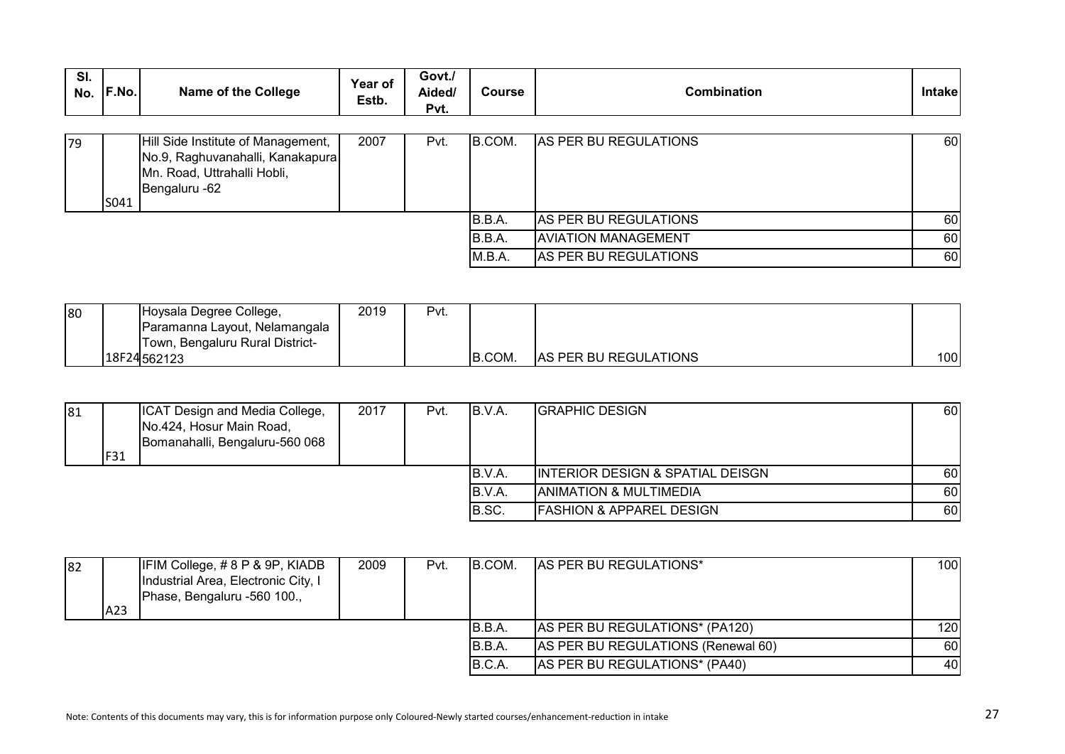| Govt./<br>SI.<br><b>Year of</b><br>F.No.<br>Aided/<br><b>Name of the College</b><br>combination?<br>No.<br>Course<br><b>ntake</b><br>Estb.<br>$P_{V}t.$ |
|---------------------------------------------------------------------------------------------------------------------------------------------------------|
|---------------------------------------------------------------------------------------------------------------------------------------------------------|

| 79 |      | Hill Side Institute of Management, | 2007 | Pvt. | IB.COM. | <b>AS PER BU REGULATIONS</b> | 60  |
|----|------|------------------------------------|------|------|---------|------------------------------|-----|
|    |      | No.9, Raghuvanahalli, Kanakapura   |      |      |         |                              |     |
|    |      | Mn. Road, Uttrahalli Hobli,        |      |      |         |                              |     |
|    |      | Bengaluru -62                      |      |      |         |                              |     |
|    | S041 |                                    |      |      |         |                              |     |
|    |      |                                    |      |      | B.B.A.  | AS PER BU REGULATIONS        | 60  |
|    |      |                                    |      |      | B.B.A.  | <b>AVIATION MANAGEMENT</b>   | 60  |
|    |      |                                    |      |      | M.B.A   | AS PER BU REGULATIONS        | 60I |

| 80 | Hoysala Degree College,          | 2019 | Pvt. |        |                              |     |
|----|----------------------------------|------|------|--------|------------------------------|-----|
|    | Paramanna Layout, Nelamangala    |      |      |        |                              |     |
|    | ITown, Bengaluru Rural District- |      |      |        |                              |     |
|    | 18F24562123                      |      |      | B.COM. | <b>AS PER BU REGULATIONS</b> | 100 |

| 81 | F <sub>31</sub> | <b>ICAT Design and Media College,</b><br>No.424, Hosur Main Road,<br>Bomanahalli, Bengaluru-560 068 | 2017 | Pvt. | B.V.A.        | <b>GRAPHIC DESIGN</b>               | 60  |
|----|-----------------|-----------------------------------------------------------------------------------------------------|------|------|---------------|-------------------------------------|-----|
|    |                 |                                                                                                     |      |      | <b>B.V.A.</b> | INTERIOR DESIGN & SPATIAL DEISGN    | 60I |
|    |                 |                                                                                                     |      |      | IB.V.A.       | <b>ANIMATION &amp; MULTIMEDIA</b>   | 60  |
|    |                 |                                                                                                     |      |      | IB.SC.        | <b>FASHION &amp; APPAREL DESIGN</b> | 60I |

| 82 | A23 | <b>IFIM College, #8 P &amp; 9P, KIADB</b><br>Industrial Area, Electronic City, I<br>Phase, Bengaluru -560 100., | 2009 | Pvt. | IB.COM. | <b>AS PER BU REGULATIONS*</b>      | 100  |
|----|-----|-----------------------------------------------------------------------------------------------------------------|------|------|---------|------------------------------------|------|
|    |     |                                                                                                                 |      |      | B.B.A.  | AS PER BU REGULATIONS* (PA120)     | 120I |
|    |     |                                                                                                                 |      |      | IB.B.A. | AS PER BU REGULATIONS (Renewal 60) | 60   |
|    |     |                                                                                                                 |      |      | B.C.A.  | AS PER BU REGULATIONS* (PA40)      | 40   |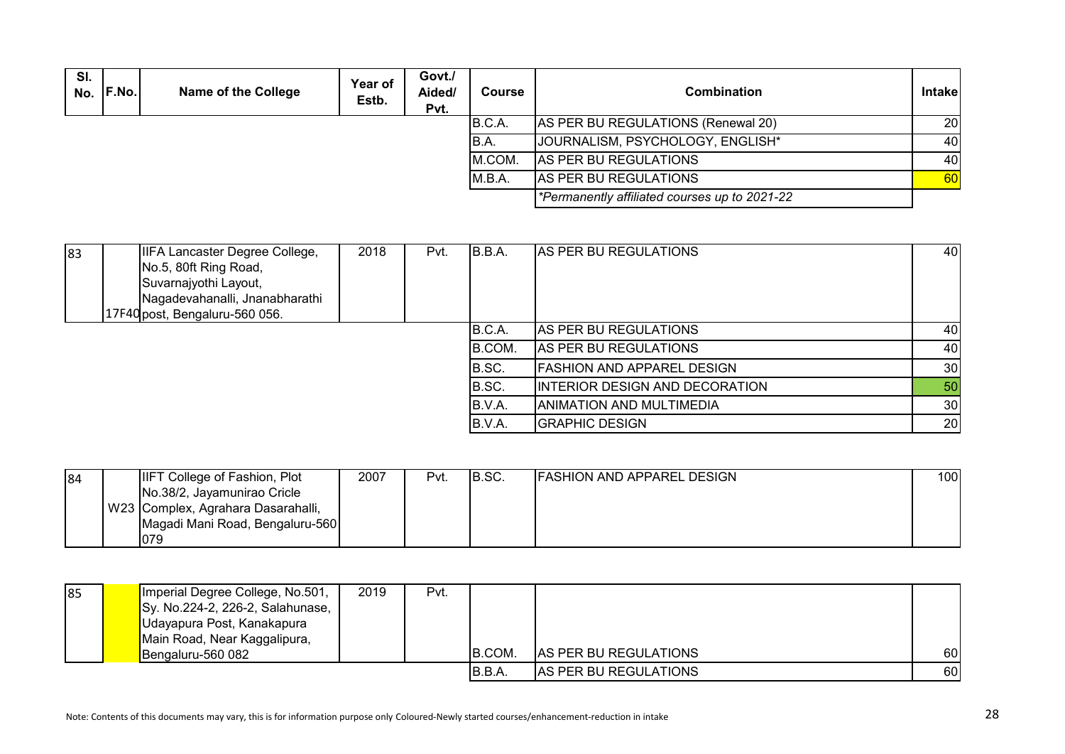| SI. | No. <b>F.No.</b> | Name of the College | Year of<br>Estb. | Govt./<br>Aided/<br>Pvt. | <b>Course</b> | Combination                                   | <b>Intakel</b> |
|-----|------------------|---------------------|------------------|--------------------------|---------------|-----------------------------------------------|----------------|
|     |                  |                     |                  |                          | B.C.A.        | AS PER BU REGULATIONS (Renewal 20)            | <b>20</b>      |
|     |                  |                     |                  |                          | IB.A.         | JOURNALISM, PSYCHOLOGY, ENGLISH*              | 40             |
|     |                  |                     |                  |                          | M.COM.        | AS PER BU REGULATIONS                         | 40             |
|     |                  |                     |                  |                          | M.B.A.        | AS PER BU REGULATIONS                         | 60             |
|     |                  |                     |                  |                          |               | *Permanently affiliated courses up to 2021-22 |                |

| 83 | IIFA Lancaster Degree College,<br>No.5, 80ft Ring Road,<br>Suvarnajyothi Layout, | 2018 | Pvt. | B.B.A. | AS PER BU REGULATIONS                 | 40              |
|----|----------------------------------------------------------------------------------|------|------|--------|---------------------------------------|-----------------|
|    | Nagadevahanalli, Jnanabharathi<br>17F40 post, Bengaluru-560 056.                 |      |      |        |                                       |                 |
|    |                                                                                  |      |      | B.C.A. | AS PER BU REGULATIONS                 | 401             |
|    |                                                                                  |      |      | B.COM. | AS PER BU REGULATIONS                 | 40              |
|    |                                                                                  |      |      | B.SC.  | <b>FASHION AND APPAREL DESIGN</b>     | 30              |
|    |                                                                                  |      |      | B.SC.  | <b>INTERIOR DESIGN AND DECORATION</b> | 50              |
|    |                                                                                  |      |      | B.V.A. | ANIMATION AND MULTIMEDIA              | 30 <sub>l</sub> |
|    |                                                                                  |      |      | B.V.A. | <b>GRAPHIC DESIGN</b>                 | 20              |

| 84 | <b>IIFT College of Fashion, Plot</b> | 2007 | Pvt. | IB.SC. | <b>FASHION AND APPAREL DESIGN</b> | 100l |
|----|--------------------------------------|------|------|--------|-----------------------------------|------|
|    | No.38/2, Jayamunirao Cricle          |      |      |        |                                   |      |
|    | W23 Complex, Agrahara Dasarahalli,   |      |      |        |                                   |      |
|    | Magadi Mani Road, Bengaluru-560      |      |      |        |                                   |      |
|    | 1079                                 |      |      |        |                                   |      |

| 85 | Imperial Degree College, No.501,        | 2019 | Pvt. |               |                              |    |
|----|-----------------------------------------|------|------|---------------|------------------------------|----|
|    | <b>Sy. No.224-2, 226-2, Salahunase,</b> |      |      |               |                              |    |
|    | Udayapura Post, Kanakapura              |      |      |               |                              |    |
|    | Main Road, Near Kaggalipura,            |      |      |               |                              |    |
|    | Bengaluru-560 082                       |      |      | <b>B.COM.</b> | <b>AS PER BU REGULATIONS</b> | 60 |
|    |                                         |      |      | IB.B.A        | <b>AS PER BU REGULATIONS</b> | 60 |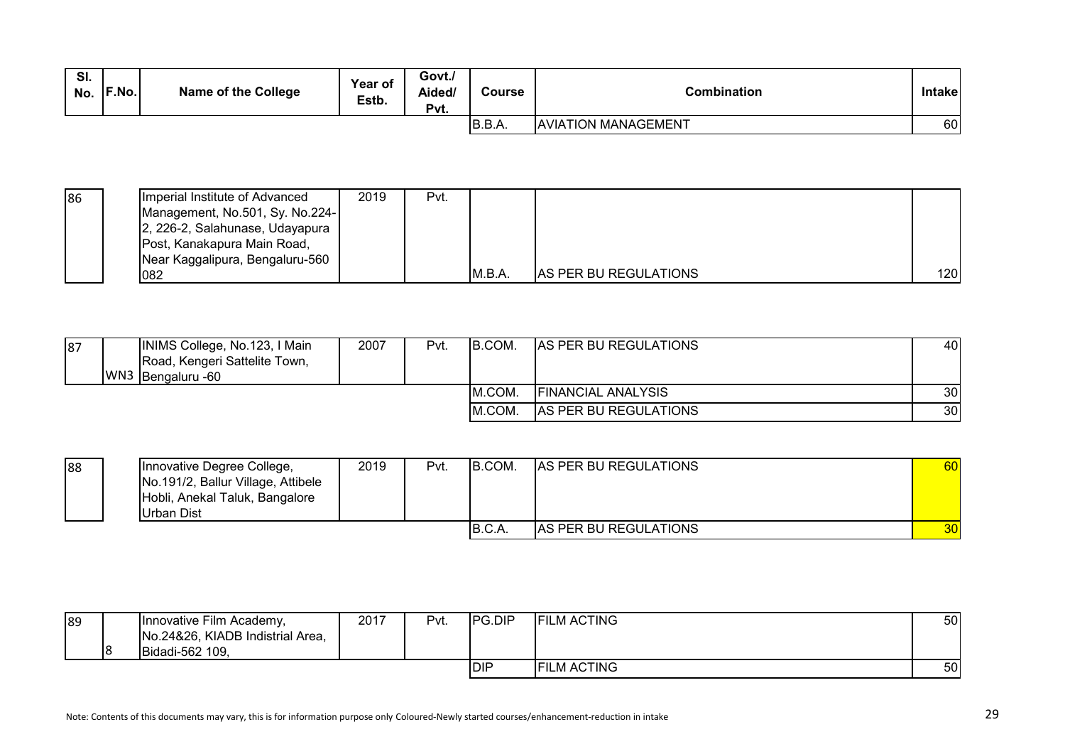| SI.<br>No. | F.No. | <b>Name of the College</b> | Year of<br>Estb. | Govt./<br>Aided/<br>Pvt. | Course  | <b>Combination</b>         | <b>Intakel</b> |
|------------|-------|----------------------------|------------------|--------------------------|---------|----------------------------|----------------|
|            |       |                            |                  |                          | IB.B.A. | <b>AVIATION MANAGEMENT</b> | 60             |

| 86 | Imperial Institute of Advanced  | 2019 | Pvt. |        |                              |                  |
|----|---------------------------------|------|------|--------|------------------------------|------------------|
|    | Management, No.501, Sy. No.224- |      |      |        |                              |                  |
|    | 2, 226-2, Salahunase, Udayapura |      |      |        |                              |                  |
|    | Post, Kanakapura Main Road,     |      |      |        |                              |                  |
|    | Near Kaggalipura, Bengaluru-560 |      |      |        |                              |                  |
|    | 082                             |      |      | M.B.A. | <b>AS PER BU REGULATIONS</b> | 120 <sub>1</sub> |

| 87 | INIMS College, No.123, I Main<br>Road, Kengeri Sattelite Town,<br>WN3 Bengaluru -60 | 2007 | Pvt. | IB.COM. | <b>AS PER BU REGULATIONS</b> | 40 I            |
|----|-------------------------------------------------------------------------------------|------|------|---------|------------------------------|-----------------|
|    |                                                                                     |      |      | M.COM.  | <b>FINANCIAL ANALYSIS</b>    | 30 l            |
|    |                                                                                     |      |      | M.COM.  | AS PER BU REGULATIONS        | 30 <sup>1</sup> |

| 88 | Innovative Degree College,<br>No.191/2, Ballur Village, Attibele<br>Hobli, Anekal Taluk, Bangalore<br>Urban Dist | 2019 | Pvt. | IB.COM. | <b>AS PER BU REGULATIONS</b> | <b>601</b>      |
|----|------------------------------------------------------------------------------------------------------------------|------|------|---------|------------------------------|-----------------|
|    |                                                                                                                  |      |      | B.C.A.  | <b>AS PER BU REGULATIONS</b> | 30 <sup>l</sup> |

| 89 | Innovative Film Academy,                            | 2017 | Pvt. | <b>PG.DIP</b> | <b>FILM ACTING</b> | 50 |
|----|-----------------------------------------------------|------|------|---------------|--------------------|----|
|    | No.24&26, KIADB Indistrial Area,<br>Bidadi-562 109, |      |      |               |                    |    |
|    |                                                     |      |      | DIP           | <b>FILM ACTING</b> | 50 |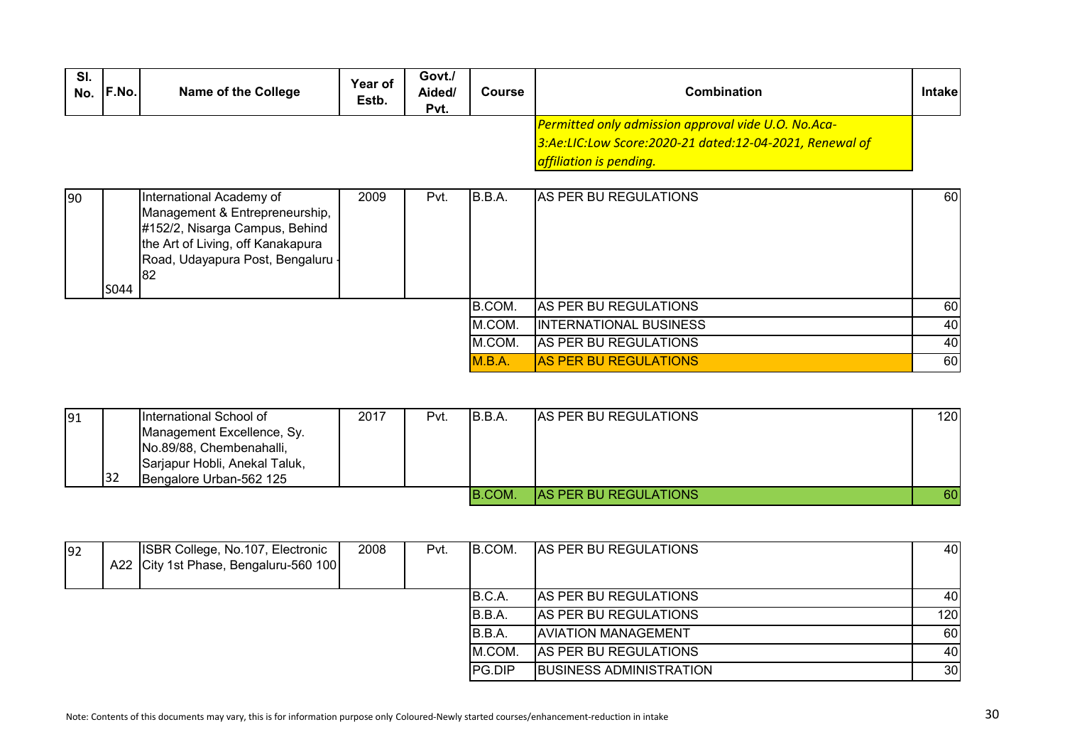| SI.<br>No. | F.No. | <b>Name of the College</b>                                                                                                                                                           | Year of<br>Estb. | Govt./<br>Aided/<br>Pvt. | <b>Course</b> | Combination                                             | <b>Intake</b> |
|------------|-------|--------------------------------------------------------------------------------------------------------------------------------------------------------------------------------------|------------------|--------------------------|---------------|---------------------------------------------------------|---------------|
|            |       |                                                                                                                                                                                      |                  |                          |               | Permitted only admission approval vide U.O. No.Aca-     |               |
|            |       |                                                                                                                                                                                      |                  |                          |               | 3:Ae:LIC:Low Score:2020-21 dated:12-04-2021, Renewal of |               |
|            |       |                                                                                                                                                                                      |                  |                          |               | affiliation is pending.                                 |               |
|            |       |                                                                                                                                                                                      |                  |                          |               |                                                         |               |
| 190        | S044  | <b>International Academy of</b><br>Management & Entrepreneurship,<br>#152/2, Nisarga Campus, Behind<br>the Art of Living, off Kanakapura<br>Road, Udayapura Post, Bengaluru -<br>182 | 2009             | Pvt.                     | B.B.A.        | AS PER BU REGULATIONS                                   | 60            |
|            |       |                                                                                                                                                                                      |                  |                          | B.COM.        | AS PER BU REGULATIONS                                   | 60            |
|            |       |                                                                                                                                                                                      |                  |                          | M.COM.        | <b>INTERNATIONAL BUSINESS</b>                           | 40            |
|            |       |                                                                                                                                                                                      |                  |                          | M.COM.        | AS PER BU REGULATIONS                                   | 40            |
|            |       |                                                                                                                                                                                      |                  |                          | M.B.A.        | <b>AS PER BU REGULATIONS</b>                            | 60            |

| 91 |    | International School of       | 2017 | Pvt. | B.B.A.  | <b>AS PER BU REGULATIONS</b> | 120 |
|----|----|-------------------------------|------|------|---------|------------------------------|-----|
|    |    | Management Excellence, Sy.    |      |      |         |                              |     |
|    |    | No.89/88, Chembenahalli,      |      |      |         |                              |     |
|    |    | Sarjapur Hobli, Anekal Taluk, |      |      |         |                              |     |
|    | 32 | Bengalore Urban-562 125       |      |      |         |                              |     |
|    |    |                               |      |      | IB.COM. | <b>AS PER BU REGULATIONS</b> | 60  |

| 92 | ISBR College, No.107, Electronic<br>A22 City 1st Phase, Bengaluru-560 100 | 2008 | Pvt. | IB.COM. | IAS PER BU REGULATIONS         | 40  |
|----|---------------------------------------------------------------------------|------|------|---------|--------------------------------|-----|
|    |                                                                           |      |      | B.C.A.  | <b>AS PER BU REGULATIONS</b>   | 40  |
|    |                                                                           |      |      | IB.B.A. | AS PER BU REGULATIONS          | 120 |
|    |                                                                           |      |      | B.B.A.  | <b>AVIATION MANAGEMENT</b>     | 60  |
|    |                                                                           |      |      | M.COM.  | AS PER BU REGULATIONS          | 40  |
|    |                                                                           |      |      | PG.DIP  | <b>BUSINESS ADMINISTRATION</b> | 30  |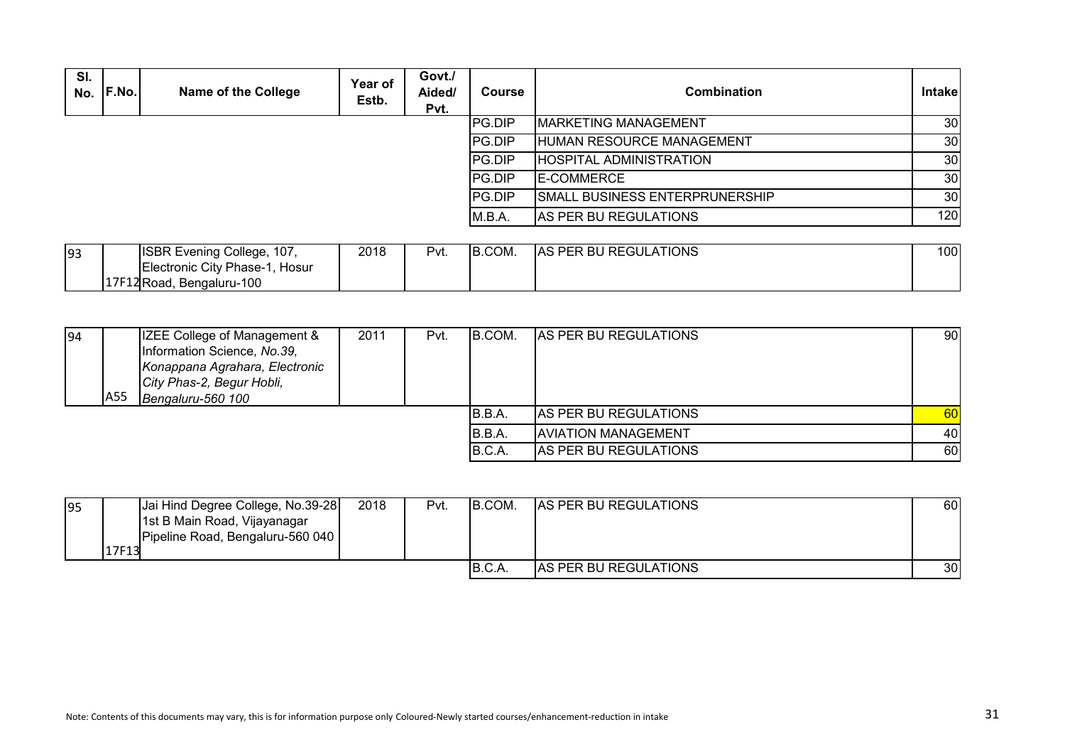| SI.<br>No. | F.No. | Name of the College | Year of<br>Estb. | Govt./<br>Aided/<br>Pvt. | <b>Course</b>  | <b>Combination</b>                    | <b>Intakel</b>  |
|------------|-------|---------------------|------------------|--------------------------|----------------|---------------------------------------|-----------------|
|            |       |                     |                  |                          | <b>PG.DIP</b>  | <b>MARKETING MANAGEMENT</b>           | 30 <sup>1</sup> |
|            |       |                     |                  |                          | <b>IPG.DIP</b> | HUMAN RESOURCE MANAGEMENT             | 30 <sub>l</sub> |
|            |       |                     |                  |                          | IPG.DIP        | <b>HOSPITAL ADMINISTRATION</b>        | 30 <sup>1</sup> |
|            |       |                     |                  |                          | IPG.DIP        | <b>E-COMMERCE</b>                     | 30 <sup>1</sup> |
|            |       |                     |                  |                          | <b>IPG.DIP</b> | <b>SMALL BUSINESS ENTERPRUNERSHIP</b> | 30 <sub>l</sub> |
|            |       |                     |                  |                          | M.B.A.         | AS PER BU REGULATIONS                 | 120             |

| 93 | <b>ISBR Evening College,</b><br>107 | 2018 | Pvt. | B.COM. | R BU REGULATIONS<br>PER.<br>IAS. | 100 |
|----|-------------------------------------|------|------|--------|----------------------------------|-----|
|    | Electronic City Phase-1<br>Hosur    |      |      |        |                                  |     |
|    | 17F12 Road,<br>Bengaluru-100        |      |      |        |                                  |     |

| 94 | A55 | IZEE College of Management &<br>Information Science, No.39,<br>Konappana Agrahara, Electronic<br>City Phas-2, Begur Hobli,<br>Bengaluru-560 100 | 2011 | Pvt. | IB.COM. | <b>AS PER BU REGULATIONS</b> | 90        |
|----|-----|-------------------------------------------------------------------------------------------------------------------------------------------------|------|------|---------|------------------------------|-----------|
|    |     |                                                                                                                                                 |      |      | B.B.A.  | <b>AS PER BU REGULATIONS</b> | <b>60</b> |
|    |     |                                                                                                                                                 |      |      | B.B.A.  | <b>AVIATION MANAGEMENT</b>   | 40        |
|    |     |                                                                                                                                                 |      |      | B.C.A.  | <b>AS PER BU REGULATIONS</b> | 60        |

| 195 |       | Jai Hind Degree College, No.39-28<br>1st B Main Road, Vijayanagar<br>Pipeline Road, Bengaluru-560 040 | 2018 | Pvt. | IB.COM. | AS PER BU REGULATIONS        | 60              |
|-----|-------|-------------------------------------------------------------------------------------------------------|------|------|---------|------------------------------|-----------------|
|     | 17F13 |                                                                                                       |      |      |         |                              |                 |
|     |       |                                                                                                       |      |      | B.C.A.  | <b>AS PER BU REGULATIONS</b> | 30 <sub>l</sub> |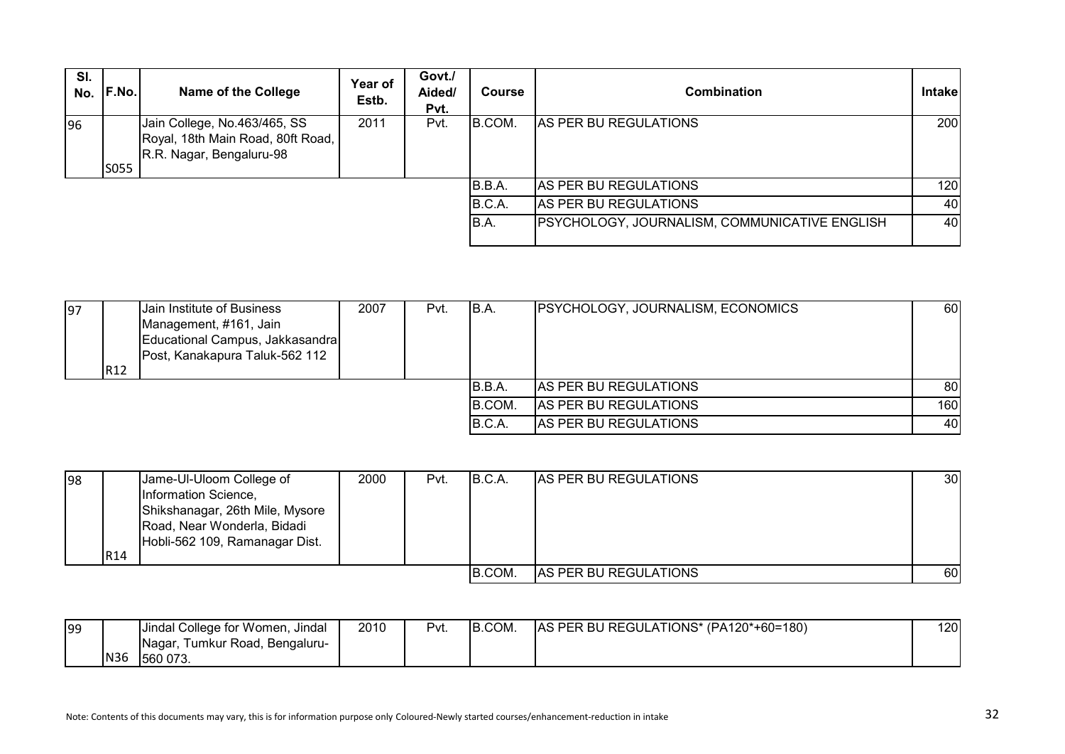| SI.<br>No. | F.No. | <b>Name of the College</b>                                                                    | Year of<br>Estb. | Govt./<br>Aided/<br>Pvt. | <b>Course</b> | Combination                                   | Intakel |
|------------|-------|-----------------------------------------------------------------------------------------------|------------------|--------------------------|---------------|-----------------------------------------------|---------|
| 96         | S055  | Jain College, No.463/465, SS<br>Royal, 18th Main Road, 80ft Road,<br>R.R. Nagar, Bengaluru-98 | 2011             | Pvt.                     | B.COM.        | <b>AS PER BU REGULATIONS</b>                  | 200     |
|            |       |                                                                                               |                  |                          | IB.B.A.       | <b>AS PER BU REGULATIONS</b>                  | 120     |
|            |       |                                                                                               |                  |                          | B.C.A.        | AS PER BU REGULATIONS                         | 40      |
|            |       |                                                                                               |                  |                          | B.A.          | PSYCHOLOGY, JOURNALISM, COMMUNICATIVE ENGLISH | 40      |

| 197 |                 | Jain Institute of Business      | 2007 | Pvt. | IB.A.  | <b>PSYCHOLOGY, JOURNALISM, ECONOMICS</b> | 60 I |
|-----|-----------------|---------------------------------|------|------|--------|------------------------------------------|------|
|     |                 | Management, #161, Jain          |      |      |        |                                          |      |
|     |                 | Educational Campus, Jakkasandra |      |      |        |                                          |      |
|     |                 | Post, Kanakapura Taluk-562 112  |      |      |        |                                          |      |
|     | R <sub>12</sub> |                                 |      |      |        |                                          |      |
|     |                 |                                 |      |      | B.B.A. | <b>AS PER BU REGULATIONS</b>             | 80I  |
|     |                 |                                 |      |      | B.COM. | <b>AS PER BU REGULATIONS</b>             | 160  |
|     |                 |                                 |      |      | B.C.A. | AS PER BU REGULATIONS                    | 40 I |

| 98 |     | Jame-UI-Uloom College of        | 2000 | Pvt. | B.C.A. | <b>AS PER BU REGULATIONS</b> | 30 <sup>1</sup> |
|----|-----|---------------------------------|------|------|--------|------------------------------|-----------------|
|    |     | Information Science,            |      |      |        |                              |                 |
|    |     | Shikshanagar, 26th Mile, Mysore |      |      |        |                              |                 |
|    |     | Road, Near Wonderla, Bidadi     |      |      |        |                              |                 |
|    |     | Hobli-562 109, Ramanagar Dist.  |      |      |        |                              |                 |
|    | R14 |                                 |      |      |        |                              |                 |
|    |     |                                 |      |      | B.COM. | AS PER BU REGULATIONS        | 60I             |

| 99 |            | Jindal College for Women, Jindal     | 2010 | Pvt. | B.COM. | AS PER BU REGULATIONS* (PA120*+60=180) | 120 |
|----|------------|--------------------------------------|------|------|--------|----------------------------------------|-----|
|    |            | Nagar.<br>Bengaluru-<br>Fumkur Road, |      |      |        |                                        |     |
|    | <b>N36</b> | 560 073.                             |      |      |        |                                        |     |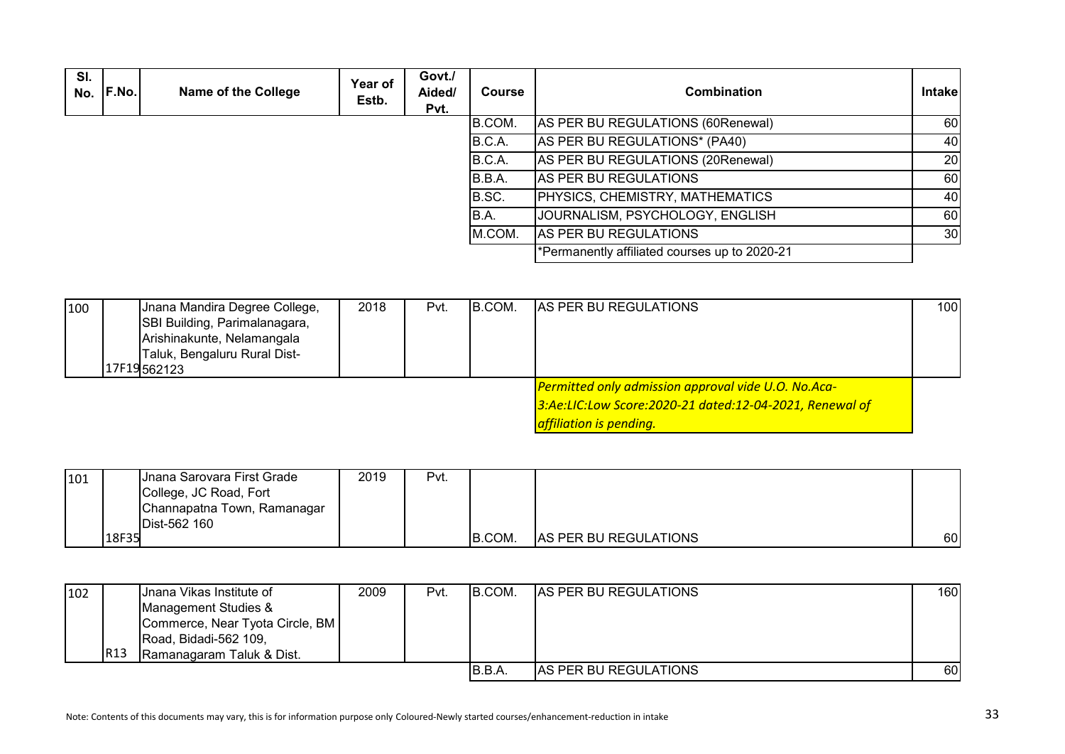| SI.<br>No. | F.No. | Name of the College | Year of<br>Estb. | Govt./<br>Aided/<br>Pvt. | <b>Course</b> | <b>Combination</b>                            | <b>Intakel</b>  |
|------------|-------|---------------------|------------------|--------------------------|---------------|-----------------------------------------------|-----------------|
|            |       |                     |                  |                          | B.COM.        | AS PER BU REGULATIONS (60 Renewal)            | 60              |
|            |       |                     |                  |                          | B.C.A.        | AS PER BU REGULATIONS* (PA40)                 | 40I             |
|            |       |                     |                  |                          | B.C.A.        | AS PER BU REGULATIONS (20 Renewal)            | <b>20</b>       |
|            |       |                     |                  |                          | B.B.A.        | AS PER BU REGULATIONS                         | 60              |
|            |       |                     |                  |                          | B.SC.         | PHYSICS, CHEMISTRY, MATHEMATICS               | 40              |
|            |       |                     |                  |                          | B.A.          | JOURNALISM, PSYCHOLOGY, ENGLISH               | <b>60</b>       |
|            |       |                     |                  |                          | M.COM.        | AS PER BU REGULATIONS                         | 30 <sup>1</sup> |
|            |       |                     |                  |                          |               | *Permanently affiliated courses up to 2020-21 |                 |

| 100 | Jnana Mandira Degree College,<br>SBI Building, Parimalanagara,<br>Arishinakunte, Nelamangala<br>Taluk, Bengaluru Rural Dist-<br>17F19562123 | 2018 | Pvt. | B.COM. | <b>AS PER BU REGULATIONS</b>                                                                                                                     | 100 |
|-----|---------------------------------------------------------------------------------------------------------------------------------------------|------|------|--------|--------------------------------------------------------------------------------------------------------------------------------------------------|-----|
|     |                                                                                                                                             |      |      |        | Permitted only admission approval vide U.O. No.Aca-<br>3:Ae:LIC:Low Score:2020-21 dated:12-04-2021, Renewal of<br><b>affiliation is pending.</b> |     |

| 101 |       | Jnana Sarovara First Grade  | 2019 | Pvt. |        |                              |                 |
|-----|-------|-----------------------------|------|------|--------|------------------------------|-----------------|
|     |       | College, JC Road, Fort      |      |      |        |                              |                 |
|     |       | Channapatna Town, Ramanagar |      |      |        |                              |                 |
|     |       | Dist-562 160                |      |      |        |                              |                 |
|     | 18F35 |                             |      |      | B.COM. | <b>AS PER BU REGULATIONS</b> | 60 <sup>1</sup> |

| 102 |            | Jnana Vikas Institute of        | 2009 | Pvt. | IB.COM. | AS PER BU REGULATIONS        | 160 <sup>1</sup> |
|-----|------------|---------------------------------|------|------|---------|------------------------------|------------------|
|     |            | Management Studies &            |      |      |         |                              |                  |
|     |            | Commerce, Near Tyota Circle, BM |      |      |         |                              |                  |
|     |            | Road, Bidadi-562 109,           |      |      |         |                              |                  |
|     | <b>R13</b> | Ramanagaram Taluk & Dist.       |      |      |         |                              |                  |
|     |            |                                 |      |      | IB.B.A  | <b>AS PER BU REGULATIONS</b> | 60               |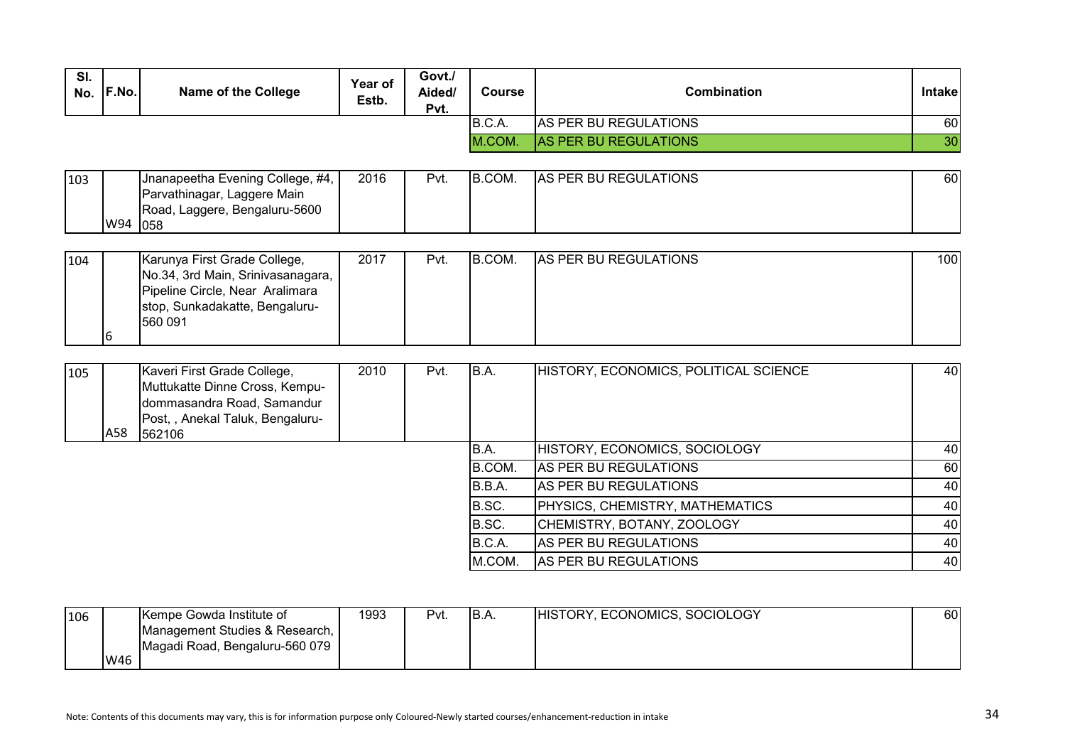| SI.<br>No. | F.No. | Name of the College                                                                                                                               | Year of<br>Estb. | Govt./<br>Aided/<br>Pvt. | <b>Course</b> | <b>Combination</b>                    | Intake          |
|------------|-------|---------------------------------------------------------------------------------------------------------------------------------------------------|------------------|--------------------------|---------------|---------------------------------------|-----------------|
|            |       |                                                                                                                                                   |                  |                          | B.C.A.        | AS PER BU REGULATIONS                 | 60              |
|            |       |                                                                                                                                                   |                  |                          | M.COM.        | <b>AS PER BU REGULATIONS</b>          | $\overline{30}$ |
|            |       |                                                                                                                                                   |                  |                          |               |                                       |                 |
| 103        | W94   | Jnanapeetha Evening College, #4,<br>Parvathinagar, Laggere Main<br>Road, Laggere, Bengaluru-5600<br>058                                           | 2016             | Pvt.                     | B.COM.        | AS PER BU REGULATIONS                 | 60              |
|            |       |                                                                                                                                                   |                  |                          |               |                                       |                 |
| 104        | 6     | Karunya First Grade College,<br>No.34, 3rd Main, Srinivasanagara,<br>Pipeline Circle, Near Aralimara<br>stop, Sunkadakatte, Bengaluru-<br>560 091 | 2017             | Pvt.                     | B.COM.        | IAS PER BU REGULATIONS                | 100             |
|            |       |                                                                                                                                                   |                  |                          |               |                                       |                 |
| 105        | A58   | Kaveri First Grade College,<br>Muttukatte Dinne Cross, Kempu-<br>dommasandra Road, Samandur<br>Post,, Anekal Taluk, Bengaluru-<br>562106          | 2010             | Pvt.                     | B.A.          | HISTORY, ECONOMICS, POLITICAL SCIENCE | 40              |
|            |       |                                                                                                                                                   |                  |                          | B.A.          | HISTORY, ECONOMICS, SOCIOLOGY         | 40              |
|            |       |                                                                                                                                                   |                  |                          | B.COM.        | AS PER BU REGULATIONS                 | 60              |
|            |       |                                                                                                                                                   |                  |                          | B.B.A.        | AS PER BU REGULATIONS                 | 40              |
|            |       |                                                                                                                                                   |                  |                          | B.SC.         | PHYSICS, CHEMISTRY, MATHEMATICS       | 40              |
|            |       |                                                                                                                                                   |                  |                          | B.SC.         | CHEMISTRY, BOTANY, ZOOLOGY            | 40              |
|            |       |                                                                                                                                                   |                  |                          | B.C.A.        | AS PER BU REGULATIONS                 | 40              |
|            |       |                                                                                                                                                   |                  |                          | M.COM.        | AS PER BU REGULATIONS                 | 40              |

| 106 |     | <b>IKempe Gowda Institute of</b>           | 1993 | Pvt. | IB.A. | HISTORY, ECONOMICS, SOCIOLOGY | 60 l |
|-----|-----|--------------------------------------------|------|------|-------|-------------------------------|------|
|     |     | <b>IManagement Studies &amp; Research.</b> |      |      |       |                               |      |
|     |     | Magadi Road, Bengaluru-560 079             |      |      |       |                               |      |
|     | W46 |                                            |      |      |       |                               |      |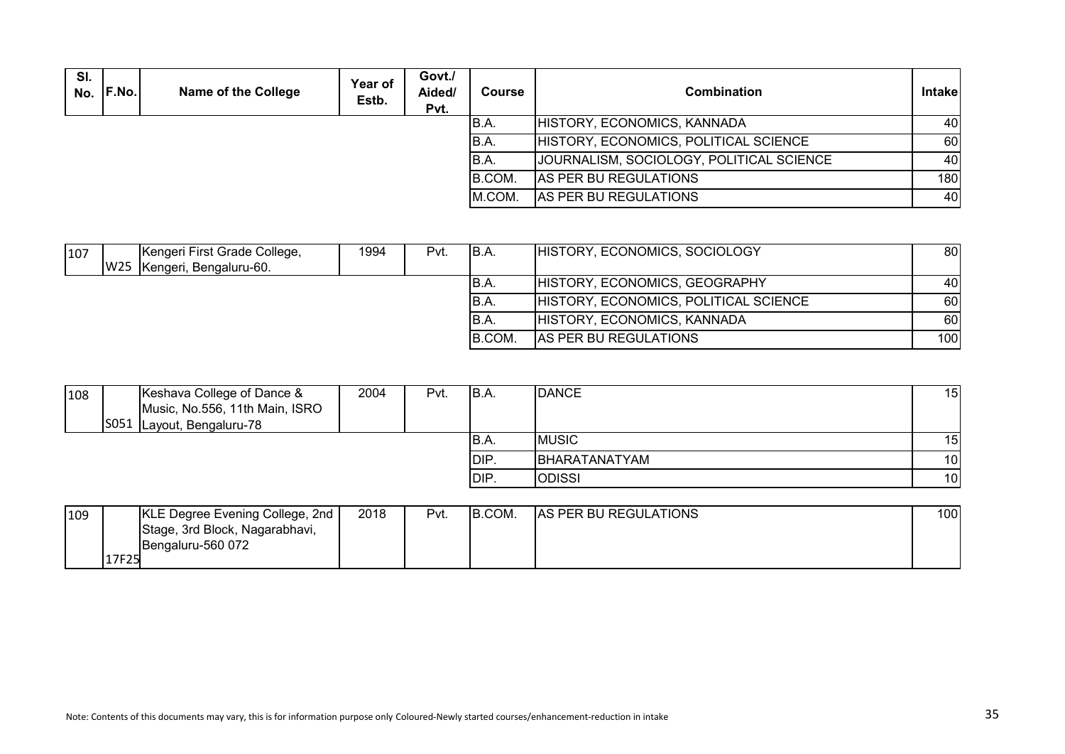| SI.<br>No. | <b>F.No.</b> | Name of the College | Year of<br>Estb. | Govt./<br>Aided/<br>Pvt. | <b>Course</b> | <b>Combination</b>                       | <b>Intakel</b>   |
|------------|--------------|---------------------|------------------|--------------------------|---------------|------------------------------------------|------------------|
|            |              |                     |                  |                          | IB.A.         | HISTORY, ECONOMICS, KANNADA              | 40 I             |
|            |              |                     |                  |                          | IB.A.         | HISTORY, ECONOMICS, POLITICAL SCIENCE    | 60 l             |
|            |              |                     |                  |                          | IB.A.         | JOURNALISM, SOCIOLOGY, POLITICAL SCIENCE | 40               |
|            |              |                     |                  |                          | B.COM.        | AS PER BU REGULATIONS                    | 180 <sup>1</sup> |
|            |              |                     |                  |                          | M.COM.        | AS PER BU REGULATIONS                    | 40               |

| 107 | Kengeri First Grade College, | 1994 | Pvt. | IB.A.   | HISTORY, ECONOMICS, SOCIOLOGY         | 80  |
|-----|------------------------------|------|------|---------|---------------------------------------|-----|
|     | W25 Kengeri, Bengaluru-60.   |      |      |         |                                       |     |
|     |                              |      |      | IB.A.   | HISTORY, ECONOMICS, GEOGRAPHY         | 40  |
|     |                              |      |      | IB.A.   | HISTORY, ECONOMICS, POLITICAL SCIENCE | 60  |
|     |                              |      |      | IB.A.   | HISTORY, ECONOMICS, KANNADA           | 60  |
|     |                              |      |      | IB.COM. | <b>AS PER BU REGULATIONS</b>          | 100 |

| 15              |
|-----------------|
|                 |
|                 |
| 15 <sup>1</sup> |
| 10 <sup>1</sup> |
| 10 I            |
|                 |

| 109 | KLE Degree Evening College, 2nd | 2018 | Pvt. | B.COM. | <b>AS PER BU REGULATIONS</b> | 100 |
|-----|---------------------------------|------|------|--------|------------------------------|-----|
|     | Stage, 3rd Block, Nagarabhavi,  |      |      |        |                              |     |
|     | IBengaluru-560 072              |      |      |        |                              |     |
|     | 17F25                           |      |      |        |                              |     |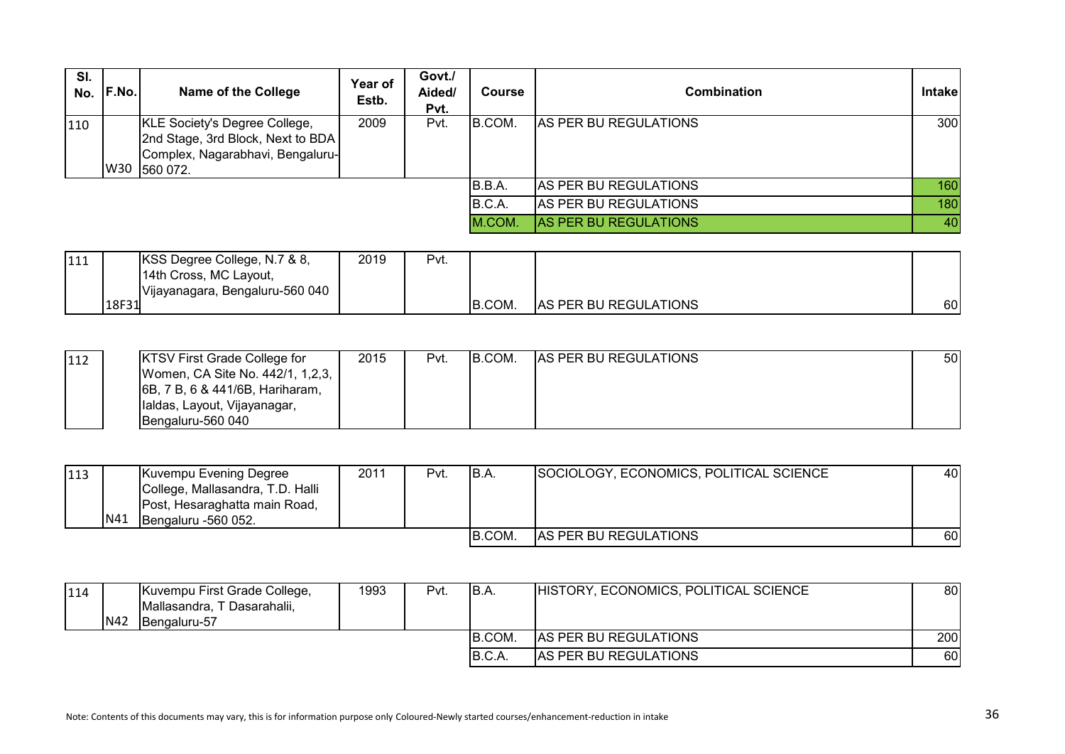| SI.<br>No. | <b>F.No.</b> | <b>Name of the College</b>                                                                                         | Year of<br>Estb. | Govt./<br>Aided/<br>Pvt. | Course | <b>Combination</b>           | <b>Intake</b> |
|------------|--------------|--------------------------------------------------------------------------------------------------------------------|------------------|--------------------------|--------|------------------------------|---------------|
| 110        | W30          | KLE Society's Degree College,<br>2nd Stage, 3rd Block, Next to BDA<br>Complex, Nagarabhavi, Bengaluru-<br>560 072. | 2009             | Pvt.                     | B.COM. | AS PER BU REGULATIONS        | 300           |
|            |              |                                                                                                                    |                  |                          | B.B.A. | <b>AS PER BU REGULATIONS</b> | 160           |
|            |              |                                                                                                                    |                  |                          | B.C.A. | AS PER BU REGULATIONS        | 180           |
|            |              |                                                                                                                    |                  |                          | M.COM. | <b>AS PER BU REGULATIONS</b> | 40            |

| 111 |       | KSS Degree College, N.7 & 8,    | 2019 | Pvt. |        |                              |    |
|-----|-------|---------------------------------|------|------|--------|------------------------------|----|
|     |       | 14th Cross, MC Layout,          |      |      |        |                              |    |
|     |       | Vijayanagara, Bengaluru-560 040 |      |      |        |                              |    |
|     | 18F31 |                                 |      |      | B.COM. | <b>AS PER BU REGULATIONS</b> | 60 |

| 112 | <b>KTSV First Grade College for</b> | 2015 | Pvt. | B.COM. | <b>AS PER BU REGULATIONS</b> | 50 l |
|-----|-------------------------------------|------|------|--------|------------------------------|------|
|     | Women, CA Site No. 442/1, 1,2,3,    |      |      |        |                              |      |
|     | [6B, 7 B, 6 & 441/6B, Hariharam,    |      |      |        |                              |      |
|     | Ialdas, Layout, Vijayanagar,        |      |      |        |                              |      |
|     | Bengaluru-560 040                   |      |      |        |                              |      |

| 113 |            | Kuvempu Evening Degree           | 2011 | Pvt. | IB.A.  | SOCIOLOGY, ECONOMICS, POLITICAL SCIENCE | 40 |
|-----|------------|----------------------------------|------|------|--------|-----------------------------------------|----|
|     |            | College, Mallasandra, T.D. Halli |      |      |        |                                         |    |
|     |            | Post, Hesaraghatta main Road,    |      |      |        |                                         |    |
|     | <b>N41</b> | Bengaluru -560 052.              |      |      |        |                                         |    |
|     |            |                                  |      |      | B.COM. | <b>AS PER BU REGULATIONS</b>            | 60 |

| 114 | <b>IN42</b> | Kuvempu First Grade College,<br>IMallasandra. T Dasarahalii.<br><b>Bengaluru-57</b> | 1993 | Pvt. | IB.A.   | HISTORY, ECONOMICS, POLITICAL SCIENCE | 80 I |
|-----|-------------|-------------------------------------------------------------------------------------|------|------|---------|---------------------------------------|------|
|     |             |                                                                                     |      |      | IB.COM. | <b>AS PER BU REGULATIONS</b>          | 200  |
|     |             |                                                                                     |      |      | B.C.A.  | AS PER BU REGULATIONS                 | 60   |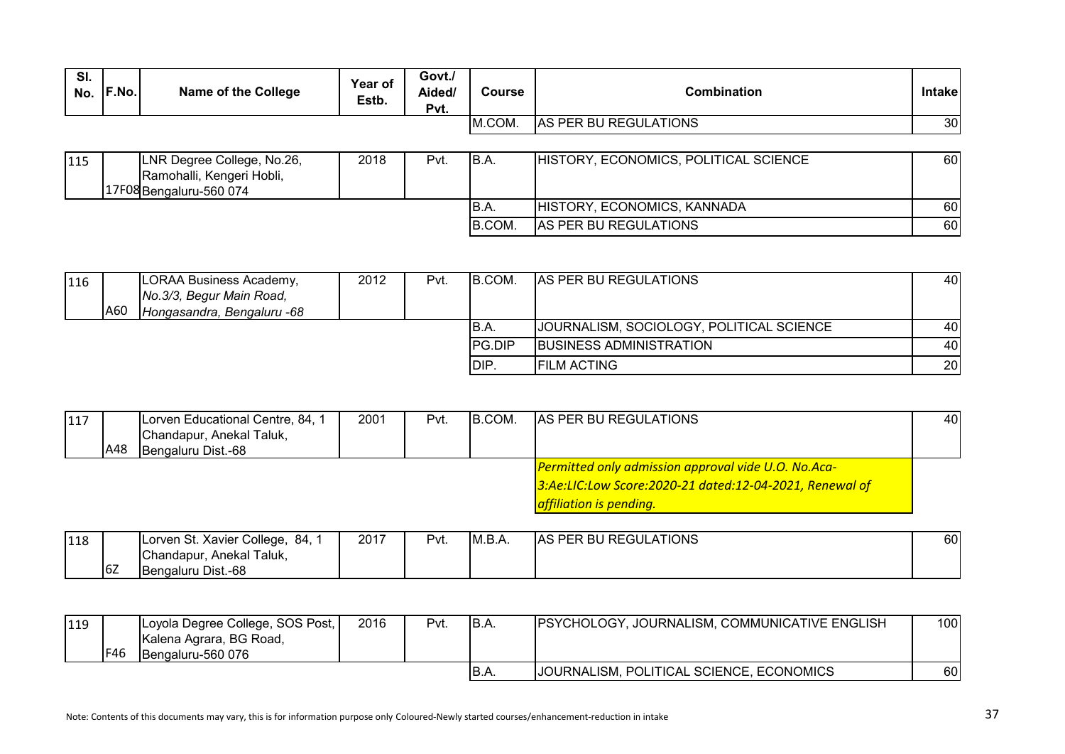| SI.<br>No. | F.No. | Name of the College                                                                | Year of<br>Estb. | Govt./<br>Aided/<br>Pvt. | <b>Course</b> | <b>Combination</b>                    | <b>Intakel</b> |
|------------|-------|------------------------------------------------------------------------------------|------------------|--------------------------|---------------|---------------------------------------|----------------|
|            |       |                                                                                    |                  |                          | M.COM.        | AS PER BU REGULATIONS                 | <b>30</b>      |
|            |       |                                                                                    |                  |                          |               |                                       |                |
| 115        |       | LNR Degree College, No.26,<br>Ramohalli, Kengeri Hobli,<br>17F08 Bengaluru-560 074 | 2018             | Pvt.                     | IB.A.         | HISTORY, ECONOMICS, POLITICAL SCIENCE | 60             |
|            |       |                                                                                    |                  |                          | B.A.          | HISTORY, ECONOMICS, KANNADA           | 60             |
|            |       |                                                                                    |                  |                          | B.COM.        | AS PER BU REGULATIONS                 | 60             |

| 116 |     | LORAA Business Academy,    | 2012 | Pvt. | IB.COM.       | IAS PER BU REGULATIONS                   | 40 I      |
|-----|-----|----------------------------|------|------|---------------|------------------------------------------|-----------|
|     |     | No.3/3, Begur Main Road,   |      |      |               |                                          |           |
|     | A60 | Hongasandra, Bengaluru -68 |      |      |               |                                          |           |
|     |     |                            |      |      | IB.A.         | JOURNALISM, SOCIOLOGY, POLITICAL SCIENCE | 40        |
|     |     |                            |      |      | <b>PG.DIP</b> | <b>BUSINESS ADMINISTRATION</b>           | 40        |
|     |     |                            |      |      | IDIP.         | FILM ACTING                              | <b>20</b> |

| 117 |     | Lorven Educational Centre, 84, 1<br>Chandapur, Anekal Taluk, | 2001 | Pvt. | IB.COM. | <b>AS PER BU REGULATIONS</b>                                                                                                                            | 40  |
|-----|-----|--------------------------------------------------------------|------|------|---------|---------------------------------------------------------------------------------------------------------------------------------------------------------|-----|
|     | A48 | Bengaluru Dist.-68                                           |      |      |         |                                                                                                                                                         |     |
|     |     |                                                              |      |      |         | <b>Permitted only admission approval vide U.O. No.Aca-</b><br>3:Ae:LIC:Low Score:2020-21 dated:12-04-2021, Renewal of<br><b>affiliation is pending.</b> |     |
| 118 |     | Lorven St. Xavier College, 84, 1                             | 2017 | Pvt. | M.B.A.  | <b>AS PER BU REGULATIONS</b>                                                                                                                            | 60I |

| 118 |     | Lorven St. Xavier College, <sup>c</sup><br>84. | 2017 | Pvt. | IM.B.A | <b>AS PER BU REGULATIONS</b> | 60 |
|-----|-----|------------------------------------------------|------|------|--------|------------------------------|----|
|     |     | Taluk,<br>Anekal<br>∵handapur. ت               |      |      |        |                              |    |
|     | 162 | Bengaluru Dist.-68                             |      |      |        |                              |    |

| 119 | lF46 | Loyola Degree College, SOS Post,  <br>Kalena Agrara, BG Road,<br>Bengaluru-560 076 | 2016 | Pvt. | IB.A. | <b>PSYCHOLOGY, JOURNALISM, COMMUNICATIVE ENGLISH</b> | 100 |
|-----|------|------------------------------------------------------------------------------------|------|------|-------|------------------------------------------------------|-----|
|     |      |                                                                                    |      |      | IB.A. | JOURNALISM, POLITICAL SCIENCE, ECONOMICS             | 60I |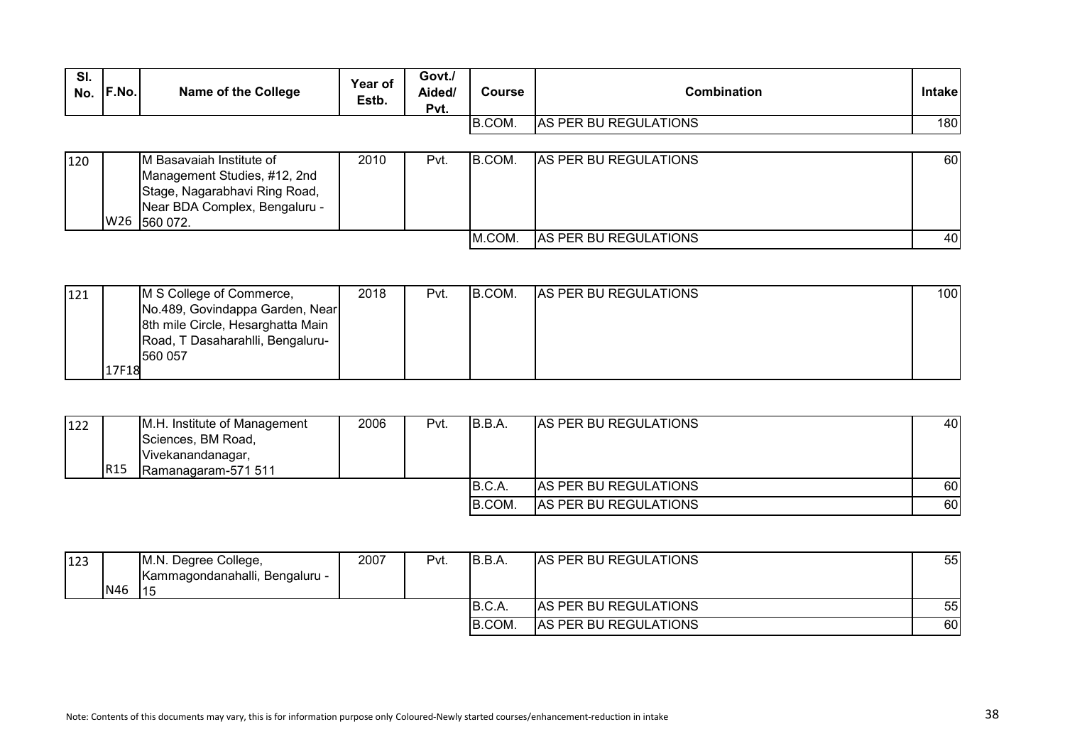| SI.<br>No. | F.No. | <b>Name of the College</b>                                                                                                                 | Year of<br>Estb. | Govt./<br>Aided/<br>Pvt. | <b>Course</b> | <b>Combination</b>    | <b>Intakel</b> |
|------------|-------|--------------------------------------------------------------------------------------------------------------------------------------------|------------------|--------------------------|---------------|-----------------------|----------------|
|            |       |                                                                                                                                            |                  |                          | B.COM.        | AS PER BU REGULATIONS | 180            |
|            |       |                                                                                                                                            |                  |                          |               |                       |                |
| 120        |       | M Basavaiah Institute of<br>Management Studies, #12, 2nd<br>Stage, Nagarabhavi Ring Road,<br>Near BDA Complex, Bengaluru -<br>W26 560 072. | 2010             | Pvt.                     | B.COM.        | AS PER BU REGULATIONS | 60             |
|            |       |                                                                                                                                            |                  |                          | M.COM.        | AS PER BU REGULATIONS | 40             |

| 121 |       | M S College of Commerce,          | 2018 | Pvt. | B.COM. | <b>AS PER BU REGULATIONS</b> | 100 <sup>1</sup> |
|-----|-------|-----------------------------------|------|------|--------|------------------------------|------------------|
|     |       | No.489, Govindappa Garden, Near   |      |      |        |                              |                  |
|     |       | 8th mile Circle, Hesarghatta Main |      |      |        |                              |                  |
|     |       | Road, T Dasaharahlli, Bengaluru-  |      |      |        |                              |                  |
|     |       | 560 057                           |      |      |        |                              |                  |
|     | 17F18 |                                   |      |      |        |                              |                  |

| 122 | R <sub>15</sub> | M.H. Institute of Management<br>Sciences, BM Road,<br>Vivekanandanagar,<br>Ramanagaram-571 511 | 2006 | Pvt. | B.B.A. | <b>AS PER BU REGULATIONS</b> | 40 |
|-----|-----------------|------------------------------------------------------------------------------------------------|------|------|--------|------------------------------|----|
|     |                 |                                                                                                |      |      | B.C.A. | <b>AS PER BU REGULATIONS</b> | 60 |
|     |                 |                                                                                                |      |      | B.COM. | AS PER BU REGULATIONS        | 60 |

| 123 | N46 | M.N. Degree College,<br>Kammagondanahalli, Bengaluru -<br>115 | 2007 | Pvt. | B.B.A.  | <b>AS PER BU REGULATIONS</b> | 55 |
|-----|-----|---------------------------------------------------------------|------|------|---------|------------------------------|----|
|     |     |                                                               |      |      | B.C.A.  | <b>AS PER BU REGULATIONS</b> | 55 |
|     |     |                                                               |      |      | IB.COM. | <b>AS PER BU REGULATIONS</b> | 60 |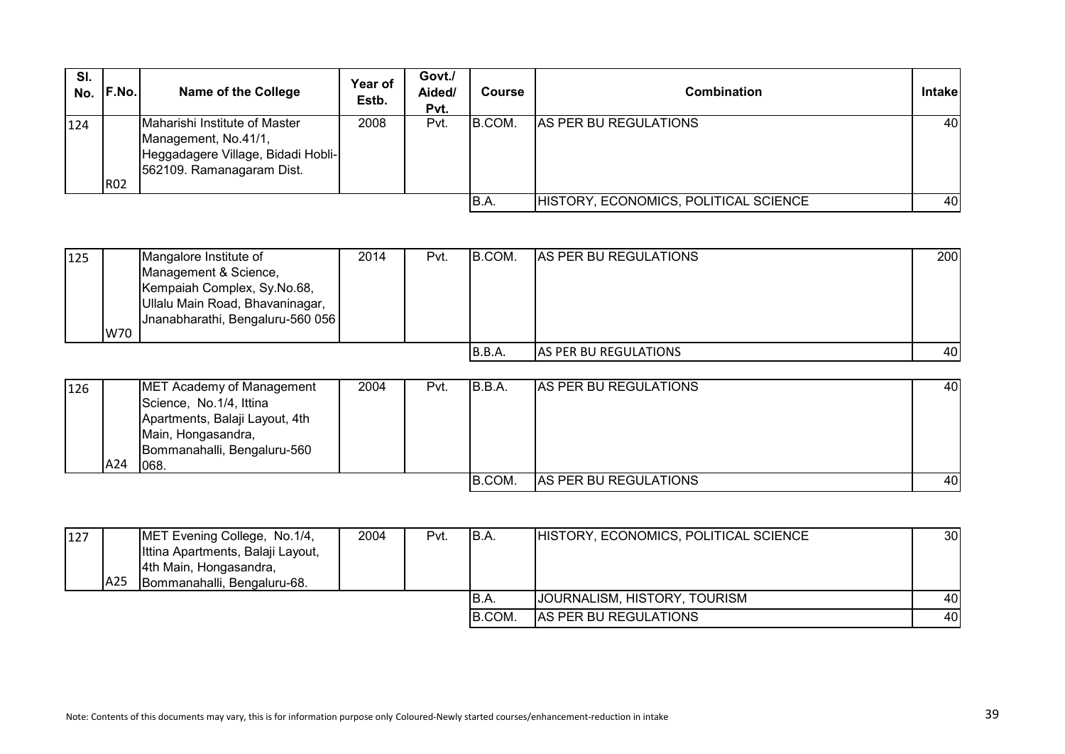| SI. | <b>No. F.No.</b> | <b>Name of the College</b>                                                                                               | Year of<br>Estb. | Govt./<br>Aided/<br>Pvt. | <b>Course</b> | <b>Combination</b>                    | <b>Intake</b> |
|-----|------------------|--------------------------------------------------------------------------------------------------------------------------|------------------|--------------------------|---------------|---------------------------------------|---------------|
| 124 | <b>RO2</b>       | Maharishi Institute of Master<br>Management, No.41/1,<br>Heggadagere Village, Bidadi Hobli-<br>562109. Ramanagaram Dist. | 2008             | Pvt.                     | B.COM.        | AS PER BU REGULATIONS                 | 40I           |
|     |                  |                                                                                                                          |                  |                          | B.A.          | HISTORY, ECONOMICS, POLITICAL SCIENCE | 40            |

| 125 |     | Mangalore Institute of           | 2014 | Pvt. | B.COM. | <b>AS PER BU REGULATIONS</b> | 200 |
|-----|-----|----------------------------------|------|------|--------|------------------------------|-----|
|     |     | Management & Science,            |      |      |        |                              |     |
|     |     | Kempaiah Complex, Sy.No.68,      |      |      |        |                              |     |
|     |     | Ullalu Main Road, Bhavaninagar,  |      |      |        |                              |     |
|     |     | Jnanabharathi, Bengaluru-560 056 |      |      |        |                              |     |
|     | W70 |                                  |      |      |        |                              |     |
|     |     |                                  |      |      | B.B.A  | <b>AS PER BU REGULATIONS</b> | 40I |

| 126 |     | <b>IMET Academy of Management</b> | 2004 | Pvt. | IB.B.A. | AS PER BU REGULATIONS | 40   |
|-----|-----|-----------------------------------|------|------|---------|-----------------------|------|
|     |     | Science, No.1/4, Ittina           |      |      |         |                       |      |
|     |     | Apartments, Balaji Layout, 4th    |      |      |         |                       |      |
|     |     | Main, Hongasandra,                |      |      |         |                       |      |
|     |     | Bommanahalli, Bengaluru-560       |      |      |         |                       |      |
|     | A24 | 068.                              |      |      |         |                       |      |
|     |     |                                   |      |      | B.COM.  | AS PER BU REGULATIONS | 40 I |

| 127 |     | MET Evening College, No.1/4,      | 2004 | Pvt. | IB.A.   | HISTORY, ECONOMICS, POLITICAL SCIENCE | 30 <sub>l</sub> |
|-----|-----|-----------------------------------|------|------|---------|---------------------------------------|-----------------|
|     |     | Ittina Apartments, Balaji Layout, |      |      |         |                                       |                 |
|     |     | 4th Main, Hongasandra,            |      |      |         |                                       |                 |
|     | A25 | Bommanahalli, Bengaluru-68.       |      |      |         |                                       |                 |
|     |     |                                   |      |      | IB.A.   | JOURNALISM, HISTORY, TOURISM          | 40              |
|     |     |                                   |      |      | IB.COM. | AS PER BU REGULATIONS                 | 40              |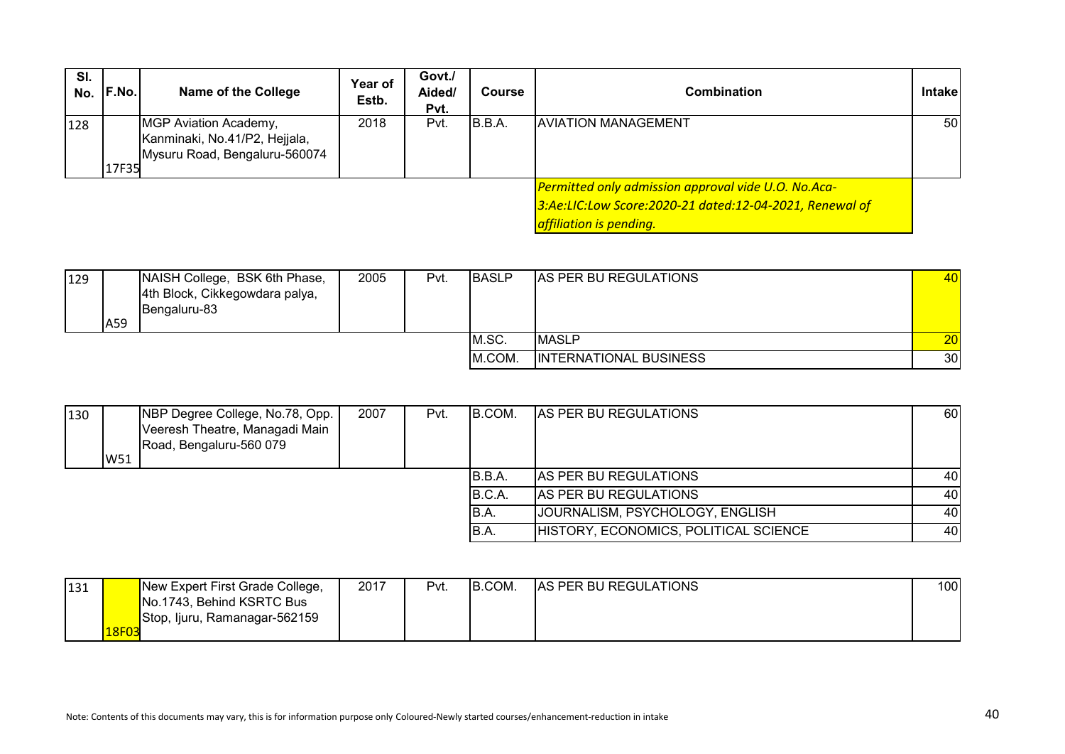| SI.<br>No. | F.No. | Name of the College                                                                     | Year of<br>Estb. | Govt./<br>Aided/<br>Pvt. | <b>Course</b> | <b>Combination</b>                                                                                                                               | Intakel |
|------------|-------|-----------------------------------------------------------------------------------------|------------------|--------------------------|---------------|--------------------------------------------------------------------------------------------------------------------------------------------------|---------|
| 128        | 17F35 | MGP Aviation Academy,<br>Kanminaki, No.41/P2, Hejjala,<br>Mysuru Road, Bengaluru-560074 | 2018             | Pvt.                     | B.B.A.        | <b>AVIATION MANAGEMENT</b>                                                                                                                       | 50      |
|            |       |                                                                                         |                  |                          |               | Permitted only admission approval vide U.O. No.Aca-<br>3:Ae:LIC:Low Score:2020-21 dated:12-04-2021, Renewal of<br><b>affiliation is pending.</b> |         |

| 129 | A59 | NAISH College, BSK 6th Phase,<br>4th Block, Cikkegowdara palya,<br>Bengaluru-83 | 2005 | Pvt. | <b>BASLP</b> | <b>AS PER BU REGULATIONS</b>  | 40              |
|-----|-----|---------------------------------------------------------------------------------|------|------|--------------|-------------------------------|-----------------|
|     |     |                                                                                 |      |      | M.SC.        | <b>MASLP</b>                  | 20 <sup>1</sup> |
|     |     |                                                                                 |      |      | M.COM.       | <b>INTERNATIONAL BUSINESS</b> | 30 <sub>l</sub> |

| 130 |     | NBP Degree College, No.78, Opp.<br>Veeresh Theatre, Managadi Main<br>Road, Bengaluru-560 079 | 2007 | Pvt. | IB.COM. | <b>AS PER BU REGULATIONS</b>          | <b>60</b> |
|-----|-----|----------------------------------------------------------------------------------------------|------|------|---------|---------------------------------------|-----------|
|     | W51 |                                                                                              |      |      |         |                                       |           |
|     |     |                                                                                              |      |      | IB.B.A. | AS PER BU REGULATIONS                 | 40        |
|     |     |                                                                                              |      |      | B.C.A.  | AS PER BU REGULATIONS                 | 40        |
|     |     |                                                                                              |      |      | IB.A.   | JOURNALISM, PSYCHOLOGY, ENGLISH       | 40        |
|     |     |                                                                                              |      |      | B.A.    | HISTORY, ECONOMICS, POLITICAL SCIENCE | 40        |

| 131 |              | New Expert First Grade College, | 2017 | Pvt. | <b>B.COM.</b> | <b>AS PER BU REGULATIONS</b> | 100 |
|-----|--------------|---------------------------------|------|------|---------------|------------------------------|-----|
|     |              | No.1743, Behind KSRTC Bus       |      |      |               |                              |     |
|     |              | Stop, Ijuru, Ramanagar-562159   |      |      |               |                              |     |
|     | <b>18F03</b> |                                 |      |      |               |                              |     |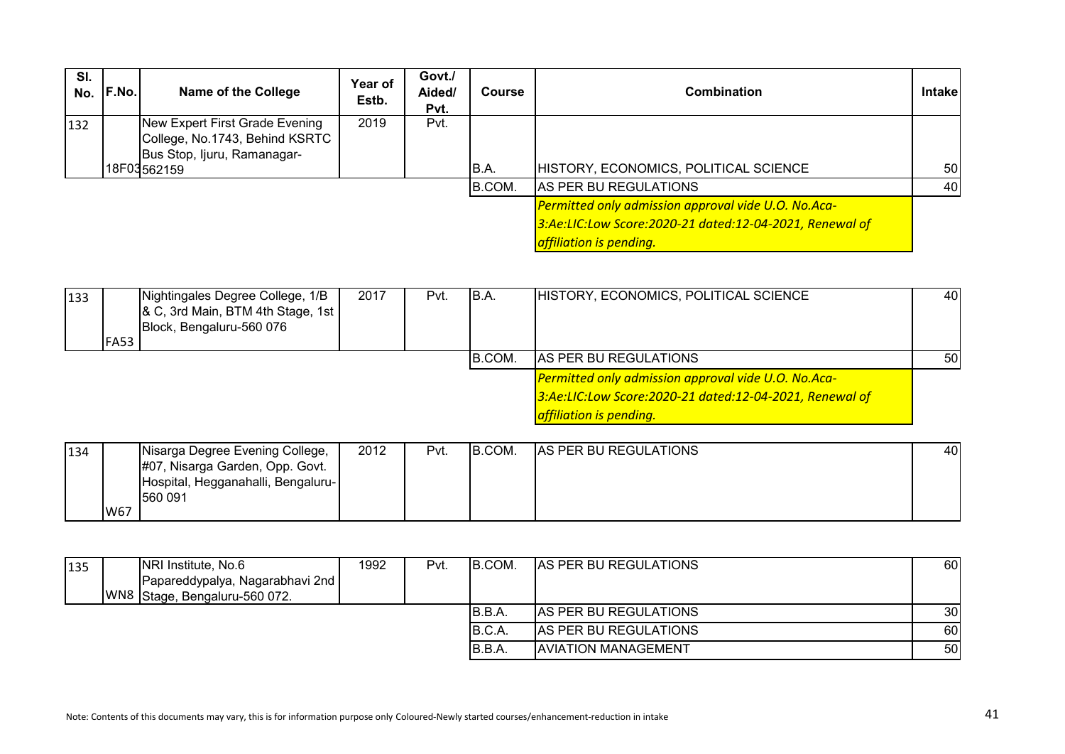| SI.<br>No. | F.No. | <b>Name of the College</b>                                    | Year of<br>Estb. | Govt./<br>Aided/<br>Pvt. | <b>Course</b> | <b>Combination</b>                                         | Intakel |
|------------|-------|---------------------------------------------------------------|------------------|--------------------------|---------------|------------------------------------------------------------|---------|
| 132        |       | New Expert First Grade Evening                                | 2019             | Pvt.                     |               |                                                            |         |
|            |       | College, No.1743, Behind KSRTC<br>Bus Stop, Ijuru, Ramanagar- |                  |                          |               |                                                            |         |
|            |       | 18F03562159                                                   |                  |                          | B.A.          | HISTORY, ECONOMICS, POLITICAL SCIENCE                      | 50      |
|            |       |                                                               |                  |                          | B.COM.        | AS PER BU REGULATIONS                                      | 40      |
|            |       |                                                               |                  |                          |               | <b>Permitted only admission approval vide U.O. No.Aca-</b> |         |
|            |       |                                                               |                  |                          |               | 3:Ae:LIC:Low Score:2020-21 dated:12-04-2021, Renewal of    |         |
|            |       |                                                               |                  |                          |               | <b>affiliation is pending.</b>                             |         |

| 133 |             | Nightingales Degree College, 1/B<br>& C, 3rd Main, BTM 4th Stage, 1st | 2017 | Pvt. | IB.A.   | HISTORY, ECONOMICS, POLITICAL SCIENCE                   | 40I |
|-----|-------------|-----------------------------------------------------------------------|------|------|---------|---------------------------------------------------------|-----|
|     |             | Block, Bengaluru-560 076                                              |      |      |         |                                                         |     |
|     | <b>FA53</b> |                                                                       |      |      |         |                                                         |     |
|     |             |                                                                       |      |      | IB.COM. | <b>AS PER BU REGULATIONS</b>                            | 50I |
|     |             |                                                                       |      |      |         | Permitted only admission approval vide U.O. No.Aca-     |     |
|     |             |                                                                       |      |      |         | 3:Ae:LIC:Low Score:2020-21 dated:12-04-2021, Renewal of |     |
|     |             |                                                                       |      |      |         | <b>affiliation is pending.</b>                          |     |

| 134 |     | Nisarga Degree Evening College,    | 2012 | Pvt. | B.COM. | AS PER BU REGULATIONS | 40I |
|-----|-----|------------------------------------|------|------|--------|-----------------------|-----|
|     |     | #07, Nisarga Garden, Opp. Govt.    |      |      |        |                       |     |
|     |     | Hospital, Hegganahalli, Bengaluru- |      |      |        |                       |     |
|     |     | 560 091                            |      |      |        |                       |     |
|     | W67 |                                    |      |      |        |                       |     |

| 135 | <b>NRI</b> Institute, No.6      | 1992 | Pvt. | IB.COM. | <b>AS PER BU REGULATIONS</b> | 60              |
|-----|---------------------------------|------|------|---------|------------------------------|-----------------|
|     | Papareddypalya, Nagarabhavi 2nd |      |      |         |                              |                 |
|     | WN8 Stage, Bengaluru-560 072.   |      |      |         |                              |                 |
|     |                                 |      |      | B.B.A.  | <b>AS PER BU REGULATIONS</b> | 30 <sup>1</sup> |
|     |                                 |      |      | B.C.A   | <b>AS PER BU REGULATIONS</b> | 60              |
|     |                                 |      |      | IB.B.A. | <b>IAVIATION MANAGEMENT</b>  | 50 l            |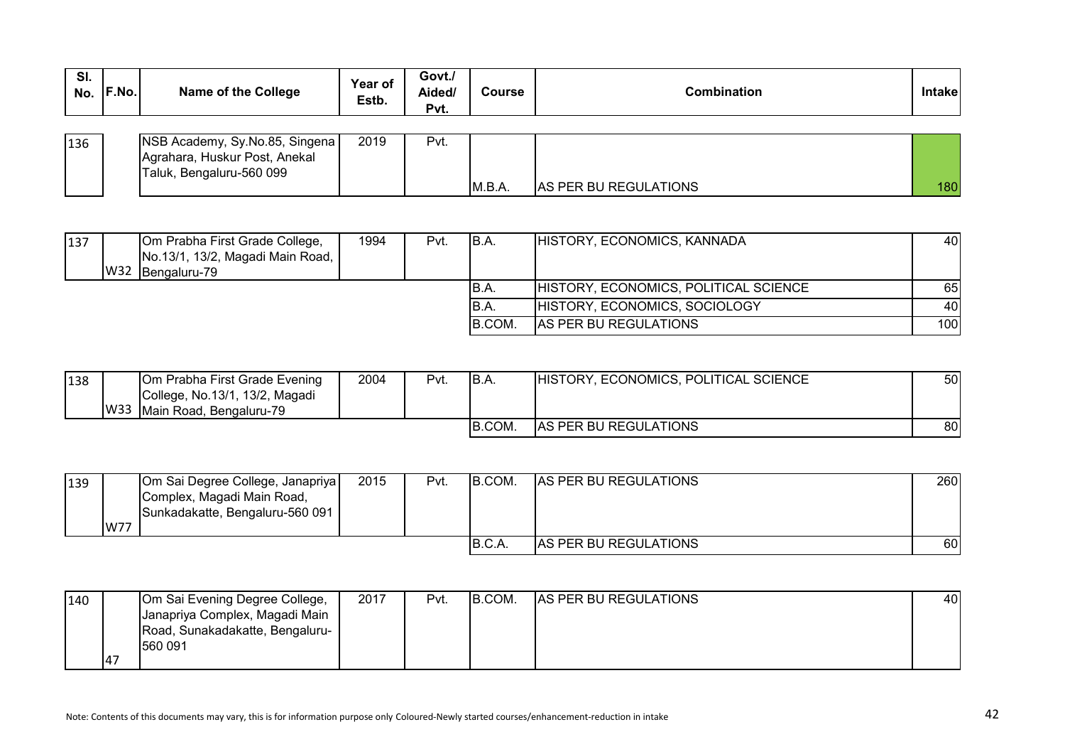| SI.<br>No. | IF.No. | Name of the College                                                                         | Year of<br>Estb. | Govt./<br>Aided/<br>Pvt. | Course | <b>Combination</b>    | <b>Intakel</b> |
|------------|--------|---------------------------------------------------------------------------------------------|------------------|--------------------------|--------|-----------------------|----------------|
| 136        |        | NSB Academy, Sy.No.85, Singena<br>Agrahara, Huskur Post, Anekal<br>Taluk, Bengaluru-560 099 | 2019             | Pvt.                     | M.B.A. | AS PER BU REGULATIONS | 180            |

| 137 | Om Prabha First Grade College,<br>No.13/1, 13/2, Magadi Main Road, | 1994 | Pvt. | B.A.   | HISTORY, ECONOMICS, KANNADA           | 40 I |
|-----|--------------------------------------------------------------------|------|------|--------|---------------------------------------|------|
|     | W32 Bengaluru-79                                                   |      |      |        |                                       |      |
|     |                                                                    |      |      | IB.A.  | HISTORY, ECONOMICS, POLITICAL SCIENCE | 651  |
|     |                                                                    |      |      | IB.A.  | HISTORY, ECONOMICS, SOCIOLOGY         | 40 I |
|     |                                                                    |      |      | B.COM. | <b>AS PER BU REGULATIONS</b>          | 100  |

| 138 |     | <b>Om Prabha First Grade Evening</b><br>College, No.13/1, 13/2, Magadi | 2004 | Pvt. | IB.A.  | HISTORY, ECONOMICS, POLITICAL SCIENCE | 50I |
|-----|-----|------------------------------------------------------------------------|------|------|--------|---------------------------------------|-----|
|     | W33 | Main Road, Bengaluru-79                                                |      |      |        |                                       |     |
|     |     |                                                                        |      |      | B.COM. | <b>AS PER BU REGULATIONS</b>          | 80  |

| 139 | <b>W77</b> | Om Sai Degree College, Janapriya<br>Complex, Magadi Main Road,<br>Sunkadakatte, Bengaluru-560 091 | 2015 | Pvt. | B.COM. | <b>AS PER BU REGULATIONS</b> | 260 |
|-----|------------|---------------------------------------------------------------------------------------------------|------|------|--------|------------------------------|-----|
|     |            |                                                                                                   |      |      | IB.C.A | <b>AS PER BU REGULATIONS</b> | 60  |

| 140 |     | Om Sai Evening Degree College,  | 2017 | Pvt. | B.COM. | <b>AS PER BU REGULATIONS</b> | 40 |
|-----|-----|---------------------------------|------|------|--------|------------------------------|----|
|     |     | Janapriya Complex, Magadi Main  |      |      |        |                              |    |
|     |     | Road, Sunakadakatte, Bengaluru- |      |      |        |                              |    |
|     |     | 560 091                         |      |      |        |                              |    |
|     | 147 |                                 |      |      |        |                              |    |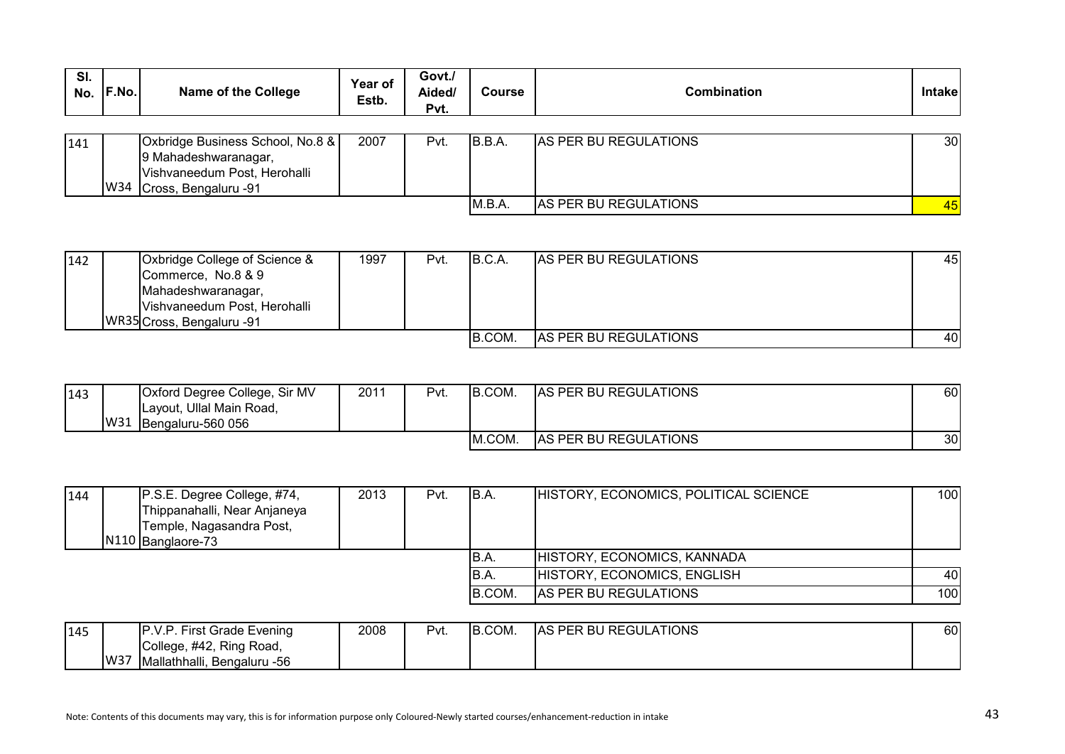| SI.<br>No. | F.No. | <b>Name of the College</b>                           | Year of<br>Estb. | Govt./<br>Aided/<br>Pvt. | Course  | Combination           | <b>Intakel</b>  |
|------------|-------|------------------------------------------------------|------------------|--------------------------|---------|-----------------------|-----------------|
| 141        |       | Oxbridge Business School, No.8 &                     | 2007             | Pvt.                     | IB.B.A. | AS PER BU REGULATIONS | 30 <sup>1</sup> |
|            |       | 9 Mahadeshwaranagar,<br>Vishvaneedum Post, Herohalli |                  |                          |         |                       |                 |

M.B.A. AS PER BU REGULATIONS 45

| 142 | Oxbridge College of Science & | 1997 | Pvt. | B.C.A. | AS PER BU REGULATIONS | 45 |
|-----|-------------------------------|------|------|--------|-----------------------|----|
|     | Commerce, No.8 & 9            |      |      |        |                       |    |
|     | Mahadeshwaranagar,            |      |      |        |                       |    |
|     | Vishvaneedum Post, Herohalli  |      |      |        |                       |    |
|     | WR35 Cross, Bengaluru -91     |      |      |        |                       |    |
|     |                               |      |      | B.COM. | AS PER BU REGULATIONS | 40 |

| 143 | W31 | Oxford Degree College, Sir MV<br>Layout, Ullal Main Road,<br>Bengaluru-560 056 | 2011 | Pvt. | B.COM. | <b>AS PER BU REGULATIONS</b> | 60              |
|-----|-----|--------------------------------------------------------------------------------|------|------|--------|------------------------------|-----------------|
|     |     |                                                                                |      |      | M.COM. | <b>AS PER BU REGULATIONS</b> | 30 <sub>l</sub> |

| 144 | P.S.E. Degree College, #74,  | 2013 | Pvt. | IB.A.   | HISTORY, ECONOMICS, POLITICAL SCIENCE | 100 |
|-----|------------------------------|------|------|---------|---------------------------------------|-----|
|     | Thippanahalli, Near Anjaneya |      |      |         |                                       |     |
|     | Temple, Nagasandra Post,     |      |      |         |                                       |     |
|     | $N110$ Banglaore-73          |      |      |         |                                       |     |
|     |                              |      |      | IB.A.   | HISTORY, ECONOMICS, KANNADA           |     |
|     |                              |      |      | IB.A.   | HISTORY, ECONOMICS, ENGLISH           | 40  |
|     |                              |      |      | IB.COM. | <b>AS PER BU REGULATIONS</b>          | 100 |

| 145 |     | P.V.P. First Grade Evening  | 2008 | Pvt. | B.COM. | <b>AS PER BU REGULATIONS</b> | 60 |
|-----|-----|-----------------------------|------|------|--------|------------------------------|----|
|     |     | College, #42, Ring Road,    |      |      |        |                              |    |
|     | W37 | Mallathhalli, Bengaluru -56 |      |      |        |                              |    |

W34

Cross, Bengaluru -91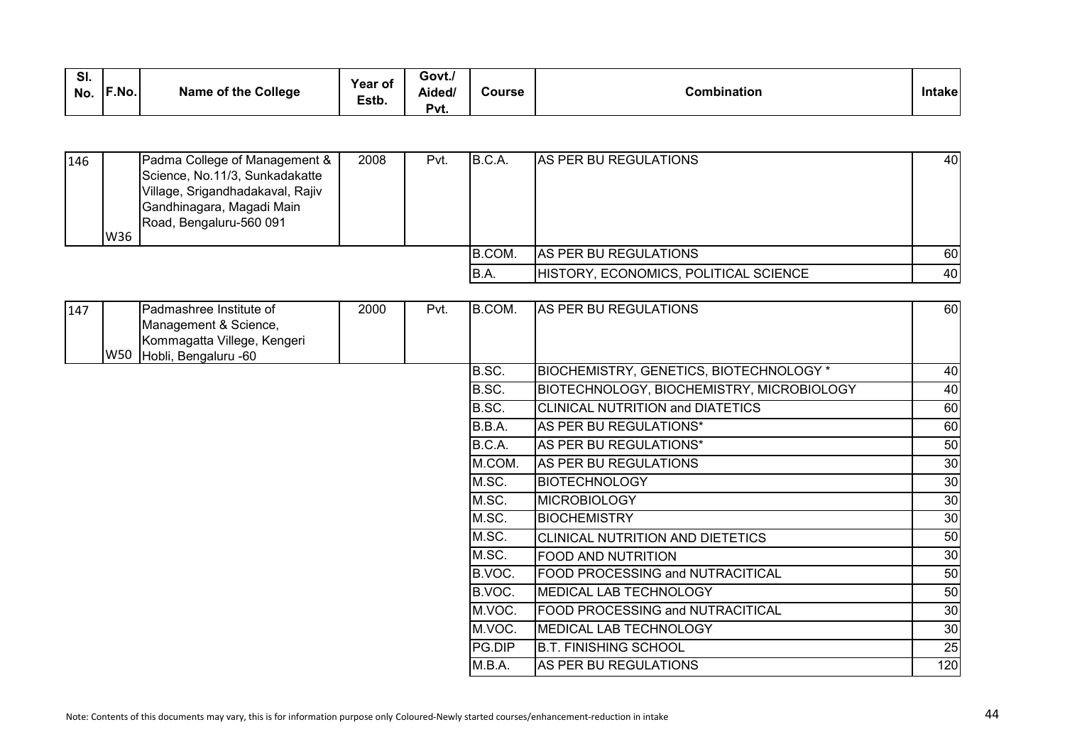| SI.<br>No. | F.No. | <b>Name of the College</b> | Year of<br><i>≟</i> stb. | Govt./<br>Aided/<br>$P_{V}t$ . | Course | <b>Combination:</b> | Intake |
|------------|-------|----------------------------|--------------------------|--------------------------------|--------|---------------------|--------|
|------------|-------|----------------------------|--------------------------|--------------------------------|--------|---------------------|--------|

| 146 | W36 | Padma College of Management &<br>Science, No.11/3, Sunkadakatte<br>Village, Srigandhadakaval, Rajiv<br>Gandhinagara, Magadi Main<br>Road, Bengaluru-560 091 | 2008 | Pvt. | B.C.A. | <b>AS PER BU REGULATIONS</b>          | 40I        |
|-----|-----|-------------------------------------------------------------------------------------------------------------------------------------------------------------|------|------|--------|---------------------------------------|------------|
|     |     |                                                                                                                                                             |      |      | B.COM. | <b>AS PER BU REGULATIONS</b>          | <b>601</b> |
|     |     |                                                                                                                                                             |      |      | B.A.   | HISTORY, ECONOMICS, POLITICAL SCIENCE | 40         |

| 147 | IPadmashree Institute of<br>Management & Science,<br>Kommagatta Villege, Kengeri<br>W50 Hobli, Bengaluru -60 | 2000 | Pvt. | B.COM. | <b>AS PER BU REGULATIONS</b>                   | 60  |
|-----|--------------------------------------------------------------------------------------------------------------|------|------|--------|------------------------------------------------|-----|
|     |                                                                                                              |      |      | B.SC.  | <b>BIOCHEMISTRY, GENETICS, BIOTECHNOLOGY *</b> | 40  |
|     |                                                                                                              |      |      | B.SC.  | BIOTECHNOLOGY, BIOCHEMISTRY, MICROBIOLOGY      | 40  |
|     |                                                                                                              |      |      | B.SC.  | <b>CLINICAL NUTRITION and DIATETICS</b>        | 60  |
|     |                                                                                                              |      |      | B.B.A. | AS PER BU REGULATIONS*                         | 60  |
|     |                                                                                                              |      |      | B.C.A. | AS PER BU REGULATIONS*                         | 50  |
|     |                                                                                                              |      |      | M.COM. | AS PER BU REGULATIONS                          | 30  |
|     |                                                                                                              |      |      | M.SC.  | <b>BIOTECHNOLOGY</b>                           | 30  |
|     |                                                                                                              |      |      | M.SC.  | <b>MICROBIOLOGY</b>                            | 30  |
|     |                                                                                                              |      |      | M.SC.  | <b>BIOCHEMISTRY</b>                            | 30  |
|     |                                                                                                              |      |      | M.SC.  | CLINICAL NUTRITION AND DIETETICS               | 50  |
|     |                                                                                                              |      |      | M.SC.  | <b>FOOD AND NUTRITION</b>                      | 30  |
|     |                                                                                                              |      |      | B.VOC. | <b>FOOD PROCESSING and NUTRACITICAL</b>        | 50  |
|     |                                                                                                              |      |      | B.VOC. | <b>IMEDICAL LAB TECHNOLOGY</b>                 | 50  |
|     |                                                                                                              |      |      | M.VOC. | <b>FOOD PROCESSING and NUTRACITICAL</b>        | 30  |
|     |                                                                                                              |      |      | M.VOC. | <b>MEDICAL LAB TECHNOLOGY</b>                  | 30  |
|     |                                                                                                              |      |      | PG.DIP | <b>B.T. FINISHING SCHOOL</b>                   | 25  |
|     |                                                                                                              |      |      | M.B.A. | AS PER BU REGULATIONS                          | 120 |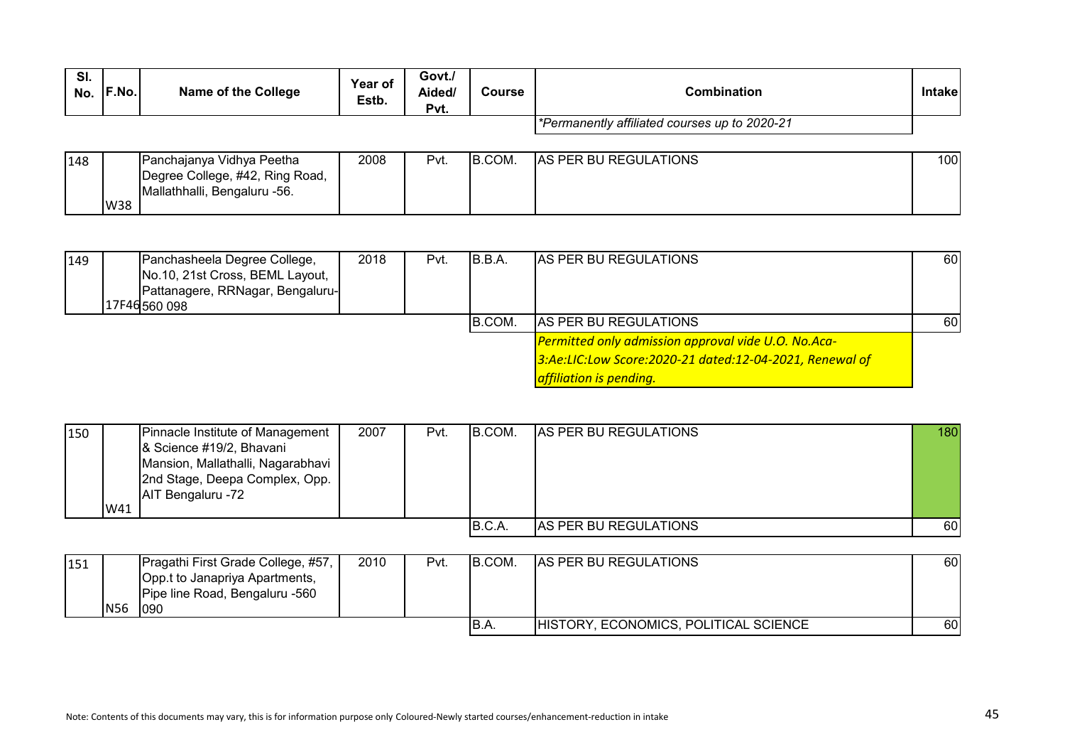| SI.<br>No. | F.No. | <b>Name of the College</b> | Year of<br>Estb. | Govt./<br>Aided/<br>Pvt. | <b>Course</b> | <b>Combination</b>                            | <b>Intakel</b> |
|------------|-------|----------------------------|------------------|--------------------------|---------------|-----------------------------------------------|----------------|
|            |       |                            |                  |                          |               | *Permanently affiliated courses up to 2020-21 |                |
|            |       |                            |                  |                          |               |                                               |                |
| 148        |       | Panchajanya Vidhya Peetha  | 2008             | Pvt.                     | B.COM.        | AS PER BU REGULATIONS                         | 100            |

| 1148 |     | rranchajanya vidnya Peetna      | ∠∪∪ö | ∟Vι. | TB.UUM. | TAS PER BU REGULATIONS | וטטו |
|------|-----|---------------------------------|------|------|---------|------------------------|------|
|      |     | Degree College, #42, Ring Road, |      |      |         |                        |      |
|      |     | IMallathhalli. Bengaluru -56.   |      |      |         |                        |      |
|      | W38 |                                 |      |      |         |                        |      |

| 149 | Panchasheela Degree College,<br>No.10, 21st Cross, BEML Layout,<br>Pattanagere, RRNagar, Bengaluru- | 2018 | Pvt. | B.B.A.  | <b>AS PER BU REGULATIONS</b>                                                                                                                     | <b>60</b> |
|-----|-----------------------------------------------------------------------------------------------------|------|------|---------|--------------------------------------------------------------------------------------------------------------------------------------------------|-----------|
|     | I17F46560098                                                                                        |      |      | IB.COM. | AS PER BU REGULATIONS                                                                                                                            | -60 I     |
|     |                                                                                                     |      |      |         | Permitted only admission approval vide U.O. No.Aca-<br>3:Ae:LIC:Low Score:2020-21 dated:12-04-2021, Renewal of<br><b>affiliation is pending.</b> |           |

| 150 | W41 | Pinnacle Institute of Management<br>& Science #19/2, Bhavani<br>Mansion, Mallathalli, Nagarabhavi<br>2nd Stage, Deepa Complex, Opp.<br>AIT Bengaluru -72 | 2007 | Pvt. | IB.COM. | AS PER BU REGULATIONS        | 180 |
|-----|-----|----------------------------------------------------------------------------------------------------------------------------------------------------------|------|------|---------|------------------------------|-----|
|     |     |                                                                                                                                                          |      |      | B.C.A.  | <b>AS PER BU REGULATIONS</b> | 60  |

| 151 |            | Pragathi First Grade College, #57,    | 2010 | Pvt. | IB.COM. | <b>AS PER BU REGULATIONS</b>          | 60 |
|-----|------------|---------------------------------------|------|------|---------|---------------------------------------|----|
|     |            | <b>Opp.t to Janapriya Apartments,</b> |      |      |         |                                       |    |
|     |            | Pipe line Road, Bengaluru -560        |      |      |         |                                       |    |
|     | <b>N56</b> | 1090                                  |      |      |         |                                       |    |
|     |            |                                       |      |      | IB.A.   | HISTORY, ECONOMICS, POLITICAL SCIENCE | 60 |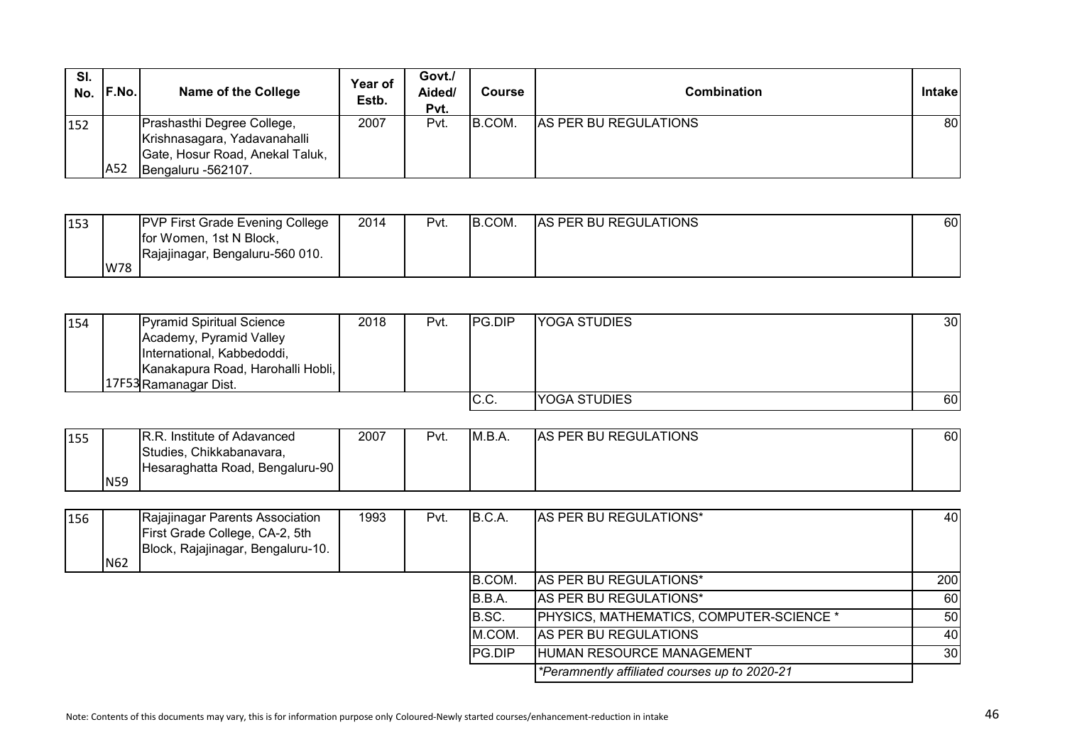| SI.<br>No. | F.No. | <b>Name of the College</b>                                                                                          | Year of<br>Estb. | Govt./<br>Aided/<br>Pvt. | Course | <b>Combination</b>    | <b>Intakel</b> |
|------------|-------|---------------------------------------------------------------------------------------------------------------------|------------------|--------------------------|--------|-----------------------|----------------|
| 152        | A52   | Prashasthi Degree College,<br>Krishnasagara, Yadavanahalli<br>Gate, Hosur Road, Anekal Taluk,<br>Bengaluru -562107. | 2007             | Pvt.                     | B.COM. | AS PER BU REGULATIONS | 80             |

| 153 |     | <b>PVP First Grade Evening College</b> | 2014 | Pvt. | IB.COM. | <b>AS PER BU REGULATIONS</b> | 60 |
|-----|-----|----------------------------------------|------|------|---------|------------------------------|----|
|     |     | for Women, 1st N Block,                |      |      |         |                              |    |
|     |     | Rajajinagar, Bengaluru-560 010.        |      |      |         |                              |    |
|     | W78 |                                        |      |      |         |                              |    |

| 154 | Pyramid Spiritual Science         | 2018 | Pvt. | <b>IPG.DIP</b> | <b>YOGA STUDIES</b> | 30 <sub>l</sub> |
|-----|-----------------------------------|------|------|----------------|---------------------|-----------------|
|     | Academy, Pyramid Valley           |      |      |                |                     |                 |
|     | International, Kabbedoddi,        |      |      |                |                     |                 |
|     | Kanakapura Road, Harohalli Hobli, |      |      |                |                     |                 |
|     | 17F53 Ramanagar Dist.             |      |      |                |                     |                 |
|     |                                   |      |      | IC.C.          | <b>YOGA STUDIES</b> | 60              |

| 155 |            | ่ . Institute of Adavanced        | 2007 | Pvt. | IM.B.A | <b>AS PER BU REGULATIONS</b> | 60 <sub>1</sub> |
|-----|------------|-----------------------------------|------|------|--------|------------------------------|-----------------|
|     |            | Studies, Chikkabanavara,          |      |      |        |                              |                 |
|     |            | I Hesaraghatta Road, Bengaluru-90 |      |      |        |                              |                 |
|     | <b>N59</b> |                                   |      |      |        |                              |                 |

| 156 | N62 | Rajajinagar Parents Association<br>First Grade College, CA-2, 5th<br>Block, Rajajinagar, Bengaluru-10. | 1993 | Pvt. | B.C.A.        | <b>AS PER BU REGULATIONS*</b>                   | 40I             |
|-----|-----|--------------------------------------------------------------------------------------------------------|------|------|---------------|-------------------------------------------------|-----------------|
|     |     |                                                                                                        |      |      | B.COM.        | <b>AS PER BU REGULATIONS*</b>                   | 200             |
|     |     |                                                                                                        |      |      | B.B.A.        | AS PER BU REGULATIONS*                          | <b>60</b>       |
|     |     |                                                                                                        |      |      | B.SC.         | <b>PHYSICS, MATHEMATICS, COMPUTER-SCIENCE *</b> | 50              |
|     |     |                                                                                                        |      |      | M.COM.        | AS PER BU REGULATIONS                           | 40              |
|     |     |                                                                                                        |      |      | <b>PG.DIP</b> | HUMAN RESOURCE MANAGEMENT                       | 30 <sub>l</sub> |
|     |     |                                                                                                        |      |      |               | *Peramnently affiliated courses up to 2020-21   |                 |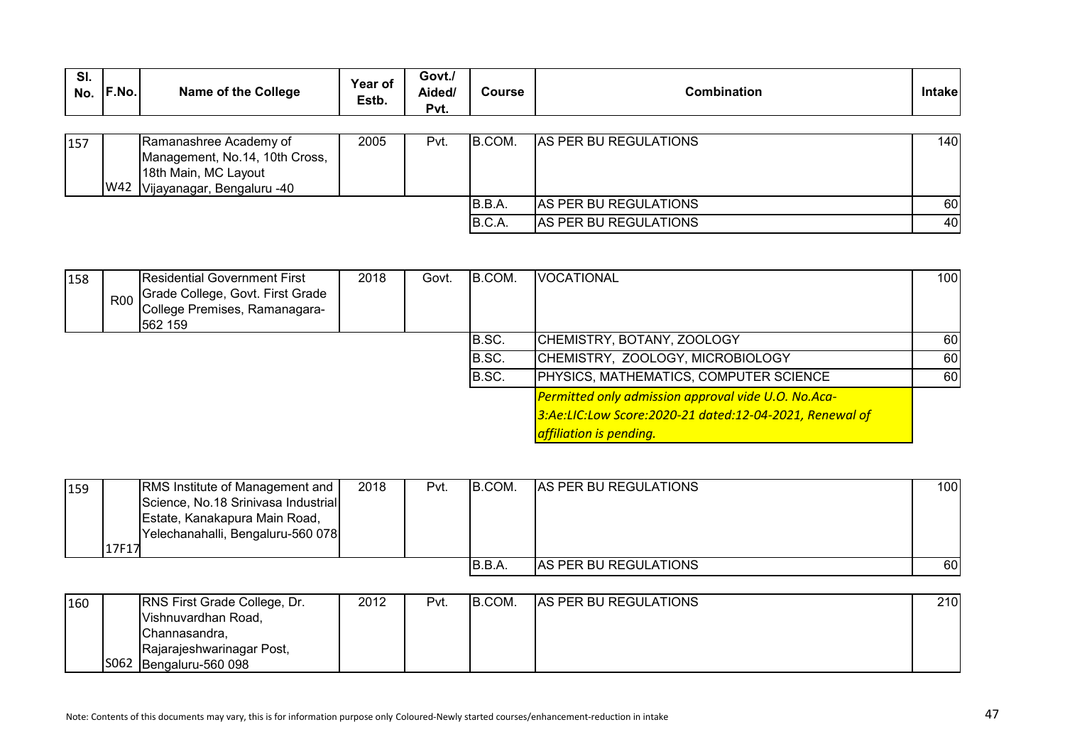| SI.<br>No. | <b>F.No.</b> | <b>Name of the College</b>                                                                                     | Year of<br>Estb. | Govt./<br>Aided/<br>Pvt. | <b>Course</b> | <b>Combination</b>    | <b>Intake</b> |
|------------|--------------|----------------------------------------------------------------------------------------------------------------|------------------|--------------------------|---------------|-----------------------|---------------|
| 157        | W42          | Ramanashree Academy of<br>Management, No.14, 10th Cross,<br>18th Main, MC Layout<br>Vijayanagar, Bengaluru -40 | 2005             | Pvt.                     | B.COM.        | AS PER BU REGULATIONS | 140           |
|            |              |                                                                                                                |                  |                          | IB.B.A.       | AS PER BU REGULATIONS | 60            |
|            |              |                                                                                                                |                  |                          | B.C.A.        | AS PER BU REGULATIONS | 40            |

| 158 |            | Residential Government First<br>Grade College, Govt. First Grade | 2018 | Govt. | B.COM. | <b>VOCATIONAL</b>                                       | 100        |
|-----|------------|------------------------------------------------------------------|------|-------|--------|---------------------------------------------------------|------------|
|     | <b>R00</b> | College Premises, Ramanagara-<br>562 159                         |      |       |        |                                                         |            |
|     |            |                                                                  |      |       | IB.SC. | CHEMISTRY, BOTANY, ZOOLOGY                              | -60 I      |
|     |            |                                                                  |      |       | B.SC.  | CHEMISTRY, ZOOLOGY, MICROBIOLOGY                        | <b>601</b> |
|     |            |                                                                  |      |       | B.SC.  | PHYSICS, MATHEMATICS, COMPUTER SCIENCE                  | 60         |
|     |            |                                                                  |      |       |        | Permitted only admission approval vide U.O. No.Aca-     |            |
|     |            |                                                                  |      |       |        | 3:Ae:LIC:Low Score:2020-21 dated:12-04-2021, Renewal of |            |
|     |            |                                                                  |      |       |        | affiliation is pending.                                 |            |

| 159 |       | <b>RMS</b> Institute of Management and | 2018 | Pvt. | IB.COM. | <b>AS PER BU REGULATIONS</b> | 100  |
|-----|-------|----------------------------------------|------|------|---------|------------------------------|------|
|     |       | Science, No.18 Srinivasa Industrial    |      |      |         |                              |      |
|     |       | Estate, Kanakapura Main Road,          |      |      |         |                              |      |
|     |       | Yelechanahalli, Bengaluru-560 078      |      |      |         |                              |      |
|     | 17F17 |                                        |      |      |         |                              |      |
|     |       |                                        |      |      | IB.B.A  | <b>AS PER BU REGULATIONS</b> | 60 l |

| 160 | <b>RNS First Grade College, Dr.</b> | 2012 | Pvt. | B.COM. | <b>AS PER BU REGULATIONS</b> | 210 |
|-----|-------------------------------------|------|------|--------|------------------------------|-----|
|     | Vishnuvardhan Road,                 |      |      |        |                              |     |
|     | IChannasandra.                      |      |      |        |                              |     |
|     | Rajarajeshwarinagar Post,           |      |      |        |                              |     |
|     | S062 Bengaluru-560 098              |      |      |        |                              |     |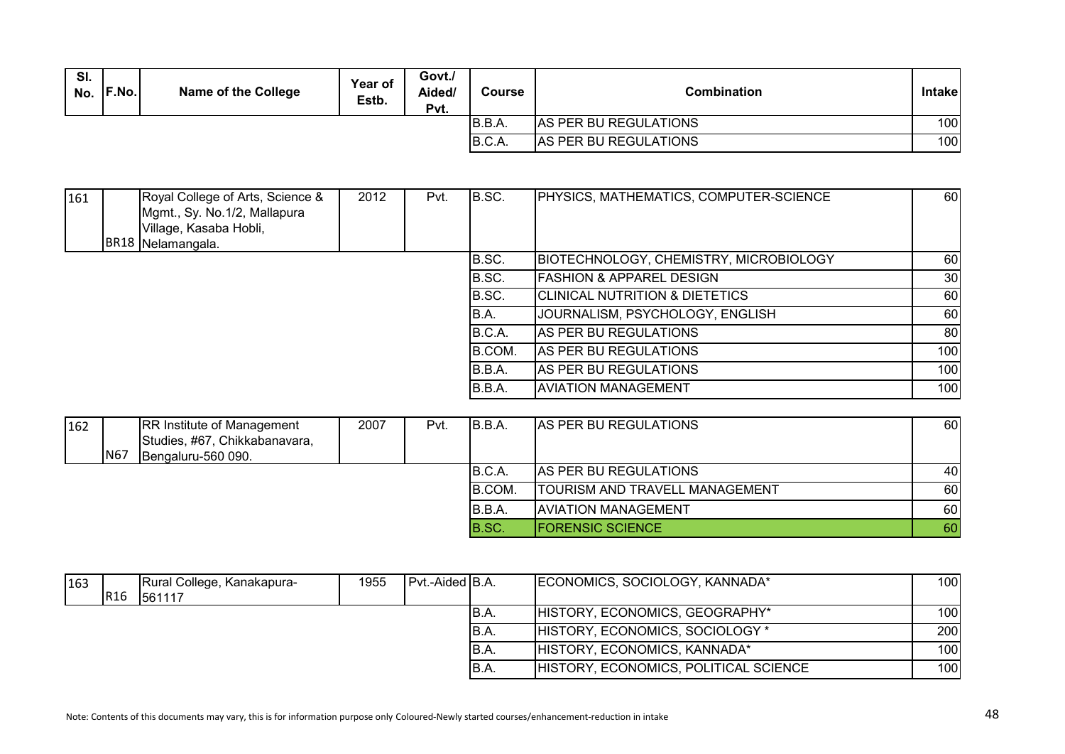| SI.<br>No. | <b>F.No.</b> | <b>Name of the College</b> | Year of<br>Estb. | Govt./<br>Aided/<br>Pvt. | Course | <b>Combination</b>    | <b>Intakel</b> |
|------------|--------------|----------------------------|------------------|--------------------------|--------|-----------------------|----------------|
|            |              |                            |                  |                          | IB.B.A | AS PER BU REGULATIONS | 100            |
|            |              |                            |                  |                          | B.C.A. | AS PER BU REGULATIONS | 100            |

| 161 | Royal College of Arts, Science &<br>Mgmt., Sy. No.1/2, Mallapura | 2012 | Pvt. | B.SC.  | PHYSICS, MATHEMATICS, COMPUTER-SCIENCE        | 60  |
|-----|------------------------------------------------------------------|------|------|--------|-----------------------------------------------|-----|
|     | Village, Kasaba Hobli,                                           |      |      |        |                                               |     |
|     | BR18 Nelamangala.                                                |      |      |        |                                               |     |
|     |                                                                  |      |      | B.SC.  | <b>BIOTECHNOLOGY, CHEMISTRY, MICROBIOLOGY</b> | 60  |
|     |                                                                  |      |      | B.SC.  | <b>FASHION &amp; APPAREL DESIGN</b>           | 30  |
|     |                                                                  |      |      | B.SC.  | <b>CLINICAL NUTRITION &amp; DIETETICS</b>     | 60  |
|     |                                                                  |      |      | B.A.   | JOURNALISM, PSYCHOLOGY, ENGLISH               | 60  |
|     |                                                                  |      |      | B.C.A. | AS PER BU REGULATIONS                         | 80  |
|     |                                                                  |      |      | B.COM. | AS PER BU REGULATIONS                         | 100 |
|     |                                                                  |      |      | B.B.A. | <b>IAS PER BU REGULATIONS</b>                 | 100 |
|     |                                                                  |      |      | B.B.A. | <b>AVIATION MANAGEMENT</b>                    | 100 |

| 162 | N67 | <b>RR Institute of Management</b><br>Studies, #67, Chikkabanavara,<br>Bengaluru-560 090. | 2007 | Pvt. | B.B.A. | <b>AS PER BU REGULATIONS</b>          | 60  |
|-----|-----|------------------------------------------------------------------------------------------|------|------|--------|---------------------------------------|-----|
|     |     |                                                                                          |      |      | B.C.A. | <b>AS PER BU REGULATIONS</b>          | 40I |
|     |     |                                                                                          |      |      | B.COM. | <b>TOURISM AND TRAVELL MANAGEMENT</b> | 60I |
|     |     |                                                                                          |      |      | B.B.A. | <b>AVIATION MANAGEMENT</b>            | 60  |
|     |     |                                                                                          |      |      | B.SC.  | <b>FORENSIC SCIENCE</b>               | 60  |

| 163 | R <sub>16</sub> | Rural College, Kanakapura-<br>561117 | 1955 | Pvt.-Aided IB.A. |       | ECONOMICS, SOCIOLOGY, KANNADA*        | 100              |
|-----|-----------------|--------------------------------------|------|------------------|-------|---------------------------------------|------------------|
|     |                 |                                      |      |                  | IB.A. | HISTORY, ECONOMICS, GEOGRAPHY*        | 100I             |
|     |                 |                                      |      |                  | IB.A. | HISTORY, ECONOMICS, SOCIOLOGY *       | 200 <sub>1</sub> |
|     |                 |                                      |      |                  | IB.A. | HISTORY, ECONOMICS, KANNADA*          | 100 <sub>l</sub> |
|     |                 |                                      |      |                  | IB.A. | HISTORY, ECONOMICS, POLITICAL SCIENCE | 100 <sup>1</sup> |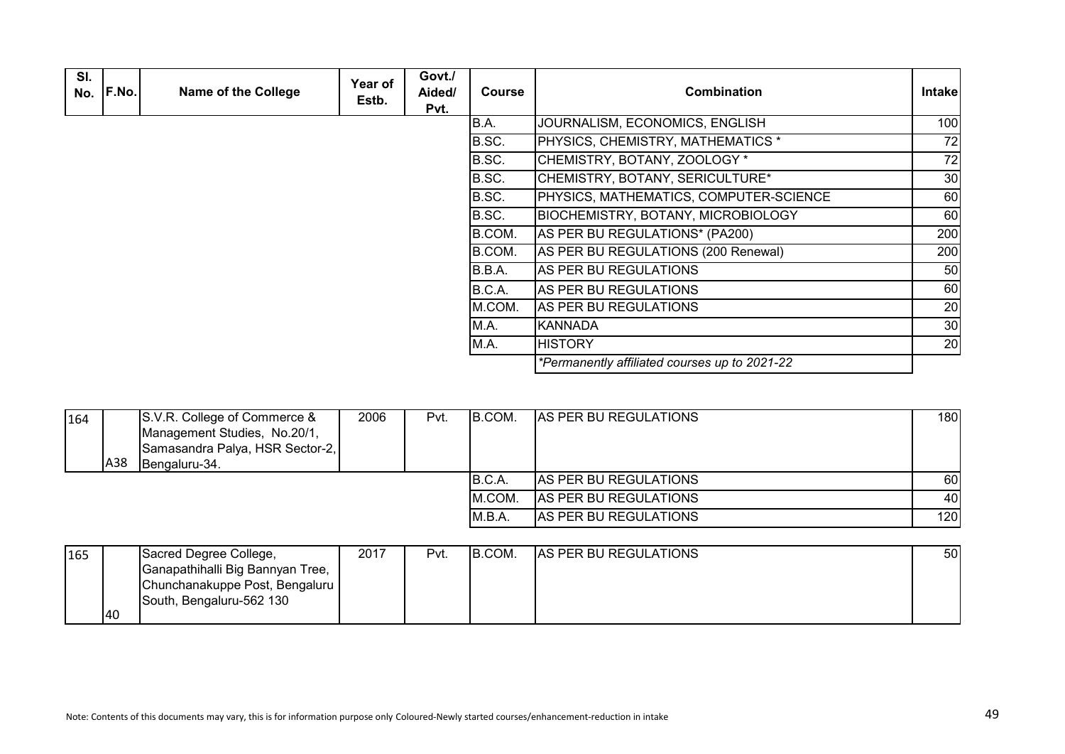| SI. | No. F.No. | <b>Name of the College</b> | Year of<br>Estb. | Govt./<br>Aided/<br>Pvt. | <b>Course</b> | <b>Combination</b>                            | <b>Intake</b> |
|-----|-----------|----------------------------|------------------|--------------------------|---------------|-----------------------------------------------|---------------|
|     |           |                            |                  |                          | B.A.          | JOURNALISM, ECONOMICS, ENGLISH                | 100           |
|     |           |                            |                  |                          | B.SC.         | PHYSICS, CHEMISTRY, MATHEMATICS *             | 72            |
|     |           |                            |                  |                          | B.SC.         | CHEMISTRY, BOTANY, ZOOLOGY *                  | 72            |
|     |           |                            |                  |                          | B.SC.         | CHEMISTRY, BOTANY, SERICULTURE*               | 30            |
|     |           |                            |                  |                          | B.SC.         | PHYSICS, MATHEMATICS, COMPUTER-SCIENCE        | 60            |
|     |           |                            |                  |                          | B.SC.         | <b>BIOCHEMISTRY, BOTANY, MICROBIOLOGY</b>     | 60            |
|     |           |                            |                  |                          | B.COM.        | AS PER BU REGULATIONS* (PA200)                | 200           |
|     |           |                            |                  |                          | B.COM.        | AS PER BU REGULATIONS (200 Renewal)           | 200           |
|     |           |                            |                  |                          | B.B.A.        | AS PER BU REGULATIONS                         | 50            |
|     |           |                            |                  |                          | B.C.A.        | <b>AS PER BU REGULATIONS</b>                  | 60            |
|     |           |                            |                  |                          | M.COM.        | <b>AS PER BU REGULATIONS</b>                  | 20            |
|     |           |                            |                  |                          | M.A.          | <b>KANNADA</b>                                | 30            |
|     |           |                            |                  |                          | M.A.          | <b>HISTORY</b>                                | 20            |
|     |           |                            |                  |                          |               | *Permanently affiliated courses up to 2021-22 |               |

| 164 | A38 | S.V.R. College of Commerce &<br>Management Studies, No.20/1,<br>Samasandra Palya, HSR Sector-2,<br>Bengaluru-34. | 2006 | Pvt. | IB.COM. | <b>AS PER BU REGULATIONS</b> | 180              |
|-----|-----|------------------------------------------------------------------------------------------------------------------|------|------|---------|------------------------------|------------------|
|     |     |                                                                                                                  |      |      | B.C.A.  | AS PER BU REGULATIONS        | 60               |
|     |     |                                                                                                                  |      |      | IM.COM. | AS PER BU REGULATIONS        | 40'              |
|     |     |                                                                                                                  |      |      | M.B.A.  | AS PER BU REGULATIONS        | 120 <sub>l</sub> |

| 165 |    | Sacred Degree College,           | 2017 | Pvt. | B.COM. | <b>AS PER BU REGULATIONS</b> | 50I |
|-----|----|----------------------------------|------|------|--------|------------------------------|-----|
|     |    | Ganapathihalli Big Bannyan Tree, |      |      |        |                              |     |
|     |    | Chunchanakuppe Post, Bengaluru   |      |      |        |                              |     |
|     |    | South, Bengaluru-562 130         |      |      |        |                              |     |
|     | 40 |                                  |      |      |        |                              |     |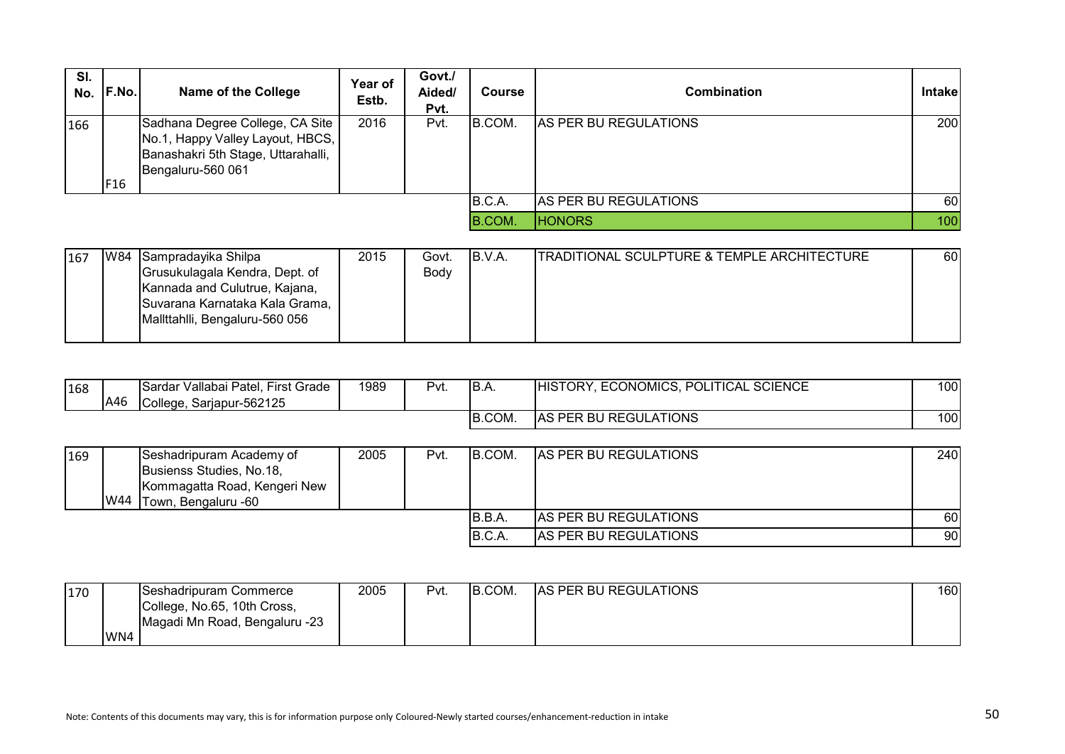| SI.<br>No. | F.No.           | Name of the College                                                                                                            | Year of<br>Estb. | Govt./<br>Aided/<br>Pvt. | <b>Course</b> | <b>Combination</b>    | Intakel |
|------------|-----------------|--------------------------------------------------------------------------------------------------------------------------------|------------------|--------------------------|---------------|-----------------------|---------|
| 166        | F <sub>16</sub> | Sadhana Degree College, CA Site<br>No.1, Happy Valley Layout, HBCS,<br>Banashakri 5th Stage, Uttarahalli,<br>Bengaluru-560 061 | 2016             | Pvt.                     | B.COM.        | AS PER BU REGULATIONS | 200     |
|            |                 |                                                                                                                                |                  |                          | B.C.A.        | AS PER BU REGULATIONS | 60      |
|            |                 |                                                                                                                                |                  |                          | B.COM.        | <b>HONORS</b>         | 100     |

| 167 | W84 Sampradayika Shilpa        | 2015 | Govt. | B.V.A. | <b>ITRADITIONAL SCULPTURE &amp; TEMPLE ARCHITECTURE</b> | 60 |
|-----|--------------------------------|------|-------|--------|---------------------------------------------------------|----|
|     | Grusukulagala Kendra, Dept. of |      | Body  |        |                                                         |    |
|     | Kannada and Culutrue, Kajana,  |      |       |        |                                                         |    |
|     | Suvarana Karnataka Kala Grama, |      |       |        |                                                         |    |
|     | Mallttahlli, Bengaluru-560 056 |      |       |        |                                                         |    |
|     |                                |      |       |        |                                                         |    |

| 168 |     | Sardar Vallabai Patel, First Grade | 1989 | Pvt. | IB.A.   | HISTORY, ECONOMICS, POLITICAL SCIENCE | 100       |
|-----|-----|------------------------------------|------|------|---------|---------------------------------------|-----------|
|     | A46 | College, Sarjapur-562125           |      |      |         |                                       |           |
|     |     |                                    |      |      | B.COM.  | AS PER BU REGULATIONS                 | 100       |
|     |     |                                    |      |      |         |                                       |           |
| 169 |     | Seshadripuram Academy of           | 2005 | Pvt. | IB.COM. | <b>AS PER BU REGULATIONS</b>          | 240       |
|     |     | Busienss Studies, No.18,           |      |      |         |                                       |           |
|     |     | Kommagatta Road, Kengeri New       |      |      |         |                                       |           |
|     | W44 | Town, Bengaluru -60                |      |      |         |                                       |           |
|     |     |                                    |      |      | B.B.A.  | AS PER BU REGULATIONS                 | 60        |
|     |     |                                    |      |      | B.C.A.  | AS PER BU REGULATIONS                 | <b>90</b> |

| 170 |     | Seshadripuram Commerce        | 2005 | Pvt. | B.COM. | <b>AS PER BU REGULATIONS</b> | 160 |
|-----|-----|-------------------------------|------|------|--------|------------------------------|-----|
|     |     | College, No.65, 10th Cross,   |      |      |        |                              |     |
|     |     | Magadi Mn Road, Bengaluru -23 |      |      |        |                              |     |
|     | WN4 |                               |      |      |        |                              |     |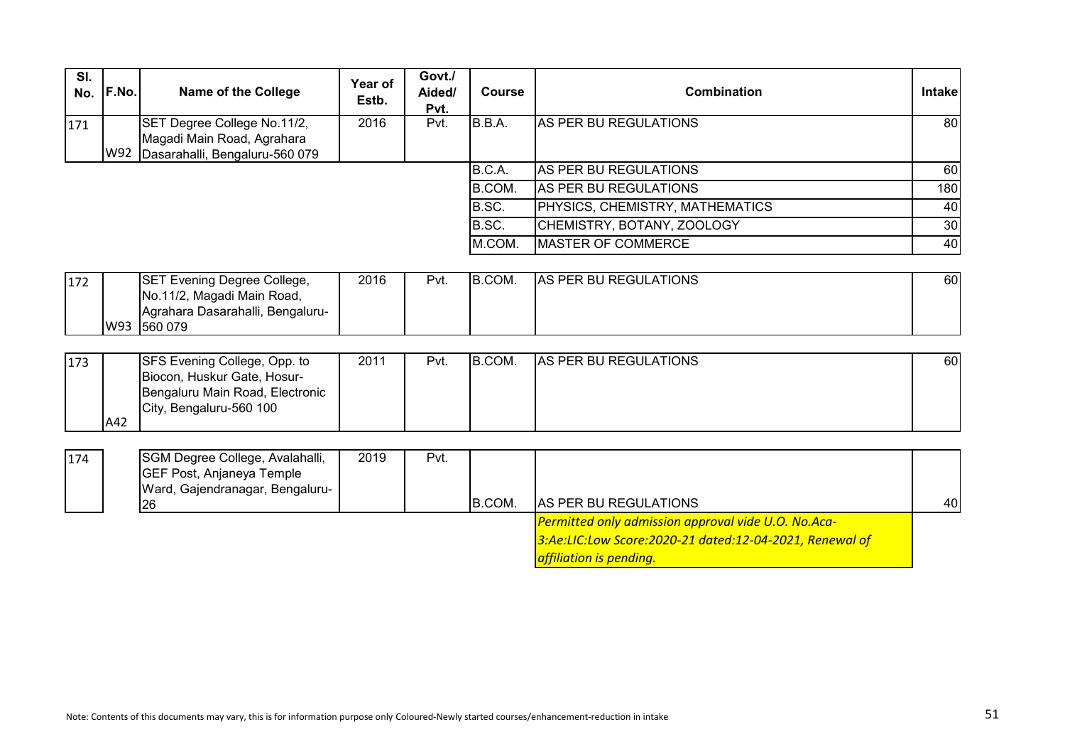| SI.<br>No. | F.No. | <b>Name of the College</b>                                                                                                | Year of<br>Estb. | Govt./<br>Aided/<br>Pvt. | <b>Course</b> | <b>Combination</b>                                      | <b>Intake</b>   |
|------------|-------|---------------------------------------------------------------------------------------------------------------------------|------------------|--------------------------|---------------|---------------------------------------------------------|-----------------|
| 171        |       | SET Degree College No.11/2,<br>Magadi Main Road, Agrahara<br>W92 Dasarahalli, Bengaluru-560 079                           | 2016             | Pvt.                     | B.B.A.        | AS PER BU REGULATIONS                                   | $\overline{80}$ |
|            |       |                                                                                                                           |                  |                          | B.C.A.        | AS PER BU REGULATIONS                                   | 60              |
|            |       |                                                                                                                           |                  |                          | B.COM.        | AS PER BU REGULATIONS                                   | 180             |
|            |       |                                                                                                                           |                  |                          | B.SC.         | PHYSICS, CHEMISTRY, MATHEMATICS                         | 40              |
|            |       |                                                                                                                           |                  |                          | B.SC.         | CHEMISTRY, BOTANY, ZOOLOGY                              | 30              |
|            |       |                                                                                                                           |                  |                          | M.COM.        | <b>MASTER OF COMMERCE</b>                               | 40              |
|            |       |                                                                                                                           |                  |                          |               |                                                         |                 |
| 172        |       | SET Evening Degree College,<br>No.11/2, Magadi Main Road,<br>Agrahara Dasarahalli, Bengaluru-<br>W93 560 079              | 2016             | Pvt.                     | B.COM.        | AS PER BU REGULATIONS                                   | 60              |
|            |       |                                                                                                                           |                  |                          |               |                                                         |                 |
| 173        | A42   | SFS Evening College, Opp. to<br>Biocon, Huskur Gate, Hosur-<br>Bengaluru Main Road, Electronic<br>City, Bengaluru-560 100 | 2011             | Pvt.                     | B.COM.        | AS PER BU REGULATIONS                                   | 60              |
|            |       |                                                                                                                           |                  |                          |               |                                                         |                 |
| 174        |       | SGM Degree College, Avalahalli,<br><b>GEF Post, Anjaneya Temple</b><br>Ward, Gajendranagar, Bengaluru-<br>26              | 2019             | Pvt.                     | B.COM.        | <b>AS PER BU REGULATIONS</b>                            | 40              |
|            |       |                                                                                                                           |                  |                          |               | Permitted only admission approval vide U.O. No.Aca-     |                 |
|            |       |                                                                                                                           |                  |                          |               | 3:Ae:LIC:Low Score:2020-21 dated:12-04-2021, Renewal of |                 |
|            |       |                                                                                                                           |                  |                          |               | affiliation is pending.                                 |                 |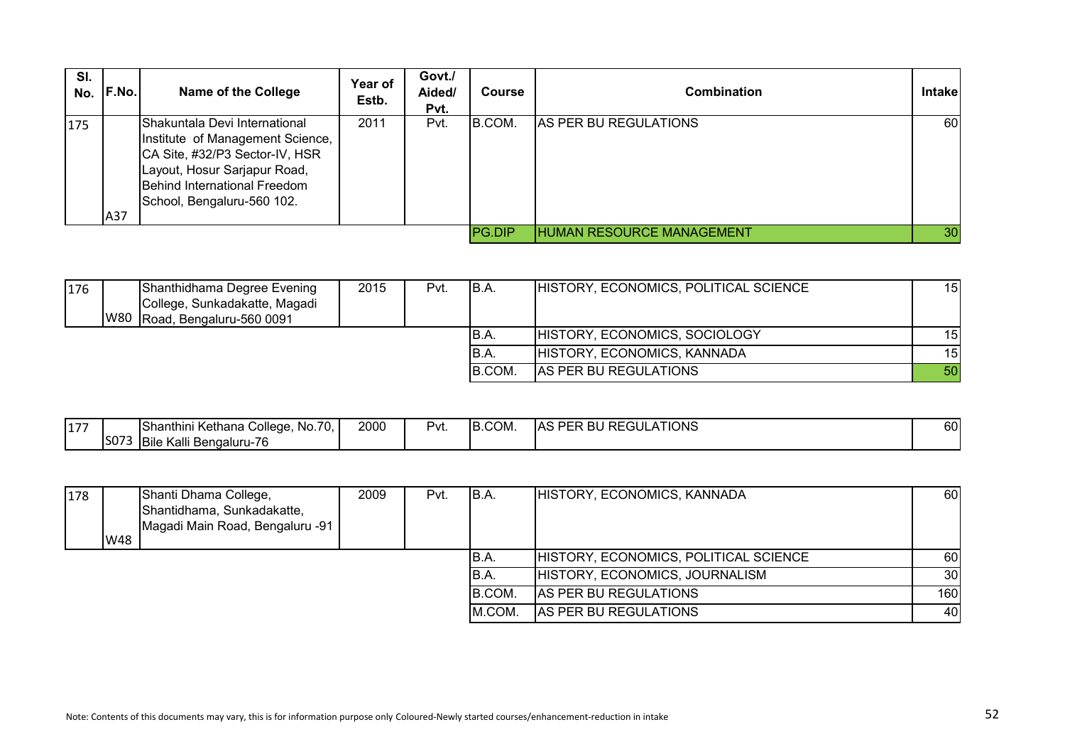| SI.<br>No. | F.No. | <b>Name of the College</b>                                                                                                                                                                        | Year of<br>Estb. | Govt./<br>Aided/<br>Pvt. | <b>Course</b> | <b>Combination</b>               | <b>Intakel</b> |
|------------|-------|---------------------------------------------------------------------------------------------------------------------------------------------------------------------------------------------------|------------------|--------------------------|---------------|----------------------------------|----------------|
| 175        | A37   | Shakuntala Devi International<br>Institute of Management Science,<br>CA Site, #32/P3 Sector-IV, HSR<br>Layout, Hosur Sarjapur Road,<br>Behind International Freedom<br>School, Bengaluru-560 102. | 2011             | Pvt.                     | B.COM.        | <b>AS PER BU REGULATIONS</b>     | 60             |
|            |       |                                                                                                                                                                                                   |                  |                          | PG.DIP        | <b>HUMAN RESOURCE MANAGEMENT</b> | 30             |

| 176 |     | Shanthidhama Degree Evening                               | 2015 | Pvt. | IB.A.  | HISTORY, ECONOMICS, POLITICAL SCIENCE | 151             |
|-----|-----|-----------------------------------------------------------|------|------|--------|---------------------------------------|-----------------|
|     | W80 | College, Sunkadakatte, Magadi<br>Road, Bengaluru-560 0091 |      |      |        |                                       |                 |
|     |     |                                                           |      |      |        |                                       |                 |
|     |     |                                                           |      |      | IB.A.  | HISTORY, ECONOMICS, SOCIOLOGY         | 15 <sup>1</sup> |
|     |     |                                                           |      |      | IB.A.  | HISTORY, ECONOMICS, KANNADA           | 15 I            |
|     |     |                                                           |      |      | B.COM. | <b>AS PER BU REGULATIONS</b>          | 50              |

| 1.477<br>. |                 | $\overline{\phantom{a}}$<br>Shanthini<br>i Kethana College.<br><b>No</b><br>U. | 2000 | $v_{\rm U}$ | $\sim$<br>IB.COM. | <b>REGULATIONS</b><br>TAS PF<br>נום | 60 |
|------------|-----------------|--------------------------------------------------------------------------------|------|-------------|-------------------|-------------------------------------|----|
|            | $ SO7^{\circ} $ | i Bengaluru-76<br>'Kall<br><b>IB</b> ile                                       |      |             |                   |                                     |    |

| 178 |     | Shanti Dhama College,           | 2009 | Pvt. | IB.A.   | HISTORY, ECONOMICS, KANNADA           | 60 I |
|-----|-----|---------------------------------|------|------|---------|---------------------------------------|------|
|     |     | Shantidhama, Sunkadakatte,      |      |      |         |                                       |      |
|     |     | Magadi Main Road, Bengaluru -91 |      |      |         |                                       |      |
|     | W48 |                                 |      |      |         |                                       |      |
|     |     |                                 |      |      | IB.A.   | HISTORY, ECONOMICS, POLITICAL SCIENCE | 60 I |
|     |     |                                 |      |      | IB.A.   | HISTORY, ECONOMICS, JOURNALISM        | 30I  |
|     |     |                                 |      |      | IB.COM. | AS PER BU REGULATIONS                 | 160  |
|     |     |                                 |      |      | M.COM.  | AS PER BU REGULATIONS                 | 40 I |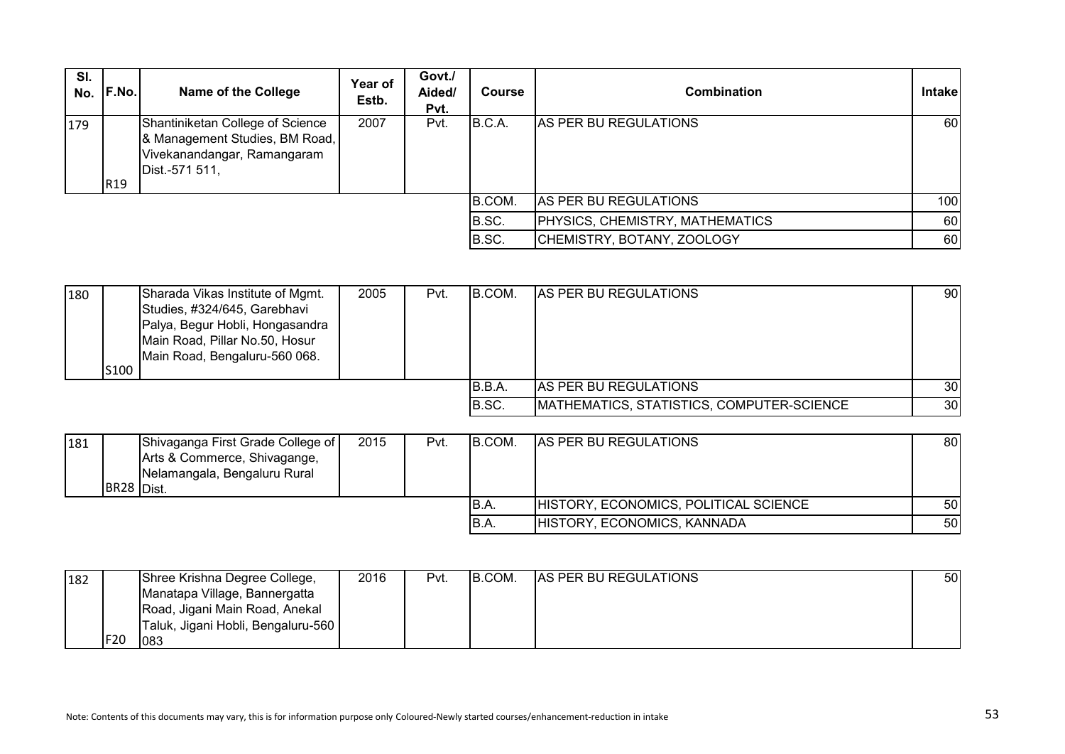| SI.<br>No. | F.No.           | <b>Name of the College</b>                                                                                          | Year of<br>Estb. | Govt./<br>Aided/<br>Pvt. | <b>Course</b> | Combination                            | <b>Intakel</b>   |
|------------|-----------------|---------------------------------------------------------------------------------------------------------------------|------------------|--------------------------|---------------|----------------------------------------|------------------|
| 179        | R <sub>19</sub> | Shantiniketan College of Science<br>& Management Studies, BM Road,<br>Vivekanandangar, Ramangaram<br>Dist.-571 511, | 2007             | Pvt.                     | B.C.A.        | <b>IAS PER BU REGULATIONS</b>          | 60               |
|            |                 |                                                                                                                     |                  |                          | B.COM.        | AS PER BU REGULATIONS                  | 100 <sub>l</sub> |
|            |                 |                                                                                                                     |                  |                          | B.SC.         | <b>PHYSICS, CHEMISTRY, MATHEMATICS</b> | 60               |
|            |                 |                                                                                                                     |                  |                          | B.SC.         | CHEMISTRY, BOTANY, ZOOLOGY             | 60               |

| 180 | S100 | Sharada Vikas Institute of Mgmt.<br>Studies, #324/645, Garebhavi<br>Palya, Begur Hobli, Hongasandra<br>Main Road, Pillar No.50, Hosur<br>Main Road, Bengaluru-560 068. | 2005 | Pvt. | B.COM. | <b>AS PER BU REGULATIONS</b>              | -90 I           |
|-----|------|------------------------------------------------------------------------------------------------------------------------------------------------------------------------|------|------|--------|-------------------------------------------|-----------------|
|     |      |                                                                                                                                                                        |      |      | B.B.A  | <b>AS PER BU REGULATIONS</b>              | <b>30</b>       |
|     |      |                                                                                                                                                                        |      |      | B.SC.  | MATHEMATICS, STATISTICS, COMPUTER-SCIENCE | 30 <sub>l</sub> |

| 181 | BR28 Dist. | Shivaganga First Grade College of<br>Arts & Commerce, Shivagange,<br>Nelamangala, Bengaluru Rural | 2015 | Pvt. | IB.COM. | <b>AS PER BU REGULATIONS</b>          | 80              |
|-----|------------|---------------------------------------------------------------------------------------------------|------|------|---------|---------------------------------------|-----------------|
|     |            |                                                                                                   |      |      | IB.A.   | HISTORY, ECONOMICS, POLITICAL SCIENCE | 50 l            |
|     |            |                                                                                                   |      |      | IB.A.   | HISTORY, ECONOMICS, KANNADA           | 50 <sub>l</sub> |

| 182 |     | Shree Krishna Degree College,      | 2016 | Pvt. | B.COM. | <b>AS PER BU REGULATIONS</b> | 50 I |
|-----|-----|------------------------------------|------|------|--------|------------------------------|------|
|     |     | Manatapa Village, Bannergatta      |      |      |        |                              |      |
|     |     | Road, Jigani Main Road, Anekal     |      |      |        |                              |      |
|     |     | Taluk, Jigani Hobli, Bengaluru-560 |      |      |        |                              |      |
|     | F20 | 083                                |      |      |        |                              |      |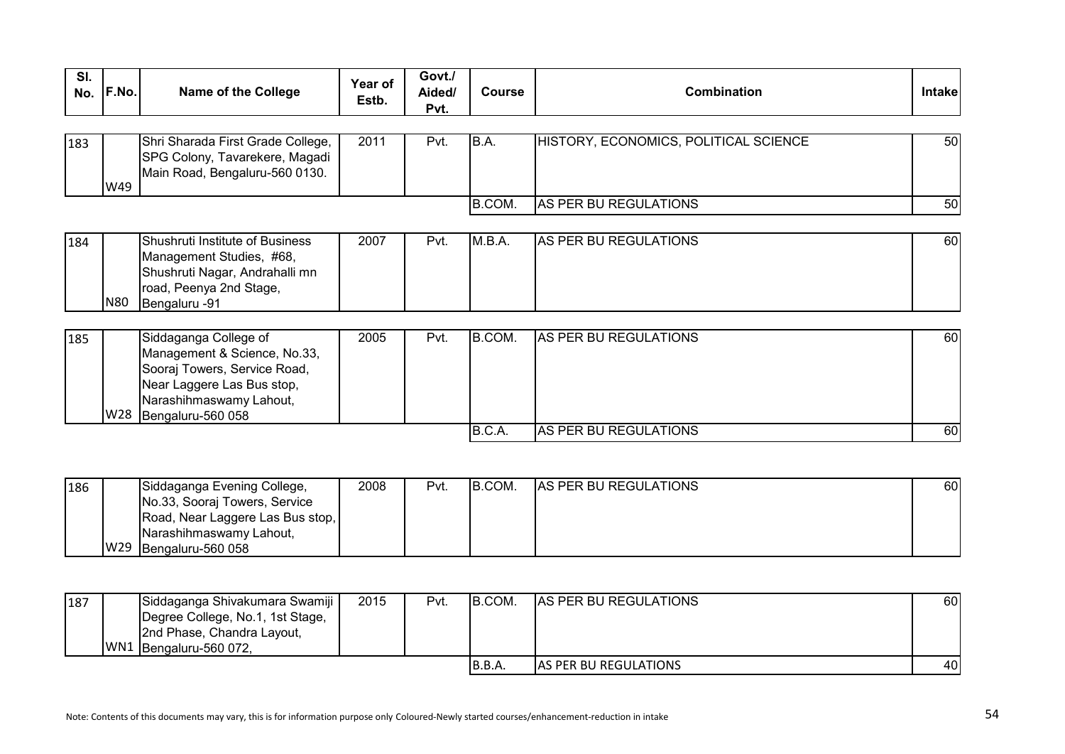| SI.<br>No. | F.No. | <b>Name of the College</b>                                | Year of<br>Estb. | Govt./<br>Aided/<br>Pvt. | <b>Course</b> | Combination                           | <b>Intake</b> |
|------------|-------|-----------------------------------------------------------|------------------|--------------------------|---------------|---------------------------------------|---------------|
| 183        |       | Shri Sharada First Grade College,                         | 2011             | Pvt.                     | B.A.          | HISTORY, ECONOMICS, POLITICAL SCIENCE | 50            |
|            |       | SPG Colony, Tavarekere, Magadi                            |                  |                          |               |                                       |               |
|            | W49   | Main Road, Bengaluru-560 0130.                            |                  |                          |               |                                       |               |
|            |       |                                                           |                  |                          | B.COM.        | AS PER BU REGULATIONS                 | 50            |
| 184        |       | Shushruti Institute of Business                           | 2007             | Pvt.                     | M.B.A.        | AS PER BU REGULATIONS                 | 60            |
|            |       | Management Studies, #68,                                  |                  |                          |               |                                       |               |
|            |       | Shushruti Nagar, Andrahalli mn<br>road, Peenya 2nd Stage, |                  |                          |               |                                       |               |
|            | N80   | Bengaluru -91                                             |                  |                          |               |                                       |               |
|            |       |                                                           |                  |                          |               |                                       |               |
| 185        |       | Siddaganga College of<br>Management & Science, No.33,     | 2005             | Pvt.                     | B.COM.        | AS PER BU REGULATIONS                 | 60            |
|            |       | Sooraj Towers, Service Road,                              |                  |                          |               |                                       |               |
|            |       | Near Laggere Las Bus stop,                                |                  |                          |               |                                       |               |
|            | W28   | Narashihmaswamy Lahout,                                   |                  |                          |               |                                       |               |
|            |       | Bengaluru-560 058                                         |                  |                          | B.C.A.        | AS PER BU REGULATIONS                 | 60            |

| 186 | Siddaganga Evening College,      | 2008 | Pvt. | B.COM. | <b>AS PER BU REGULATIONS</b> | 60 |
|-----|----------------------------------|------|------|--------|------------------------------|----|
|     | No.33, Sooraj Towers, Service    |      |      |        |                              |    |
|     | Road, Near Laggere Las Bus stop, |      |      |        |                              |    |
|     | Narashihmaswamy Lahout,          |      |      |        |                              |    |
|     | W29 Bengaluru-560 058            |      |      |        |                              |    |

| 187 | Siddaganga Shivakumara Swamiji  <br>Degree College, No.1, 1st Stage,<br>2nd Phase, Chandra Layout,<br>WN1 Bengaluru-560 072, | 2015 | Pvt. | IB.COM. | <b>AS PER BU REGULATIONS</b>  | 60 |
|-----|------------------------------------------------------------------------------------------------------------------------------|------|------|---------|-------------------------------|----|
|     |                                                                                                                              |      |      | IB.B.A. | <b>IAS PER BU REGULATIONS</b> | 40 |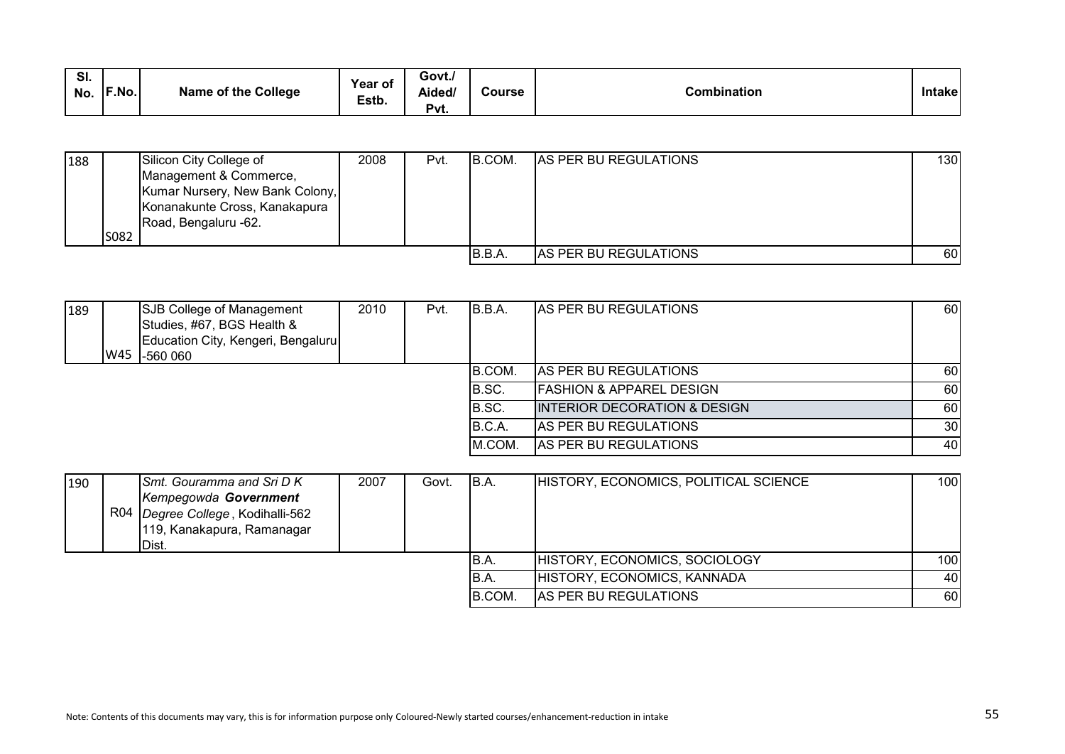| SI.<br>No. | <b>F.No.</b> | of the College<br>Name | Year of<br>Estb. | Govt./<br>Aided/<br>$P_{VU}$ | Course | <b>Combination</b> | wanc |
|------------|--------------|------------------------|------------------|------------------------------|--------|--------------------|------|
|------------|--------------|------------------------|------------------|------------------------------|--------|--------------------|------|

| 188 |      | Silicon City College of         | 2008 | Pvt. | B.COM. | <b>AS PER BU REGULATIONS</b> | 1301 |
|-----|------|---------------------------------|------|------|--------|------------------------------|------|
|     |      | Management & Commerce,          |      |      |        |                              |      |
|     |      | Kumar Nursery, New Bank Colony, |      |      |        |                              |      |
|     |      | Konanakunte Cross, Kanakapura   |      |      |        |                              |      |
|     |      | Road, Bengaluru -62.            |      |      |        |                              |      |
|     | S082 |                                 |      |      |        |                              |      |
|     |      |                                 |      |      | B.B.A  | <b>AS PER BU REGULATIONS</b> | 60   |

| 189 | W45 | SJB College of Management<br>Studies, #67, BGS Health &<br>Education City, Kengeri, Bengaluru<br>-560 060 | 2010 | Pvt. | B.B.A. | AS PER BU REGULATIONS                   | 60              |
|-----|-----|-----------------------------------------------------------------------------------------------------------|------|------|--------|-----------------------------------------|-----------------|
|     |     |                                                                                                           |      |      | B.COM. | <b>AS PER BU REGULATIONS</b>            | 60              |
|     |     |                                                                                                           |      |      | B.SC.  | <b>IFASHION &amp; APPAREL DESIGN</b>    | 60              |
|     |     |                                                                                                           |      |      | B.SC.  | <b>INTERIOR DECORATION &amp; DESIGN</b> | 60              |
|     |     |                                                                                                           |      |      | B.C.A. | AS PER BU REGULATIONS                   | 30 <sub>l</sub> |
|     |     |                                                                                                           |      |      | M.COM. | AS PER BU REGULATIONS                   | 40              |

| 190 | Smt. Gouramma and Sri D K         | 2007 | Govt. | B.A.   | HISTORY, ECONOMICS, POLITICAL SCIENCE | 100I |
|-----|-----------------------------------|------|-------|--------|---------------------------------------|------|
|     | Kempegowda Government             |      |       |        |                                       |      |
|     | R04 Degree College, Kodihalli-562 |      |       |        |                                       |      |
|     | 119, Kanakapura, Ramanagar        |      |       |        |                                       |      |
|     | Dist.                             |      |       |        |                                       |      |
|     |                                   |      |       | IB.A.  | HISTORY, ECONOMICS, SOCIOLOGY         | 100I |
|     |                                   |      |       | IB.A.  | HISTORY, ECONOMICS, KANNADA           | 40   |
|     |                                   |      |       | B.COM. | AS PER BU REGULATIONS                 | 60I  |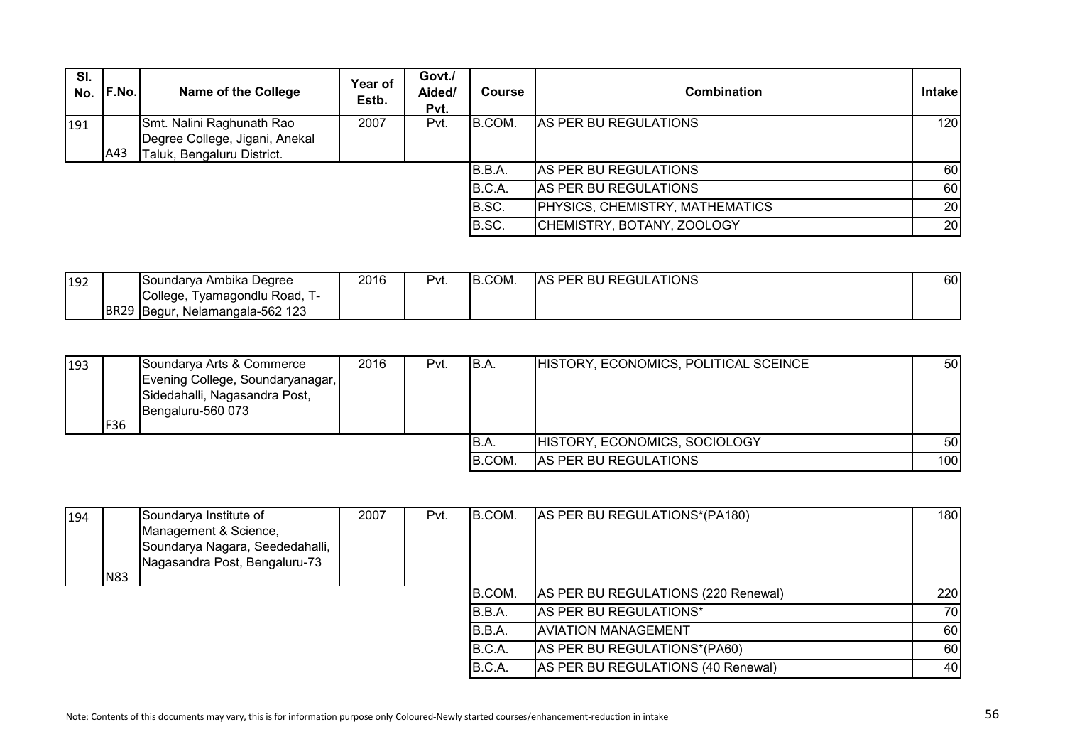| SI.<br>No. | IF.No. | <b>Name of the College</b>     | <b>Year of</b><br>Estb. | Govt./<br>Aided/<br>Pvt. | <b>Course</b> | <b>Combination</b>                     | <b>Intakel</b>   |
|------------|--------|--------------------------------|-------------------------|--------------------------|---------------|----------------------------------------|------------------|
| 191        |        | Smt. Nalini Raghunath Rao      | 2007                    | Pvt.                     | B.COM.        | AS PER BU REGULATIONS                  | 120 <sub>l</sub> |
|            |        | Degree College, Jigani, Anekal |                         |                          |               |                                        |                  |
|            | A43    | Taluk, Bengaluru District.     |                         |                          |               |                                        |                  |
|            |        |                                |                         |                          | B.B.A.        | AS PER BU REGULATIONS                  | 60               |
|            |        |                                |                         |                          | B.C.A.        | AS PER BU REGULATIONS                  | 60               |
|            |        |                                |                         |                          | B.SC.         | <b>PHYSICS, CHEMISTRY, MATHEMATICS</b> | 20               |
|            |        |                                |                         |                          | B.SC.         | CHEMISTRY, BOTANY, ZOOLOGY             | 20               |

| 192 | ISoundarya Ambika Degree             | 2016 | Pvt. | B.COM. | FER BU REGULATIONS<br>IAS | 60 |
|-----|--------------------------------------|------|------|--------|---------------------------|----|
|     | College.<br>Tyamagondlu Road,        |      |      |        |                           |    |
|     | BR29 Begur,<br>, Nelamangala-562 123 |      |      |        |                           |    |

| 193 | F36 | Soundarya Arts & Commerce<br>Evening College, Soundaryanagar,<br>Sidedahalli, Nagasandra Post,<br>Bengaluru-560 073 | 2016 | Pvt. | IB.A.   | HISTORY, ECONOMICS, POLITICAL SCEINCE | 50 l |
|-----|-----|---------------------------------------------------------------------------------------------------------------------|------|------|---------|---------------------------------------|------|
|     |     |                                                                                                                     |      |      | IB.A.   | HISTORY, ECONOMICS, SOCIOLOGY         | 50 l |
|     |     |                                                                                                                     |      |      | IB.COM. | <b>AS PER BU REGULATIONS</b>          | 100  |

| 194 | <b>N83</b> | Soundarya Institute of<br>Management & Science,<br>Soundarya Nagara, Seededahalli,<br>Nagasandra Post, Bengaluru-73 | 2007 | Pvt. | B.COM. | AS PER BU REGULATIONS*(PA180)       | 180 |
|-----|------------|---------------------------------------------------------------------------------------------------------------------|------|------|--------|-------------------------------------|-----|
|     |            |                                                                                                                     |      |      | B.COM. | AS PER BU REGULATIONS (220 Renewal) | 220 |
|     |            |                                                                                                                     |      |      | B.B.A. | AS PER BU REGULATIONS*              | 70I |
|     |            |                                                                                                                     |      |      | B.B.A. | <b>AVIATION MANAGEMENT</b>          | 60  |
|     |            |                                                                                                                     |      |      | B.C.A. | AS PER BU REGULATIONS*(PA60)        | 60  |
|     |            |                                                                                                                     |      |      | B.C.A. | AS PER BU REGULATIONS (40 Renewal)  | 40' |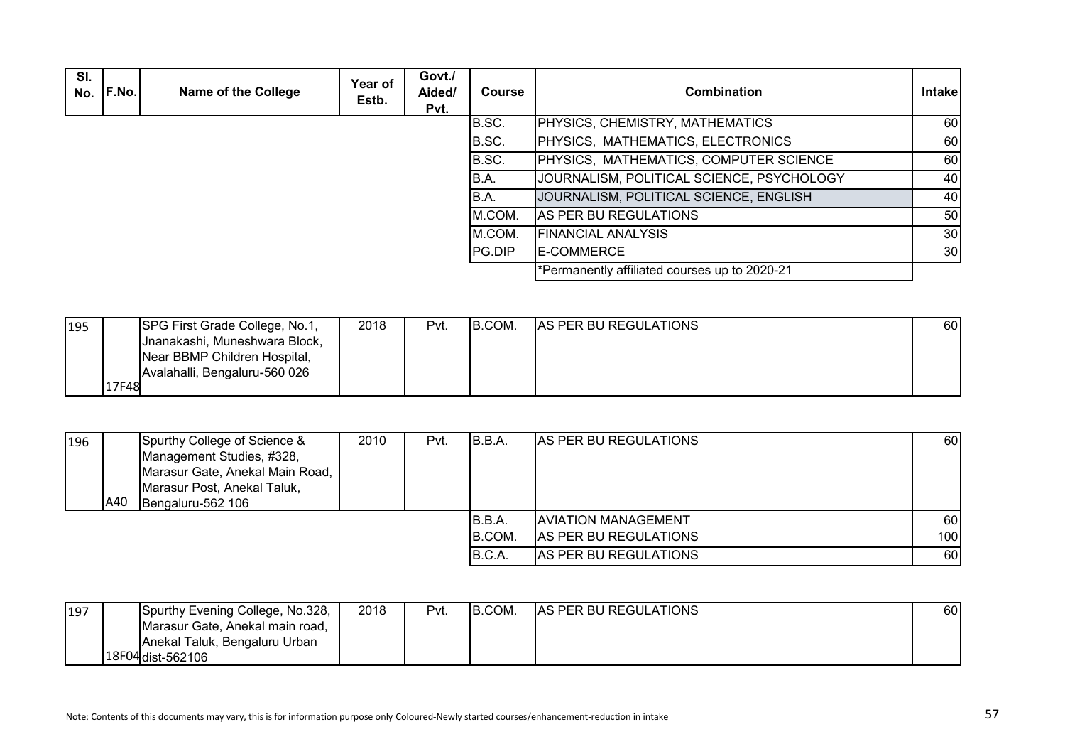| SI.<br><b>No. F.No.</b> | <b>Name of the College</b> | Year of<br>Estb. | Govt./<br>Aided/<br>Pvt. | <b>Course</b>  | <b>Combination</b>                            | <b>Intakel</b>  |
|-------------------------|----------------------------|------------------|--------------------------|----------------|-----------------------------------------------|-----------------|
|                         |                            |                  |                          | B.SC.          | <b>PHYSICS, CHEMISTRY, MATHEMATICS</b>        | 60              |
|                         |                            |                  |                          | B.SC.          | PHYSICS, MATHEMATICS, ELECTRONICS             | 60              |
|                         |                            |                  |                          | B.SC.          | PHYSICS, MATHEMATICS, COMPUTER SCIENCE        | 60              |
|                         |                            |                  |                          | B.A.           | JOURNALISM, POLITICAL SCIENCE, PSYCHOLOGY     | 40              |
|                         |                            |                  |                          | B.A.           | JOURNALISM, POLITICAL SCIENCE, ENGLISH        | 40              |
|                         |                            |                  |                          | IM.COM.        | AS PER BU REGULATIONS                         | 50              |
|                         |                            |                  |                          | M.COM.         | <b>IFINANCIAL ANALYSIS</b>                    | 30 <sup>1</sup> |
|                         |                            |                  |                          | <b>IPG.DIP</b> | <b>IE-COMMERCE</b>                            | 30 <sub>l</sub> |
|                         |                            |                  |                          |                | *Permanently affiliated courses up to 2020-21 |                 |

| 195 |       | SPG First Grade College, No.1, | 2018 | Pvt. | IB.COM. | <b>AS PER BU REGULATIONS</b> | 60 |
|-----|-------|--------------------------------|------|------|---------|------------------------------|----|
|     |       | Jhanakashi, Muneshwara Block,  |      |      |         |                              |    |
|     |       | Near BBMP Children Hospital,   |      |      |         |                              |    |
|     |       | Avalahalli, Bengaluru-560 026  |      |      |         |                              |    |
|     | 17F48 |                                |      |      |         |                              |    |

| 196 |     | Spurthy College of Science &    | 2010 | Pvt. | B.B.A.  | <b>JAS PER BU REGULATIONS</b> | 60 I             |
|-----|-----|---------------------------------|------|------|---------|-------------------------------|------------------|
|     |     | Management Studies, #328,       |      |      |         |                               |                  |
|     |     | Marasur Gate, Anekal Main Road, |      |      |         |                               |                  |
|     |     | Marasur Post, Anekal Taluk,     |      |      |         |                               |                  |
|     | A40 | Bengaluru-562 106               |      |      |         |                               |                  |
|     |     |                                 |      |      | IB.B.A. | <b>JAVIATION MANAGEMENT</b>   | 60               |
|     |     |                                 |      |      | IB.COM. | AS PER BU REGULATIONS         | 100 <sup>1</sup> |
|     |     |                                 |      |      | B.C.A.  | AS PER BU REGULATIONS         | 60               |

| 197 | Spurthy Evening College, No.328, | 2018 | Pvt. | B.COM. | <b>AS PER BU REGULATIONS</b> | 60 |
|-----|----------------------------------|------|------|--------|------------------------------|----|
|     | Marasur Gate, Anekal main road,  |      |      |        |                              |    |
|     | Anekal Taluk, Bengaluru Urban    |      |      |        |                              |    |
|     | 18F04 dist-562106                |      |      |        |                              |    |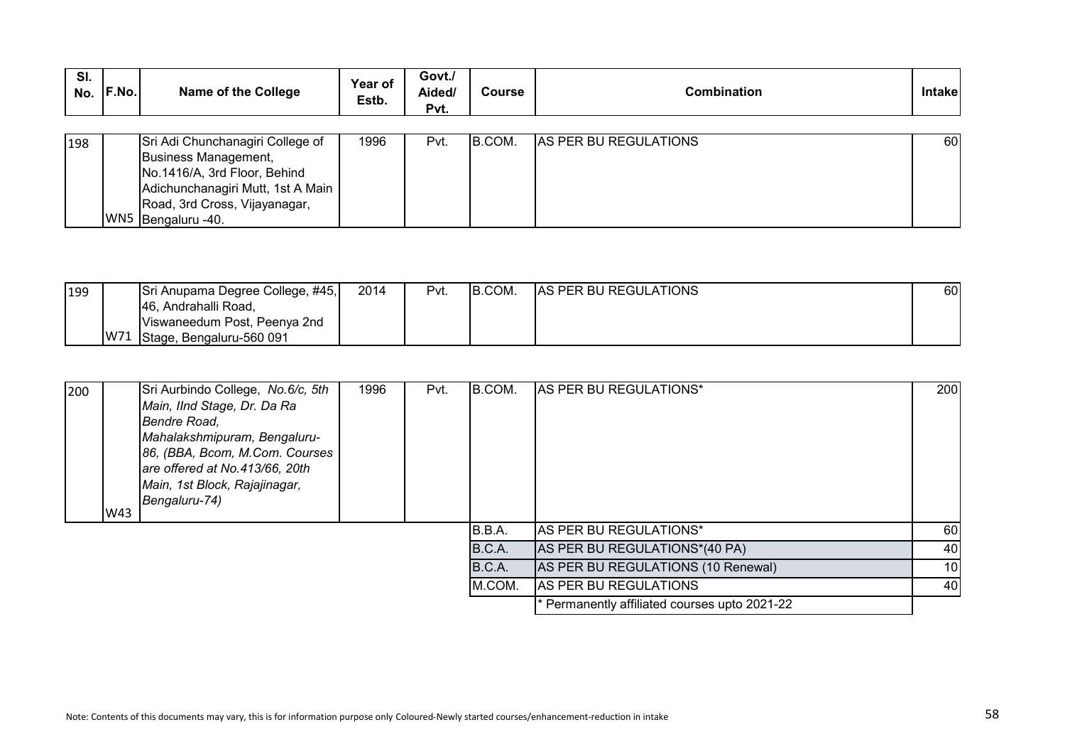| SI.<br>IF.No.<br>No. | <b>Name of the College</b>                                                                                                                                                           | Year of<br>Estb. | Govt./<br>Aided/<br>Pvt. | <b>Course</b> | <b>Combination</b>           | <b>Intakel</b> |
|----------------------|--------------------------------------------------------------------------------------------------------------------------------------------------------------------------------------|------------------|--------------------------|---------------|------------------------------|----------------|
| 198                  | Sri Adi Chunchanagiri College of<br>Business Management,<br>No.1416/A, 3rd Floor, Behind<br>Adichunchanagiri Mutt, 1st A Main<br>Road, 3rd Cross, Vijayanagar,<br>WN5 Bengaluru -40. | 1996             | Pvt.                     | IB.COM.       | <b>AS PER BU REGULATIONS</b> | 60             |

| 199 |     | Sri Anupama Degree College, #45, | 2014 | Pvt. | B.COM. | <b>AS PER BU REGULATIONS</b> | 60 |
|-----|-----|----------------------------------|------|------|--------|------------------------------|----|
|     |     | 146, Andrahalli Road,            |      |      |        |                              |    |
|     |     | Viswaneedum Post, Peenya 2nd     |      |      |        |                              |    |
|     | W71 | Stage, Bengaluru-560 091         |      |      |        |                              |    |

| 200 | W43 | Sri Aurbindo College, No.6/c, 5th<br>Main, IInd Stage, Dr. Da Ra<br>Bendre Road,<br>Mahalakshmipuram, Bengaluru-<br>86, (BBA, Bcom, M.Com. Courses<br>are offered at No.413/66, 20th<br>Main, 1st Block, Rajajinagar,<br>Bengaluru-74) | 1996 | Pvt. | B.COM. | <b>AS PER BU REGULATIONS*</b>                 | <b>2001</b> |
|-----|-----|----------------------------------------------------------------------------------------------------------------------------------------------------------------------------------------------------------------------------------------|------|------|--------|-----------------------------------------------|-------------|
|     |     |                                                                                                                                                                                                                                        |      |      | B.B.A. | <b>AS PER BU REGULATIONS*</b>                 | 60          |
|     |     |                                                                                                                                                                                                                                        |      |      | B.C.A. | AS PER BU REGULATIONS*(40 PA)                 | 40          |
|     |     |                                                                                                                                                                                                                                        |      |      | B.C.A. | AS PER BU REGULATIONS (10 Renewal)            | 10          |
|     |     |                                                                                                                                                                                                                                        |      |      | M.COM. | AS PER BU REGULATIONS                         | 40          |
|     |     |                                                                                                                                                                                                                                        |      |      |        | * Permanently affiliated courses upto 2021-22 |             |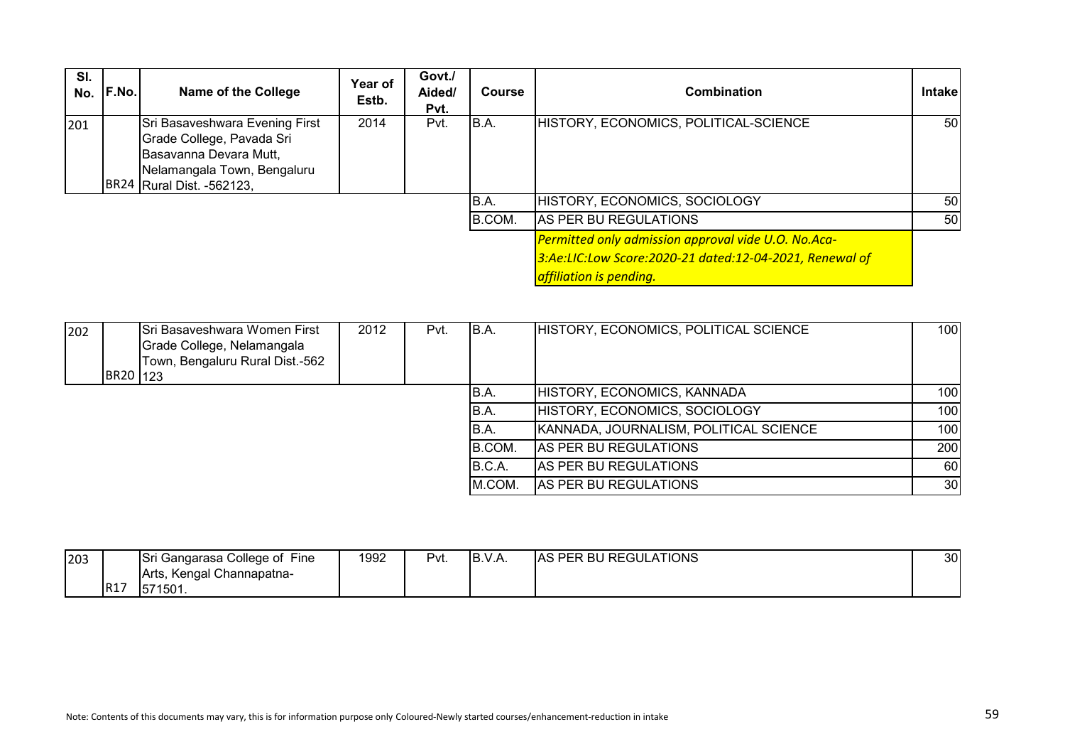| SI.<br>No. | F.No. | <b>Name of the College</b>                                                                                                                        | Year of<br>Estb. | Govt./<br>Aided/<br>Pvt. | <b>Course</b> | <b>Combination</b>                                                                                                                        | Intake |
|------------|-------|---------------------------------------------------------------------------------------------------------------------------------------------------|------------------|--------------------------|---------------|-------------------------------------------------------------------------------------------------------------------------------------------|--------|
| 201        |       | Sri Basaveshwara Evening First<br>Grade College, Pavada Sri<br>Basavanna Devara Mutt,<br>Nelamangala Town, Bengaluru<br>BR24 Rural Dist. -562123, | 2014             | Pvt.                     | B.A.          | HISTORY, ECONOMICS, POLITICAL-SCIENCE                                                                                                     | 50     |
|            |       |                                                                                                                                                   |                  |                          | B.A.          | HISTORY, ECONOMICS, SOCIOLOGY                                                                                                             | 50     |
|            |       |                                                                                                                                                   |                  |                          | B.COM.        | AS PER BU REGULATIONS                                                                                                                     | 50     |
|            |       |                                                                                                                                                   |                  |                          |               | Permitted only admission approval vide U.O. No.Aca-<br>3:Ae:LIC:Low Score:2020-21 dated:12-04-2021, Renewal of<br>affiliation is pending. |        |

| 202 | BR20 123 | <b>ISri Basaveshwara Women First</b><br>Grade College, Nelamangala<br>Town, Bengaluru Rural Dist.-562 | 2012 | Pvt. | B.A.   | HISTORY, ECONOMICS, POLITICAL SCIENCE  | 100 <sup>1</sup> |
|-----|----------|-------------------------------------------------------------------------------------------------------|------|------|--------|----------------------------------------|------------------|
|     |          |                                                                                                       |      |      | IB.A.  | HISTORY, ECONOMICS, KANNADA            | 100l             |
|     |          |                                                                                                       |      |      | B.A.   | HISTORY, ECONOMICS, SOCIOLOGY          | 100              |
|     |          |                                                                                                       |      |      | B.A.   | KANNADA, JOURNALISM, POLITICAL SCIENCE | 100 <sup>1</sup> |
|     |          |                                                                                                       |      |      | B.COM. | AS PER BU REGULATIONS                  | 200              |
|     |          |                                                                                                       |      |      | B.C.A. | AS PER BU REGULATIONS                  | <b>60</b>        |
|     |          |                                                                                                       |      |      | M.COM. | AS PER BU REGULATIONS                  | 30 <sup>1</sup>  |

| 203 |                 | College of Fine<br>. Gangarasa ′ | 1992 | $v_{\rm vt}$ | ╶<br>í⊬<br>. v .A | <b>R BU REGULATIONS</b><br>DE.<br>IAS<br>PFR | ٩U<br>◡◡ |
|-----|-----------------|----------------------------------|------|--------------|-------------------|----------------------------------------------|----------|
|     |                 | Arts, Kengal Channapatna-        |      |              |                   |                                              |          |
|     | R <sub>17</sub> | 71 E N<br>ו טטונטן.              |      |              |                   |                                              |          |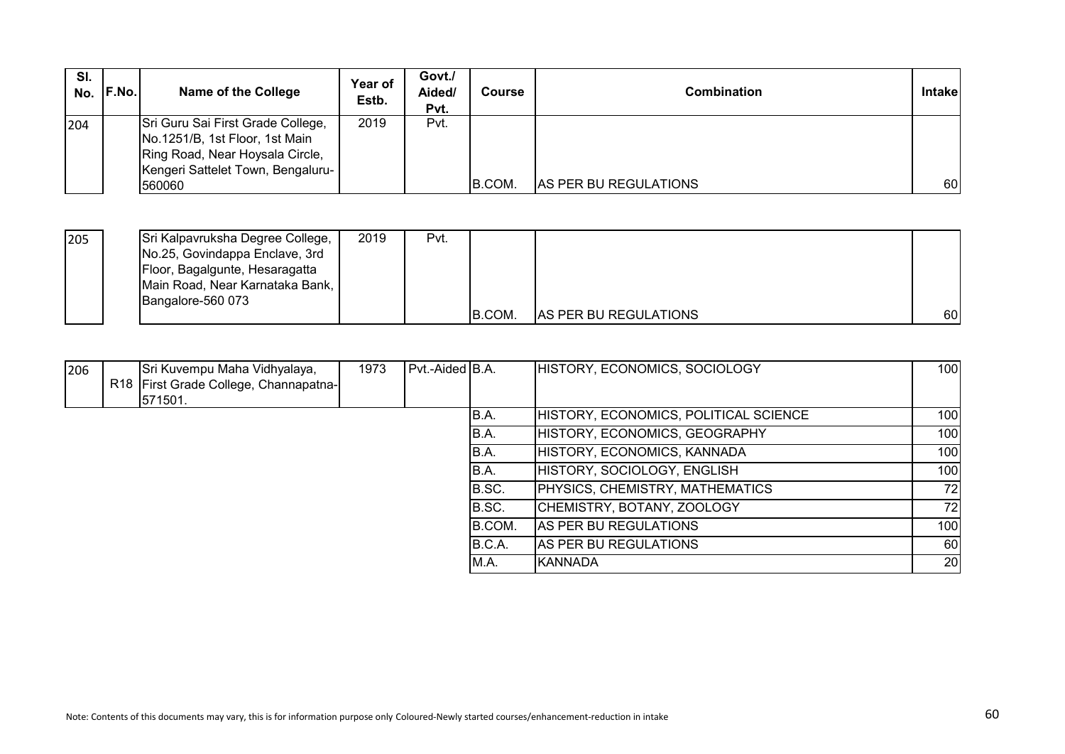| SI.<br>No. | <b>IF.No.</b> | <b>Name of the College</b>                                                                                                                            | <b>Year of</b><br>Estb. | Govt./<br>Aided/<br>Pvt. | Course | Combination           | <b>Intakel</b> |
|------------|---------------|-------------------------------------------------------------------------------------------------------------------------------------------------------|-------------------------|--------------------------|--------|-----------------------|----------------|
| 204        |               | Sri Guru Sai First Grade College,<br>No.1251/B, 1st Floor, 1st Main<br>Ring Road, Near Hoysala Circle,<br>Kengeri Sattelet Town, Bengaluru-<br>560060 | 2019                    | Pvt.                     | B.COM. | AS PER BU REGULATIONS | 60             |

| 205 | Sri Kalpavruksha Degree College,<br>No.25, Govindappa Enclave, 3rd | 2019 | Pvt. |        |                              |    |
|-----|--------------------------------------------------------------------|------|------|--------|------------------------------|----|
|     |                                                                    |      |      |        |                              |    |
|     | Floor, Bagalgunte, Hesaragatta                                     |      |      |        |                              |    |
|     | Main Road, Near Karnataka Bank,                                    |      |      |        |                              |    |
|     | Bangalore-560 073                                                  |      |      |        |                              |    |
|     |                                                                    |      |      | B.COM. | <b>AS PER BU REGULATIONS</b> | 60 |

| 206 |  | Sri Kuvempu Maha Vidhyalaya,<br>R18 First Grade College, Channapatna-<br>571501. | 1973 | Pvt.-Aided B.A. |        | HISTORY, ECONOMICS, SOCIOLOGY         | 100 <sup>1</sup> |
|-----|--|----------------------------------------------------------------------------------|------|-----------------|--------|---------------------------------------|------------------|
|     |  |                                                                                  |      |                 | B.A.   | HISTORY, ECONOMICS, POLITICAL SCIENCE | 100I             |
|     |  |                                                                                  |      |                 | B.A.   | HISTORY, ECONOMICS, GEOGRAPHY         | 100 <sub>l</sub> |
|     |  |                                                                                  |      |                 | B.A.   | HISTORY, ECONOMICS, KANNADA           | 100 <sup>1</sup> |
|     |  |                                                                                  |      |                 | B.A.   | HISTORY, SOCIOLOGY, ENGLISH           | 100 <sub>l</sub> |
|     |  |                                                                                  |      |                 | B.SC.  | PHYSICS, CHEMISTRY, MATHEMATICS       | 72               |
|     |  |                                                                                  |      |                 | B.SC.  | CHEMISTRY, BOTANY, ZOOLOGY            | 72               |
|     |  |                                                                                  |      |                 | B.COM. | AS PER BU REGULATIONS                 | 100 <sub>l</sub> |
|     |  |                                                                                  |      |                 | B.C.A. | AS PER BU REGULATIONS                 | 60I              |
|     |  |                                                                                  |      |                 | M.A.   | IKANNADA                              | 20               |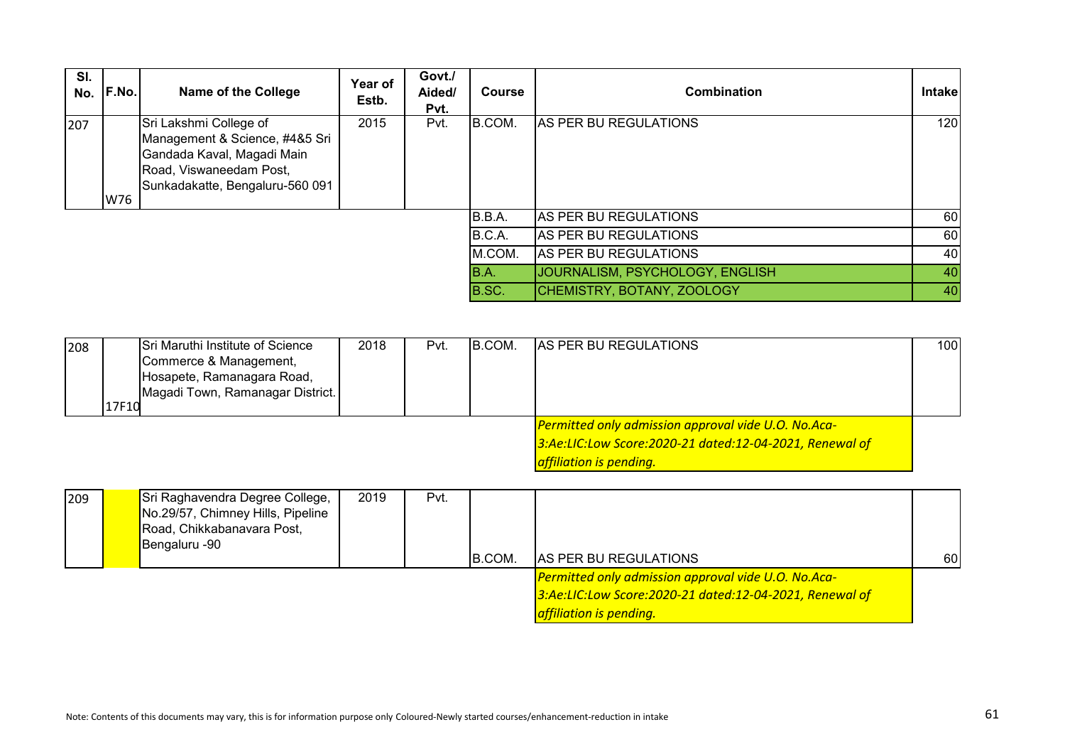| SI.<br>No. | F.No. | <b>Name of the College</b>                                                                                                                           | Year of<br>Estb. | Govt./<br>Aided/<br>Pvt. | <b>Course</b> | Combination                     | <b>Intake</b> |
|------------|-------|------------------------------------------------------------------------------------------------------------------------------------------------------|------------------|--------------------------|---------------|---------------------------------|---------------|
| 207        | W76   | Sri Lakshmi College of<br>Management & Science, #4&5 Sri<br>Gandada Kaval, Magadi Main<br>Road, Viswaneedam Post,<br>Sunkadakatte, Bengaluru-560 091 | 2015             | Pvt.                     | B.COM.        | AS PER BU REGULATIONS           | 120           |
|            |       |                                                                                                                                                      |                  |                          | B.B.A.        | <b>AS PER BU REGULATIONS</b>    | 60            |
|            |       |                                                                                                                                                      |                  |                          | B.C.A.        | AS PER BU REGULATIONS           | 60            |
|            |       |                                                                                                                                                      |                  |                          | M.COM.        | AS PER BU REGULATIONS           | 40            |
|            |       |                                                                                                                                                      |                  |                          | B.A.          | JOURNALISM, PSYCHOLOGY, ENGLISH | 40            |
|            |       |                                                                                                                                                      |                  |                          | B.SC.         | CHEMISTRY, BOTANY, ZOOLOGY      | 40            |

| 208 |       | Sri Maruthi Institute of Science | 2018 | Pvt. | IB.COM. | <b>AS PER BU REGULATIONS</b>                               | 100 |
|-----|-------|----------------------------------|------|------|---------|------------------------------------------------------------|-----|
|     |       | Commerce & Management,           |      |      |         |                                                            |     |
|     |       | Hosapete, Ramanagara Road,       |      |      |         |                                                            |     |
|     |       | Magadi Town, Ramanagar District. |      |      |         |                                                            |     |
|     | 17F10 |                                  |      |      |         |                                                            |     |
|     |       |                                  |      |      |         | <b>Permitted only admission approval vide U.O. No.Aca-</b> |     |
|     |       |                                  |      |      |         | 3:Ae:LIC:Low Score:2020-21 dated:12-04-2021, Renewal of    |     |
|     |       |                                  |      |      |         | <b>affiliation is pending.</b>                             |     |

| 209 | Sri Raghavendra Degree College,<br>No.29/57, Chimney Hills, Pipeline<br>Road, Chikkabanavara Post,<br>Bengaluru -90 | 2019 | Pvt. |        |                                                         |    |
|-----|---------------------------------------------------------------------------------------------------------------------|------|------|--------|---------------------------------------------------------|----|
|     |                                                                                                                     |      |      | B.COM. | <b>AS PER BU REGULATIONS</b>                            | 60 |
|     |                                                                                                                     |      |      |        | Permitted only admission approval vide U.O. No.Aca-     |    |
|     |                                                                                                                     |      |      |        | 3:Ae:LIC:Low Score:2020-21 dated:12-04-2021, Renewal of |    |
|     |                                                                                                                     |      |      |        | affiliation is pending.                                 |    |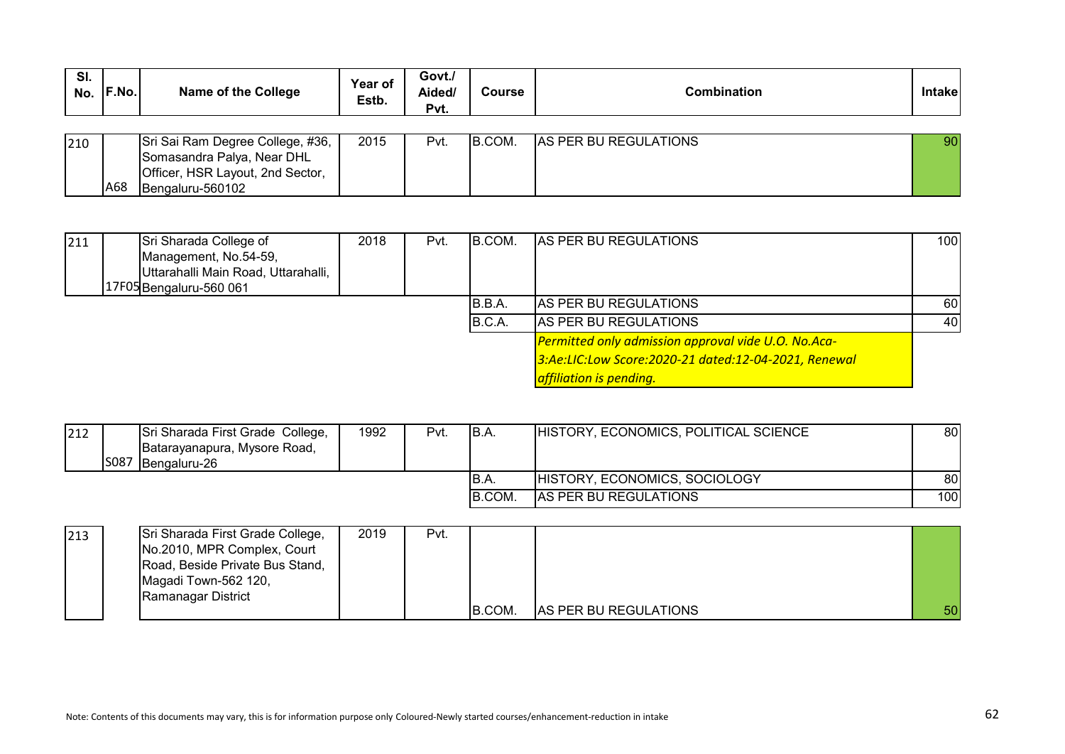| SI.<br>No. | <b>F.No.</b> | <b>Name of the College</b>                                                                                             | Year of<br>Estb. | Govt./<br>Aided/<br>Pvt. | <b>Course</b> | <b>Combination</b>           | <b>Intakel</b> |
|------------|--------------|------------------------------------------------------------------------------------------------------------------------|------------------|--------------------------|---------------|------------------------------|----------------|
| 210        | A68          | Sri Sai Ram Degree College, #36,<br>Somasandra Palya, Near DHL<br>Officer, HSR Layout, 2nd Sector,<br>Bengaluru-560102 | 2015             | Pvt.                     | IB.COM.       | <b>AS PER BU REGULATIONS</b> | 90             |

| 211 | Sri Sharada College of<br>Management, No.54-59,<br>Uttarahalli Main Road, Uttarahalli, | 2018 | Pvt. | B.COM. | AS PER BU REGULATIONS                                                                                                                         | 100 |
|-----|----------------------------------------------------------------------------------------|------|------|--------|-----------------------------------------------------------------------------------------------------------------------------------------------|-----|
|     | 17F05 Bengaluru-560 061                                                                |      |      | B.B.A. | <b>AS PER BU REGULATIONS</b>                                                                                                                  | 60  |
|     |                                                                                        |      |      | B.C.A. | AS PER BU REGULATIONS                                                                                                                         | 40  |
|     |                                                                                        |      |      |        | Permitted only admission approval vide U.O. No.Aca-<br>3:Ae:LIC:Low Score:2020-21 dated:12-04-2021, Renewal<br><b>affiliation is pending.</b> |     |

| 212 | <b>S087</b> | Sri Sharada First Grade College,<br>Batarayanapura, Mysore Road,<br>Bengaluru-26 | 1992 | Pvt. | IB.A.   | HISTORY, ECONOMICS, POLITICAL SCIENCE | 80 I |
|-----|-------------|----------------------------------------------------------------------------------|------|------|---------|---------------------------------------|------|
|     |             |                                                                                  |      |      | IB.A.   | HISTORY, ECONOMICS, SOCIOLOGY         | 80   |
|     |             |                                                                                  |      |      | IB.COM. | <b>AS PER BU REGULATIONS</b>          | 100  |

| 213 | Sri Sharada First Grade College,<br>No.2010, MPR Complex, Court<br>Road, Beside Private Bus Stand,<br>Magadi Town-562 120, | 2019 | Pvt. |        |                              |                 |
|-----|----------------------------------------------------------------------------------------------------------------------------|------|------|--------|------------------------------|-----------------|
|     | Ramanagar District                                                                                                         |      |      |        |                              |                 |
|     |                                                                                                                            |      |      | B.COM. | <b>AS PER BU REGULATIONS</b> | 50 <sub>l</sub> |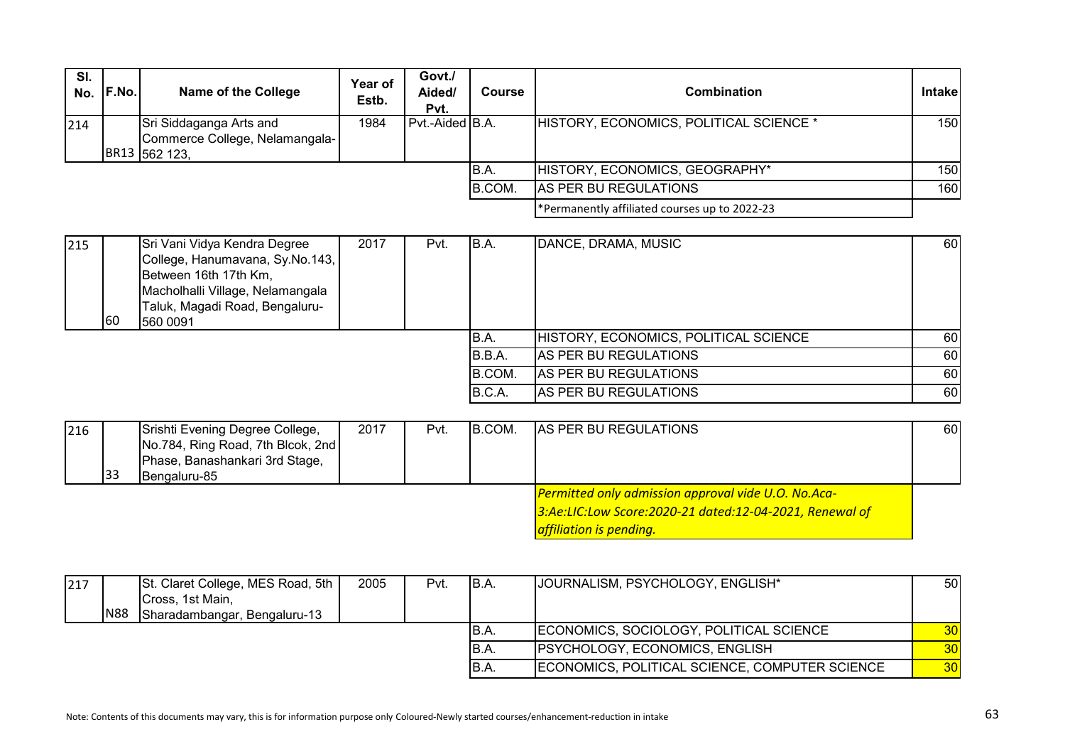| SI.<br>No. | <b>F.No.</b> | <b>Name of the College</b>                                                 | <b>Year of</b><br>Estb. | Govt./<br>Aided/<br>Pvt. | <b>Course</b> | <b>Combination</b>                           | <b>Intakel</b> |
|------------|--------------|----------------------------------------------------------------------------|-------------------------|--------------------------|---------------|----------------------------------------------|----------------|
| 214        |              | Sri Siddaganga Arts and<br>Commerce College, Nelamangala-<br>BR13 562 123, | 1984                    | Pvt.-Aided B.A.          |               | HISTORY, ECONOMICS, POLITICAL SCIENCE *      | 150            |
|            |              |                                                                            |                         |                          | IB.A.         | HISTORY, ECONOMICS, GEOGRAPHY*               | 150            |
|            |              |                                                                            |                         |                          | B.COM.        | AS PER BU REGULATIONS                        | 160            |
|            |              |                                                                            |                         |                          |               | Permanently affiliated courses up to 2022-23 |                |

| 215 | 60 | Sri Vani Vidya Kendra Degree<br>College, Hanumavana, Sy.No.143,<br>Between 16th 17th Km,<br>Macholhalli Village, Nelamangala<br>Taluk, Magadi Road, Bengaluru-<br>560 0091 | 2017 | Pvt. | B.A.   | DANCE, DRAMA, MUSIC                   | <b>60</b> |
|-----|----|----------------------------------------------------------------------------------------------------------------------------------------------------------------------------|------|------|--------|---------------------------------------|-----------|
|     |    |                                                                                                                                                                            |      |      | B.A.   | HISTORY, ECONOMICS, POLITICAL SCIENCE | 60        |
|     |    |                                                                                                                                                                            |      |      | B.B.A. | AS PER BU REGULATIONS                 | 60        |
|     |    |                                                                                                                                                                            |      |      | B.COM. | AS PER BU REGULATIONS                 | 60        |
|     |    |                                                                                                                                                                            |      |      | B.C.A. | AS PER BU REGULATIONS                 | 60        |

| 216 |     | Srishti Evening Degree College,   | 2017 | Pvt. | B.COM. | <b>AS PER BU REGULATIONS</b>                               | 60 I |
|-----|-----|-----------------------------------|------|------|--------|------------------------------------------------------------|------|
|     |     | No.784, Ring Road, 7th Blcok, 2nd |      |      |        |                                                            |      |
|     |     | Phase, Banashankari 3rd Stage,    |      |      |        |                                                            |      |
|     | 133 | Bengaluru-85                      |      |      |        |                                                            |      |
|     |     |                                   |      |      |        | <b>Permitted only admission approval vide U.O. No.Aca-</b> |      |
|     |     |                                   |      |      |        | 3:Ae:LIC:Low Score:2020-21 dated:12-04-2021, Renewal of    |      |
|     |     |                                   |      |      |        | affiliation is pending.                                    |      |

| 217 |            | St. Claret College, MES Road, 5th<br>Cross, 1st Main, | 2005 | Pvt. | B.A.  | JJOURNALISM, PSYCHOLOGY, ENGLISH*              | 50 <sup>1</sup> |
|-----|------------|-------------------------------------------------------|------|------|-------|------------------------------------------------|-----------------|
|     | <b>N88</b> | Sharadambangar, Bengaluru-13                          |      |      |       |                                                |                 |
|     |            |                                                       |      |      | IB.A. | ECONOMICS, SOCIOLOGY, POLITICAL SCIENCE        | 30 <sup>l</sup> |
|     |            |                                                       |      |      | IB.A. | <b>PSYCHOLOGY, ECONOMICS, ENGLISH</b>          | 30 <sup>l</sup> |
|     |            |                                                       |      |      | B.A.  | ECONOMICS, POLITICAL SCIENCE, COMPUTER SCIENCE | 30 <sup>l</sup> |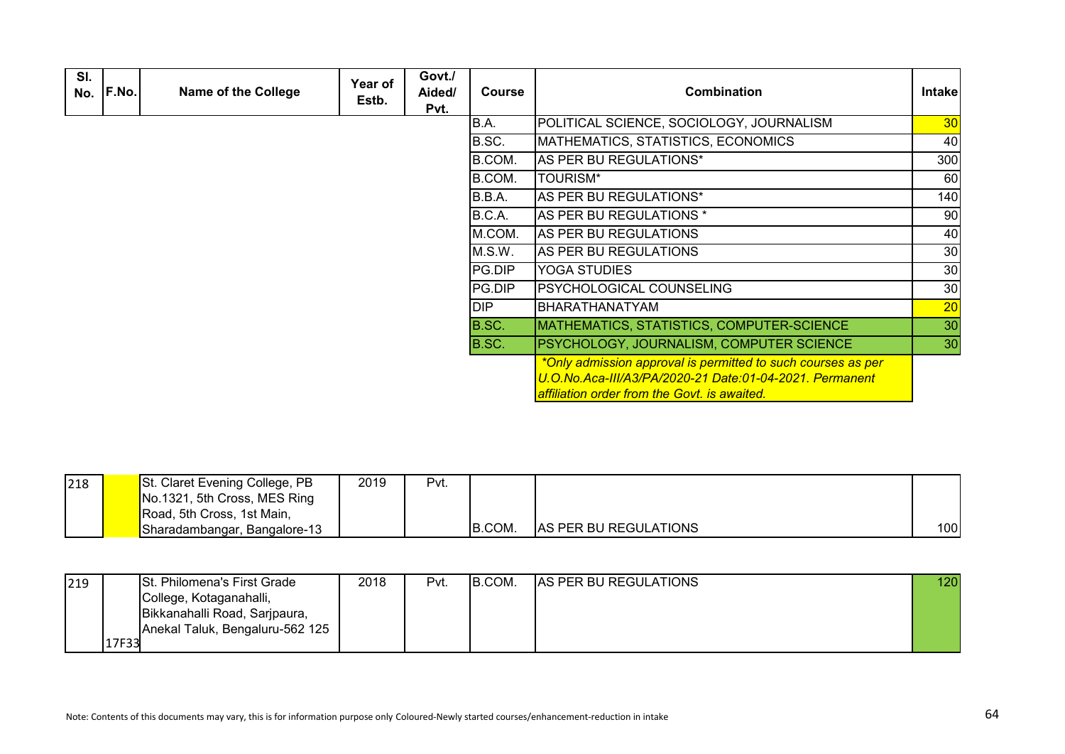| SI.<br>No. | F.No. | <b>Name of the College</b> | Year of<br>Estb. | Govt./<br>Aided/<br>Pvt. | <b>Course</b> | Combination                                                                                                                                                                    | <b>Intakel</b> |
|------------|-------|----------------------------|------------------|--------------------------|---------------|--------------------------------------------------------------------------------------------------------------------------------------------------------------------------------|----------------|
|            |       |                            |                  |                          | B.A.          | POLITICAL SCIENCE, SOCIOLOGY, JOURNALISM                                                                                                                                       | 30             |
|            |       |                            |                  |                          | B.SC.         | MATHEMATICS, STATISTICS, ECONOMICS                                                                                                                                             | 40             |
|            |       |                            |                  |                          | B.COM.        | AS PER BU REGULATIONS*                                                                                                                                                         | 300            |
|            |       |                            |                  |                          | B.COM.        | <b>TOURISM*</b>                                                                                                                                                                | 60             |
|            |       |                            |                  |                          | B.B.A.        | AS PER BU REGULATIONS*                                                                                                                                                         | 140            |
|            |       |                            |                  |                          | B.C.A.        | AS PER BU REGULATIONS *                                                                                                                                                        | 90             |
|            |       |                            |                  |                          | M.COM.        | AS PER BU REGULATIONS                                                                                                                                                          | 40             |
|            |       |                            |                  |                          | M.S.W.        | AS PER BU REGULATIONS                                                                                                                                                          | 30             |
|            |       |                            |                  |                          | PG.DIP        | YOGA STUDIES                                                                                                                                                                   | 30             |
|            |       |                            |                  |                          | PG.DIP        | PSYCHOLOGICAL COUNSELING                                                                                                                                                       | 30             |
|            |       |                            |                  |                          | <b>DIP</b>    | <b>BHARATHANATYAM</b>                                                                                                                                                          | 20             |
|            |       |                            |                  |                          | B.SC.         | <b>MATHEMATICS, STATISTICS, COMPUTER-SCIENCE</b>                                                                                                                               | 30             |
|            |       |                            |                  |                          | B.SC.         | PSYCHOLOGY, JOURNALISM, COMPUTER SCIENCE                                                                                                                                       | 30             |
|            |       |                            |                  |                          |               | *Only admission approval is permitted to such courses as per<br>U.O.No.Aca-III/A3/PA/2020-21 Date:01-04-2021. Permanent<br><b>affiliation order from the Govt. is awaited.</b> |                |

| 218 | St. Claret Evening College, PB        | 2019 | Pvt. |        |                              |     |
|-----|---------------------------------------|------|------|--------|------------------------------|-----|
|     | No.1321, 5th Cross, MES Ring          |      |      |        |                              |     |
|     | Road, 5th Cross, 1st Main,            |      |      |        |                              |     |
|     | <b>I</b> Sharadambangar. Bangalore-13 |      |      | B.COM. | <b>AS PER BU REGULATIONS</b> | 100 |

| 219 | St. Philomena's First Grade     | 2018 | Pvt. | B.COM. | <b>AS PER BU REGULATIONS</b> | 120 |
|-----|---------------------------------|------|------|--------|------------------------------|-----|
|     | College, Kotaganahalli,         |      |      |        |                              |     |
|     | Bikkanahalli Road, Sarjpaura,   |      |      |        |                              |     |
|     | Anekal Taluk, Bengaluru-562 125 |      |      |        |                              |     |
|     | 17F33                           |      |      |        |                              |     |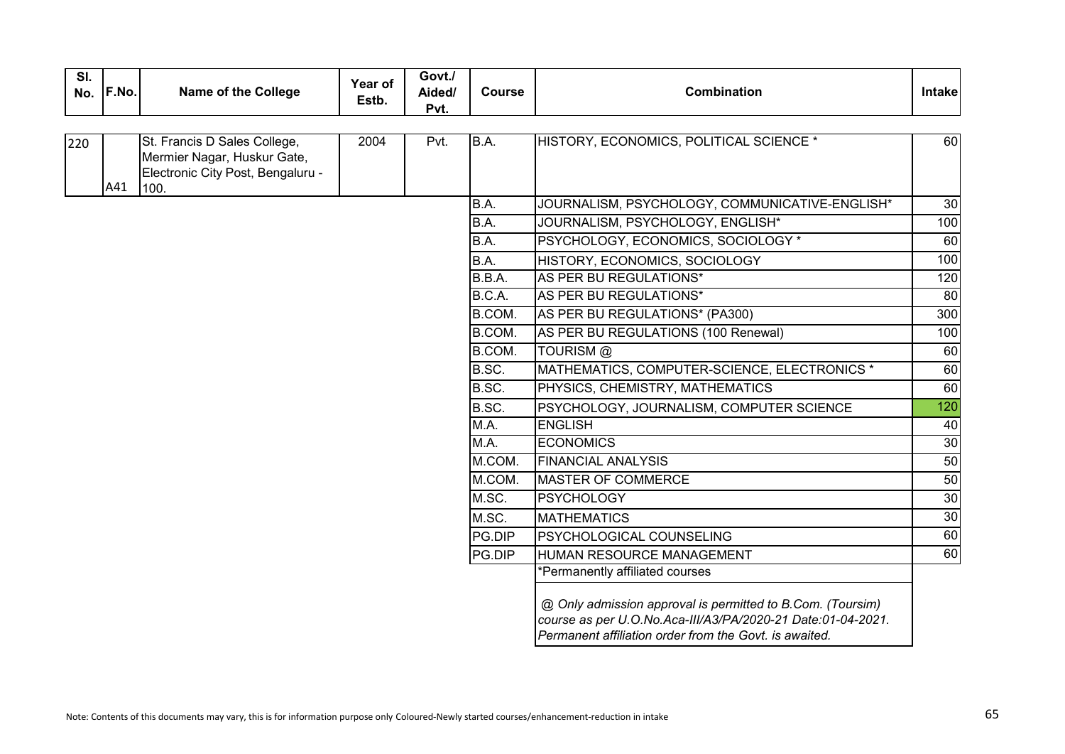| SI.<br>No. | F.No. | <b>Name of the College</b>                                                                               | Year of<br>Estb. | Govt./<br>Aided/<br>Pvt. | <b>Course</b>    | <b>Combination</b>                                                                                                                                                                  | <b>Intake</b>   |
|------------|-------|----------------------------------------------------------------------------------------------------------|------------------|--------------------------|------------------|-------------------------------------------------------------------------------------------------------------------------------------------------------------------------------------|-----------------|
|            |       |                                                                                                          |                  |                          |                  |                                                                                                                                                                                     |                 |
| 220        | A41   | St. Francis D Sales College,<br>Mermier Nagar, Huskur Gate,<br>Electronic City Post, Bengaluru -<br>100. | 2004             | Pvt.                     | B.A.             | HISTORY, ECONOMICS, POLITICAL SCIENCE *                                                                                                                                             | 60              |
|            |       |                                                                                                          |                  |                          | B.A.             | JOURNALISM, PSYCHOLOGY, COMMUNICATIVE-ENGLISH*                                                                                                                                      | 30              |
|            |       |                                                                                                          |                  |                          | $B.\overline{A}$ | JOURNALISM, PSYCHOLOGY, ENGLISH*                                                                                                                                                    | 100             |
|            |       |                                                                                                          |                  |                          | B.A.             | PSYCHOLOGY, ECONOMICS, SOCIOLOGY *                                                                                                                                                  | $\overline{60}$ |
|            |       |                                                                                                          |                  |                          | B.A.             | HISTORY, ECONOMICS, SOCIOLOGY                                                                                                                                                       | 100             |
|            |       |                                                                                                          |                  |                          | B.B.A.           | AS PER BU REGULATIONS*                                                                                                                                                              | 120             |
|            |       |                                                                                                          |                  |                          | B.C.A.           | AS PER BU REGULATIONS*                                                                                                                                                              | 80              |
|            |       |                                                                                                          |                  |                          | B.COM.           | AS PER BU REGULATIONS* (PA300)                                                                                                                                                      | 300             |
|            |       |                                                                                                          |                  |                          | B.COM.           | AS PER BU REGULATIONS (100 Renewal)                                                                                                                                                 | 100             |
|            |       |                                                                                                          |                  |                          | B.COM.           | TOURISM @                                                                                                                                                                           | 60              |
|            |       |                                                                                                          |                  |                          | B.SC.            | MATHEMATICS, COMPUTER-SCIENCE, ELECTRONICS *                                                                                                                                        | 60              |
|            |       |                                                                                                          |                  |                          | B.SC.            | PHYSICS, CHEMISTRY, MATHEMATICS                                                                                                                                                     | 60              |
|            |       |                                                                                                          |                  |                          | B.SC.            | PSYCHOLOGY, JOURNALISM, COMPUTER SCIENCE                                                                                                                                            | 120             |
|            |       |                                                                                                          |                  |                          | M.A.             | <b>ENGLISH</b>                                                                                                                                                                      | 40              |
|            |       |                                                                                                          |                  |                          | M.A.             | <b>ECONOMICS</b>                                                                                                                                                                    | 30              |
|            |       |                                                                                                          |                  |                          | M.COM.           | <b>FINANCIAL ANALYSIS</b>                                                                                                                                                           | 50              |
|            |       |                                                                                                          |                  |                          | M.COM.           | <b>MASTER OF COMMERCE</b>                                                                                                                                                           | 50              |
|            |       |                                                                                                          |                  |                          | M.SC.            | <b>PSYCHOLOGY</b>                                                                                                                                                                   | 30              |
|            |       |                                                                                                          |                  |                          | M.SC.            | <b>MATHEMATICS</b>                                                                                                                                                                  | 30              |
|            |       |                                                                                                          |                  |                          | PG.DIP           | <b>PSYCHOLOGICAL COUNSELING</b>                                                                                                                                                     | 60              |
|            |       |                                                                                                          |                  |                          | PG.DIP           | HUMAN RESOURCE MANAGEMENT                                                                                                                                                           | 60              |
|            |       |                                                                                                          |                  |                          |                  | Permanently affiliated courses                                                                                                                                                      |                 |
|            |       |                                                                                                          |                  |                          |                  | @ Only admission approval is permitted to B.Com. (Toursim)<br>course as per U.O.No.Aca-III/A3/PA/2020-21 Date:01-04-2021.<br>Permanent affiliation order from the Govt. is awaited. |                 |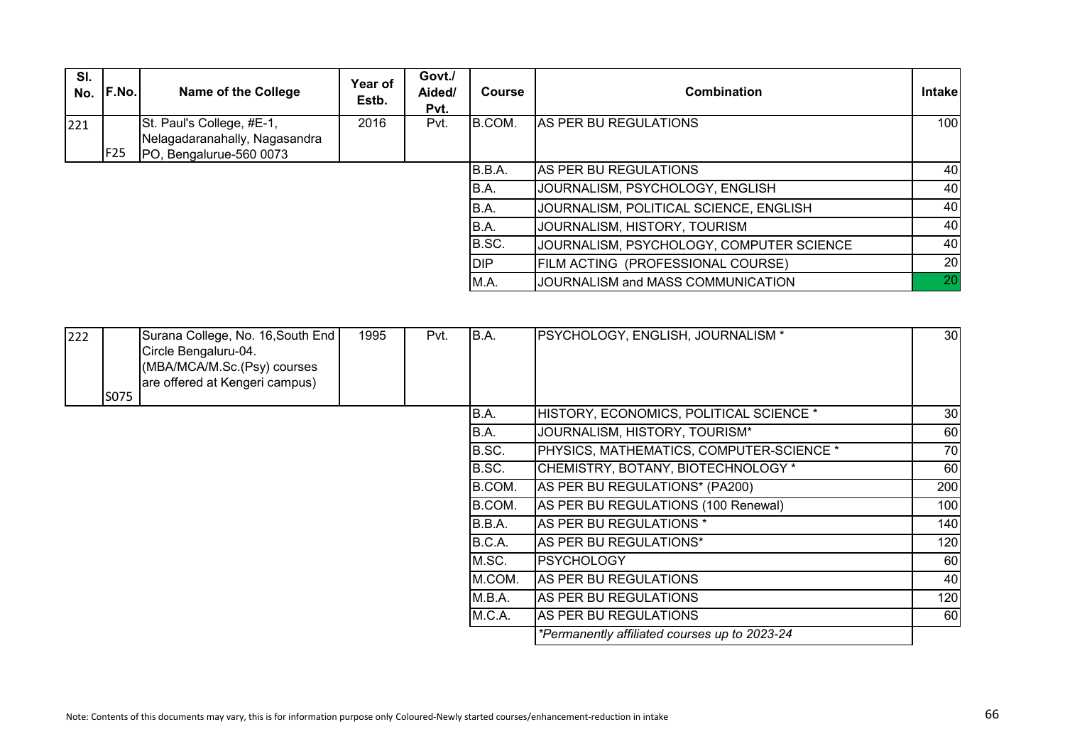| SI.<br>No. | F.No. | <b>Name of the College</b>                                                            | Year of<br>Estb. | Govt./<br>Aided/<br>Pvt. | <b>Course</b> | Combination                              | <b>Intakel</b>   |
|------------|-------|---------------------------------------------------------------------------------------|------------------|--------------------------|---------------|------------------------------------------|------------------|
| 221        | F25   | St. Paul's College, #E-1,<br>Nelagadaranahally, Nagasandra<br>PO, Bengalurue-560 0073 | 2016             | Pvt.                     | B.COM.        | <b>AS PER BU REGULATIONS</b>             | 100 <sup>1</sup> |
|            |       |                                                                                       |                  |                          | B.B.A.        | <b>AS PER BU REGULATIONS</b>             | 40               |
|            |       |                                                                                       |                  |                          | B.A.          | JOURNALISM, PSYCHOLOGY, ENGLISH          | 40               |
|            |       |                                                                                       |                  |                          | B.A.          | JOURNALISM, POLITICAL SCIENCE, ENGLISH   | 40               |
|            |       |                                                                                       |                  |                          | B.A.          | JOURNALISM, HISTORY, TOURISM             | 40               |
|            |       |                                                                                       |                  |                          | B.SC.         | JOURNALISM, PSYCHOLOGY, COMPUTER SCIENCE | 40               |
|            |       |                                                                                       |                  |                          | <b>DIP</b>    | FILM ACTING (PROFESSIONAL COURSE)        | 20               |
|            |       |                                                                                       |                  |                          | M.A.          | JOURNALISM and MASS COMMUNICATION        | 20               |

| 222 | S075 | Surana College, No. 16, South End<br>Circle Bengaluru-04.<br>(MBA/MCA/M.Sc.(Psy) courses<br>are offered at Kengeri campus) | 1995 | Pvt. | B.A.   | <b>PSYCHOLOGY, ENGLISH, JOURNALISM *</b>      | 30 <sup>1</sup> |
|-----|------|----------------------------------------------------------------------------------------------------------------------------|------|------|--------|-----------------------------------------------|-----------------|
|     |      |                                                                                                                            |      |      | B.A.   | HISTORY, ECONOMICS, POLITICAL SCIENCE *       | 30              |
|     |      |                                                                                                                            |      |      | B.A.   | JOURNALISM, HISTORY, TOURISM*                 | 60              |
|     |      |                                                                                                                            |      |      | B.SC.  | PHYSICS, MATHEMATICS, COMPUTER-SCIENCE *      | 70              |
|     |      |                                                                                                                            |      |      | B.SC.  | CHEMISTRY, BOTANY, BIOTECHNOLOGY *            | 60              |
|     |      |                                                                                                                            |      |      | B.COM. | AS PER BU REGULATIONS* (PA200)                | 200             |
|     |      |                                                                                                                            |      |      | B.COM. | AS PER BU REGULATIONS (100 Renewal)           | 100             |
|     |      |                                                                                                                            |      |      | B.B.A. | AS PER BU REGULATIONS *                       | 140             |
|     |      |                                                                                                                            |      |      | B.C.A. | AS PER BU REGULATIONS*                        | 120             |
|     |      |                                                                                                                            |      |      | M.SC.  | PSYCHOLOGY                                    | 60              |
|     |      |                                                                                                                            |      |      | M.COM. | IAS PER BU REGULATIONS                        | 40              |
|     |      |                                                                                                                            |      |      | M.B.A. | AS PER BU REGULATIONS                         | 120             |
|     |      |                                                                                                                            |      |      | M.C.A. | AS PER BU REGULATIONS                         | 60              |
|     |      |                                                                                                                            |      |      |        | *Permanently affiliated courses up to 2023-24 |                 |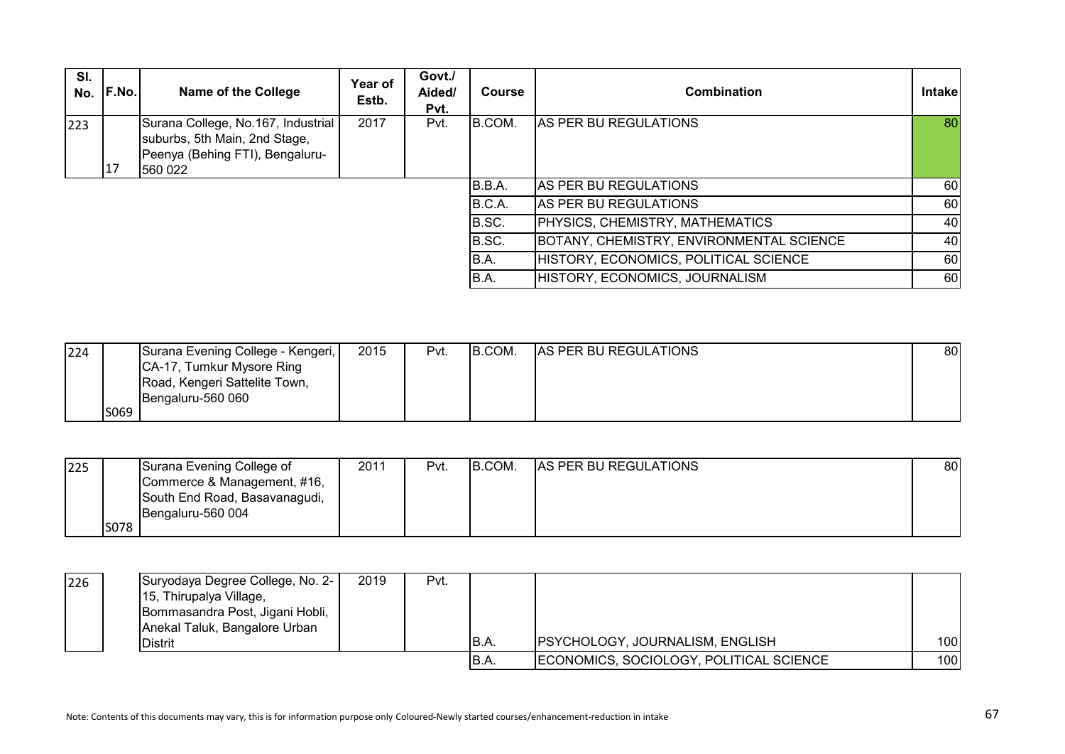| SI.<br>No. | F.No. | <b>Name of the College</b>                                                                                        | Year of<br>Estb. | Govt./<br>Aided/<br>Pvt. | <b>Course</b> | <b>Combination</b>                       | <b>Intakel</b> |
|------------|-------|-------------------------------------------------------------------------------------------------------------------|------------------|--------------------------|---------------|------------------------------------------|----------------|
| 223        | 17    | Surana College, No.167, Industrial<br>suburbs, 5th Main, 2nd Stage,<br>Peenya (Behing FTI), Bengaluru-<br>560 022 | 2017             | Pvt.                     | IB.COM.       | AS PER BU REGULATIONS                    | 80             |
|            |       |                                                                                                                   |                  |                          | B.B.A.        | <b>AS PER BU REGULATIONS</b>             | 60             |
|            |       |                                                                                                                   |                  |                          | B.C.A.        | AS PER BU REGULATIONS                    | 60             |
|            |       |                                                                                                                   |                  |                          | B.SC.         | PHYSICS, CHEMISTRY, MATHEMATICS          | 40             |
|            |       |                                                                                                                   |                  |                          | B.SC.         | BOTANY, CHEMISTRY, ENVIRONMENTAL SCIENCE | 40             |
|            |       |                                                                                                                   |                  |                          | B.A.          | HISTORY, ECONOMICS, POLITICAL SCIENCE    | 60             |
|            |       |                                                                                                                   |                  |                          | B.A.          | HISTORY, ECONOMICS, JOURNALISM           | 60             |

| 224 |      | Surana Evening College - Kengeri, | 2015 | Pvt. | B.COM. | AS PER BU REGULATIONS | 80 |
|-----|------|-----------------------------------|------|------|--------|-----------------------|----|
|     |      | CA-17, Tumkur Mysore Ring         |      |      |        |                       |    |
|     |      | Road, Kengeri Sattelite Town,     |      |      |        |                       |    |
|     |      | Bengaluru-560 060                 |      |      |        |                       |    |
|     | S069 |                                   |      |      |        |                       |    |

| 225 |      | Surana Evening College of     | 2011 | Pvt. | B.COM. | <b>AS PER BU REGULATIONS</b> | 80 |
|-----|------|-------------------------------|------|------|--------|------------------------------|----|
|     |      | Commerce & Management, #16,   |      |      |        |                              |    |
|     |      | South End Road, Basavanagudi, |      |      |        |                              |    |
|     |      | IBengaluru-560 004            |      |      |        |                              |    |
|     | S078 |                               |      |      |        |                              |    |

| 226 | Suryodaya Degree College, No. 2-<br>15, Thirupalya Village,<br>Bommasandra Post, Jigani Hobli,<br>Anekal Taluk, Bangalore Urban | 2019 | Pvt. |       |                                         |     |
|-----|---------------------------------------------------------------------------------------------------------------------------------|------|------|-------|-----------------------------------------|-----|
|     | <b>Distrit</b>                                                                                                                  |      |      | IB.A. | <b>PSYCHOLOGY, JOURNALISM, ENGLISH</b>  | 100 |
|     |                                                                                                                                 |      |      | IB.A. | ECONOMICS, SOCIOLOGY, POLITICAL SCIENCE | 100 |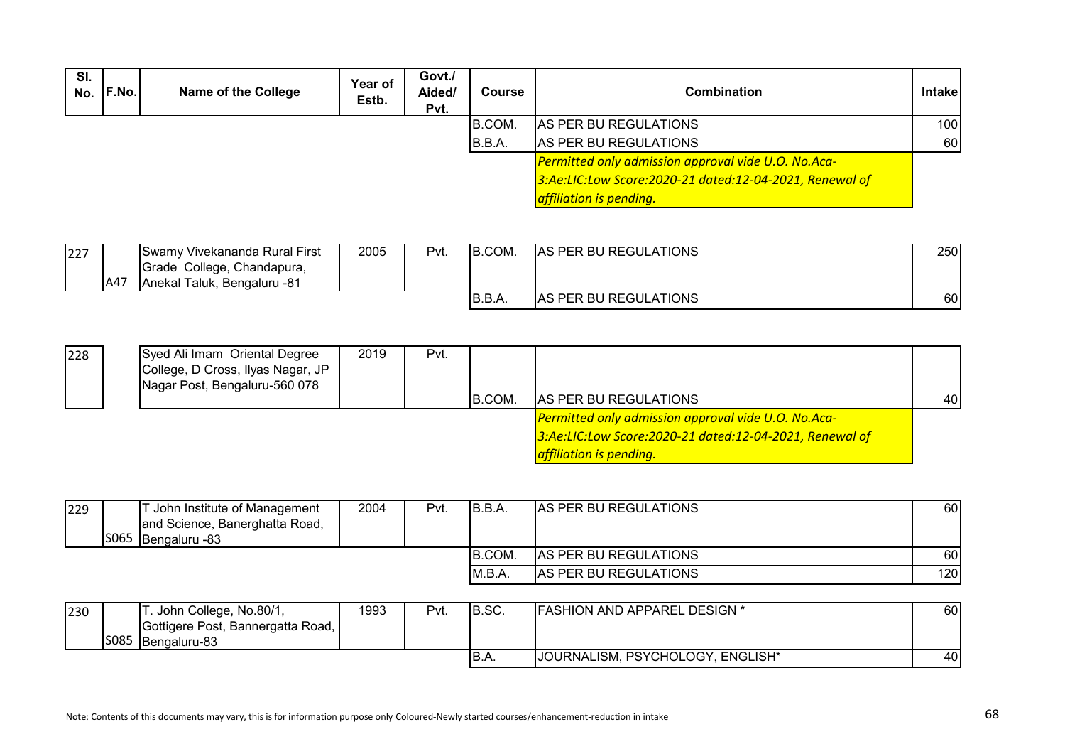| SI.<br>No. | F.No. | Name of the College | Year of<br>Estb. | Govt./<br>Aided/<br>Pvt. | <b>Course</b> | <b>Combination</b>                                      | <b>Intakel</b> |
|------------|-------|---------------------|------------------|--------------------------|---------------|---------------------------------------------------------|----------------|
|            |       |                     |                  |                          | B.COM.        | AS PER BU REGULATIONS                                   | 100            |
|            |       |                     |                  |                          | B.B.A.        | AS PER BU REGULATIONS                                   | 60             |
|            |       |                     |                  |                          |               | Permitted only admission approval vide U.O. No.Aca-     |                |
|            |       |                     |                  |                          |               | 3:Ae:LIC:Low Score:2020-21 dated:12-04-2021, Renewal of |                |
|            |       |                     |                  |                          |               | <b>affiliation is pending.</b>                          |                |

| 227 |     | Swamy Vivekananda Rural First | 2005 | Pvt. | COM.<br>IB. | <b>AS PER BU REGULATIONS</b> | 250 |
|-----|-----|-------------------------------|------|------|-------------|------------------------------|-----|
|     |     | Grade College, Chandapura,    |      |      |             |                              |     |
|     | A47 | Anekal Taluk, Bengaluru -81   |      |      |             |                              |     |
|     |     |                               |      |      | IB.B.A.     | <b>AS PER BU REGULATIONS</b> | 60  |

| 228 | Syed Ali Imam Oriental Degree<br>College, D Cross, Ilyas Nagar, JP<br>Nagar Post, Bengaluru-560 078 | 2019 | Pvt. |        |                                                            |    |
|-----|-----------------------------------------------------------------------------------------------------|------|------|--------|------------------------------------------------------------|----|
|     |                                                                                                     |      |      | B.COM. | <b>AS PER BU REGULATIONS</b>                               | 40 |
|     |                                                                                                     |      |      |        | <b>Permitted only admission approval vide U.O. No.Aca-</b> |    |
|     |                                                                                                     |      |      |        | 3:Ae:LIC:Low Score:2020-21 dated:12-04-2021, Renewal of    |    |
|     |                                                                                                     |      |      |        | <b>affiliation is pending.</b>                             |    |

| 229 | John Institute of Management<br>and Science, Banerghatta Road,<br>S065 Bengaluru -83 | 2004 | Pvt. | B.B.A.  | <b>AS PER BU REGULATIONS</b> | 60  |
|-----|--------------------------------------------------------------------------------------|------|------|---------|------------------------------|-----|
|     |                                                                                      |      |      | IB.COM. | AS PER BU REGULATIONS        | 60  |
|     |                                                                                      |      |      | M.B.A.  | AS PER BU REGULATIONS        | 120 |

| 230 |      | T. John College, No.80/1,           | 1993 | Pvt. | IB.SC. | <b>FASHION AND APPAREL DESIGN *</b> | 60 |
|-----|------|-------------------------------------|------|------|--------|-------------------------------------|----|
|     |      | Gottigere Post, Bannergatta Road, I |      |      |        |                                     |    |
|     | S085 | <b>Bengaluru-83</b>                 |      |      |        |                                     |    |
|     |      |                                     |      |      | IB.A.  | JJOURNALISM, PSYCHOLOGY, ENGLISH*   | 40 |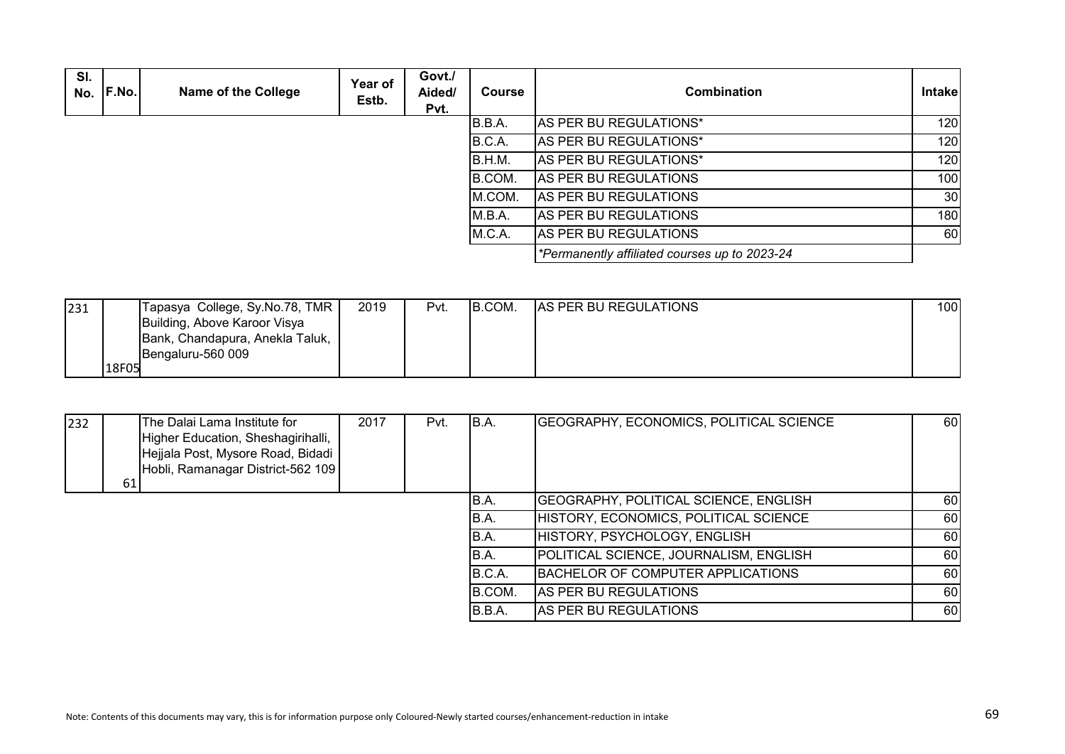| SI.<br>No. | F.No. | <b>Name of the College</b> | Year of<br>Estb. | Govt./<br>Aided/<br>Pvt. | <b>Course</b> | <b>Combination</b>                            | <b>Intakel</b>   |
|------------|-------|----------------------------|------------------|--------------------------|---------------|-----------------------------------------------|------------------|
|            |       |                            |                  |                          | B.B.A.        | AS PER BU REGULATIONS*                        | 120              |
|            |       |                            |                  |                          | B.C.A.        | AS PER BU REGULATIONS*                        | 120              |
|            |       |                            |                  |                          | B.H.M.        | AS PER BU REGULATIONS*                        | <b>120</b>       |
|            |       |                            |                  |                          | B.COM.        | AS PER BU REGULATIONS                         | 100 <sup>1</sup> |
|            |       |                            |                  |                          | M.COM.        | AS PER BU REGULATIONS                         | 30 <sup>1</sup>  |
|            |       |                            |                  |                          | M.B.A.        | AS PER BU REGULATIONS                         | <b>180</b>       |
|            |       |                            |                  |                          | M.C.A.        | AS PER BU REGULATIONS                         | 60               |
|            |       |                            |                  |                          |               | *Permanently affiliated courses up to 2023-24 |                  |

| 231 |       | Tapasya College, Sy.No.78, TMR  | 2019 | Pvt. | B.COM. | <b>AS PER BU REGULATIONS</b> | 100 <sub>l</sub> |
|-----|-------|---------------------------------|------|------|--------|------------------------------|------------------|
|     |       | Building, Above Karoor Visya    |      |      |        |                              |                  |
|     |       | Bank, Chandapura, Anekla Taluk, |      |      |        |                              |                  |
|     |       | Bengaluru-560 009               |      |      |        |                              |                  |
|     | 18F05 |                                 |      |      |        |                              |                  |

| 232 | 61 | <b>The Dalai Lama Institute for</b><br>Higher Education, Sheshagirihalli,<br>Hejjala Post, Mysore Road, Bidadi<br>Hobli, Ramanagar District-562 109 | 2017 | Pvt. | B.A.   | GEOGRAPHY, ECONOMICS, POLITICAL SCIENCE      | 60         |
|-----|----|-----------------------------------------------------------------------------------------------------------------------------------------------------|------|------|--------|----------------------------------------------|------------|
|     |    |                                                                                                                                                     |      |      | IB.A.  | <b>GEOGRAPHY, POLITICAL SCIENCE, ENGLISH</b> | <b>601</b> |
|     |    |                                                                                                                                                     |      |      | B.A.   | HISTORY, ECONOMICS, POLITICAL SCIENCE        | <b>601</b> |
|     |    |                                                                                                                                                     |      |      | B.A.   | HISTORY, PSYCHOLOGY, ENGLISH                 | 60         |
|     |    |                                                                                                                                                     |      |      | B.A.   | POLITICAL SCIENCE, JOURNALISM, ENGLISH       | 60         |
|     |    |                                                                                                                                                     |      |      | B.C.A. | BACHELOR OF COMPUTER APPLICATIONS            | <b>601</b> |
|     |    |                                                                                                                                                     |      |      | B.COM. | AS PER BU REGULATIONS                        | 60         |
|     |    |                                                                                                                                                     |      |      | B.B.A. | AS PER BU REGULATIONS                        | 60         |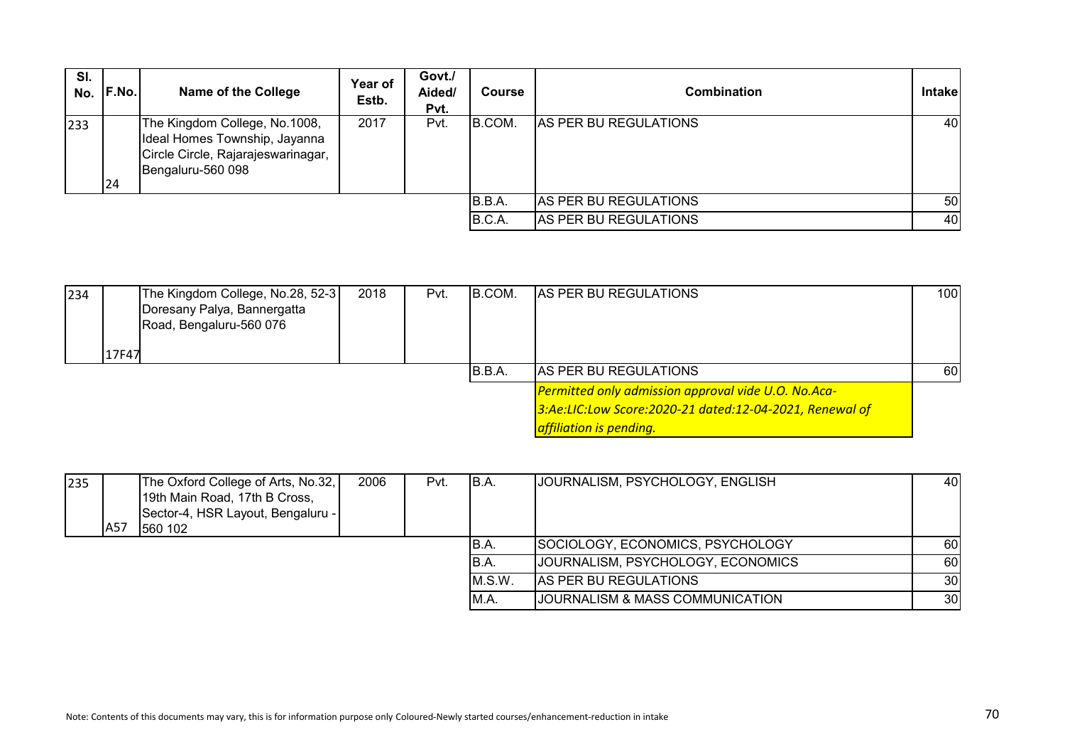| SI.<br>No. | <b>IF.No.</b> | <b>Name of the College</b>                                                                                                | <b>Year of</b><br>Estb. | Govt./<br>Aided/<br>Pvt. | <b>Course</b> | <b>Combination</b>           | Intakel |
|------------|---------------|---------------------------------------------------------------------------------------------------------------------------|-------------------------|--------------------------|---------------|------------------------------|---------|
| 233        | 24            | The Kingdom College, No.1008,<br>Ideal Homes Township, Jayanna<br>Circle Circle, Rajarajeswarinagar,<br>Bengaluru-560 098 | 2017                    | Pvt.                     | B.COM.        | <b>AS PER BU REGULATIONS</b> | 40      |
|            |               |                                                                                                                           |                         |                          | B.B.A.        | AS PER BU REGULATIONS        | 50      |
|            |               |                                                                                                                           |                         |                          | B.C.A.        | AS PER BU REGULATIONS        | 40      |

| 234 |       | The Kingdom College, No.28, 52-3 | 2018 | Pvt. | B.COM. | <b>AS PER BU REGULATIONS</b>                            | 100 |
|-----|-------|----------------------------------|------|------|--------|---------------------------------------------------------|-----|
|     |       | Doresany Palya, Bannergatta      |      |      |        |                                                         |     |
|     |       | Road, Bengaluru-560 076          |      |      |        |                                                         |     |
|     |       |                                  |      |      |        |                                                         |     |
|     | 17F47 |                                  |      |      |        |                                                         |     |
|     |       |                                  |      |      | B.B.A. | <b>AS PER BU REGULATIONS</b>                            | 60  |
|     |       |                                  |      |      |        | Permitted only admission approval vide U.O. No.Aca-     |     |
|     |       |                                  |      |      |        | 3:Ae:LIC:Low Score:2020-21 dated:12-04-2021, Renewal of |     |
|     |       |                                  |      |      |        | <b>affiliation is pending.</b>                          |     |

| 235 |            | The Oxford College of Arts, No.32,<br>19th Main Road, 17th B Cross,<br>Sector-4, HSR Layout, Bengaluru - | 2006 | Pvt. | B.A.    | JOURNALISM, PSYCHOLOGY, ENGLISH   | 40              |
|-----|------------|----------------------------------------------------------------------------------------------------------|------|------|---------|-----------------------------------|-----------------|
|     | <b>A57</b> | 560 102                                                                                                  |      |      |         |                                   |                 |
|     |            |                                                                                                          |      |      | IB.A.   | SOCIOLOGY, ECONOMICS, PSYCHOLOGY  | 60              |
|     |            |                                                                                                          |      |      | IB.A.   | JOURNALISM, PSYCHOLOGY, ECONOMICS | 60              |
|     |            |                                                                                                          |      |      | IM.S.W. | AS PER BU REGULATIONS             | 30 <sup>l</sup> |
|     |            |                                                                                                          |      |      | IM.A.   | JOURNALISM & MASS COMMUNICATION   | 30 <sup>l</sup> |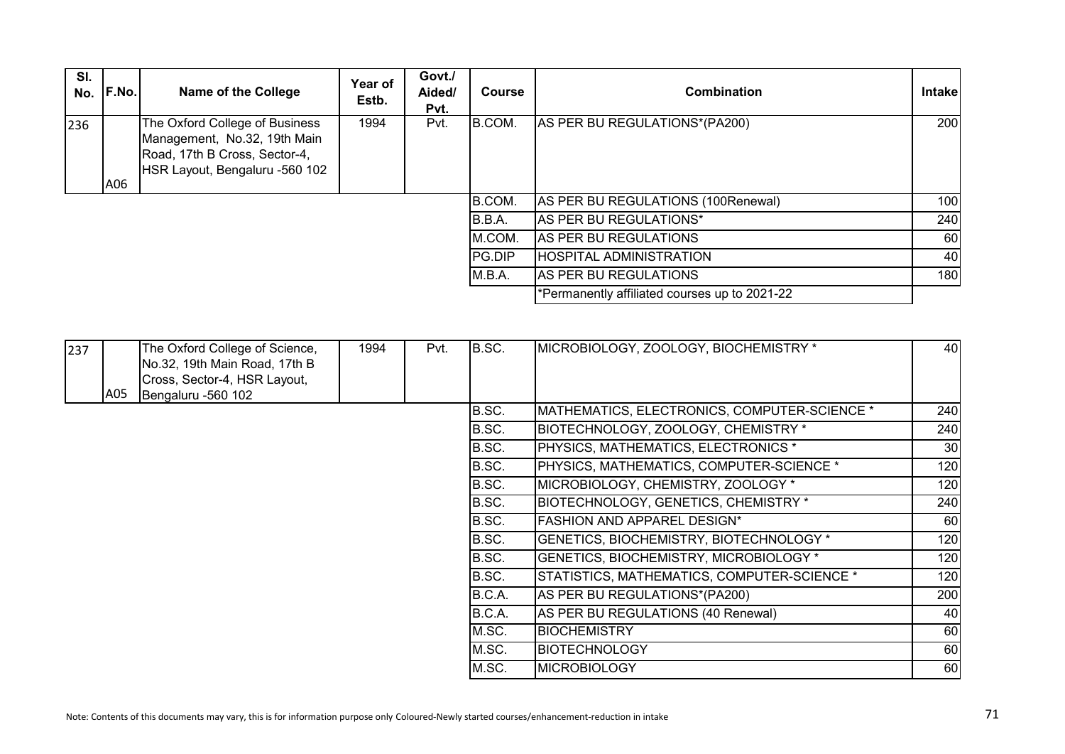| SI.<br>No. | F.No. | <b>Name of the College</b>                                                                                                        | Year of<br>Estb. | Govt./<br>Aided/<br>Pvt. | <b>Course</b>  | Combination                                   | <b>Intakel</b> |
|------------|-------|-----------------------------------------------------------------------------------------------------------------------------------|------------------|--------------------------|----------------|-----------------------------------------------|----------------|
| 236        | A06   | The Oxford College of Business<br>Management, No.32, 19th Main<br>Road, 17th B Cross, Sector-4,<br>HSR Layout, Bengaluru -560 102 | 1994             | Pvt.                     | B.COM.         | AS PER BU REGULATIONS*(PA200)                 | <b>2001</b>    |
|            |       |                                                                                                                                   |                  |                          | B.COM.         | AS PER BU REGULATIONS (100 Renewal)           | 100            |
|            |       |                                                                                                                                   |                  |                          | B.B.A.         | AS PER BU REGULATIONS*                        | 240            |
|            |       |                                                                                                                                   |                  |                          | M.COM.         | AS PER BU REGULATIONS                         | 60             |
|            |       |                                                                                                                                   |                  |                          | <b>IPG.DIP</b> | <b>IHOSPITAL ADMINISTRATION</b>               | 40             |
|            |       |                                                                                                                                   |                  |                          | M.B.A.         | AS PER BU REGULATIONS                         | 180            |
|            |       |                                                                                                                                   |                  |                          |                | *Permanently affiliated courses up to 2021-22 |                |

| 237 | A05 | The Oxford College of Science,<br>No.32, 19th Main Road, 17th B<br>Cross, Sector-4, HSR Layout,<br>Bengaluru -560 102 | 1994 | Pvt. | B.SC.  | MICROBIOLOGY, ZOOLOGY, BIOCHEMISTRY *        | 40  |
|-----|-----|-----------------------------------------------------------------------------------------------------------------------|------|------|--------|----------------------------------------------|-----|
|     |     |                                                                                                                       |      |      | B.SC.  | MATHEMATICS, ELECTRONICS, COMPUTER-SCIENCE * | 240 |
|     |     |                                                                                                                       |      |      | B.SC.  | BIOTECHNOLOGY, ZOOLOGY, CHEMISTRY *          | 240 |
|     |     |                                                                                                                       |      |      | B.SC.  | PHYSICS, MATHEMATICS, ELECTRONICS *          | 30  |
|     |     |                                                                                                                       |      |      | B.SC.  | PHYSICS, MATHEMATICS, COMPUTER-SCIENCE *     | 120 |
|     |     |                                                                                                                       |      |      | B.SC.  | MICROBIOLOGY, CHEMISTRY, ZOOLOGY *           | 120 |
|     |     |                                                                                                                       |      |      | B.SC.  | BIOTECHNOLOGY, GENETICS, CHEMISTRY *         | 240 |
|     |     |                                                                                                                       |      |      | B.SC.  | <b>FASHION AND APPAREL DESIGN*</b>           | 60  |
|     |     |                                                                                                                       |      |      | B.SC.  | GENETICS, BIOCHEMISTRY, BIOTECHNOLOGY *      | 120 |
|     |     |                                                                                                                       |      |      | B.SC.  | GENETICS, BIOCHEMISTRY, MICROBIOLOGY *       | 120 |
|     |     |                                                                                                                       |      |      | B.SC.  | STATISTICS, MATHEMATICS, COMPUTER-SCIENCE *  | 120 |
|     |     |                                                                                                                       |      |      | B.C.A. | AS PER BU REGULATIONS*(PA200)                | 200 |
|     |     |                                                                                                                       |      |      | B.C.A. | AS PER BU REGULATIONS (40 Renewal)           | 40  |
|     |     |                                                                                                                       |      |      | M.SC.  | <b>BIOCHEMISTRY</b>                          | 60  |
|     |     |                                                                                                                       |      |      | M.SC.  | <b>BIOTECHNOLOGY</b>                         | 60  |
|     |     |                                                                                                                       |      |      | M.SC.  | <b>MICROBIOLOGY</b>                          | 60  |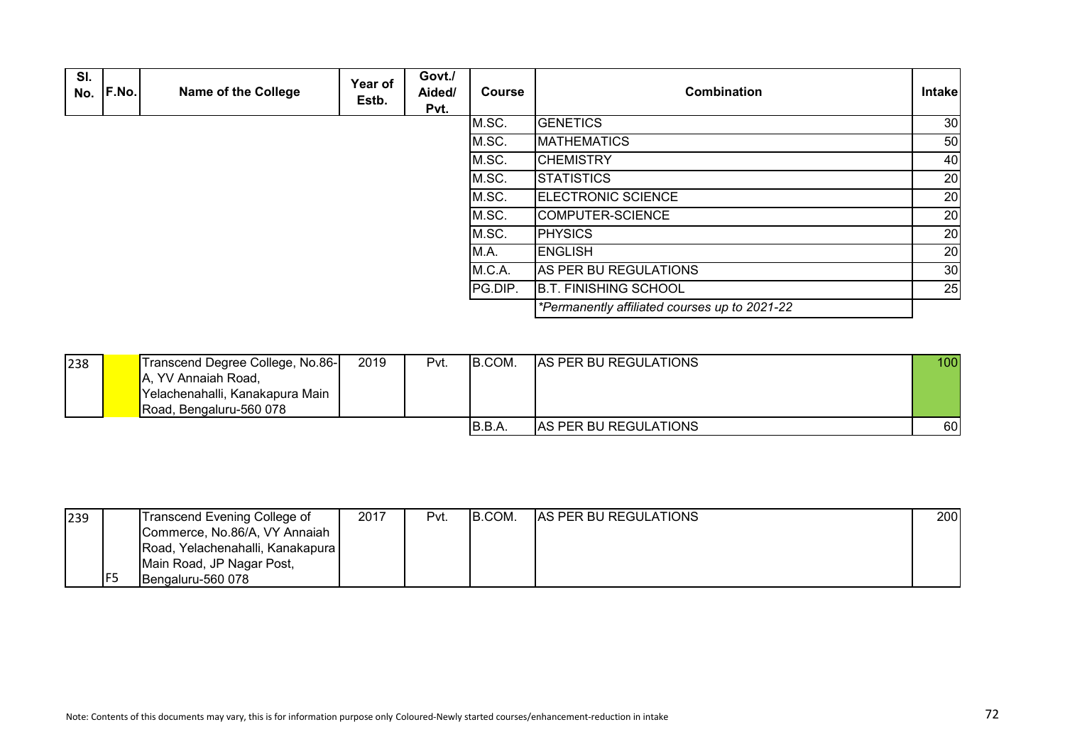| SI.<br>No. | F.No. | <b>Name of the College</b> | Year of<br>Estb. | Govt./<br>Aided/<br>Pvt. | <b>Course</b> | <b>Combination</b>                            | Intake          |
|------------|-------|----------------------------|------------------|--------------------------|---------------|-----------------------------------------------|-----------------|
|            |       |                            |                  |                          | M.SC.         | <b>GENETICS</b>                               | 30 <sub>0</sub> |
|            |       |                            |                  |                          | M.SC.         | <b>MATHEMATICS</b>                            | 50              |
|            |       |                            |                  |                          | M.SC.         | <b>CHEMISTRY</b>                              | 40              |
|            |       |                            |                  |                          | M.SC.         | <b>STATISTICS</b>                             | 20              |
|            |       |                            |                  |                          | M.SC.         | <b>ELECTRONIC SCIENCE</b>                     | 20              |
|            |       |                            |                  |                          | M.SC.         | COMPUTER-SCIENCE                              | 20              |
|            |       |                            |                  |                          | M.SC.         | <b>PHYSICS</b>                                | 20              |
|            |       |                            |                  |                          | M.A.          | <b>ENGLISH</b>                                | 20              |
|            |       |                            |                  |                          | M.C.A.        | AS PER BU REGULATIONS                         | 30 <sub>0</sub> |
|            |       |                            |                  |                          | PG.DIP.       | <b>B.T. FINISHING SCHOOL</b>                  | 25              |
|            |       |                            |                  |                          |               | *Permanently affiliated courses up to 2021-22 |                 |

| 238 | Transcend Degree College, No.86-<br><b>I</b> A, YV Annaiah Road,<br>Yelachenahalli, Kanakapura Main | 2019 | Pvt. | B.COM. | <b>AS PER BU REGULATIONS</b> | 100  |
|-----|-----------------------------------------------------------------------------------------------------|------|------|--------|------------------------------|------|
|     | Road, Bengaluru-560 078                                                                             |      |      |        |                              |      |
|     |                                                                                                     |      |      | IB.B.A | <b>AS PER BU REGULATIONS</b> | 60 l |

| 239 |     | Transcend Evening College of     | 2017 | Pvt. | IB.COM. | <b>AS PER BU REGULATIONS</b> | 200 <sub>l</sub> |
|-----|-----|----------------------------------|------|------|---------|------------------------------|------------------|
|     |     | Commerce, No.86/A, VY Annaiah    |      |      |         |                              |                  |
|     |     | Road, Yelachenahalli, Kanakapura |      |      |         |                              |                  |
|     |     | Main Road, JP Nagar Post,        |      |      |         |                              |                  |
|     | IF5 | Bengaluru-560 078                |      |      |         |                              |                  |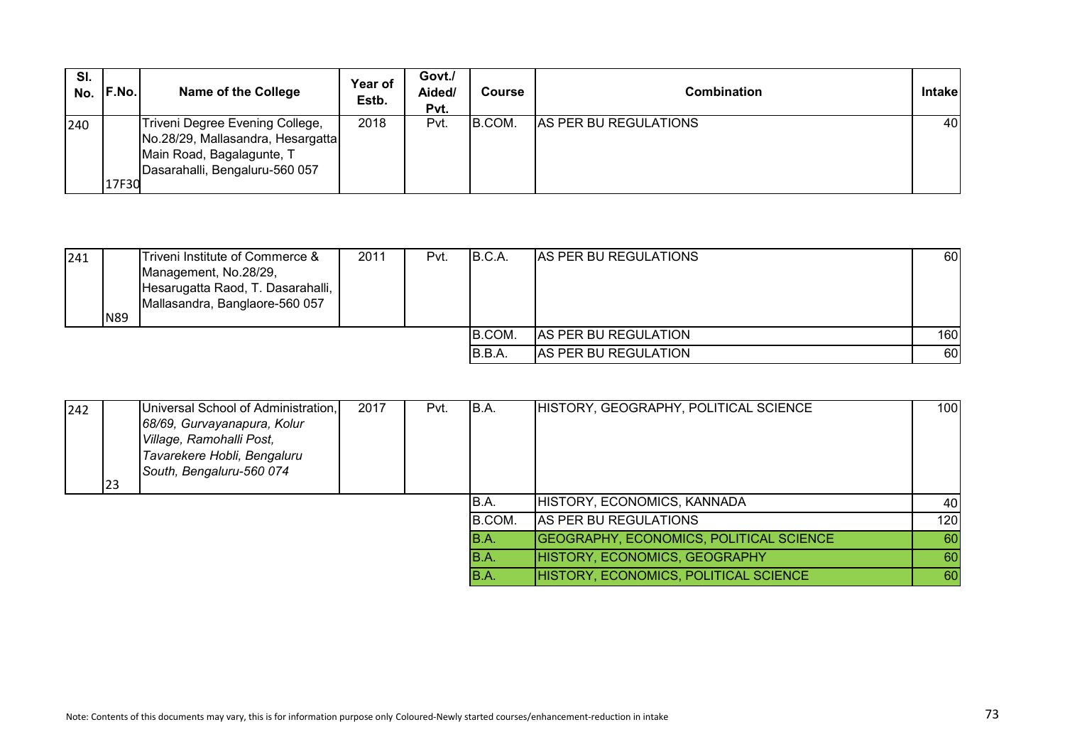| SI.<br>No. F.No. |       | <b>Name of the College</b>                                                                                                          | Year of<br>Estb. | Govt./<br>Aided/<br>Pvt. | <b>Course</b> | Combination           | <b>Intakel</b> |
|------------------|-------|-------------------------------------------------------------------------------------------------------------------------------------|------------------|--------------------------|---------------|-----------------------|----------------|
| 240              | 17F30 | Triveni Degree Evening College,<br>No.28/29, Mallasandra, Hesargatta<br>Main Road, Bagalagunte, T<br>Dasarahalli, Bengaluru-560 057 | 2018             | Pvt.                     | IB.COM.       | AS PER BU REGULATIONS | 40             |

| 241 |            | Triveni Institute of Commerce &<br>Management, No.28/29,<br>Hesarugatta Raod, T. Dasarahalli, | 2011 | Pvt. | B.C.A. | <b>AS PER BU REGULATIONS</b> | 60  |
|-----|------------|-----------------------------------------------------------------------------------------------|------|------|--------|------------------------------|-----|
|     | <b>N89</b> | Mallasandra, Banglaore-560 057                                                                |      |      |        |                              |     |
|     |            |                                                                                               |      |      | B.COM. | AS PER BU REGULATION         | 160 |
|     |            |                                                                                               |      |      | B.B.A. | AS PER BU REGULATION         | 60  |

| 242 | 23 | Universal School of Administration,<br>68/69, Gurvayanapura, Kolur<br>Village, Ramohalli Post,<br>Tavarekere Hobli, Bengaluru<br>South, Bengaluru-560 074 | 2017 | Pvt. | B.A.   | HISTORY, GEOGRAPHY, POLITICAL SCIENCE          | 100 |
|-----|----|-----------------------------------------------------------------------------------------------------------------------------------------------------------|------|------|--------|------------------------------------------------|-----|
|     |    |                                                                                                                                                           |      |      | B.A.   | HISTORY, ECONOMICS, KANNADA                    | 40  |
|     |    |                                                                                                                                                           |      |      | B.COM. | AS PER BU REGULATIONS                          | 120 |
|     |    |                                                                                                                                                           |      |      | B.A.   | <b>GEOGRAPHY, ECONOMICS, POLITICAL SCIENCE</b> | 60  |
|     |    |                                                                                                                                                           |      |      | B.A.   | HISTORY, ECONOMICS, GEOGRAPHY                  | -60 |
|     |    |                                                                                                                                                           |      |      | B.A.   | HISTORY, ECONOMICS, POLITICAL SCIENCE          | 60  |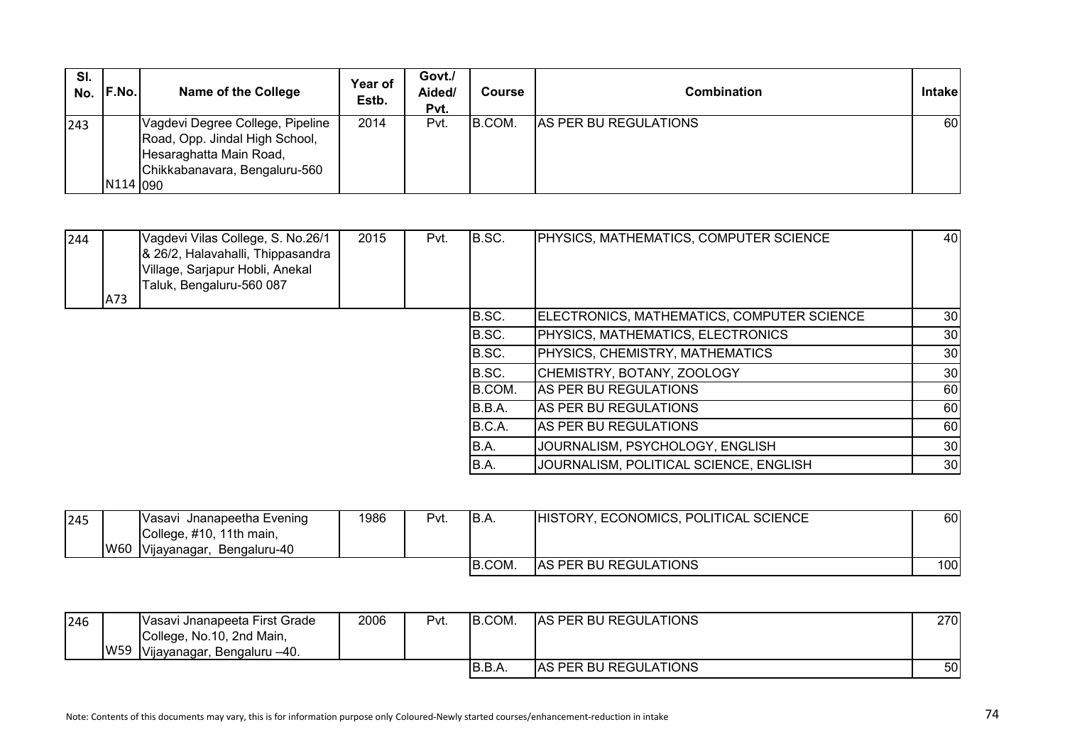| SI.<br>No. | F.No.    | <b>Name of the College</b>                                                                                                     | Year of<br>Estb. | Govt./<br>Aided/<br>Pvt. | <b>Course</b> | Combination           | <b>Intakel</b> |
|------------|----------|--------------------------------------------------------------------------------------------------------------------------------|------------------|--------------------------|---------------|-----------------------|----------------|
| 243        | N114 090 | Vagdevi Degree College, Pipeline<br>Road, Opp. Jindal High School,<br>Hesaraghatta Main Road,<br>Chikkabanavara, Bengaluru-560 | 2014             | Pvt.                     | B.COM.        | AS PER BU REGULATIONS | 60             |

| 244 | A73 | Vagdevi Vilas College, S. No.26/1<br>& 26/2, Halavahalli, Thippasandra<br>Village, Sarjapur Hobli, Anekal<br>Taluk, Bengaluru-560 087 | 2015 | Pvt. | B.SC.  | <b>PHYSICS, MATHEMATICS, COMPUTER SCIENCE</b> | 40 |
|-----|-----|---------------------------------------------------------------------------------------------------------------------------------------|------|------|--------|-----------------------------------------------|----|
|     |     |                                                                                                                                       |      |      | B.SC.  | ELECTRONICS, MATHEMATICS, COMPUTER SCIENCE    | 30 |
|     |     |                                                                                                                                       |      |      | B.SC.  | PHYSICS, MATHEMATICS, ELECTRONICS             | 30 |
|     |     |                                                                                                                                       |      |      | B.SC.  | PHYSICS, CHEMISTRY, MATHEMATICS               | 30 |
|     |     |                                                                                                                                       |      |      | B.SC.  | CHEMISTRY, BOTANY, ZOOLOGY                    | 30 |
|     |     |                                                                                                                                       |      |      | B.COM. | <b>AS PER BU REGULATIONS</b>                  | 60 |
|     |     |                                                                                                                                       |      |      | B.B.A. | <b>AS PER BU REGULATIONS</b>                  | 60 |
|     |     |                                                                                                                                       |      |      | B.C.A. | AS PER BU REGULATIONS                         | 60 |
|     |     |                                                                                                                                       |      |      | B.A.   | JOURNALISM, PSYCHOLOGY, ENGLISH               | 30 |
|     |     |                                                                                                                                       |      |      | B.A.   | JOURNALISM, POLITICAL SCIENCE, ENGLISH        | 30 |

| 245 | Vasavi Jnanapeetha Evening<br>College, #10, 11th main,<br>W60 Vijayanagar<br>Bengaluru-40 | 1986 | Pvt. | IB.A.  | HISTORY, ECONOMICS, POLITICAL SCIENCE | 60  |
|-----|-------------------------------------------------------------------------------------------|------|------|--------|---------------------------------------|-----|
|     |                                                                                           |      |      | B.COM. | <b>AS PER BU REGULATIONS</b>          | 100 |

| 246 | W59 | Vasavi Jnanapeeta First Grade<br>College, No.10, 2nd Main,<br>l Vijayanagar, Bengaluru –40. | 2006 | Pvt. | B.COM. | <b>AS PER BU REGULATIONS</b> | 270I |
|-----|-----|---------------------------------------------------------------------------------------------|------|------|--------|------------------------------|------|
|     |     |                                                                                             |      |      | B.B.A. | <b>AS PER BU REGULATIONS</b> | 50   |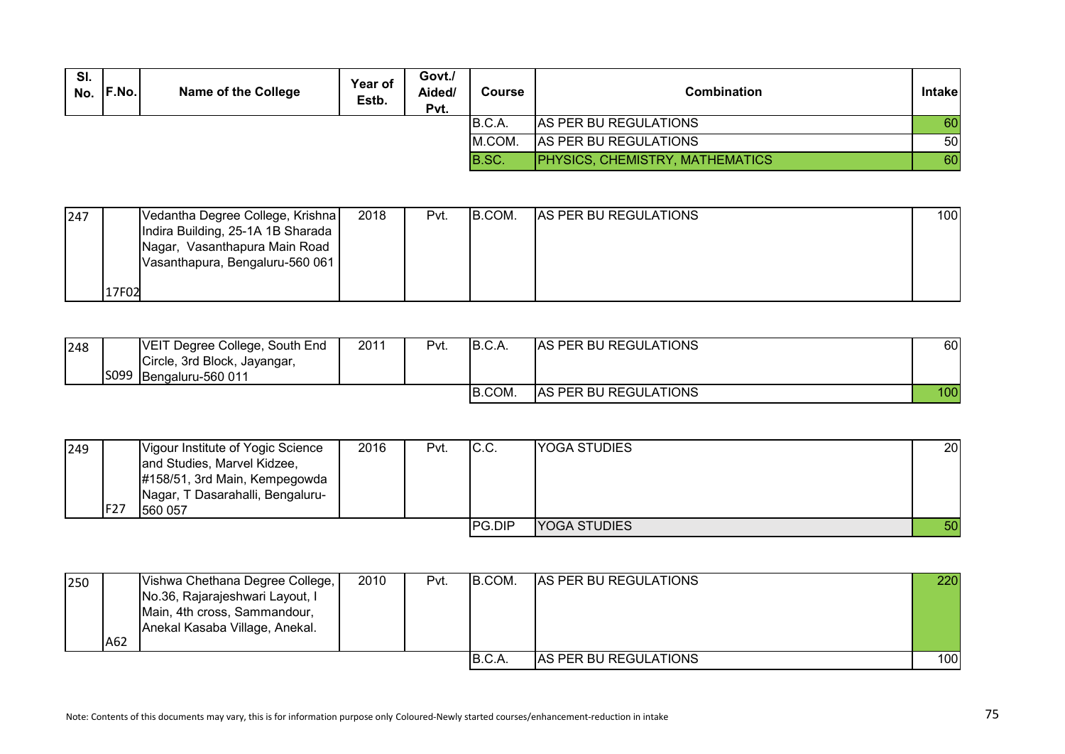| SI.<br><b>F.No.</b><br>No. | <b>Name of the College</b> | Year of<br>Estb. | Govt./<br>Aided/<br>Pvt. | Course  | <b>Combination</b>                     | <b>Intakel</b> |
|----------------------------|----------------------------|------------------|--------------------------|---------|----------------------------------------|----------------|
|                            |                            |                  |                          | B.C.A.  | AS PER BU REGULATIONS                  | 60             |
|                            |                            |                  |                          | IM.COM. | AS PER BU REGULATIONS                  | 50             |
|                            |                            |                  |                          | B.SC.   | <b>PHYSICS, CHEMISTRY, MATHEMATICS</b> | 60             |

| 247 |       | Vedantha Degree College, Krishna  | 2018 | Pvt. | IB.COM. | <b>AS PER BU REGULATIONS</b> | 100 |
|-----|-------|-----------------------------------|------|------|---------|------------------------------|-----|
|     |       | Indira Building, 25-1A 1B Sharada |      |      |         |                              |     |
|     |       | Nagar, Vasanthapura Main Road     |      |      |         |                              |     |
|     |       | Vasanthapura, Bengaluru-560 061   |      |      |         |                              |     |
|     |       |                                   |      |      |         |                              |     |
|     | 17F02 |                                   |      |      |         |                              |     |

| 248 | VEIT Degree College, South End | 2011 | Pvt. | B.C.A. | <b>AS PER BU REGULATIONS</b> | 60  |
|-----|--------------------------------|------|------|--------|------------------------------|-----|
|     | Circle, 3rd Block, Jayangar,   |      |      |        |                              |     |
|     | S099 Bengaluru-560 011         |      |      |        |                              |     |
|     |                                |      |      | B.COM. | <b>AS PER BU REGULATIONS</b> | 100 |

| 249 |            | Vigour Institute of Yogic Science | 2016 | Pvt. | C.C.   | <b>YOGA STUDIES</b> | 20              |
|-----|------------|-----------------------------------|------|------|--------|---------------------|-----------------|
|     |            | and Studies, Marvel Kidzee,       |      |      |        |                     |                 |
|     |            | #158/51, 3rd Main, Kempegowda     |      |      |        |                     |                 |
|     |            | Nagar, T Dasarahalli, Bengaluru-  |      |      |        |                     |                 |
|     | <b>F27</b> | 560 057                           |      |      |        |                     |                 |
|     |            |                                   |      |      | PG.DIP | <b>YOGA STUDIES</b> | 50 <sub>l</sub> |

| 250 |     | Vishwa Chethana Degree College,<br>No.36, Rajarajeshwari Layout, I<br>Main, 4th cross, Sammandour,<br>Anekal Kasaba Village, Anekal. | 2010 | Pvt. | B.COM. | <b>AS PER BU REGULATIONS</b> | 220 |
|-----|-----|--------------------------------------------------------------------------------------------------------------------------------------|------|------|--------|------------------------------|-----|
|     | A62 |                                                                                                                                      |      |      | B.C.A. | AS PER BU REGULATIONS        | 100 |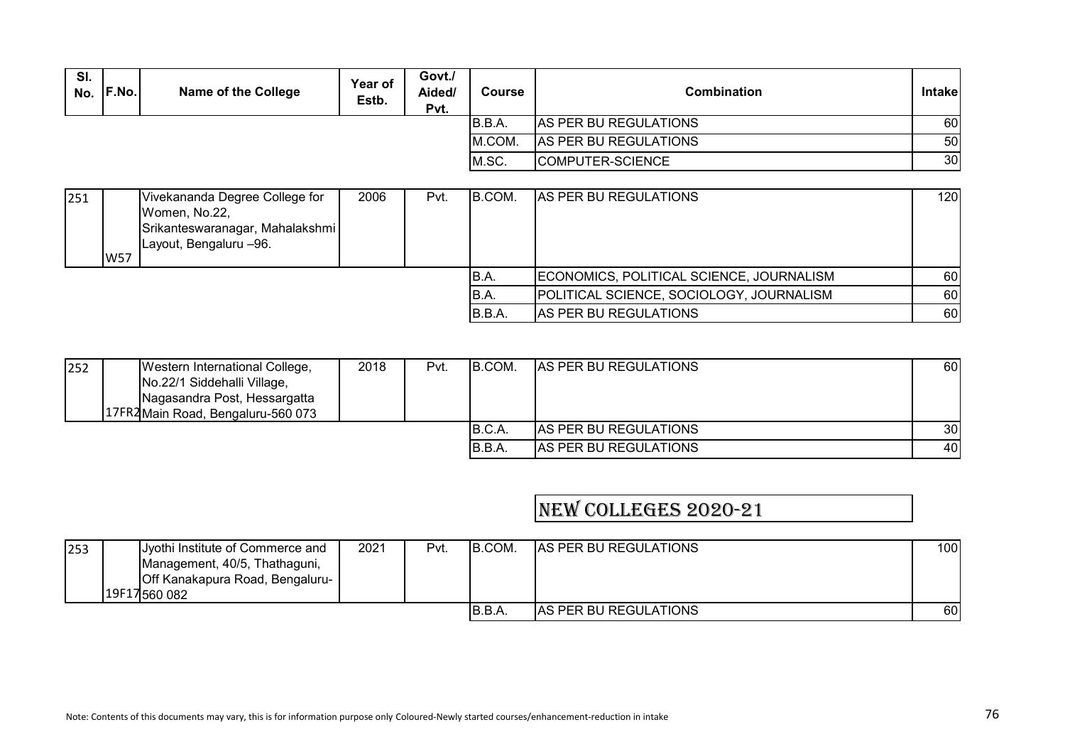| SI.<br>F.No.<br>No. | <b>Name of the College</b> | Year of<br>Estb. | Govt./<br>Aided/<br>Pvt. | <b>Course</b> | <b>Combination</b>    | Intakel         |
|---------------------|----------------------------|------------------|--------------------------|---------------|-----------------------|-----------------|
|                     |                            |                  |                          | B.B.A.        | AS PER BU REGULATIONS | 60              |
|                     |                            |                  |                          | IM.COM.       | AS PER BU REGULATIONS | 50              |
|                     |                            |                  |                          | M.SC.         | COMPUTER-SCIENCE      | 30 <sup>1</sup> |

| 251 |     | Vivekananda Degree College for  | 2006 | Pvt. | B.COM. | AS PER BU REGULATIONS                    | 120I |
|-----|-----|---------------------------------|------|------|--------|------------------------------------------|------|
|     |     | Women, No.22,                   |      |      |        |                                          |      |
|     |     | Srikanteswaranagar, Mahalakshmi |      |      |        |                                          |      |
|     |     | Layout, Bengaluru -96.          |      |      |        |                                          |      |
|     | W57 |                                 |      |      |        |                                          |      |
|     |     |                                 |      |      | IB.A.  | ECONOMICS, POLITICAL SCIENCE, JOURNALISM | 60   |
|     |     |                                 |      |      | IB.A.  | POLITICAL SCIENCE, SOCIOLOGY, JOURNALISM | 60   |
|     |     |                                 |      |      | B.B.A. | AS PER BU REGULATIONS                    | 60   |

| 252 | Western International College,<br>No.22/1 Siddehalli Village,<br>Nagasandra Post, Hessargatta<br>17FR2Main Road, Bengaluru-560 073 | 2018 | Pvt. | IB.COM.       | <b>AS PER BU REGULATIONS</b> | 60              |
|-----|------------------------------------------------------------------------------------------------------------------------------------|------|------|---------------|------------------------------|-----------------|
|     |                                                                                                                                    |      |      | IB.C.A        | AS PER BU REGULATIONS        | 30 <sup>1</sup> |
|     |                                                                                                                                    |      |      | <b>IB.B.A</b> | <b>AS PER BU REGULATIONS</b> | 40I             |

## NEW COLLEGES 2020-21

| 253 | Jyothi Institute of Commerce and<br>Management, 40/5, Thathaguni,<br><b>Off Kanakapura Road, Bengaluru-</b><br>19F17560082 | 2021 | Pvt. | B.COM.  | <b>AS PER BU REGULATIONS</b> | 100 l |
|-----|----------------------------------------------------------------------------------------------------------------------------|------|------|---------|------------------------------|-------|
|     |                                                                                                                            |      |      | IB.B.A. | <b>AS PER BU REGULATIONS</b> | 60I   |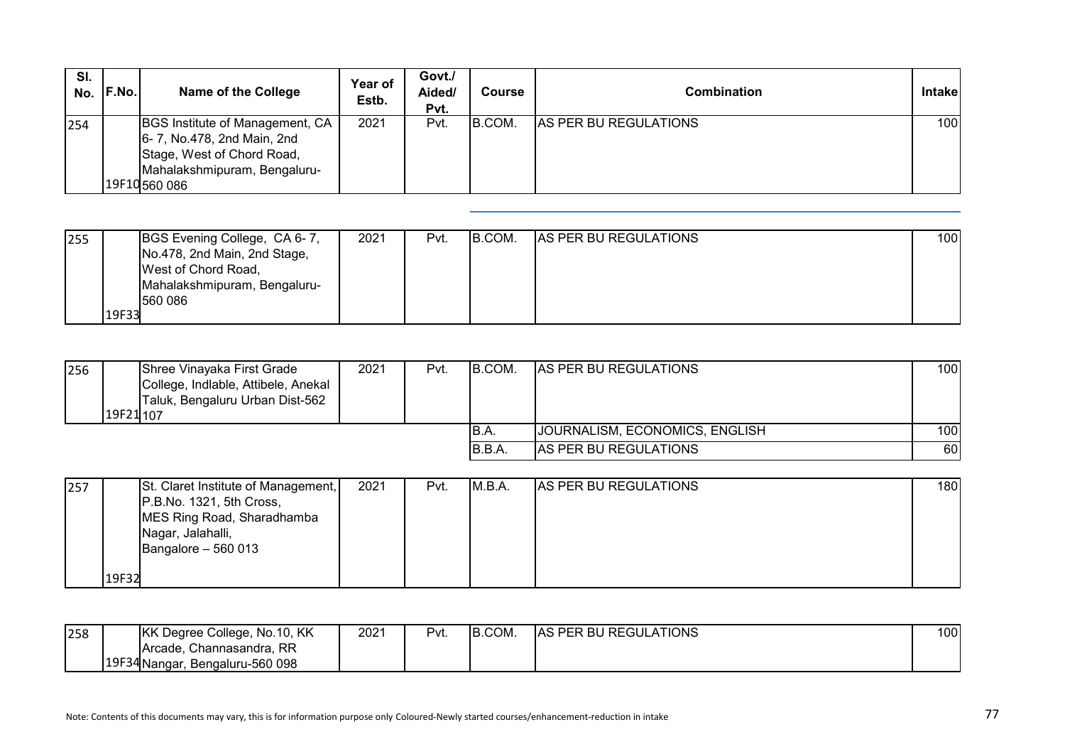| SI. | No. F.No. | Name of the College                                                                                                                        | <b>Year of</b><br>Estb. | Govt./<br>Aided/<br>Pvt. | <b>Course</b> | <b>Combination</b>    | <b>Intakel</b> |
|-----|-----------|--------------------------------------------------------------------------------------------------------------------------------------------|-------------------------|--------------------------|---------------|-----------------------|----------------|
| 254 |           | BGS Institute of Management, CA<br>6-7, No.478, 2nd Main, 2nd<br>Stage, West of Chord Road,<br>Mahalakshmipuram, Bengaluru-<br>19F10560086 | 2021                    | Pvt.                     | IB.COM.       | AS PER BU REGULATIONS | 100            |

| 255 |       | BGS Evening College, CA 6-7, | 2021 | Pvt. | B.COM. | <b>AS PER BU REGULATIONS</b> | 100 |
|-----|-------|------------------------------|------|------|--------|------------------------------|-----|
|     |       | No.478, 2nd Main, 2nd Stage, |      |      |        |                              |     |
|     |       | West of Chord Road,          |      |      |        |                              |     |
|     |       | Mahalakshmipuram, Bengaluru- |      |      |        |                              |     |
|     |       | 560 086                      |      |      |        |                              |     |
|     | 19F33 |                              |      |      |        |                              |     |

| 256 | 19F21107 | Shree Vinayaka First Grade<br>College, Indlable, Attibele, Anekal<br>Taluk, Bengaluru Urban Dist-562 | 2021 | Pvt. | IB.COM.      | <b>AS PER BU REGULATIONS</b>   | 100  |
|-----|----------|------------------------------------------------------------------------------------------------------|------|------|--------------|--------------------------------|------|
|     |          |                                                                                                      |      |      | IB.A.        | JOURNALISM, ECONOMICS, ENGLISH | 100  |
|     |          |                                                                                                      |      |      | <b>B.B.A</b> | AS PER BU REGULATIONS          | 60 l |

| 257 |       | St. Claret Institute of Management, | 2021 | Pvt. | M.B.A. | <b>AS PER BU REGULATIONS</b> | 1801 |
|-----|-------|-------------------------------------|------|------|--------|------------------------------|------|
|     |       | P.B.No. 1321, 5th Cross,            |      |      |        |                              |      |
|     |       | MES Ring Road, Sharadhamba          |      |      |        |                              |      |
|     |       | Nagar, Jalahalli,                   |      |      |        |                              |      |
|     |       | Bangalore $-560013$                 |      |      |        |                              |      |
|     |       |                                     |      |      |        |                              |      |
|     | 19F32 |                                     |      |      |        |                              |      |

| 258 | KK Degree College, No.10, KK       | 2021 | Pvt. | <b>IB.COM.</b> | PER BU REGULATIONS<br>-IAS. | 100 |
|-----|------------------------------------|------|------|----------------|-----------------------------|-----|
|     | Arcade, Channasandra, RR           |      |      |                |                             |     |
|     | 19F34 Nangar,<br>Bengaluru-560 098 |      |      |                |                             |     |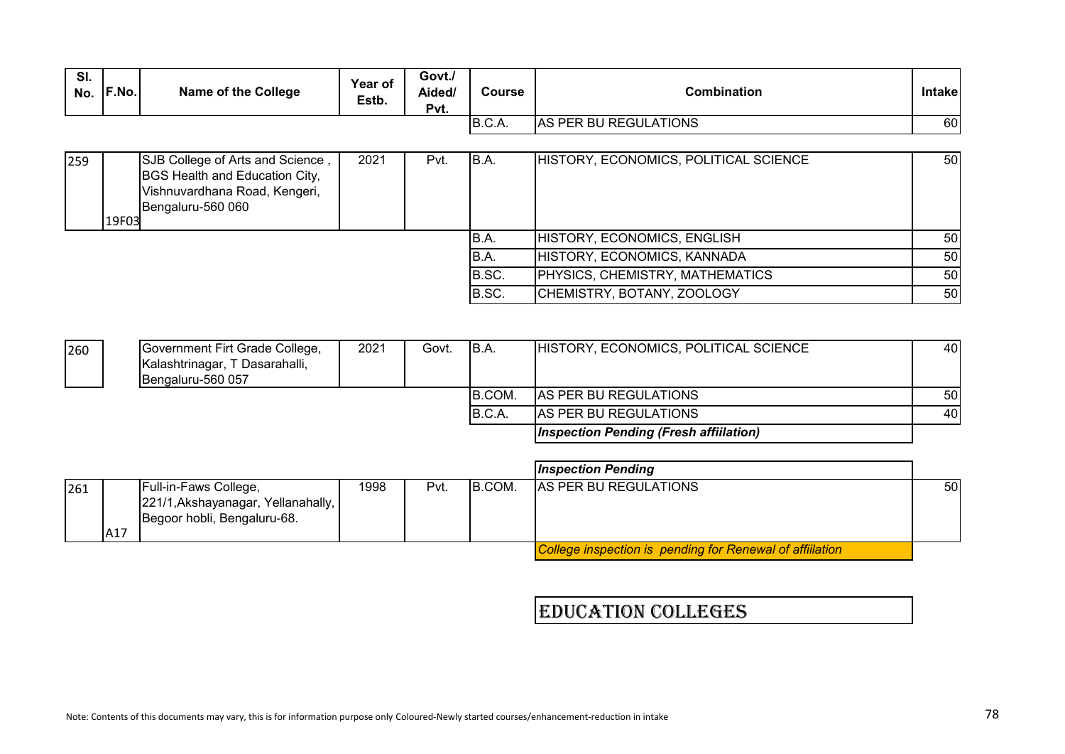| SI.<br>No. | F.No. | <b>Name of the College</b>                                                                                               | Year of<br>Estb. | Govt./<br>Aided/<br>Pvt. | <b>Course</b> | Combination                           | <b>Intakel</b> |
|------------|-------|--------------------------------------------------------------------------------------------------------------------------|------------------|--------------------------|---------------|---------------------------------------|----------------|
|            |       |                                                                                                                          |                  |                          | B.C.A.        | AS PER BU REGULATIONS                 | 60             |
| 259        | 19F03 | SJB College of Arts and Science,<br>BGS Health and Education City,<br>Vishnuvardhana Road, Kengeri,<br>Bengaluru-560 060 | 2021             | Pvt.                     | B.A.          | HISTORY, ECONOMICS, POLITICAL SCIENCE | 50             |
|            |       |                                                                                                                          |                  |                          | B.A.          | HISTORY, ECONOMICS, ENGLISH           | 50             |
|            |       |                                                                                                                          |                  |                          | B.A.          | HISTORY, ECONOMICS, KANNADA           | 50             |
|            |       |                                                                                                                          |                  |                          | B.SC.         | PHYSICS, CHEMISTRY, MATHEMATICS       | 50             |
|            |       |                                                                                                                          |                  |                          | B.SC.         | CHEMISTRY, BOTANY, ZOOLOGY            | 50             |

| 260 | Government Firt Grade College,<br>Kalashtrinagar, T Dasarahalli,<br>IBengaluru-560 057 | 2021 | Govt. | B.A.    | HISTORY, ECONOMICS, POLITICAL SCIENCE         | 40 |
|-----|----------------------------------------------------------------------------------------|------|-------|---------|-----------------------------------------------|----|
|     |                                                                                        |      |       | IB.COM. | AS PER BU REGULATIONS                         | 50 |
|     |                                                                                        |      |       | B.C.A.  | AS PER BU REGULATIONS                         | 40 |
|     |                                                                                        |      |       |         | <b>Inspection Pending (Fresh affillation)</b> |    |

|     |     |                                                             |      |      |         | <b>Inspection Pending</b>                                |      |
|-----|-----|-------------------------------------------------------------|------|------|---------|----------------------------------------------------------|------|
| 261 |     | Full-in-Faws College,<br>221/1, Akshayanagar, Yellanahally, | 1998 | Pvt. | IB.COM. | <b>AS PER BU REGULATIONS</b>                             | 50 l |
|     | A17 | Begoor hobli, Bengaluru-68.                                 |      |      |         |                                                          |      |
|     |     |                                                             |      |      |         | College inspection is pending for Renewal of affiilation |      |

## EDUCATION COLLEGES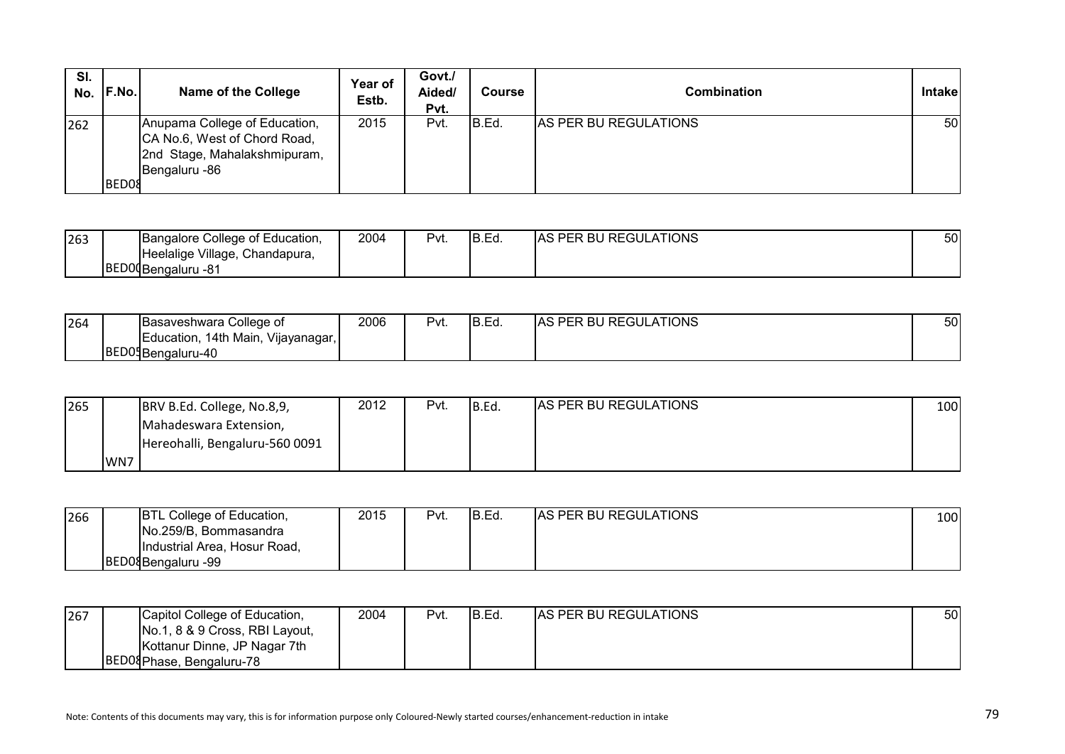| SI. | No. F.No.    | <b>Name of the College</b>                                                                                     | Year of<br>Estb. | Govt./<br>Aided/<br>Pvt. | <b>Course</b> | <b>Combination</b>    | <b>Intakel</b>  |
|-----|--------------|----------------------------------------------------------------------------------------------------------------|------------------|--------------------------|---------------|-----------------------|-----------------|
| 262 | <b>BED08</b> | Anupama College of Education,<br>CA No.6, West of Chord Road,<br>2nd Stage, Mahalakshmipuram,<br>Bengaluru -86 | 2015             | Pvt.                     | B.Ed.         | AS PER BU REGULATIONS | 50 <sub>l</sub> |

| 263 | Bangalore College of Education,   | 2004 | $P_{V}t$ . | $\overline{\phantom{0}}$<br>IB.EQ. | R BU REGULATIONS<br>PFR<br>IAS | 50 |
|-----|-----------------------------------|------|------------|------------------------------------|--------------------------------|----|
|     | Heelalige Village,<br>Chandapura, |      |            |                                    |                                |    |
|     | BED00Bengaluru -81                |      |            |                                    |                                |    |

| 264 | IBasaveshwara College of           | 2006 | Pvt. | IB.Ed. | <b>PER BU REGULATIONS</b><br>IAS | 50 |
|-----|------------------------------------|------|------|--------|----------------------------------|----|
|     | Education, 14th Main, Vijayanagar, |      |      |        |                                  |    |
|     | BED04Bengaluru-40                  |      |      |        |                                  |    |

| 265 |     | BRV B.Ed. College, No.8,9,     | 2012 | Pvt. | B.Ed | <b>AS PER BU REGULATIONS</b> | 100 |
|-----|-----|--------------------------------|------|------|------|------------------------------|-----|
|     |     | Mahadeswara Extension,         |      |      |      |                              |     |
|     |     | Hereohalli, Bengaluru-560 0091 |      |      |      |                              |     |
|     | WN7 |                                |      |      |      |                              |     |

| 266 | <b>BTL College of Education,</b> | 2015 | Pvt. | IB.Ed. | <b>AS PER BU REGULATIONS</b> | 100 |
|-----|----------------------------------|------|------|--------|------------------------------|-----|
|     | No.259/B, Bommasandra            |      |      |        |                              |     |
|     | Industrial Area, Hosur Road,     |      |      |        |                              |     |
|     | BED08Bengaluru -99               |      |      |        |                              |     |

| 267 | Capitol College of Education,  | 2004 | Pvt. | IB.Ed. | <b>AS PER BU REGULATIONS</b> | 50 <sub>l</sub> |
|-----|--------------------------------|------|------|--------|------------------------------|-----------------|
|     | No.1, 8 & 9 Cross, RBI Layout, |      |      |        |                              |                 |
|     | Kottanur Dinne, JP Nagar 7th   |      |      |        |                              |                 |
|     | BED04Phase, Bengaluru-78       |      |      |        |                              |                 |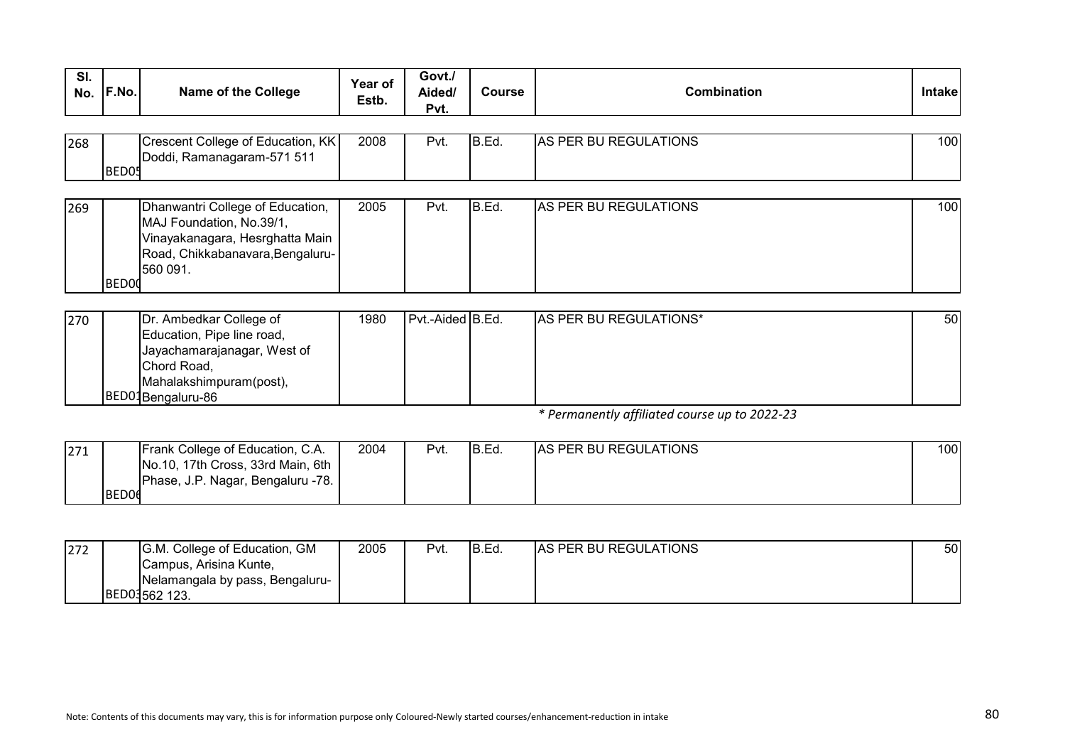| SI.<br>No. | F.No.        | <b>Name of the College</b>                                                                                                                          | Year of<br>Estb. | Govt./<br>Aided/<br>Pvt. | <b>Course</b> | Combination                                   | Intake |
|------------|--------------|-----------------------------------------------------------------------------------------------------------------------------------------------------|------------------|--------------------------|---------------|-----------------------------------------------|--------|
| 268        |              | Crescent College of Education, KK                                                                                                                   | 2008             | Pvt.                     | B.Ed.         | AS PER BU REGULATIONS                         | 100    |
|            | BED05        | Doddi, Ramanagaram-571 511                                                                                                                          |                  |                          |               |                                               |        |
|            |              |                                                                                                                                                     |                  |                          |               |                                               |        |
| 269        |              | Dhanwantri College of Education,<br>MAJ Foundation, No.39/1,<br>Vinayakanagara, Hesrghatta Main<br>Road, Chikkabanavara, Bengaluru-<br>560 091.     | 2005             | Pvt.                     | B.Ed.         | AS PER BU REGULATIONS                         | 100    |
|            | <b>BED00</b> |                                                                                                                                                     |                  |                          |               |                                               |        |
| 270        |              | Dr. Ambedkar College of<br>Education, Pipe line road,<br>Jayachamarajanagar, West of<br>Chord Road,<br>Mahalakshimpuram(post),<br>BED01Bengaluru-86 | 1980             | Pvt.-Aided B.Ed.         |               | AS PER BU REGULATIONS*                        | 50     |
|            |              |                                                                                                                                                     |                  |                          |               | * Permanently affiliated course up to 2022-23 |        |
| 271        | <b>BED06</b> | Frank College of Education, C.A.<br>No.10, 17th Cross, 33rd Main, 6th<br>Phase, J.P. Nagar, Bengaluru -78.                                          | 2004             | Pvt.                     | B.Ed.         | AS PER BU REGULATIONS                         | 100    |

| 272 | G.M. College of Education, GM          | 2005 | Pvt. | B.Ed. | <b>AS PER BU REGULATIONS</b> | 50 |
|-----|----------------------------------------|------|------|-------|------------------------------|----|
|     | Campus, Arisina Kunte,                 |      |      |       |                              |    |
|     | <b>Nelamangala by pass, Bengaluru-</b> |      |      |       |                              |    |
|     | BED03562 123.                          |      |      |       |                              |    |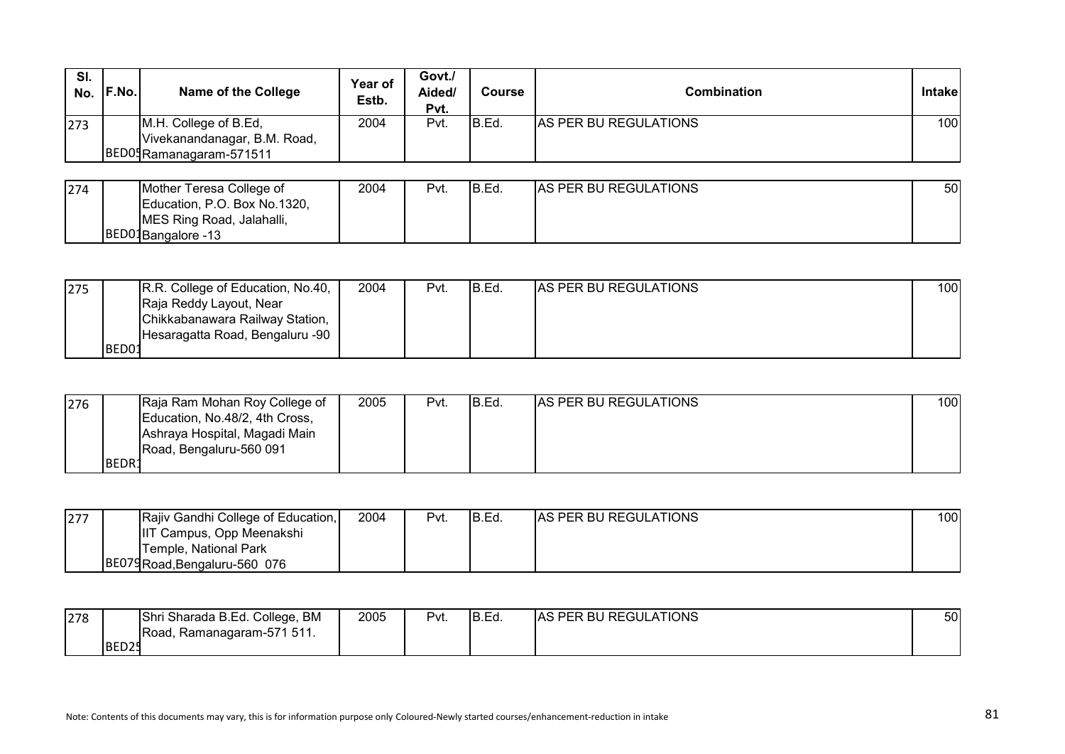| SI.<br>No. | F.No. | Name of the College          | Year of<br>Estb. | Govt./<br>Aided/<br>Pvt. | Course      | Combination           | <b>Intake</b> |
|------------|-------|------------------------------|------------------|--------------------------|-------------|-----------------------|---------------|
| 273        |       | M.H. College of B.Ed,        | 2004             | Pvt.                     | <b>B.Ed</b> | AS PER BU REGULATIONS | 100           |
|            |       | Vivekanandanagar, B.M. Road, |                  |                          |             |                       |               |
|            |       | BED01Ramanagaram-571511      |                  |                          |             |                       |               |

| 274 | Mother Teresa College of     | 2004 | Pvt. | IB.Ed | <b>AS PER BU REGULATIONS</b> | 50 |
|-----|------------------------------|------|------|-------|------------------------------|----|
|     | Education, P.O. Box No.1320, |      |      |       |                              |    |
|     | MES Ring Road, Jalahalli,    |      |      |       |                              |    |
|     | BED01Bangalore -13           |      |      |       |                              |    |

| 275 |       | R.R. College of Education, No.40, | 2004 | Pvt. | B.Ed. | AS PER BU REGULATIONS | 100 |
|-----|-------|-----------------------------------|------|------|-------|-----------------------|-----|
|     |       | Raja Reddy Layout, Near           |      |      |       |                       |     |
|     |       | Chikkabanawara Railway Station,   |      |      |       |                       |     |
|     |       | Hesaragatta Road, Bengaluru -90   |      |      |       |                       |     |
|     | BED01 |                                   |      |      |       |                       |     |

| 276 |               | Raja Ram Mohan Roy College of  | 2005 | Pvt. | IB.Ed | <b>AS PER BU REGULATIONS</b> | 100 <sup>1</sup> |
|-----|---------------|--------------------------------|------|------|-------|------------------------------|------------------|
|     |               | Education, No.48/2, 4th Cross, |      |      |       |                              |                  |
|     |               | Ashraya Hospital, Magadi Main  |      |      |       |                              |                  |
|     |               | Road, Bengaluru-560 091        |      |      |       |                              |                  |
|     | <b>IBEDR1</b> |                                |      |      |       |                              |                  |

| 277 | Rajiv Gandhi College of Education,           | 2004 | Pvt. | IB.Ed. | <b>AS PER BU REGULATIONS</b> | 100 |
|-----|----------------------------------------------|------|------|--------|------------------------------|-----|
|     | " <sup>Т</sup> Campus, Opp Meenakshi<br>דווו |      |      |        |                              |     |
|     | Temple, National Park                        |      |      |        |                              |     |
|     | BE079 Road, Bengaluru-560 076                |      |      |        |                              |     |

| 278 | Shri Sharada B.Ed. College, BM      | 2005 | Pvt. | IB.Ed. | <b>AS PER BU REGULATIONS</b><br>AS | 50 |
|-----|-------------------------------------|------|------|--------|------------------------------------|----|
|     | $\,$ Ramanagaram-571 511.<br>IRoad. |      |      |        |                                    |    |
|     | BED <sub>25</sub>                   |      |      |        |                                    |    |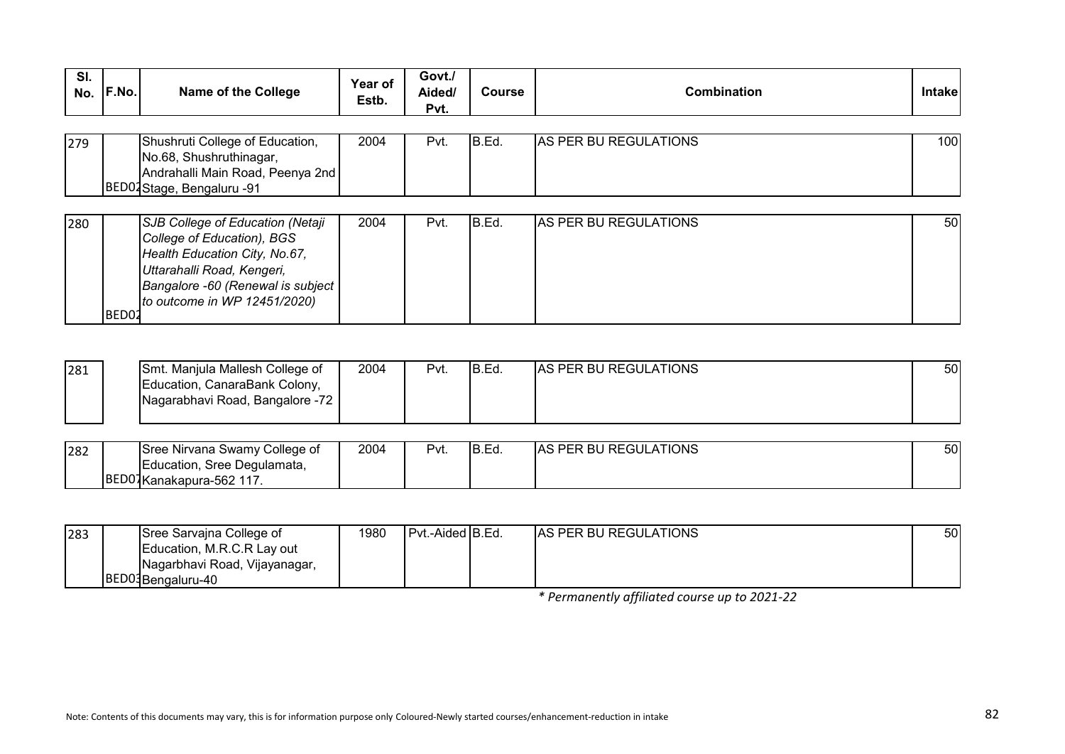| SI.<br>No. | F.No.             | <b>Name of the College</b>                                                                                                                                                                         | Year of<br>Estb. | Govt./<br>Aided/<br>Pvt. | <b>Course</b> | Combination           | <b>Intake</b> |
|------------|-------------------|----------------------------------------------------------------------------------------------------------------------------------------------------------------------------------------------------|------------------|--------------------------|---------------|-----------------------|---------------|
| 279        |                   | Shushruti College of Education,<br>No.68, Shushruthinagar,<br>Andrahalli Main Road, Peenya 2nd<br>BED04Stage, Bengaluru -91                                                                        | 2004             | Pvt.                     | B.Ed.         | AS PER BU REGULATIONS | 100           |
| 280        | BED <sub>02</sub> | SJB College of Education (Netaji<br>College of Education), BGS<br>Health Education City, No.67,<br>Uttarahalli Road, Kengeri,<br>Bangalore -60 (Renewal is subject<br>to outcome in WP 12451/2020) | 2004             | Pvt.                     | B.Ed.         | AS PER BU REGULATIONS | <b>50</b>     |

| 281 | Smt. Manjula Mallesh College of | 2004 | Pvt. | IB.Ed. | <b>AS PER BU REGULATIONS</b> | 50 |
|-----|---------------------------------|------|------|--------|------------------------------|----|
|     | Education, CanaraBank Colony,   |      |      |        |                              |    |
|     | Nagarabhavi Road, Bangalore -72 |      |      |        |                              |    |
|     |                                 |      |      |        |                              |    |

| 282 | Sree Nirvana Swamy College of    | 2004 | $P_{Vl.}$ | IB.Ed. | <b>BU REGULATIONS</b><br>$\mathcal{S}$ PFR . | 50 |
|-----|----------------------------------|------|-----------|--------|----------------------------------------------|----|
|     | , Sree Dequlamata,<br>∟ducatıon, |      |           |        |                                              |    |
|     | BED01Kanakapura-562 117.         |      |           |        |                                              |    |

| 283 | <b>ISree Sarvaina College of</b> | 1980 | <b>I Pvt.-Aided B.Ed.</b> | <b>AS PER BU REGULATIONS</b> | 50 |
|-----|----------------------------------|------|---------------------------|------------------------------|----|
|     | Education, M.R.C.R Lay out       |      |                           |                              |    |
|     | Nagarbhavi Road, Vijayanagar,    |      |                           |                              |    |
|     | BED03Bengaluru-40                |      |                           |                              |    |

*\* Permanently affiliated course up to 2021-22*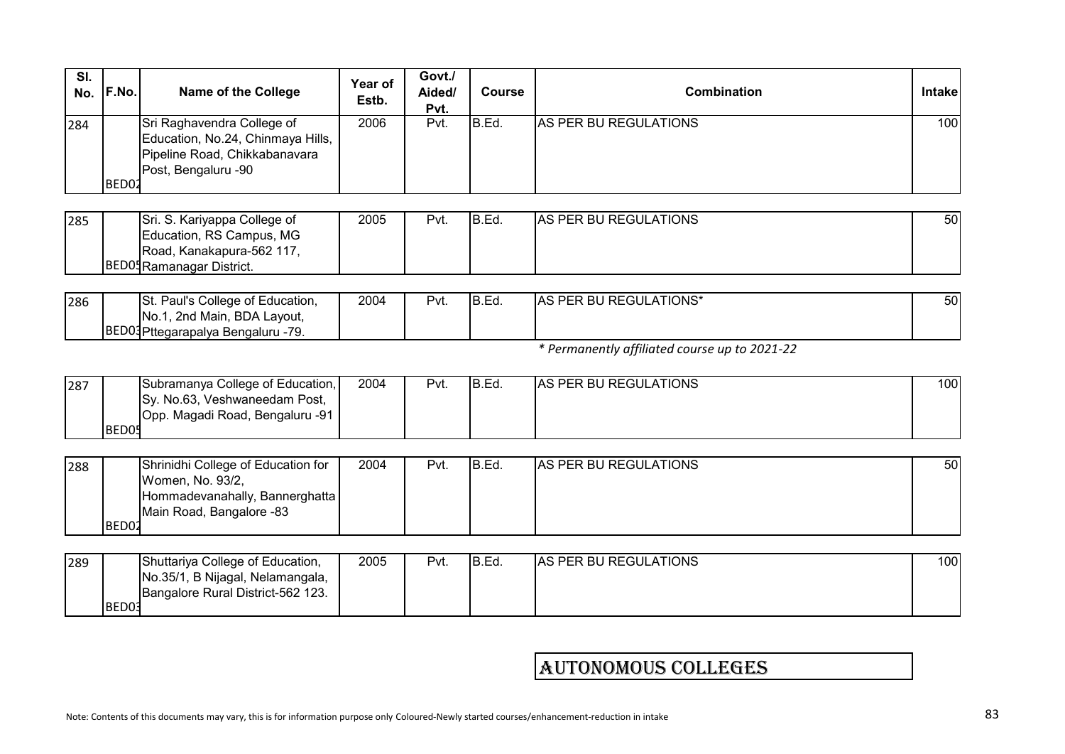| SI.<br>No. | F.No.              | <b>Name of the College</b>                                                                                                            | Year of<br>Estb. | Govt./<br>Aided/<br>Pvt. | <b>Course</b> | <b>Combination</b>                            | Intake |
|------------|--------------------|---------------------------------------------------------------------------------------------------------------------------------------|------------------|--------------------------|---------------|-----------------------------------------------|--------|
| 284        | BED <sub>0</sub> 2 | Sri Raghavendra College of<br>Education, No.24, Chinmaya Hills,<br>Pipeline Road, Chikkabanavara<br>Post, Bengaluru -90               | 2006             | Pvt.                     | B.Ed.         | AS PER BU REGULATIONS                         | 100    |
| 285        |                    | Sri. S. Kariyappa College of<br>Education, RS Campus, MG<br>Road, Kanakapura-562 117,<br><b>BED0</b> <sup>4</sup> Ramanagar District. | 2005             | Pvt.                     | B.Ed.         | AS PER BU REGULATIONS                         | 50     |
| 286        |                    | St. Paul's College of Education,<br>No.1, 2nd Main, BDA Layout,<br>BED04 Pttegarapalya Bengaluru -79.                                 | 2004             | Pvt.                     | B.Ed.         | AS PER BU REGULATIONS*                        | 50     |
|            |                    |                                                                                                                                       |                  |                          |               | * Permanently affiliated course up to 2021-22 |        |
| 287        | BED05              | Subramanya College of Education,<br>Sy. No.63, Veshwaneedam Post,<br>Opp. Magadi Road, Bengaluru -91                                  | 2004             | Pvt.                     | B.Ed.         | AS PER BU REGULATIONS                         | 100    |
| 288        | BED <sub>02</sub>  | Shrinidhi College of Education for<br>Women, No. 93/2,<br>Hommadevanahally, Bannerghatta<br>Main Road, Bangalore -83                  | 2004             | Pvt.                     | B.Ed.         | AS PER BU REGULATIONS                         | 50     |
| 289        | BED03              | Shuttariya College of Education,<br>No.35/1, B Nijagal, Nelamangala,<br>Bangalore Rural District-562 123.                             | 2005             | Pvt.                     | B.Ed.         | AS PER BU REGULATIONS                         | 100    |

## AUTONOmOUS COLLEGES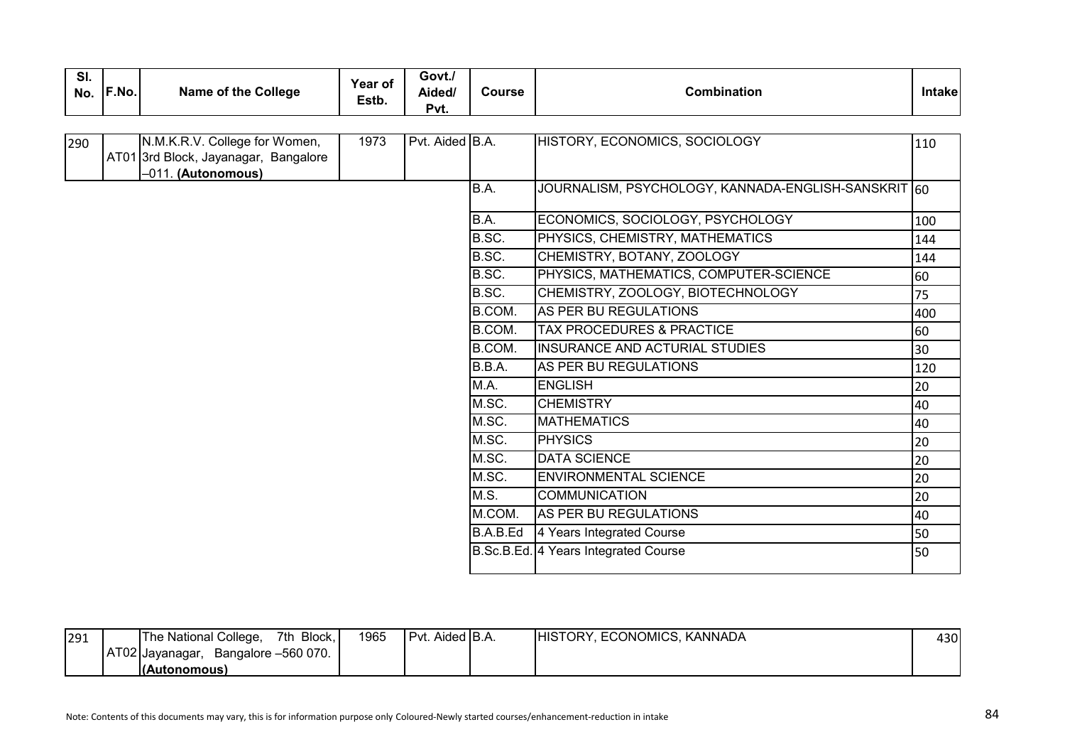| SI.<br>No. | F.No. | <b>Name of the College</b>                                                                  | Year of<br>Estb. | Govt./<br>Aided/<br>Pvt. | <b>Course</b> | <b>Combination</b>                                  | <b>Intake</b> |
|------------|-------|---------------------------------------------------------------------------------------------|------------------|--------------------------|---------------|-----------------------------------------------------|---------------|
| 290        |       | N.M.K.R.V. College for Women,<br>AT01 3rd Block, Jayanagar, Bangalore<br>-011. (Autonomous) | 1973             | Pvt. Aided B.A.          |               | HISTORY, ECONOMICS, SOCIOLOGY                       | 110           |
|            |       |                                                                                             |                  |                          | B.A.          | JOURNALISM, PSYCHOLOGY, KANNADA-ENGLISH-SANSKRIT 60 |               |
|            |       |                                                                                             |                  |                          | B.A.          | ECONOMICS, SOCIOLOGY, PSYCHOLOGY                    | 100           |
|            |       |                                                                                             |                  |                          | B.SC.         | PHYSICS, CHEMISTRY, MATHEMATICS                     | 144           |
|            |       |                                                                                             |                  |                          | B.SC.         | CHEMISTRY, BOTANY, ZOOLOGY                          | 144           |
|            |       |                                                                                             |                  |                          | B.SC.         | PHYSICS, MATHEMATICS, COMPUTER-SCIENCE              | 60            |
|            |       |                                                                                             |                  |                          | B.SC.         | CHEMISTRY, ZOOLOGY, BIOTECHNOLOGY                   | 75            |
|            |       |                                                                                             |                  |                          | B.COM.        | AS PER BU REGULATIONS                               | 400           |
|            |       |                                                                                             |                  |                          | B.COM.        | <b>TAX PROCEDURES &amp; PRACTICE</b>                | 60            |
|            |       |                                                                                             |                  |                          | B.COM.        | <b>INSURANCE AND ACTURIAL STUDIES</b>               | 30            |
|            |       |                                                                                             |                  |                          | B.B.A.        | AS PER BU REGULATIONS                               | 120           |
|            |       |                                                                                             |                  |                          | M.A.          | <b>ENGLISH</b>                                      | 20            |
|            |       |                                                                                             |                  |                          | M.SC.         | <b>CHEMISTRY</b>                                    | 40            |
|            |       |                                                                                             |                  |                          | M.SC.         | <b>MATHEMATICS</b>                                  | 40            |
|            |       |                                                                                             |                  |                          | M.SC.         | <b>PHYSICS</b>                                      | 20            |
|            |       |                                                                                             |                  |                          | M.SC.         | <b>DATA SCIENCE</b>                                 | 20            |
|            |       |                                                                                             |                  |                          | M.SC.         | <b>ENVIRONMENTAL SCIENCE</b>                        | 20            |
|            |       |                                                                                             |                  |                          | M.S.          | <b>COMMUNICATION</b>                                | 20            |
|            |       |                                                                                             |                  |                          | M.COM.        | <b>AS PER BU REGULATIONS</b>                        | 40            |
|            |       |                                                                                             |                  |                          | B.A.B.Ed      | 4 Years Integrated Course                           | 50            |
|            |       |                                                                                             |                  |                          |               | B.Sc.B.Ed. 4 Years Integrated Course                | 50            |

| 291 | Block,<br>The National College,<br>7th | 1965 | Aided B.A.<br>∵Pvt. | ECONOMICS,<br><b>HISTORY,</b><br>, KANNADA | 430 |
|-----|----------------------------------------|------|---------------------|--------------------------------------------|-----|
|     | AT02 Jayanagar<br>Bangalore -560 070.  |      |                     |                                            |     |
|     | (Autonomous)                           |      |                     |                                            |     |